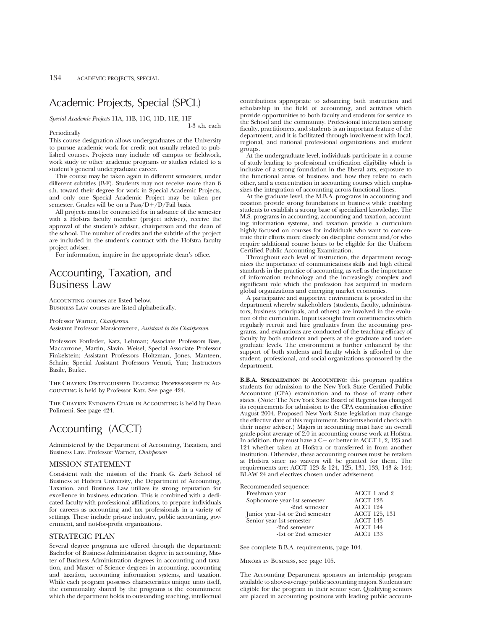## Academic Projects, Special (SPCL)

*Special Academic Projects* 11A, 11B, 11C, 11D, 11E, 11F

#### Periodically

1-3 s.h. each

This course designation allows undergraduates at the University to pursue academic work for credit not usually related to published courses. Projects may include off campus or fieldwork, work study or other academic programs or studies related to a student's general undergraduate career.

This course may be taken again in different semesters, under different subtitles (B-F). Students may not receive more than 6 s.h. toward their degree for work in Special Academic Projects, and only one Special Academic Project may be taken per semester. Grades will be on a  $Pass/D+/D$  Fail basis.

All projects must be contracted for in advance of the semester with a Hofstra faculty member (project adviser), receive the approval of the student's adviser, chairperson and the dean of the school. The number of credits and the subtitle of the project are included in the student's contract with the Hofstra faculty project adviser.

For information, inquire in the appropriate dean's office.

## Accounting, Taxation, and Business Law

Accounting courses are listed below. Business Law courses are listed alphabetically.

Professor Warner, *Chairperson* Assistant Professor Marsicovetere, *Assistant to the Chairperson*

Professors Fonfeder, Katz, Lehman; Associate Professors Bass, Maccarrone, Martin, Slavin, Weisel; Special Associate Professor Finkelstein; Assistant Professors Holtzman, Jones, Manteen, Schain; Special Assistant Professors Venuti, Yun; Instructors Basile, Burke.

The Chaykin Distinguished Teaching Professorship in Accounting is held by Professor Katz. See page 424.

The Chaykin Endowed Chair in Accounting is held by Dean Polimeni. See page 424.

## Accounting (ACCT)

Administered by the Department of Accounting, Taxation, and Business Law. Professor Warner, *Chairperson*

### MISSION STATEMENT

Consistent with the mission of the Frank G. Zarb School of Business at Hofstra University, the Department of Accounting, Taxation, and Business Law utilizes its strong reputation for excellence in business education. This is combined with a dedicated faculty with professional affiliations, to prepare individuals for careers as accounting and tax professionals in a variety of settings. These include private industry, public accounting, government, and not-for-profit organizations.

### STRATEGIC PLAN

Several degree programs are offered through the department: Bachelor of Business Administration degree in accounting, Master of Business Administration degrees in accounting and taxation, and Master of Science degrees in accounting, accounting and taxation, accounting information systems, and taxation. While each program possesses characteristics unique unto itself, the commonality shared by the programs is the commitment which the department holds to outstanding teaching, intellectual

contributions appropriate to advancing both instruction and scholarship in the field of accounting, and activities which provide opportunities to both faculty and students for service to the School and the community. Professional interaction among faculty, practitioners, and students is an important feature of the department, and it is facilitated through involvement with local, regional, and national professional organizations and student groups.

At the undergraduate level, individuals participate in a course of study leading to professional certification eligibility which is inclusive of a strong foundation in the liberal arts, exposure to the functional areas of business and how they relate to each other, and a concentration in accounting courses which emphasizes the integration of accounting across functional lines.

At the graduate level, the M.B.A. programs in accounting and taxation provide strong foundations in business while enabling students to establish a strong base of specialized knowledge. The M.S. programs in accounting, accounting and taxation, accounting information systems, and taxation provide a curriculum highly focused on courses for individuals who want to concentrate their efforts more closely on discipline content and/or who require additional course hours to be eligible for the Uniform Certified Public Accounting Examination.

Throughout each level of instruction, the department recognizes the importance of communications skills and high ethical standards in the practice of accounting, as well as the importance of information technology and the increasingly complex and significant role which the profession has acquired in modern global organizations and emerging market economies.

A participative and supportive environment is provided in the department whereby stakeholders (students, faculty, administrators, business principals, and others) are involved in the evolution of the curriculum. Input is sought from constituencies which regularly recruit and hire graduates from the accounting programs, and evaluations are conducted of the teaching efficacy of faculty by both students and peers at the graduate and undergraduate levels. The environment is further enhanced by the support of both students and faculty which is afforded to the student, professional, and social organizations sponsored by the department.

**B.B.A. SPECIALIZATION IN ACCOUNTING:** this program qualifies students for admission to the New York State Certified Public Accountant (CPA) examination and to those of many other states. (Note: The New York State Board of Regents has changed its requirements for admission to the CPA examination effective August 2004. Proposed New York State legislation may change the effective date of this requirement. Students should check with their major adviser.) Majors in accounting must have an overall grade-point average of 2.0 in accounting course work at Hofstra. In addition, they must have a  $C-$  or better in ACCT 1, 2, 123 and 124 whether taken at Hofstra or transferred in from another institution. Otherwise, these accounting courses must be retaken at Hofstra since no waivers will be granted for them. The requirements are: ACCT 123 & 124, 125, 131, 133, 143 & 144; BLAW 24 and electives chosen under advisement.

Recommended sequence:

| Freshman year                   | ACCT 1 and 2    |
|---------------------------------|-----------------|
| Sophomore year-1st semester     | ACCT 123        |
| -2nd semester                   | ACCT 124        |
| Junior year-1st or 2nd semester | ACCT 125, 131   |
| Senior year-1st semester        | <b>ACCT 143</b> |
| -2nd semester                   | ACCT 144        |
| -1st or 2nd semester            | ACCT 133        |
|                                 |                 |

See complete B.B.A. requirements, page 104.

Minors in Business, see page 105.

The Accounting Department sponsors an internship program available to above-average public accounting majors. Students are eligible for the program in their senior year. Qualifying seniors are placed in accounting positions with leading public account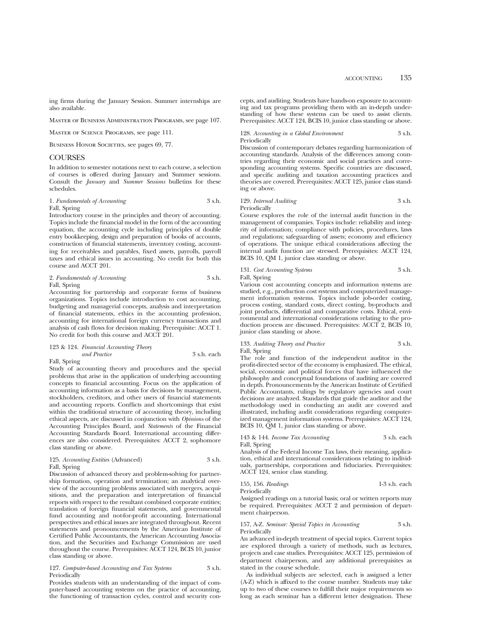ing firms during the January Session. Summer internships are also available.

Master of Business Administration Programs, see page 107.

Master of Science Programs, see page 111.

BUSINESS HONOR SOCIETIES, see pages 69, 77.

## **COURSES**

In addition to semester notations next to each course, a selection of courses is offered during January and Summer sessions. Consult the *January* and *Summer Sessions* bulletins for these schedules.

#### 1. *Fundamentals of Accounting* 3 s.h. Fall, Spring

Introductory course in the principles and theory of accounting. Topics include the financial model in the form of the accounting equation, the accounting cycle including principles of double entry bookkeeping, design and preparation of books of accounts, construction of financial statements, inventory costing, accounting for receivables and payables, fixed assets, payrolls, payroll taxes and ethical issues in accounting. No credit for both this course and ACCT 201.

2. *Fundamentals of Accounting* 3 s.h. Fall, Spring

Accounting for partnership and corporate forms of business organizations. Topics include introduction to cost accounting, budgeting and managerial concepts, analysis and interpretation of financial statements, ethics in the accounting profession, accounting for international foreign currency transactions and analysis of cash flows for decision making. Prerequisite: ACCT 1. No credit for both this course and ACCT 201.

#### 123 & 124. *Financial Accounting Theory and Practice* 3 s.h. each

Fall, Spring

Study of accounting theory and procedures and the special problems that arise in the application of underlying accounting concepts to financial accounting. Focus on the application of accounting information as a basis for decisions by management, stockholders, creditors, and other users of financial statements and accounting reports. Conflicts and shortcomings that exist within the traditional structure of accounting theory, including ethical aspects, are discussed in conjunction with *Opinions* of the Accounting Principles Board, and *Statements* of the Financial Accounting Standards Board. International accounting differences are also considered. Prerequisites: ACCT 2, sophomore class standing or above.

#### 125. *Accounting Entities* (Advanced) 3 s.h. Fall, Spring

Discussion of advanced theory and problem-solving for partnership formation, operation and termination; an analytical overview of the accounting problems associated with mergers, acquisitions, and the preparation and interpretation of financial reports with respect to the resultant combined corporate entities; translation of foreign financial statements, and governmental fund accounting and not-for-profit accounting. International perspectives and ethical issues are integrated throughout. Recent statements and pronouncements by the American Institute of Certified Public Accountants, the American Accounting Association, and the Securities and Exchange Commission are used throughout the course. Prerequisites: ACCT 124, BCIS 10, junior class standing or above.

#### 127. *Computer-based Accounting and Tax Systems* 3 s.h. Periodically

Provides students with an understanding of the impact of computer-based accounting systems on the practice of accounting, the functioning of transaction cycles, control and security con-

cepts, and auditing. Students have hands-on exposure to accounting and tax programs providing them with an in-depth understanding of how these systems can be used to assist clients. Prerequisites: ACCT 124, BCIS 10, junior class standing or above.

#### 128. *Accounting in a Global Environment* 3 s.h. Periodically

Discussion of contemporary debates regarding harmonization of accounting standards. Analysis of the differences among countries regarding their economic and social practices and corresponding accounting systems. Specific countries are discussed, and specific auditing and taxation accounting practices and theories are covered. Prerequisites: ACCT 125, junior class standing or above.

#### 129. *Internal Auditing* 3 s.h. Periodically

Course explores the role of the internal audit function in the management of companies. Topics include: reliability and integrity of information; compliance with policies, procedures, laws and regulations; safeguarding of assets; economy and efficiency of operations. The unique ethical considerations affecting the internal audit function are stressed. Prerequisites: ACCT 124, BCIS 10, QM 1, junior class standing or above.

#### 131. *Cost Accounting Systems* 3 s.h. Fall, Spring

Various cost accounting concepts and information systems are studied, e.g., production cost systems and computerized management information systems. Topics include job-order costing, process costing, standard costs, direct costing, by-products and joint products, differential and comparative costs. Ethical, environmental and international considerations relating to the production process are discussed. Prerequisites: ACCT 2, BCIS 10, junior class standing or above.

#### 133. *Auditing Theory and Practice* 3 s.h. Fall, Spring

The role and function of the independent auditor in the profit-directed sector of the economy is emphasized. The ethical, social, economic and political forces that have influenced the philosophy and conceptual foundations of auditing are covered in depth. Pronouncements by the American Institute of Certified Public Accountants, rulings by regulatory agencies and court decisions are analyzed. Standards that guide the auditor and the methodology used in conducting an audit are covered and illustrated, including audit considerations regarding computerized management information systems. Prerequisites: ACCT 124, BCIS 10, QM 1, junior class standing or above.

#### 143 & 144. *Income Tax Accounting* 3 s.h. each Fall, Spring

Analysis of the Federal Income Tax laws, their meaning, application, ethical and international considerations relating to individuals, partnerships, corporations and fiduciaries. Prerequisites: ACCT 124, senior class standing.

155, 156. *Readings* 1-3 s.h. each Periodically

Assigned readings on a tutorial basis; oral or written reports may be required. Prerequisites: ACCT 2 and permission of department chairperson.

157, A-Z. *Seminar: Special Topics in Accounting* 3 s.h. Periodically

An advanced in-depth treatment of special topics. Current topics are explored through a variety of methods, such as lectures, projects and case studies. Prerequisites: ACCT 125, permission of department chairperson, and any additional prerequisites as stated in the course schedule.

As individual subjects are selected, each is assigned a letter (A-Z) which is affixed to the course number. Students may take up to two of these courses to fulfill their major requirements so long as each seminar has a different letter designation. These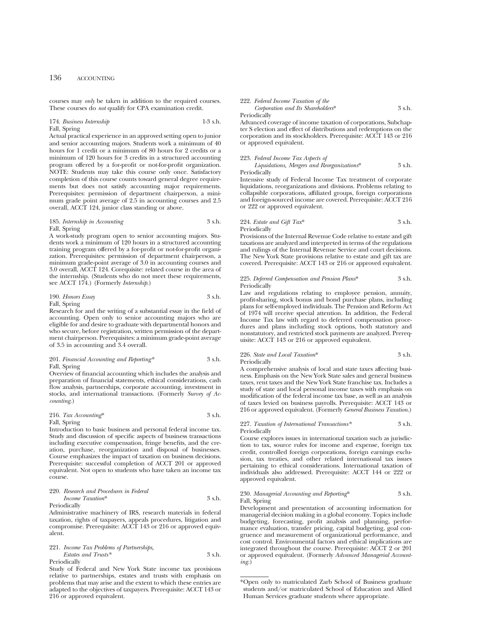courses may *only* be taken in addition to the required courses. These courses do *not* qualify for CPA examination credit.

### 174. *Business Internship* 1-3 s.h. Fall, Spring

Actual practical experience in an approved setting open to junior and senior accounting majors. Students work a minimum of 40 hours for 1 credit or a minimum of 80 hours for 2 credits or a minimum of 120 hours for 3 credits in a structured accounting program offered by a for-profit or not-for-profit organization. NOTE: Students may take this course only once. Satisfactory completion of this course counts toward general degree requirements but does not satisfy accounting major requirements. Prerequisites: permission of department chairperson, a minimum grade point average of 2.5 in accounting courses and 2.5 overall, ACCT 124, junior class standing or above.

### 185. *Internship in Accounting* 3 s.h. Fall, Spring

A work-study program open to senior accounting majors. Students work a minimum of 120 hours in a structured accounting training program offered by a for-profit or not-for-profit organization. Prerequisites: permission of department chairperson, a minimum grade-point average of 3.0 in accounting courses and 3.0 overall, ACCT 124. Corequisite: related course in the area of the internship. (Students who do not meet these requirements, see ACCT 174.) (Formerly *Internship*.)

190. *Honors Essay* 3 s.h. Fall, Spring

Research for and the writing of a substantial essay in the field of accounting. Open only to senior accounting majors who are eligible for and desire to graduate with departmental honors and who secure, before registration, written permission of the department chairperson. Prerequisites: a minimum grade-point average of 3.5 in accounting and 3.4 overall.

#### 201. *Financial Accounting and Reporting\** 3 s.h. Fall, Spring

Overview of financial accounting which includes the analysis and preparation of financial statements, ethical considerations, cash flow analysis, partnerships, corporate accounting, investment in stocks, and international transactions. (Formerly *Survey of Accounting.*)

### 216. *Tax Accounting*\* 3 s.h.

#### Fall, Spring

Introduction to basic business and personal federal income tax. Study and discussion of specific aspects of business transactions including executive compensation, fringe benefits, and the creation, purchase, reorganization and disposal of businesses. Course emphasizes the impact of taxation on business decisions. Prerequisite: successful completion of ACCT 201 or approved equivalent. Not open to students who have taken an income tax course.

#### 220. *Research and Procedures in Federal Income Taxation*\* 3 s.h. Periodically

Administrative machinery of IRS, research materials in federal taxation, rights of taxpayers, appeals procedures, litigation and compromise. Prerequisite: ACCT 143 or 216 or approved equivalent.

### 221. *Income Tax Problems of Partnerships,*

*Estates and Trusts\** 3 s.h. Periodically

Study of Federal and New York State income tax provisions relative to partnerships, estates and trusts with emphasis on problems that may arise and the extent to which these entries are adapted to the objectives of taxpayers. Prerequisite: ACCT 143 or 216 or approved equivalent.

## 222. *Federal Income Taxation of the Corporation and Its Shareholders*\* 3 s.h.

Periodically

Advanced coverage of income taxation of corporations, Subchapter S election and effect of distributions and redemptions on the corporation and its stockholders. Prerequisite: ACCT 143 or 216 or approved equivalent.

#### 223. *Federal Income Tax Aspects of*

*Liquidations, Mergers and Reorganizations*\* 3 s.h. Periodically

Intensive study of Federal Income Tax treatment of corporate liquidations, reorganizations and divisions. Problems relating to collapsible corporations, affiliated groups, foreign corporations and foreign-sourced income are covered. Prerequisite: ACCT 216 or 222 or approved equivalent.

#### 224. *Estate and Gift Tax*\* 3 s.h. Periodically

Provisions of the Internal Revenue Code relative to estate and gift taxations are analyzed and interpreted in terms of the regulations and rulings of the Internal Revenue Service and court decisions. The New York State provisions relative to estate and gift tax are covered. Prerequisite: ACCT 143 or 216 or approved equivalent.

#### 225. *Deferred Compensation and Pension Plans*\* 3 s.h. Periodically

Law and regulations relating to employee pension, annuity, profit-sharing, stock bonus and bond purchase plans, including plans for self-employed individuals. The Pension and Reform Act of 1974 will receive special attention. In addition, the Federal Income Tax law with regard to deferred compensation procedures and plans including stock options, both statutory and nonstatutory, and restricted stock payments are analyzed. Prerequisite: ACCT 143 or 216 or approved equivalent.

## 226. *State and Local Taxation*\* 3 s.h. Periodically

A comprehensive analysis of local and state taxes affecting business. Emphasis on the New York State sales and general business taxes, rent taxes and the New York State franchise tax. Includes a study of state and local personal income taxes with emphasis on modification of the federal income tax base, as well as an analysis of taxes levied on business payrolls. Prerequisite: ACCT 143 or 216 or approved equivalent. (Formerly *General Business Taxation*.)

#### 227. *Taxation of International Transactions\** 3 s.h. Periodically

Course explores issues in international taxation such as jurisdiction to tax, source rules for income and expense, foreign tax credit, controlled foreign corporations, foreign earnings exclusion, tax treaties, and other related international tax issues pertaining to ethical considerations. International taxation of individuals also addressed. Prerequisite: ACCT 144 or 222 or approved equivalent.

#### 230. *Managerial Accounting and Reporting*\* 3 s.h. Fall, Spring

Development and presentation of accounting information for managerial decision making in a global economy. Topics include budgeting, forecasting, profit analysis and planning, performance evaluation, transfer pricing, capital budgeting, goal congruence and measurement of organizational performance, and cost control. Environmental factors and ethical implications are integrated throughout the course. Prerequisite: ACCT 2 or 201 or approved equivalent. (Formerly *Advanced Managerial Accounting.*)

<sup>\*</sup>Open only to matriculated Zarb School of Business graduate students and/or matriculated School of Education and Allied Human Services graduate students where appropriate.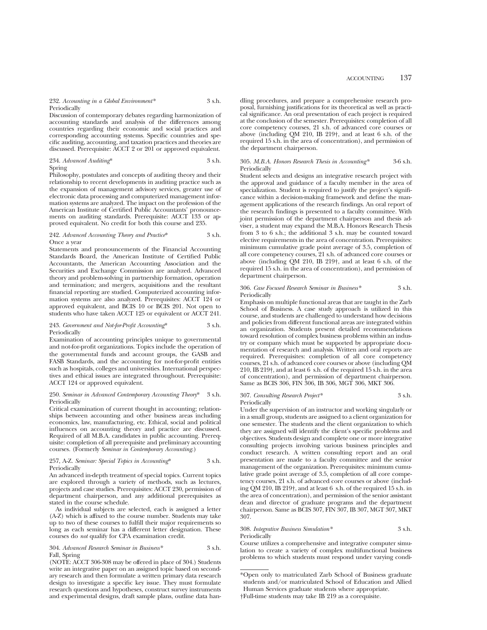Discussion of contemporary debates regarding harmonization of accounting standards and analysis of the differences among countries regarding their economic and social practices and corresponding accounting systems. Specific countries and specific auditing, accounting, and taxation practices and theories are discussed. Prerequisite: ACCT 2 or 201 or approved equivalent.

#### 234. *Advanced Auditing*\* 3 s.h. Spring

Philosophy, postulates and concepts of auditing theory and their relationship to recent developments in auditing practice such as the expansion of management advisory services, greater use of electronic data processing and computerized management information systems are analyzed. The impact on the profession of the American Institute of Certified Public Accountants' pronouncements on auditing standards. Prerequisite: ACCT 133 or approved equivalent. No credit for both this course and 235.

#### 242. *Advanced Accounting Theory and Practice*\* 3 s.h. Once a year

Statements and pronouncements of the Financial Accounting Standards Board, the American Institute of Certified Public Accountants, the American Accounting Association and the Securities and Exchange Commission are analyzed. Advanced theory and problem-solving in partnership formation, operation and termination; and mergers, acquisitions and the resultant financial reporting are studied. Computerized accounting information systems are also analyzed. Prerequisites: ACCT 124 or approved equivalent, and BCIS 10 or BCIS 201. Not open to students who have taken ACCT 125 or equivalent or ACCT 241.

#### 243. *Government and Not-for-Profit Accounting*\* 3 s.h. Periodically

Examination of accounting principles unique to governmental and not-for-profit organizations. Topics include the operation of the governmental funds and account groups, the GASB and FASB Standards, and the accounting for not-for-profit entities such as hospitals, colleges and universities. International perspectives and ethical issues are integrated throughout. Prerequisite: ACCT 124 or approved equivalent.

#### 250. *Seminar in Advanced Contemporary Accounting Theory*\* 3 s.h. Periodically

Critical examination of current thought in accounting; relationships between accounting and other business areas including economics, law, manufacturing, etc. Ethical, social and political influences on accounting theory and practice are discussed. Required of all M.B.A. candidates in public accounting. Prerequisite: completion of all prerequisite and preliminary accounting courses. (Formerly *Seminar in Contemporary Accounting*.)

#### 257, A-Z. *Seminar: Special Topics in Accounting*\* 3 s.h. Periodically

An advanced in-depth treatment of special topics. Current topics are explored through a variety of methods, such as lectures, projects and case studies. Prerequisites: ACCT 230, permission of department chairperson, and any additional prerequisites as stated in the course schedule.

As individual subjects are selected, each is assigned a letter (A-Z) which is affixed to the course number. Students may take up to two of these courses to fulfill their major requirements so long as each seminar has a different letter designation. These courses do *not* qualify for CPA examination credit.

#### 304. *Advanced Research Seminar in Business\** 3 s.h. Fall, Spring

(NOTE: ACCT 306-308 may be offered in place of 304.) Students write an integrative paper on an assigned topic based on secondary research and then formulate a written primary data research design to investigate a specific key issue. They must formulate research questions and hypotheses, construct survey instruments and experimental designs, draft sample plans, outline data handling procedures, and prepare a comprehensive research proposal, furnishing justifications for its theoretical as well as practical significance. An oral presentation of each project is required at the conclusion of the semester. Prerequisites: completion of all core competency courses, 21 s.h. of advanced core courses or above (including QM 210, IB 219†, and at least 6 s.h. of the required 15 s.h. in the area of concentration), and permission of the department chairperson.

#### 305. *M.B.A. Honors Research Thesis in Accounting\** 3-6 s.h. Periodically

Student selects and designs an integrative research project with the approval and guidance of a faculty member in the area of specialization. Student is required to justify the project's significance within a decision-making framework and define the management applications of the research findings. An oral report of the research findings is presented to a faculty committee. With joint permission of the department chairperson and thesis adviser, a student may expand the M.B.A. Honors Research Thesis from 3 to 6 s.h.; the additional 3 s.h. may be counted toward elective requirements in the area of concentration. Prerequisites: minimum cumulative grade point average of 3.5, completion of all core competency courses, 21 s.h. of advanced core courses or above (including QM 210, IB 219†, and at least 6 s.h. of the required 15 s.h. in the area of concentration), and permission of department chairperson.

#### 306. *Case Focused Research Seminar in Business\** 3 s.h. Periodically

Emphasis on multiple functional areas that are taught in the Zarb School of Business. A case study approach is utilized in this course, and students are challenged to understand how decisions and policies from different functional areas are integrated within an organization. Students present detailed recommendations toward resolution of complex business problems within an industry or company which must be supported by appropriate documentation of research and analysis. Written and oral reports are required. Prerequisites: completion of all core competency courses, 21 s.h. of advanced core courses or above (including QM 210, IB 219†, and at least 6 s.h. of the required 15 s.h. in the area of concentration), and permission of department chairperson. Same as BCIS 306, FIN 306, IB 306, MGT 306, MKT 306.

#### 307. *Consulting Research Project\** 3 s.h. Periodically

Under the supervision of an instructor and working singularly or in a small group, students are assigned to a client organization for one semester. The students and the client organization to which they are assigned will identify the client's specific problems and objectives. Students design and complete one or more integrative consulting projects involving various business principles and conduct research. A written consulting report and an oral presentation are made to a faculty committee and the senior management of the organization. Prerequisites: minimum cumulative grade point average of 3.5, completion of all core competency courses, 21 s.h. of advanced core courses or above (including QM 210, IB 219†, and at least 6 s.h. of the required 15 s.h. in the area of concentration), and permission of the senior assistant dean and director of graduate programs and the department chairperson. Same as BCIS 307, FIN 307, IB 307, MGT 307, MKT 307.

#### 308. *Integrative Business Simulation\** 3 s.h. **Periodically**

Course utilizes a comprehensive and integrative computer simulation to create a variety of complex multifunctional business problems to which students must respond under varying condi-

<sup>\*</sup>Open only to matriculated Zarb School of Business graduate students and/or matriculated School of Education and Allied Human Services graduate students where appropriate.

<sup>†</sup>Full-time students may take IB 219 as a corequisite.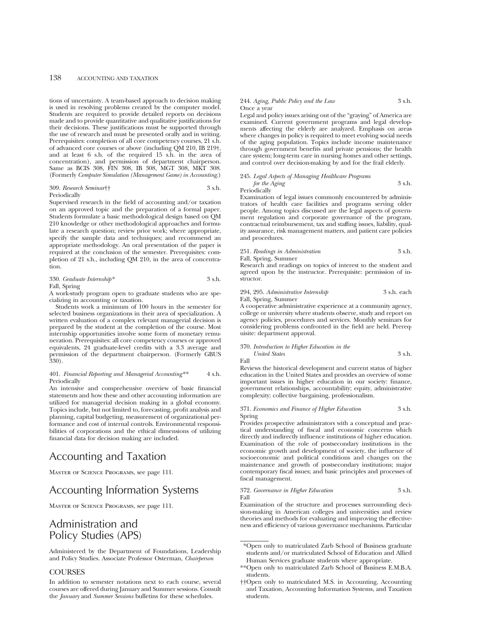## 138 ACCOUNTING AND TAXATION

tions of uncertainty. A team-based approach to decision making is used in resolving problems created by the computer model. Students are required to provide detailed reports on decisions made and to provide quantitative and qualitative justifications for their decisions. These justifications must be supported through the use of research and must be presented orally and in writing. Prerequisites: completion of all core competency courses, 21 s.h. of advanced core courses or above (including QM 210, IB 219†, and at least 6 s.h. of the required 15 s.h. in the area of concentration), and permission of department chairperson. Same as BCIS 308, FIN 308, IB 308, MGT 308, MKT 308. (Formerly *Computer Simulation (Management Game) in Accounting*.)

#### 309. *Research Seminar*†† 3 s.h. Periodically

Supervised research in the field of accounting and/or taxation on an approved topic and the preparation of a formal paper. Students formulate a basic methodological design based on QM 210 knowledge or other methodological approaches and formulate a research question; review prior work; where appropriate, specify the sample data and techniques; and recommend an appropriate methodology. An oral presentation of the paper is required at the conclusion of the semester. Prerequisites: completion of 21 s.h., including QM 210, in the area of concentration.

330. *Graduate Internship\** 3 s.h. Fall, Spring

A work-study program open to graduate students who are specializing in accounting or taxation.

Students work a minimum of 100 hours in the semester for selected business organizations in their area of specialization. A written evaluation of a complex relevant managerial decision is prepared by the student at the completion of the course. Most internship opportunities involve some form of monetary remuneration. Prerequisites: all core competency courses or approved equivalents, 24 graduate-level credits with a 3.3 average and permission of the department chairperson. (Formerly GBUS  $330$ ).

#### 401. *Financial Reporting and Managerial Accounting\*\** 4 s.h. Periodically

An intensive and comprehensive overview of basic financial statements and how these and other accounting information are utilized for managerial decision making in a global economy. Topics include, but not limited to, forecasting, profit analysis and planning, capital budgeting, measurement of organizational performance and cost of internal controls. Environmental responsibilities of corporations and the ethical dimensions of utilizing financial data for decision making are included.

# Accounting and Taxation

Master of Science Programs, see page 111.

## Accounting Information Systems

Master of Science Programs, see page 111.

## Administration and Policy Studies (APS)

Administered by the Department of Foundations, Leadership and Policy Studies. Associate Professor Osterman, *Chairperson*

## **COURSES**

In addition to semester notations next to each course, several courses are offered during January and Summer sessions. Consult the *January* and *Summer Sessions* bulletins for these schedules.

#### 244. *Aging, Public Policy and the Law* 3 s.h. Once a year

Legal and policy issues arising out of the "graying" of America are examined. Current government programs and legal developments affecting the elderly are analyzed. Emphasis on areas where changes in policy is required to meet evolving social needs of the aging population. Topics include income maintenance through government benefits and private pensions; the health care system; long-term care in nursing homes and other settings, and control over decision-making by and for the frail elderly.

#### 245. *Legal Aspects of Managing Healthcare Programs for the Aging* 3 s.h. Periodically

Examination of legal issues commonly encountered by administrators of health care facilities and programs serving older people. Among topics discussed are the legal aspects of government regulation and corporate governance of the program, contractual reimbursement, tax and staffing issues, liability, quality assurance, risk management matters, and patient care policies and procedures.

#### 251. *Readings in Administration* 3 s.h. Fall, Spring, Summer

Research and readings on topics of interest to the student and agreed upon by the instructor. Prerequisite: permission of instructor.

#### 294, 295. *Administrative Internship* 3 s.h. each Fall, Spring, Summer

A cooperative administrative experience at a community agency, college or university where students observe, study and report on agency policies, procedures and services. Monthly seminars for considering problems confronted in the field are held. Prerequisite: department approval.

#### 370. *Introduction to Higher Education in the United States* 3 s.h.

Fall

Reviews the historical development and current status of higher education in the United States and provides an overview of some important issues in higher education in our society: finance, government relationships, accountability; equity, administrative complexity; collective bargaining, professionalism.

#### 371. *Economics and Finance of Higher Education* 3 s.h. Spring

Provides prospective administrators with a conceptual and practical understanding of fiscal and economic concerns which directly and indirectly influence institutions of higher education. Examination of the role of postsecondary institutions in the economic growth and development of society, the influence of socioeconomic and political conditions and changes on the maintenance and growth of postsecondary institutions; major contemporary fiscal issues; and basic principles and processes of fiscal management.

372. *Governance in Higher Education* 3 s.h. Fall

Examination of the structure and processes surrounding decision-making in American colleges and universities and review theories and methods for evaluating and improving the effectiveness and efficiency of various governance mechanisms. Particular

- \*Open only to matriculated Zarb School of Business graduate students and/or matriculated School of Education and Allied Human Services graduate students where appropriate.
- \*\*Open only to matriculated Zarb School of Business E.M.B.A. students.

<sup>††</sup>Open only to matriculated M.S. in Accounting, Accounting and Taxation, Accounting Information Systems, and Taxation students.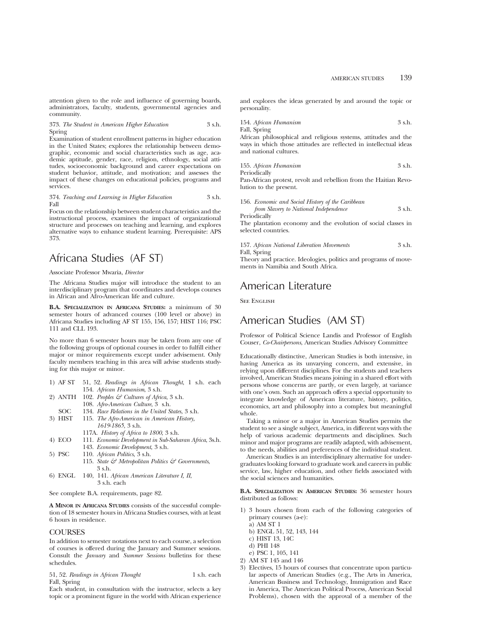attention given to the role and influence of governing boards, administrators, faculty, students, governmental agencies and community.

373. *The Student in American Higher Education* 3 s.h. Spring

Examination of student enrollment patterns in higher education in the United States; explores the relationship between demographic, economic and social characteristics such as age, academic aptitude, gender, race, religion, ethnology, social attitudes, socioeconomic background and career expectations on student behavior, attitude, and motivation; and assesses the impact of these changes on educational policies, programs and services.

#### 374. *Teaching and Learning in Higher Education* 3 s.h. Fall

Focus on the relationship between student characteristics and the instructional process, examines the impact of organizational structure and processes on teaching and learning, and explores alternative ways to enhance student learning. Prerequisite: APS 373.

## Africana Studies (AF ST)

Associate Professor Mwaria, *Director*

The Africana Studies major will introduce the student to an interdisciplinary program that coordinates and develops courses in African and Afro-American life and culture.

**B.A. SPECIALIZATION IN AFRICANA STUDIES:** a minimum of 30 semester hours of advanced courses (100 level or above) in Africana Studies including AF ST 155, 156, 157; HIST 116; PSC 111 and CLL 193.

No more than 6 semester hours may be taken from any one of the following groups of optional courses in order to fulfill either major or minor requirements except under advisement. Only faculty members teaching in this area will advise students studying for this major or minor.

- 1) AF ST 51, 52. *Readings in African Thought*, 1 s.h. each 154. *African Humanism*, 3 s.h.
- 2) ANTH 102. *Peoples & Cultures of Africa*, 3 s.h. 108. *Afro-American Culture*, 3 s.h.
- SOC 134. *Race Relations in the United States*, 3 s.h.<br>3) HIST 115. *The Afro-American in American History*, 115. *The Afro-American in American History,* 
	- *1619-1865*, 3 s.h. 117A. *History of Africa to 1800*, 3 s.h.
- 4) ECO 111. *Economic Development in Sub-Saharan Africa*, 3s.h. 143. *Economic Development*, 3 s.h.
- 5) PSC 110. *African Politics*, 3 s.h.
	- 115. *State & Metropolitan Politics & Governments*, 3 s.h.
- 6) ENGL 140, 141. *African American Literature I, II*, 3 s.h. each

See complete B.A. requirements, page 82.

**A MINOR IN AFRICANA STUDIES** consists of the successful completion of 18 semester hours in Africana Studies courses, with at least 6 hours in residence.

## **COURSES**

In addition to semester notations next to each course, a selection of courses is offered during the January and Summer sessions. Consult the *January* and *Summer Sessions* bulletins for these schedules.

51, 52. *Readings in African Thought* 1 s.h. each Fall, Spring

Each student, in consultation with the instructor, selects a key topic or a prominent figure in the world with African experience and explores the ideas generated by and around the topic or personality.

154. *African Humanism* 3 s.h. Fall, Spring

African philosophical and religious systems, attitudes and the ways in which those attitudes are reflected in intellectual ideas and national cultures.

155. *African Humanism* 3 s.h. Periodically

Pan-African protest, revolt and rebellion from the Haitian Revolution to the present.

| 156. Economic and Social History of the Caribbean |        |
|---------------------------------------------------|--------|
| from Slavery to National Independence             | 3 s.h. |
| Periodically                                      |        |

The plantation economy and the evolution of social classes in selected countries.

| 157. African National Liberation Movements | 3 s.h. |
|--------------------------------------------|--------|
| Fall, Spring                               |        |

Theory and practice. Ideologies, politics and programs of movements in Namibia and South Africa.

## American Literature

**SEE ENGLISH** 

## American Studies (AM ST)

Professor of Political Science Landis and Professor of English Couser, *Co-Chairpersons*, American Studies Advisory Committee

Educationally distinctive, American Studies is both intensive, in having America as its unvarying concern, and extensive, in relying upon different disciplines. For the students and teachers involved, American Studies means joining in a shared effort with persons whose concerns are partly, or even largely, at variance with one's own. Such an approach offers a special opportunity to integrate knowledge of American literature, history, politics, economics, art and philosophy into a complex but meaningful whole.

Taking a minor or a major in American Studies permits the student to see a single subject, America, in different ways with the help of various academic departments and disciplines. Such minor and major programs are readily adapted, with advisement, to the needs, abilities and preferences of the individual student.

American Studies is an interdisciplinary alternative for undergraduates looking forward to graduate work and careers in public service, law, higher education, and other fields associated with the social sciences and humanities.

**B.A. SPECIALIZATION IN AMERICAN STUDIES:** 36 semester hours distributed as follows:

- 1) 3 hours chosen from each of the following categories of primary courses (a-e):
	- a) AM ST 1
	- b) ENGL 51, 52, 143, 144
	- c) HIST 13, 14C
	- d) PHI 148
	- e) PSC 1, 105, 141
- 2) AM ST 145 and 146
- 3) Electives, 15 hours of courses that concentrate upon particular aspects of American Studies (e.g., The Arts in America, American Business and Technology, Immigration and Race in America, The American Political Process, American Social Problems), chosen with the approval of a member of the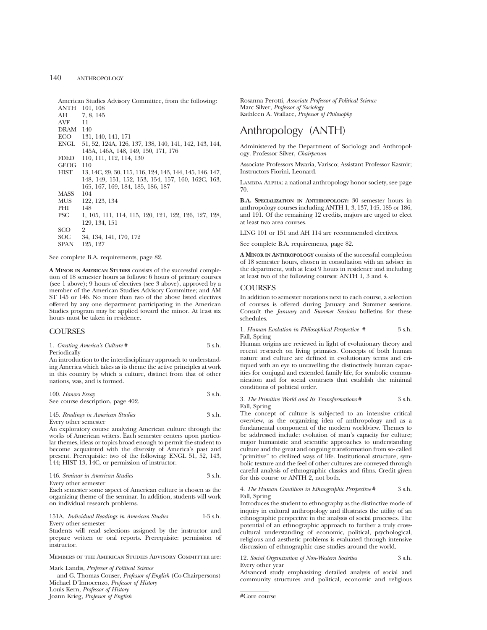American Studies Advisory Committee, from the following: ANTH 101, 108

AH 7, 8, 145<br>AVE 11 AV<sub>F</sub> DRAM 140 ECO 131, 140, 141, 171<br>ENGL 51, 52, 124A, 126, ENGL 51, 52, 124A, 126, 137, 138, 140, 141, 142, 143, 144, 145A, 146A, 148, 149, 150, 171, 176 FDED 110, 111, 112, 114, 130 GEOG 110<br>HIST 13 HIST 13, 14C, 29, 30, 115, 116, 124, 143, 144, 145, 146, 147, 148, 149, 151, 152, 153, 154, 157, 160, 162C, 163, 165, 167, 169, 184, 185, 186, 187 MASS<br>MLIS 122, 123, 134<br>148 PHI<br>PSC PSC 1, 105, 111, 114, 115, 120, 121, 122, 126, 127, 128, 129, 134, 151 SCO<br>200 SOC 34, 134, 141, 170, 172<br>SPAN 125, 127 195, 197

See complete B.A. requirements, page 82.

**A MINOR IN AMERICAN STUDIES** consists of the successful completion of 18 semester hours as follows: 6 hours of primary courses (see 1 above); 9 hours of electives (see 3 above), approved by a member of the American Studies Advisory Committee; and AM ST 145 or 146. No more than two of the above listed electives offered by any one department participating in the American Studies program may be applied toward the minor. At least six hours must be taken in residence.

## **COURSES**

1. *Creating America's Culture* # 3 s.h. Periodically

An introduction to the interdisciplinary approach to understanding America which takes as its theme the active principles at work in this country by which a culture, distinct from that of other nations, was, and is formed.

100. *Honors Essay* 3 s.h. See course description, page 402.

145. *Readings in American Studies* 3 s.h. Every other semester

An exploratory course analyzing American culture through the works of American writers. Each semester centers upon particular themes, ideas or topics broad enough to permit the student to become acquainted with the diversity of America's past and present. Prerequisite: two of the following: ENGL 51, 52, 143, 144; HIST 13, 14C, or permission of instructor.

| 146. Seminar in American Studies | 3 s.h. |
|----------------------------------|--------|
|                                  |        |

Every other semester

Each semester some aspect of American culture is chosen as the organizing theme of the seminar. In addition, students will work on individual research problems.

151A. *Individual Readings in American Studies* 1-3 s.h. Every other semester

Students will read selections assigned by the instructor and prepare written or oral reports. Prerequisite: permission of instructor.

Members of the American Studies Advisory Committee are:

Mark Landis, *Professor of Political Science*

and G. Thomas Couser, *Professor of English* (Co-Chairpersons) Michael D'Innocenzo, *Professor of History* Louis Kern, *Professor of History* Joann Krieg, *Professor of English*

Rosanna Perotti, *Associate Professor of Political Science* Marc Silver, *Professor of Sociology* Kathleen A. Wallace, *Professor of Philosophy*

## Anthropology (ANTH)

Administered by the Department of Sociology and Anthropology. Professor Silver, *Chairperson*

Associate Professors Mwaria, Varisco; Assistant Professor Kasmir; Instructors Fiorini, Leonard.

LAMBDA ALPHA: a national anthropology honor society, see page 70.

**B.A. SPECIALIZATION IN ANTHROPOLOGY:** 30 semester hours in anthropology courses including ANTH 1, 3, 137, 145, 185 or 186, and 191. Of the remaining 12 credits, majors are urged to elect at least two area courses.

LING 101 or 151 and AH 114 are recommended electives.

See complete B.A. requirements, page 82.

**A MINOR IN ANTHROPOLOGY** consists of the successful completion of 18 semester hours, chosen in consultation with an adviser in the department, with at least 9 hours in residence and including at least two of the following courses: ANTH 1, 3 and 4.

### **COURSES**

In addition to semester notations next to each course, a selection of courses is offered during January and Summer sessions. Consult the *January* and *Summer Sessions* bulletins for these schedules.

1. *Human Evolution in Philosophical Perspective #* 3 s.h. Fall, Spring

Human origins are reviewed in light of evolutionary theory and recent research on living primates. Concepts of both human nature and culture are defined in evolutionary terms and critiqued with an eye to unravelling the distinctively human capacities for conjugal and extended family life, for symbolic communication and for social contracts that establish the minimal conditions of political order.

3. *The Primitive World and Its Transformations* # 3 s.h. Fall, Spring

The concept of culture is subjected to an intensive critical overview, as the organizing idea of anthropology and as a fundamental component of the modern worldview. Themes to be addressed include: evolution of man's capacity for culture; major humanistic and scientific approaches to understanding culture and the great and ongoing transformation from so- called "primitive" to civilized ways of life. Institutional structure, symbolic texture and the feel of other cultures are conveyed through careful analysis of ethnographic classics and films. Credit given for this course or ANTH 2, not both.

#### 4. *The Human Condition in Ethnographic Perspective* # 3 s.h. Fall, Spring

Introduces the student to ethnography as the distinctive mode of inquiry in cultural anthropology and illustrates the utility of an ethnographic perspective in the analysis of social processes. The potential of an ethnographic approach to further a truly crosscultural understanding of economic, political, psychological, religious and aesthetic problems is evaluated through intensive discussion of ethnographic case studies around the world.

12. *Social Organization of Non-Western Societies* 3 s.h. Every other year

Advanced study emphasizing detailed analysis of social and community structures and political, economic and religious

#Core course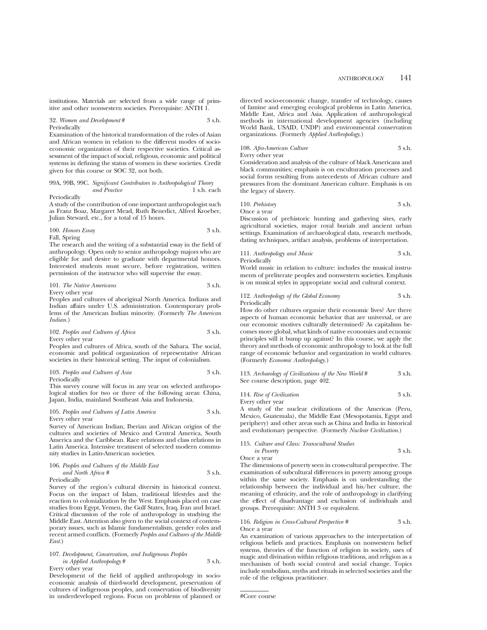institutions. Materials are selected from a wide range of primitive and other nonwestern societies. Prerequisite: ANTH 1.

### 32. *Women and Development* # 3 s.h. Periodically

Examination of the historical transformation of the roles of Asian and African women in relation to the different modes of socioeconomic organization of their respective societies. Critical assessment of the impact of social, religious, economic and political systems in defining the status of women in these societies. Credit given for this course or SOC 32, not both.

## 99A, 99B, 99C. *Significant Contributors to Anthropological Theory and Practice* 1 s.h. each

#### Periodically

A study of the contribution of one important anthropologist such as Franz Boaz, Margaret Mead, Ruth Benedict, Alfred Kroeber, Julian Steward, etc., for a total of 15 hours.

#### 100. *Honors Essay* 3 s.h. Fall, Spring

The research and the writing of a substantial essay in the field of anthropology. Open only to senior anthropology majors who are eligible for and desire to graduate with departmental honors. Interested students must secure, before registration, written permission of the instructor who will supervise the essay.

101. *The Native Americans* 3 s.h. Every other year

Peoples and cultures of aboriginal North America. Indians and Indian affairs under U.S. administration. Contemporary problems of the American Indian minority. (Formerly *The American Indian.*)

## 102. *Peoples and Cultures of Africa* 3 s.h. Every other year

Peoples and cultures of Africa, south of the Sahara. The social, economic and political organization of representative African societies in their historical setting. The input of colonialism.

103. *Peoples and Cultures of Asia* 3 s.h. Periodically

This survey course will focus in any year on selected anthropological studies for two or three of the following areas: China, Japan, India, mainland Southeast Asia and Indonesia.

105. *Peoples and Cultures of Latin America* 3 s.h. Every other year

Survey of American Indian, Iberian and African origins of the cultures and societies of Mexico and Central America, South America and the Caribbean. Race relations and class relations in Latin America. Intensive treatment of selected modern community studies in Latin-American societies.

| 106. Peoples and Cultures of the Middle East |        |
|----------------------------------------------|--------|
| and North Africa #                           | 3 s.h. |
| n · 1 · 11                                   |        |

Periodically

Survey of the region's cultural diversity in historical context. Focus on the impact of Islam, traditional lifestyles and the reaction to colonialization by the West. Emphasis placed on case studies from Egypt, Yemen, the Gulf States, Iraq, Iran and Israel. Critical discussion of the role of anthropology in studying the Middle East. Attention also given to the social context of contemporary issues, such as Islamic fundamentalism, gender roles and recent armed conflicts. (Formerly *Peoples and Cultures of the Middle East*.)

#### 107. *Development, Conservation, and Indigenous Peoples in Applied Anthropology* # 3 s.h. Every other year

Development of the field of applied anthropology in socioeconomic analysis of third-world development, preservation of cultures of indigenous peoples, and conservation of biodiversity in underdeveloped regions. Focus on problems of planned or directed socio-economic change, transfer of technology, causes of famine and emerging ecological problems in Latin America, Middle East, Africa and Asia. Application of anthropological methods in international development agencies (including World Bank, USAID, UNDP) and environmental conservation organizations. (Formerly *Applied Anthropology*.)

### 108. *Afro-American Culture* 3 s.h.

Every other year

Consideration and analysis of the culture of black Americans and black communities; emphasis is on enculturation processes and social forms resulting from antecedents of African culture and pressures from the dominant American culture. Emphasis is on the legacy of slavery.

$$
110. Prehistory 3 s.h.
$$

Once a year

Discussion of prehistoric hunting and gathering sites, early agricultural societies, major royal burials and ancient urban settings. Examination of archaeological data, research methods, dating techniques, artifact analysis, problems of interpretation.

111. *Anthropology and Music* 3 s.h.

Periodically

World music in relation to culture: includes the musical instruments of preliterate peoples and nonwestern societies. Emphasis is on musical styles in appropriate social and cultural context.

#### 112. *Anthropology of the Global Economy* 3 s.h. Periodically

How do other cultures organize their economic lives? Are there aspects of human economic behavior that are universal, or are our economic motives culturally determined? As capitalism becomes more global, what kinds of native economies and ecnomic principles will it bump up against? In this course, we apply the theory and methods of economic anthropology to look at the full range of economic behavior and organization in world cultures. (Formerly *Economic Anthropology.*)

113. *Archaeology of Civilizations of the New World* # 3 s.h. See course description, page 402.

114. *Rise of Civilization* 3 s.h. Every other year

A study of the nuclear civilizations of the Americas (Peru, Mexico, Guatemala), the Middle East (Mesopotamia, Egypt and periphery) and other areas such as China and India in historical and evolutionary perspective. (Formerly *Nuclear Civilization*.)

### 115. *Culture and Class: Transcultural Studies in Poverty* 3 s.h.

Once a year

The dimensions of poverty seen in cross-cultural perspective. The examination of subcultural differences in poverty among groups within the same society. Emphasis is on understanding the relationship between the individual and his/her culture, the meaning of ethnicity, and the role of anthropology in clarifying the effect of disadvantage and exclusion of individuals and groups. Prerequisite: ANTH 3 or equivalent.

#### 116. *Religion in Cross-Cultural Perspective #* 3 s.h. Once a year

An examination of various approaches to the interpretation of religious beliefs and practices. Emphasis on nonwestern belief systems, theories of the function of religion in society, uses of magic and divination within religious traditions, and religion as a mechanism of both social control and social change. Topics include symbolism, myths and rituals in selected societies and the role of the religious practitioner.

#Core course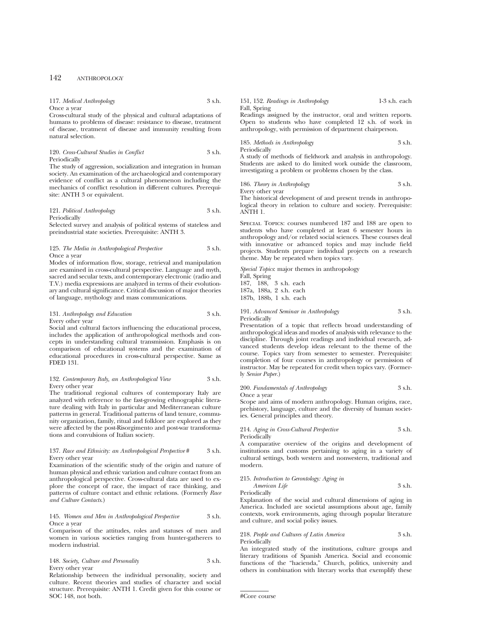| 117. Medical Anthropology | 3 s.h. |
|---------------------------|--------|
| Once a year               |        |

Cross-cultural study of the physical and cultural adaptations of humans to problems of disease: resistance to disease, treatment of disease, treatment of disease and immunity resulting from natural selection.

#### 120. *Cross-Cultural Studies in Conflict* 3 s.h. Periodically

The study of aggression, socialization and integration in human society. An examination of the archaeological and contemporary evidence of conflict as a cultural phenomenon including the mechanics of conflict resolution in different cultures. Prerequisite: ANTH 3 or equivalent.

121. *Political Anthropology* 3 s.h. Periodically

Selected survey and analysis of political systems of stateless and preindustrial state societies. Prerequisite: ANTH 3.

#### 125. *The Media in Anthropological Perspective* 3 s.h. Once a year

Modes of information flow, storage, retrieval and manipulation are examined in cross-cultural perspective. Language and myth, sacred and secular texts, and contemporary electronic (radio and T.V.) media expressions are analyzed in terms of their evolutionary and cultural significance. Critical discussion of major theories of language, mythology and mass communications.

#### 131. *Anthropology and Education* 3 s.h. Every other year

Social and cultural factors influencing the educational process, includes the application of anthropological methods and concepts in understanding cultural transmission. Emphasis is on comparison of educational systems and the examination of educational procedures in cross-cultural perspective. Same as FDED 131.

#### 132. *Contemporary Italy, an Anthropological View* 3 s.h. Every other year

The traditional regional cultures of contemporary Italy are analyzed with reference to the fast-growing ethnographic literature dealing with Italy in particular and Mediterranean culture patterns in general. Traditional patterns of land tenure, community organization, family, ritual and folklore are explored as they were affected by the post-Risorgimento and post-war transformations and convulsions of Italian society.

#### 137. *Race and Ethnicity: an Anthropological Perspective* # 3 s.h. Every other year

Examination of the scientific study of the origin and nature of human physical and ethnic variation and culture contact from an anthropological perspective. Cross-cultural data are used to explore the concept of race, the impact of race thinking, and patterns of culture contact and ethnic relations. (Formerly *Race and Culture Contacts*.)

#### 145. *Women and Men in Anthropological Perspective* 3 s.h. Once a year

Comparison of the attitudes, roles and statuses of men and women in various societies ranging from hunter-gatherers to modern industrial.

## 148. *Society, Culture and Personality* 3 s.h. Every other year

Relationship between the individual personality, society and culture. Recent theories and studies of character and social structure. Prerequisite: ANTH 1. Credit given for this course or SOC 148, not both.

#### 151, 152. *Readings in Anthropology* 1-3 s.h. each Fall, Spring

Readings assigned by the instructor, oral and written reports. Open to students who have completed 12 s.h. of work in anthropology, with permission of department chairperson.

185. *Methods in Anthropology* 3 s.h. Periodically

A study of methods of fieldwork and analysis in anthropology. Students are asked to do limited work outside the classroom, investigating a problem or problems chosen by the class.

186. *Theory in Anthropology* 3 s.h.

Every other year

The historical development of and present trends in anthropological theory in relation to culture and society. Prerequisite: ANTH 1.

Special Topics: courses numbered 187 and 188 are open to students who have completed at least 6 semester hours in anthropology and/or related social sciences. These courses deal with innovative or advanced topics and may include field projects. Students prepare individual projects on a research theme. May be repeated when topics vary.

*Special Topics*: major themes in anthropology Fall, Spring 187, 188, 3 s.h. each 187a, 188a, 2 s.h. each 187b, 188b, 1 s.h. each

191. *Advanced Seminar in Anthropology* 3 s.h. Periodically

Presentation of a topic that reflects broad understanding of anthropological ideas and modes of analysis with relevance to the discipline. Through joint readings and individual research, advanced students develop ideas relevant to the theme of the course. Topics vary from semester to semester. Prerequisite: completion of four courses in anthropology or permission of instructor. May be repeated for credit when topics vary. (Formerly *Senior Paper.*)

#### 200. *Fundamentals of Anthropology* 3 s.h. Once a year

Scope and aims of modern anthropology. Human origins, race, prehistory, language, culture and the diversity of human societies. General principles and theory.

214. *Aging in Cross-Cultural Perspective* 3 s.h. Periodically

A comparative overview of the origins and development of institutions and customs pertaining to aging in a variety of cultural settings, both western and nonwestern, traditional and modern.

#### 215. *Introduction to Gerontology: Aging in American Life* 3 s.h.

Periodically

Explanation of the social and cultural dimensions of aging in America. Included are societal assumptions about age, family contexts, work environments, aging through popular literature and culture, and social policy issues.

#### 218. *People and Cultures of Latin America* 3 s.h. Periodically

An integrated study of the institutions, culture groups and literary traditions of Spanish America. Social and economic functions of the "hacienda," Church, politics, university and others in combination with literary works that exemplify these

<sup>#</sup>Core course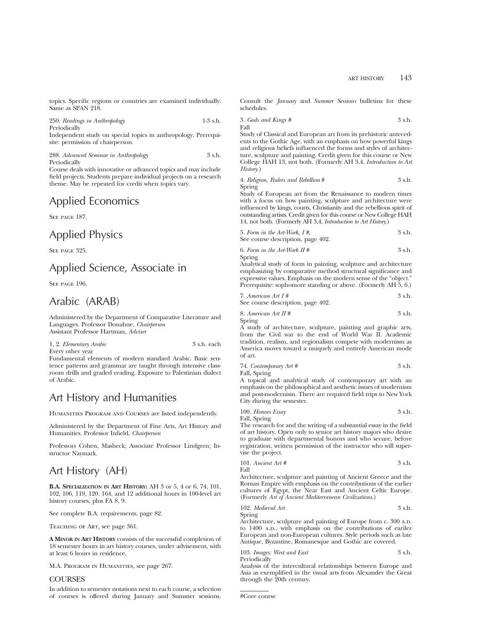topics. Specific regions or countries are examined individually. Same as SPAN 218.

250. *Readings in Anthropology* 1-3 s.h. Periodically Independent study on special topics in anthropology. Prerequisite: permission of chairperson.

288. *Advanced Seminar in Anthropology* 3 s.h. Periodically

Course deals with innovative or advanced topics and may include field projects. Students prepare individual projects on a research theme. May be repeated for credit when topics vary.

## Applied Economics

SEE PAGE 187.

## Applied Physics

SEE PAGE 325.

## Applied Science, Associate in

SEE PAGE 196.

## Arabic (ARAB)

Administered by the Department of Comparative Literature and Languages. Professor Donahue, *Chairperson* Assistant Professor Hartman, *Adviser*

1, 2. *Elementary Arabic* 3 s.h. each Every other year

Fundamental elements of modern standard Arabic. Basic sentence patterns and grammar are taught through intensive classroom drills and graded reading. Exposure to Palestinian dialect of Arabic.

## Art History and Humanities

HUMANITIES PROGRAM AND COURSES are listed independently.

Administered by the Department of Fine Arts, Art History and Humanities. Professor Infield, *Chairperson*

Professors Cohen, Masheck; Associate Professor Lindgren; Instructor Naymark.

## Art History (AH)

**B.A. SPECIALIZATION IN ART HISTORY:** AH 3 or 5, 4 or 6, 74, 101, 102, 106, 119, 120, 164, and 12 additional hours in 100-level art history courses, plus FA 8, 9.

See complete B.A. requirements, page 82.

Teaching of Art, see page 361.

**A MINOR IN ART HISTORY** consists of the successful completion of 18 semester hours in art history courses, under advisement, with at least 6 hours in residence.

M.A. Program in Humanities, see page 267.

## **COURSES**

In addition to semester notations next to each course, a selection of courses is offered during January and Summer sessions. Consult the *January* and *Summer Sessions* bulletins for these schedules.

3. *Gods and Kings #* 3 s.h. Fall

Study of Classical and European art from its prehistoric antecedents to the Gothic Age, with an emphasis on how powerful kings and religious beliefs influenced the forms and styles of architecture, sculpture and painting. Credit given for this course or New College HAH 13, not both. (Formerly AH 3,4, *Introduction to Art History*.)

4. *Religion, Rulers and Rebellion* # 3 s.h. Spring

Study of European art from the Renaissance to modern times with a focus on how painting, sculpture and architecture were influenced by kings, courts, Christianity and the rebellious spirit of outstanding artists. Credit given for this course or New College HAH 14, not both. (Formerly AH 3,4, *Introduction to Art History*.)

| 5. Form in the Art-Work, $I \#$ , | 3 s.h. |
|-----------------------------------|--------|
| See course description, page 402. |        |

| 6. Form in the Art-Work $\Pi$ # | 3 s.h. |
|---------------------------------|--------|
| Spring                          |        |

Analytical study of form in painting, sculpture and architecture emphasizing by comparative method structural significance and expressive values. Emphasis on the modern sense of the "object." Prerequisite: sophomore standing or above. (Formerly AH 5, 6.)

| 7. American Art $I#$              | 3 s.h. |
|-----------------------------------|--------|
| See course description, page 402. |        |

| 8. American Art II # |  | 3 s.h. |
|----------------------|--|--------|

Spring A study of architecture, sculpture, painting and graphic arts,

from the Civil war to the end of World War II. Academic tradition, realism, and regionalism compete with modernism as America moves toward a uniquely and entirely American mode of art.

| 74. Contemporary Art # | 3 s.h. |
|------------------------|--------|
|------------------------|--------|

Fall, Spring

A topical and analytical study of contemporary art with an emphasis on the philosophical and aesthetic issues of modernism and post-modernism. There are required field trips to New York City during the semester.

100. *Honors Essay* 3 s.h.

Fall, Spring

The research for and the writing of a substantial essay in the field of art history. Open only to senior art history majors who desire to graduate with departmental honors and who secure, before registration, written permission of the instructor who will supervise the project.

101. *Ancient Art* # 
$$
3 \text{ s.h.}
$$

Architecture, sculpture and painting of Ancient Greece and the Roman Empire with emphasis on the contributions of the earlier cultures of Egypt, the Near East and Ancient Celtic Europe. (Formerly *Art of Ancient Mediterranean Civilizations*.)

102. *Medieval Art* 3 s.h. Spring

Architecture, sculpture and painting of Europe from c. 300 A.D. to 1400 A.D., with emphasis on the contributions of eariler European and non-European cultures. Style periods such as late Antique, Byzantine, Romanesque and Gothic are covered.

|              | 103. Images: West and East | 3 s.h. |
|--------------|----------------------------|--------|
| Periodically |                            |        |

Analysis of the intercultural relationships between Europe and Asia as exemplified in the visual arts from Alexander the Great through the 20th century.

#Core course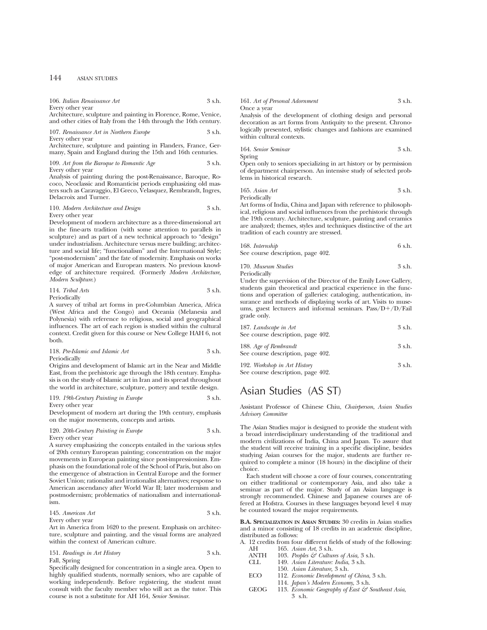| 106. Italian Renaissance Art | 3 s.h. |
|------------------------------|--------|
| Every other year             |        |

Architecture, sculpture and painting in Florence, Rome, Venice, and other cities of Italy from the 14th through the 16th century.

107. *Renaissance Art in Northern Europe* 3 s.h. Every other year

Architecture, sculpture and painting in Flanders, France, Germany, Spain and England during the 15th and 16th centuries.

#### 109. Art from the Baroque to Romantic Age 3 s.h. Every other year

Analysis of painting during the post-Renaissance, Baroque, Rococo, Neoclassic and Romanticist periods emphasizing old masters such as Caravaggio, El Greco, Velasquez, Rembrandt, Ingres, Delacroix and Turner.

#### 110. *Modern Architecture and Design* 3 s.h. Every other year

Development of modern architecture as a three-dimensional art in the fine-arts tradition (with some attention to parallels in sculpture) and as part of a new technical approach to "design" under industrialism. Architecture versus mere building; architecture and social life; "functionalism" and the International Style; "post-modernism" and the fate of modernity. Emphasis on works

of major American and European masters. No previous knowledge of architecture required. (Formerly *Modern Architecture, Modern Sculpture*.)

114. *Tribal Arts* 3 s.h. Periodically

A survey of tribal art forms in pre-Columbian America, Africa (West Africa and the Congo) and Oceania (Melanesia and Polynesia) with reference to religious, social and geographical influences. The art of each region is studied within the cultural context. Credit given for this course or New College HAH 6, not both.

118. *Pre-Islamic and Islamic Art* 3 s.h. Periodically

Origins and development of Islamic art in the Near and Middle East, from the prehistoric age through the 18th century. Emphasis is on the study of Islamic art in Iran and its spread throughout the world in architecture, sculpture, pottery and textile design.

#### 119. *19th-Century Painting in Europe* 3 s.h. Every other year

Development of modern art during the 19th century, emphasis on the major movements, concepts and artists.

#### 120. *20th-Century Painting in Europe* 3 s.h. Every other year

A survey emphasizing the concepts entailed in the various styles of 20th century European painting; concentration on the major movements in European painting since post-impressionism. Emphasis on the foundational role of the School of Paris, but also on the emergence of abstraction in Central Europe and the former Soviet Union; rationalist and irrationalist alternatives; response to American ascendancy after World War II; later modernism and postmodernism; problematics of nationalism and internationalism.

## 145. *American Art* 3 s.h.

Every other year

Art in America from 1620 to the present. Emphasis on architecture, sculpture and painting, and the visual forms are analyzed within the context of American culture.

151. *Readings in Art History* 3 s.h. Fall, Spring

Specifically designed for concentration in a single area. Open to highly qualified students, normally seniors, who are capable of working independently. Before registering, the student must consult with the faculty member who will act as the tutor. This course is not a substitute for AH 164, *Senior Seminar*.

161. *Art of Personal Adornment* 3 s.h. Once a year

Analysis of the development of clothing design and personal decoration as art forms from Antiquity to the present. Chronologically presented, stylistic changes and fashions are examined within cultural contexts.

164. *Senior Seminar* 3 s.h. Spring

Open only to seniors specializing in art history or by permission of department chairperson. An intensive study of selected problems in historical research.

165. *Asian Art* 3 s.h. Periodically

Art forms of India, China and Japan with reference to philosophical, religious and social influences from the prehistoric through the 19th century. Architecture, sculpture, painting and ceramics are analyzed; themes, styles and techniques distinctive of the art tradition of each country are stressed.

| 168. Internship                   | 6 s.h. |
|-----------------------------------|--------|
| See course description, page 402. |        |

170. *Museum Studies* 3 s.h. Periodically

Under the supervision of the Director of the Emily Lowe Gallery, students gain theoretical and practical experience in the functions and operation of galleries: cataloging, authentication, insurance and methods of displaying works of art. Visits to museums, guest lecturers and informal seminars.  $Pass/D+/D/Fail$ grade only.

| 187. Landscape in Art             | 3 s.h. |
|-----------------------------------|--------|
| See course description, page 402. |        |
| 188. Age of Rembrandt             | 3 s.h. |
| See course description, page 402. |        |

| 192. Workshop in Art History      | 3 s.h. |
|-----------------------------------|--------|
| See course description, page 402. |        |

## Asian Studies (AS ST)

Assistant Professor of Chinese Chiu, *Chairperson*, *Asian Studies Advisory Committee*

The Asian Studies major is designed to provide the student with a broad interdisciplinary understanding of the traditional and modern civilizations of India, China and Japan. To assure that the student will receive training in a specific discipline, besides studying Asian courses for the major, students are further required to complete a minor (18 hours) in the discipline of their choice.

Each student will choose a core of four courses, concentrating on either traditional or contemporary Asia, and also take a seminar as part of the major. Study of an Asian language is strongly recommended. Chinese and Japanese courses are offered at Hofstra. Courses in these languages beyond level 4 may be counted toward the major requirements.

**B.A. SPECIALIZATION IN ASIAN STUDIES:** 30 credits in Asian studies and a minor consisting of 18 credits in an academic discipline, distributed as follows:

|      | A. 12 credits from four different fields of study of the following: |
|------|---------------------------------------------------------------------|
| AH   | 165. Asian Art, 3 s.h.                                              |
| ANTH | 103. Peoples $\mathcal{C}$ Cultures of Asia, 3 s.h.                 |

| ANIП        | 100. <i>Peoples</i> $\cup$ <i>Calluttes of Asta, 5 s.f.f.</i> |
|-------------|---------------------------------------------------------------|
| CLL         | 149. Asian Literature: India, 3 s.h.                          |
|             | 150. Asian Literature, 3 s.h.                                 |
| <b>ECO</b>  | 112. Economic Development of China, 3 s.h.                    |
|             | 114. <i>Japan's Modern Economy</i> , 3 s.h.                   |
| <b>GEOG</b> | 113. Economic Geography of East & Southeast Asia,             |
|             | 3 s.h.                                                        |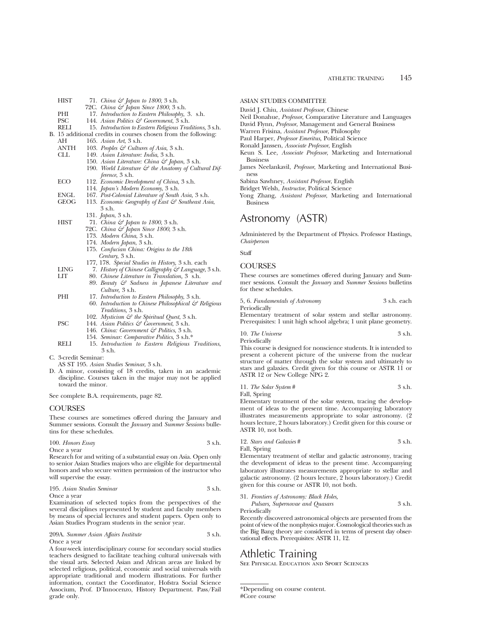- 72C. *China & Japan Since 1800*, 3 s.h. PHI 17. *Introduction to Eastern Philosophy*, 3. s.h.<br>PSC 144. Asian Politics  $\mathcal{F}$  Government, 3 s.h. PSC 144. *Asian Politics & Government*, 3 s.h.<br>RELI 15. *Introduction to Eastern Religious Trad* RELI 15. *Introduction to Eastern Religious Traditions,* 3 s.h. B. 15 additional credits in courses chosen from the following:<br>AH 165. Asian Art. 3 s.h. AH 165. *Asian Art*, 3 s.h.<br>ANTH 103. *Peobles & Cultus* ANTH 103. *Peoples & Cultures of Asia*, 3 s.h.<br>CLL 149 *Asian Literature: India*, 3 s.h. CLL 149. *Asian Literature: India*, 3 s.h. 150. *Asian Literature: China & Japan*, 3 s.h. 190. World Literature  $\mathcal{F}$  the Anatomy of Cultural Dif*ference*, 3 s.h. ECO 112. *Economic Development of China*, 3 s.h. 114. *Japan's Modern Economy*, 3 s.h. ENGL 167. *Post-Colonial Literature of South Asia,* 3 s.h. 113. *Economic Geography of East & Southeast Asia*, 3 s.h. 131. *Japan*, 3 s.h. HIST 71. *China & Japan to 1800*, 3 s.h. 72C. *China & Japan Since 1800*, 3 s.h. 173. *Modern China*, 3 s.h.
	- 174. *Modern Japan*, 3 s.h.

HIST 71. *China & Japan to 1800*, 3 s.h.

- 175. *Confucian China: Origins to the 18th Century*, 3 s.h.
- 177, 178. *Special Studies in History,* 3 s.h. each
- LING 7. *History of Chinese Calligraphy & Language*, 3 s.h.
- LIT 80. *Chinese Literature in Translation,* 3 s.h. 89. *Beauty & Sadness in Japanese Literature and Culture,* 3 s.h.
- PHI 17. *Introduction to Eastern Philosophy*, 3 s.h.
	- 60. *Introduction to Chinese Philosophical & Religious Traditions,* 3 s.h.
		- 102. *Mysticism & the Spiritual Quest*, 3 s.h.
- PSC 144. *Asian Politics & Government*, 3 s.h.
	- 146. *China: Government & Politics*, 3 s.h.
	- 154. *Seminar: Comparative Politics*, 3 s.h.\*
- RELI 15. *Introduction to Eastern Religious Traditions*, 3 s.h.
- C. 3-credit Seminar:
- AS ST 195. *Asian Studies Seminar*, 3 s.h.
- D. A minor, consisting of 18 credits, taken in an academic discipline. Courses taken in the major may not be applied toward the minor.

See complete B.A. requirements, page 82.

## COURSES

These courses are sometimes offered during the January and Summer sessions. Consult the *January* and *Summer Sessions* bulletins for these schedules.

| 100. Honors Essay | 3 s.h. |
|-------------------|--------|
| Once a vear       |        |

Research for and writing of a substantial essay on Asia. Open only to senior Asian Studies majors who are eligible for departmental honors and who secure written permission of the instructor who will supervise the essay.

| 195. Asian Studies Seminar | 3 s.h. |
|----------------------------|--------|
| Once a year                |        |

Examination of selected topics from the perspectives of the several disciplines represented by student and faculty members by means of special lectures and student papers. Open only to Asian Studies Program students in the senior year.

209A. *Summer Asian Affairs Institute* 3 s.h. Once a year

A four-week interdisciplinary course for secondary social studies teachers designed to facilitate teaching cultural universals with the visual arts. Selected Asian and African areas are linked by selected religious, political, economic and social universals with appropriate traditional and modern illustrations. For further information, contact the Coordinator, Hofstra Social Science Associum, Prof. D'Innocenzo, History Department. Pass/Fail grade only.

## ASIAN STUDIES COMMITTEE

- David J. Chiu, *Assistant Professor*, Chinese
- Neil Donahue, *Professor*, Comparative Literature and Languages
- David Flynn, *Professor*, Management and General Business
- Warren Frisina, *Assistant Professor*, Philosophy
- Paul Harper, *Professor Emeritus,* Political Science
- Ronald Janssen, *Associate Professor*, English
- Keun S. Lee, *Associate Professor*, Marketing and International Business
- James Neelankavil, *Professor*, Marketing and International Business

Sabina Sawhney, *Assistant Professor*, English

- Bridget Welsh, *Instructor*, Political Science
- Yong Zhang, *Assistant Professor*, Marketing and International Business

## Astronomy (ASTR)

Administered by the Department of Physics. Professor Hastings, *Chairperson*

**Staff** 

## **COURSES**

These courses are sometimes offered during January and Summer sessions. Consult the *January* and *Summer Sessions* bulletins for these schedules.

5, 6. *Fundamentals of Astronomy* 3 s.h. each Periodically

Elementary treatment of solar system and stellar astronomy. Prerequisites: 1 unit high school algebra; 1 unit plane geometry.

10. *The Universe* 3 s.h. Periodically

This course is designed for nonscience students. It is intended to present a coherent picture of the universe from the nuclear structure of matter through the solar system and ultimately to stars and galaxies. Credit given for this course or ASTR 11 or ASTR 12 or New College NPG 2.

| 11. The Solar System # | 3 s.h. |
|------------------------|--------|
| Fall, Spring           |        |

Elementary treatment of the solar system, tracing the development of ideas to the present time. Accompanying laboratory illustrates measurements appropriate to solar astronomy. (2 hours lecture, 2 hours laboratory.) Credit given for this course or ASTR 10, not both.

### 12. *Stars and Galaxies* # 3 s.h.

Fall, Spring

Elementary treatment of stellar and galactic astronomy, tracing the development of ideas to the present time. Accompanying laboratory illustrates measurements appropriate to stellar and galactic astronomy. (2 hours lecture, 2 hours laboratory.) Credit given for this course or ASTR 10, not both.

| 31. Frontiers of Astronomy: Black Holes, |        |
|------------------------------------------|--------|
| Pulsars, Supernovae and Quasars          | 3 s.h. |
| - -                                      |        |

Periodically

Recently discovered astronomical objects are presented from the point of view of the nonphysics major. Cosmological theories such as the Big Bang theory are considered in terms of present day observational effects. Prerequisites: ASTR 11, 12.

## Athletic Training

See Physical Education and Sport Sciences

<sup>\*</sup>Depending on course content. #Core course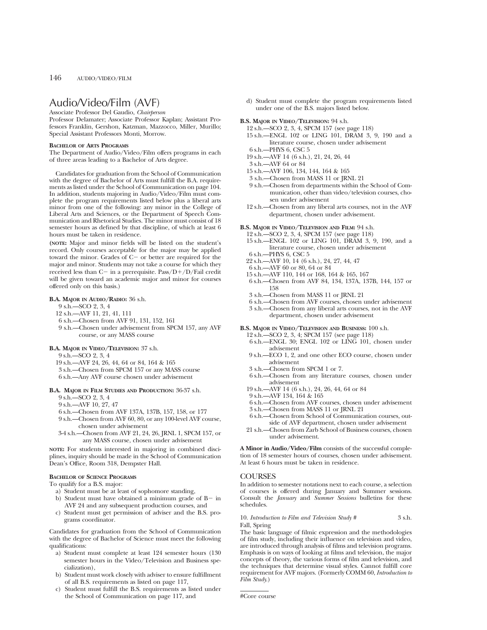## Audio/Video/Film (AVF)

Associate Professor Del Gaudio, *Chairperson*

Professor Delamater; Associate Professor Kaplan; Assistant Professors Franklin, Gershon, Katzman, Mazzocco, Miller, Murillo; Special Assistant Professors Monti, Morrow.

#### **BACHELOR OF ARTS PROGRAMS**

The Department of Audio/Video/Film offers programs in each of three areas leading to a Bachelor of Arts degree.

Candidates for graduation from the School of Communication with the degree of Bachelor of Arts must fulfill the B.A. requirements as listed under the School of Communication on page 104. In addition, students majoring in Audio/Video/Film must complete the program requirements listed below plus a liberal arts minor from one of the following: any minor in the College of Liberal Arts and Sciences, or the Department of Speech Communication and Rhetorical Studies. The minor must consist of 18 semester hours as defined by that discipline, of which at least 6 hours must be taken in residence.

**(NOTE:** Major and minor fields will be listed on the student's record. Only courses acceptable for the major may be applied toward the minor. Grades of  $C-$  or better are required for the major and minor. Students may not take a course for which they received less than C- in a prerequisite. Pass/D+/D/Fail credit will be given toward an academic major and minor for courses offered only on this basis.)

#### **B.A. MAJOR IN AUDIO/RADIO:** 36 s.h.

9 s.h.—SCO 2, 3, 4

12 s.h.—AVF 11, 21, 41, 111

- 6 s.h.—Chosen from AVF 91, 131, 152, 161
- 9 s.h.—Chosen under advisement from SPCM 157, any AVF course, or any MASS course

#### **B.A. MAJOR IN VIDEO/TELEVISION:** 37 s.h.

- 9 s.h.—SCO 2, 3, 4
- 19 s.h.—AVF 24, 26, 44, 64 or 84, 164 & 165
- 3 s.h.—Chosen from SPCM 157 or any MASS course
- 6 s.h.—Any AVF course chosen under advisement

### **B.A. MAJOR IN FILM STUDIES AND PRODUCTION:** 36-37 s.h.

- 9 s.h.—SCO 2, 3, 4
- 9 s.h.—AVF 10, 27, 47
- 6 s.h.—Chosen from AVF 137A, 137B, 157, 158, or 177
- 9 s.h.—Chosen from AVF 60, 80, or any 100-level AVF course, chosen under advisement
- 3-4 s.h.—Chosen from AVF 21, 24, 26, JRNL 1, SPCM 157, or any MASS course, chosen under advisement

**NOTE:** For students interested in majoring in combined disciplines, inquiry should be made in the School of Communication Dean's Office, Room 318, Dempster Hall.

#### **BACHELOR OF SCIENCE PROGRAMS**

To qualify for a B.S. major:

- a) Student must be at least of sophomore standing,
- b) Student must have obtained a minimum grade of  $B-$  in AVF 24 and any subsequent production courses, and
- c) Student must get permission of adviser and the B.S. programs coordinator.

Candidates for graduation from the School of Communication with the degree of Bachelor of Science must meet the following qualifications:

- a) Student must complete at least 124 semester hours (130 semester hours in the Video/Television and Business specialization),
- b) Student must work closely with adviser to ensure fulfillment of all B.S. requirements as listed on page 117,
- c) Student must fulfill the B.S. requirements as listed under the School of Communication on page 117, and

d) Student must complete the program requirements listed under one of the B.S. majors listed below.

#### **B.S. MAJOR IN VIDEO/TELEVISION:** 94 s.h.

12 s.h.—SCO 2, 3, 4, SPCM 157 (see page 118)

- 15 s.h.—ENGL 102 or LING 101, DRAM 3, 9, 190 and a literature course, chosen under advisement
- 6 s.h.—PHYS 6, CSC 5
- 19 s.h.—AVF 14 (6 s.h.), 21, 24, 26, 44
- 3 s.h.—AVF 64 or 84
- 15 s.h.—AVF 106, 134, 144, 164 & 165
- 3 s.h.—Chosen from MASS 11 or JRNL 21
- 9 s.h.—Chosen from departments within the School of Communication, other than video/television courses, chosen under advisement
- 12 s.h.—Chosen from any liberal arts courses, not in the AVF department, chosen under advisement.

### **B.S. MAJOR IN VIDEO/TELEVISION AND FILM:** 94 s.h.

- 12 s.h.—SCO 2, 3, 4, SPCM 157 (see page 118)
- 15 s.h.—ENGL 102 or LING 101, DRAM 3, 9, 190, and a literature course, chosen under advisement
- 6 s.h.—PHYS 6, CSC 5
- 22 s.h.—AVF 10, 14 (6 s.h.), 24, 27, 44, 47
- 6 s.h.—AVF 60 or 80, 64 or 84
- 15 s.h.—AVF 110, 144 or 168, 164 & 165, 167 6 s.h.—Chosen from AVF 84, 134, 137A, 137B, 144, 157 or 158
- 3 s.h.—Chosen from MASS 11 or JRNL 21
- 6 s.h.—Chosen from AVF courses, chosen under advisement
- 3 s.h.—Chosen from any liberal arts courses, not in the AVF department, chosen under advisement

#### **B.S. MAJOR IN VIDEO/TELEVISION AND BUSINESS:** 100 s.h.

- 12 s.h.—SCO 2, 3, 4; SPCM 157 (see page 118)
- 6 s.h.—ENGL 30; ENGL 102 or LING 101, chosen under advisement
- 9 s.h.—ECO 1, 2, and one other ECO course, chosen under advisement
- 3 s.h.—Chosen from SPCM 1 or 7.
- 6 s.h.—Chosen from any literature courses, chosen under advisement
- 19 s.h.—AVF 14 (6 s.h.), 24, 26, 44, 64 or 84
- 9 s.h.—AVF 134, 164 & 165
- 6 s.h.—Chosen from AVF courses, chosen under advisement
- 3 s.h.—Chosen from MASS 11 or JRNL 21
- 6 s.h.—Chosen from School of Communication courses, outside of AVF department, chosen under advisement
- 21 s.h.—Chosen from Zarb School of Business courses, chosen under advisement.

**A Minor in Audio/Video/Film** consists of the successful completion of 18 semester hours of courses, chosen under advisement. At least 6 hours must be taken in residence.

### **COURSES**

In addition to semester notations next to each course, a selection of courses is offered during January and Summer sessions. Consult the *January* and *Summer Sessions* bulletins for these schedules.

#### 10. *Introduction to Film and Television Study* # 3 s.h. Fall, Spring

The basic language of filmic expression and the methodologies of film study, including their influence on television and video, are introduced through analysis of films and television programs. Emphasis is on ways of looking at films and television, the major concepts of theory, the various forms of film and television, and the techniques that determine visual styles. Cannot fulfill core requirement for AVF majors. (Formerly COMM 60, *Introduction to Film Study*.)

#Core course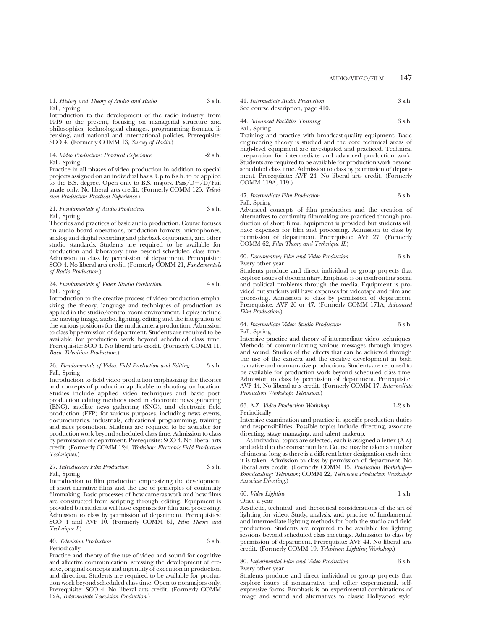11. *History and Theory of Audio and Radio* 3 s.h. Fall, Spring

Introduction to the development of the radio industry, from 1919 to the present, focusing on managerial structure and philosophies, technological changes, programming formats, licensing, and national and international policies. Prerequisite: SCO 4. (Formerly COMM 13, *Survey of Radio*.)

#### 14. *Video Production: Practical Experience* 1-2 s.h. Fall, Spring

Practice in all phases of video production in addition to special projects assigned on an individual basis. Up to 6 s.h. to be applied to the B.S. degree. Open only to B.S. majors.  $Pass/D+/D/Fall$ grade only. No liberal arts credit. (Formerly COMM 125, *Television Production Practical Experience*.)

#### 21. *Fundamentals of Audio Production* 3 s.h. Fall, Spring

Theories and practices of basic audio production. Course focuses on audio board operations, production formats, microphones, analog and digital recording and playback equipment, and other studio standards. Students are required to be available for production and laboratory time beyond scheduled class time. Admission to class by permission of department. Prerequisite: SCO 4. No liberal arts credit. (Formerly COMM 21, *Fundamentals of Radio Production*.)

#### 24. *Fundamentals of Video: Studio Production* 4 s.h. Fall, Spring

Introduction to the creative process of video production emphasizing the theory, language and techniques of production as applied in the studio/control room environment. Topics include the moving image, audio, lighting, editing and the integration of the various positions for the multicamera production. Admission to class by permission of department. Students are required to be available for production work beyond scheduled class time. Prerequisite: SCO 4. No liberal arts credit. (Formerly COMM 11, *Basic Television Production*.)

#### 26. *Fundamentals of Video: Field Production and Editing* 3 s.h. Fall, Spring

Introduction to field video production emphasizing the theories and concepts of production applicable to shooting on location. Studies include applied video techniques and basic postproduction editing methods used in electronic news gathering (ENG), satellite news gathering (SNG), and electronic field production (EFP) for various purposes, including news events, documentaries, industrials, educational programming, training and sales promotion. Students are required to be available for production work beyond scheduled class time. Admission to class by permission of department. Prerequisite: SCO 4. No liberal arts credit. (Formerly COMM 124, *Workshop: Electronic Field Production Techniques*.)

#### 27. *Introductory Film Production* 3 s.h. Fall, Spring

Introduction to film production emphasizing the development of short narrative films and the use of principles of continuity filmmaking. Basic processes of how cameras work and how films are constructed from scripting through editing. Equipment is provided but students will have expenses for film and processing. Admission to class by permission of department. Prerequisites: SCO 4 and AVF 10. (Formerly COMM 61, *Film Theory and Technique I.*)

#### 40. *Television Production* 3 s.h. Periodically

Practice and theory of the use of video and sound for cognitive and affective communication, stressing the development of creative, original concepts and ingenuity of execution in production and direction. Students are required to be available for production work beyond scheduled class time. Open to nonmajors only. Prerequisite: SCO 4. No liberal arts credit. (Formerly COMM 12A, *Intermediate Television Production*.)

41. *Intermediate Audio Production* 3 s.h. See course description, page 410.

## 44. *Advanced Facilities Training* 3 s.h.

Fall, Spring

Training and practice with broadcast-quality equipment. Basic engineering theory is studied and the core technical areas of high-level equipment are investigated and practiced. Technical preparation for intermediate and advanced production work. Students are required to be available for production work beyond scheduled class time. Admission to class by permission of department. Prerequisite: AVF 24. No liberal arts credit. (Formerly COMM 119A, 119.)

#### 47. *Intermediate Film Production* 3 s.h. Fall, Spring

Advanced concepts of film production and the creation of alternatives to continuity filmmaking are practiced through production of short films. Equipment is provided but students will have expenses for film and processing. Admission to class by permission of department. Prerequisite: AVF 27. (Formerly COMM 62, *Film Theory and Technique II*.)

#### 60. *Documentary Film and Video Production* 3 s.h. Every other year

Students produce and direct individual or group projects that explore issues of documentary. Emphasis is on confronting social and political problems through the media. Equipment is provided but students will have expenses for videotape and film and processing. Admission to class by permission of department. Prerequisite: AVF 26 or 47. (Formerly COMM 171A, *Advanced Film Production*.)

#### 64. *Intermediate Video: Studio Production* 3 s.h. Fall, Spring

Intensive practice and theory of intermediate video techniques. Methods of communicating various messages through images and sound. Studies of the effects that can be achieved through the use of the camera and the creative development in both narrative and nonnarrative productions. Students are required to be available for production work beyond scheduled class time. Admission to class by permission of department. Prerequisite: AVF 44. No liberal arts credit. (Formerly COMM 17, *Intermediate Production Workshop: Television*.)

#### 65. A-Z. *Video Production Workshop* 1-2 s.h. Periodically

Intensive examination and practice in specific production duties and responsibilities. Possible topics include directing, associate directing, stage managing, and talent makeup.

As individual topics are selected, each is assigned a letter (A-Z) and added to the course number. Course may be taken a number of times as long as there is a different letter designation each time it is taken. Admission to class by permission of department. No liberal arts credit. (Formerly COMM 15, *Production Workshop— Broadcasting: Television*; COMM 22, *Television Production Workshop: Associate Directing*.)

#### 66. *Video Lighting* 1 s.h. Once a year

Aesthetic, technical, and theoretical considerations of the art of lighting for video. Study, analysis, and practice of fundamental and intermediate lighting methods for both the studio and field production. Students are required to be available for lighting sessions beyond scheduled class meetings. Admission to class by permission of department. Prerequisite: AVF 44. No liberal arts credit. (Formerly COMM 19, *Television Lighting Workshop*.)

#### 80. *Experimental Film and Video Production* 3 s.h. Every other year

Students produce and direct individual or group projects that explore issues of nonnarrative and other experimental, selfexpressive forms. Emphasis is on experimental combinations of image and sound and alternatives to classic Hollywood style.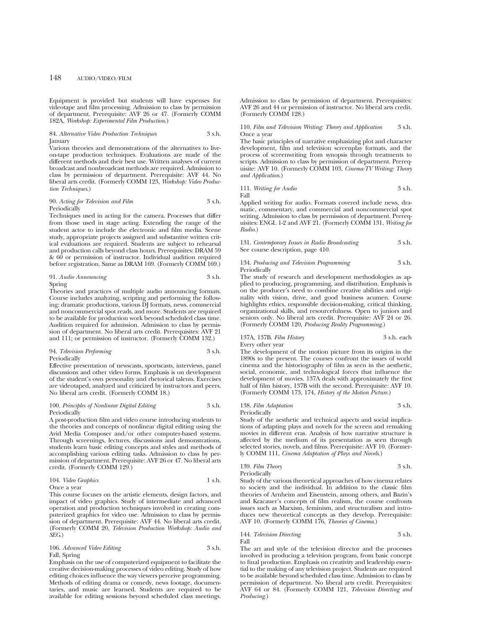Equipment is provided but students will have expenses for videotape and film processing. Admission to class by permission of department. Prerequisite: AVF 26 or 47. (Formerly COMM 182A, *Workshop: Experimental Film Production*.)

#### 84. *Alternative Video Production Techniques* 3 s.h. January

Various theories and demonstrations of the alternatives to liveon-tape production techniques. Evaluations are made of the different methods and their best use. Written analyses of current broadcast and nonbroadcast methods are required. Admission to class by permission of department. Prerequisite: AVF 44. No liberal arts credit. (Formerly COMM 123, *Workshop: Video Production Techniques*.)

#### 90. *Acting for Television and Film* 3 s.h. Periodically

Techniques used in acting for the camera. Processes that differ from those used in stage acting. Extending the range of the student actor to include the electronic and film media. Scene study, appropriate projects assigned and substantive written critical evaluations are required. Students are subject to rehearsal and production calls beyond class hours. Prerequisites: DRAM 59 & 60 or permission of instructor. Individual audition required before registration. Same as DRAM 169. (Formerly COMM 169.)

| 91. Audio Announcing | 3 s.h. |
|----------------------|--------|
| Spring               |        |

Theories and practices of multiple audio announcing formats. Course includes analyzing, scripting and performing the following: dramatic productions, various DJ formats, news, commercial and noncommercial spot reads, and more. Students are required to be available for production work beyond scheduled class time. Audition required for admission. Admission to class by permission of department. No liberal arts credit. Prerequisites: AVF 21 and 111; or permission of instructor. (Formerly COMM 132.)

#### 94. *Television Performing* 3 s.h. Periodically

Effective presentation of newscasts, sportscasts, interviews, panel discussions and other video forms. Emphasis is on development of the student's own personality and rhetorical talents. Exercises are videotaped, analyzed and criticized by instructors and peers. No liberal arts credit. (Formerly COMM 18.)

#### 100. *Principles of Nonlinear Digital Editing* 3 s.h. Periodically

A post-production film and video course introducing students to the theories and concepts of nonlinear digital editing using the Avid Media Composer and/or other computer-based systems. Through screenings, lectures, discussions and demonstrations, students learn basic editing concepts and styles and methods of accomplishing various editing tasks. Admission to class by permission of department. Prerequisite: AVF 26 or 47. No liberal arts credit. (Formerly COMM 129.)

## 104. *Video Graphics* 1 s.h. Once a year

This course focuses on the artistic elements, design factors, and impact of video graphics. Study of intermediate and advanced operation and production techniques involved in creating computerized graphics for video use. Admission to class by permission of department. Prerequisite: AVF 44. No liberal arts credit. (Formerly COMM 20, *Television Production Workshop: Audio and SEG*.)

## 106. *Advanced Video Editing* 3 s.h. Fall, Spring

Emphasis on the use of computerized equipment to facilitate the creative decision-making processes of video editing. Study of how editing choices influence the way viewers perceive programming. Methods of editing drama or comedy, news footage, documentaries, and music are learned. Students are required to be available for editing sessions beyond scheduled class meetings. Admission to class by permission of department. Prerequisites: AVF 26 and 44 or permission of instructor. No liberal arts credit. (Formerly COMM 128.)

### 110. *Film and Television Writing: Theory and Application* 3 s.h. Once a year

The basic principles of narrative emphasizing plot and character development, film and television screenplay formats, and the process of screenwriting from synopsis through treatments to scripts. Admission to class by permission of department. Prerequisite: AVF 10. (Formerly COMM 103, *Cinema-TV Writing: Theory and Application*.)

111. *Writing for Audio* 3 s.h. Fall

Applied writing for audio. Formats covered include news, dramatic, commentary, and commercial and noncommercial spot writing. Admission to class by permission of department. Prerequisites: ENGL 1-2 and AVF 21. (Formerly COMM 131, *Writing for Radio*.)

131. *Contemporary Issues in Radio Broadcasting* 3 s.h. See course description, page 410.

134. *Producing and Television Programming* 3 s.h. Periodically

The study of research and development methodologies as applied to producing, programming, and distribution. Emphasis is on the producer's need to combine creative abilities and originality with vision, drive, and good business acumen. Course highlights ethics, responsible decision-making, critical thinking, organizational skills, and resourcefulness. Open to juniors and seniors only. No liberal arts credit. Prerequisite: AVF 24 or 26. (Formerly COMM 120, *Producing Reality Programming*.)

### 137A, 137B. *Film History* 3 s.h. each Every other year

The development of the motion picture from its origins in the 1890s to the present. The courses confront the issues of world cinema and the historiography of film as seen in the aesthetic, social, economic, and technological forces that influence the development of movies. 137A deals with approximately the first half of film history, 137B with the second. Prerequisite: AVF 10. (Formerly COMM 173, 174, *History of the Motion Picture*.)

#### 138. *Film Adaptation* 3 s.h. Periodically

Study of the aesthetic and technical aspects and social implications of adapting plays and novels for the screen and remaking movies in different eras. Analysis of how narrative structure is affected by the medium of its presentation as seen through selected stories, novels, and films. Prerequisite: AVF 10. (Formerly COMM 111, *Cinema Adaptation of Plays and Novels*.)

139. *Film Theory* 3 s.h.

Periodically

Study of the various theoretical approaches of how cinema relates to society and the individual. In addition to the classic film theories of Arnheim and Eisenstein, among others, and Bazin's and Kracauer's concepts of film realism, the course confronts issues such as Marxism, feminism, and structuralism and introduces new theoretical concepts as they develop. Prerequisite: AVF 10. (Formerly COMM 176, *Theories of Cinema*.)

## 144. *Television Directing* 3 s.h. Fall

The art and style of the television director and the processes involved in producing a television program, from basic concept to final production. Emphasis on creativity and leadership essential to the making of any television project. Students are required to be available beyond scheduled class time. Admission to class by permission of department. No liberal arts credit. Prerequisites: AVF 64 or 84. (Formerly COMM 121, *Television Directing and Producing*.)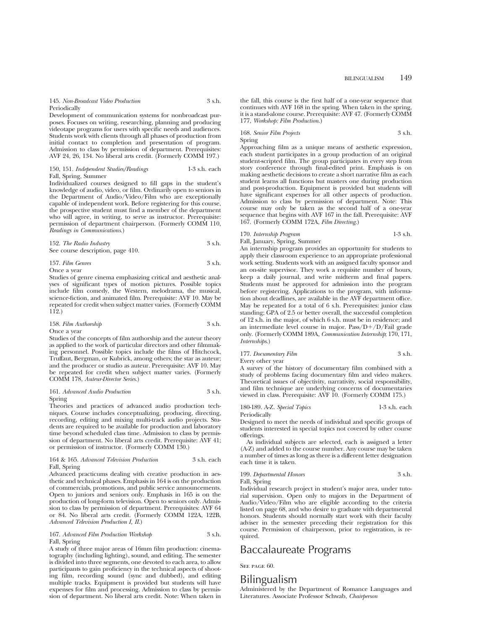145. *Non-Broadcast Video Production* 3 s.h. **Periodically** 

Development of communication systems for nonbroadcast purposes. Focuses on writing, researching, planning and producing videotape programs for users with specific needs and audiences. Students work with clients through all phases of production from initial contact to completion and presentation of program. Admission to class by permission of department. Prerequisites: AVF 24, 26, 134. No liberal arts credit. (Formerly COMM 197.)

150, 151. *Independent Studies/Readings* 1-3 s.h. each Fall, Spring, Summer

Individualized courses designed to fill gaps in the student's knowledge of audio, video, or film. Ordinarily open to seniors in the Department of Audio/Video/Film who are exceptionally capable of independent work. Before registering for this course, the prospective student must find a member of the department who will agree, in writing, to serve as instructor. Prerequisite: permission of department chairperson. (Formerly COMM 110, *Readings in Communications*.)

152. *The Radio Industry* 3 s.h. See course description, page 410.

157. *Film Genres* 3 s.h. Once a year

Studies of genre cinema emphasizing critical and aesthetic analyses of significant types of motion pictures. Possible topics include film comedy, the Western, melodrama, the musical, science-fiction, and animated film. Prerequisite: AVF 10. May be repeated for credit when subject matter varies. (Formerly COMM 112.)

158. *Film Authorship* 3 s.h. Once a year

Studies of the concepts of film authorship and the auteur theory as applied to the work of particular directors and other filmmaking personnel. Possible topics include the films of Hitchcock, Truffaut, Bergman, or Kubrick, among others; the star as auteur; and the producer or studio as auteur. Prerequisite: AVF 10. May be repeated for credit when subject matter varies. (Formerly COMM 178, *Auteur-Director Series*.)

161. *Advanced Audio Production* 3 s.h. Spring

Theories and practices of advanced audio production techniques. Course includes conceptualizing, producing, directing, recording, editing and mixing multi-track audio projects. Students are required to be available for production and laboratory time beyond scheduled class time. Admission to class by permission of department. No liberal arts credit. Prerequisite: AVF 41; or permission of instructor. (Formerly COMM 130.)

#### 164 & 165. *Advanced Television Production* 3 s.h. each Fall, Spring

Advanced practicums dealing with creative production in aesthetic and technical phases. Emphasis in 164 is on the production of commercials, promotions, and public service announcements. Open to juniors and seniors only. Emphasis in 165 is on the production of long-form television. Open to seniors only. Admission to class by permission of department. Prerequisites: AVF 64 or 84. No liberal arts credit. (Formerly COMM 122A, 122B, *Advanced Television Production I, II*.)

### 167. *Advanced Film Production Workshop* 3 s.h. Fall, Spring

A study of three major areas of 16mm film production: cinematography (including lighting), sound, and editing. The semester is divided into three segments, one devoted to each area, to allow participants to gain proficiency in the technical aspects of shooting film, recording sound (sync and dubbed), and editing multiple tracks. Equipment is provided but students will have expenses for film and processing. Admission to class by permission of department. No liberal arts credit. Note: When taken in the fall, this course is the first half of a one-year sequence that continues with AVF 168 in the spring. When taken in the spring, it is a stand-alone course. Prerequisite: AVF 47. (Formerly COMM 177, *Workshop: Film Production*.)

### 168. *Senior Film Projects* 3 s.h. Spring

Approaching film as a unique means of aesthetic expression, each student participates in a group production of an original student-scripted film. The group participates in every step from story conference through final-edited print. Emphasis is on making aesthetic decisions to create a short narrative film as each student learns all functions but masters one during production and post-production. Equipment is provided but students will have significant expenses for all other aspects of production. Admission to class by permission of department. Note: This course may only be taken as the second half of a one-year sequence that begins with AVF 167 in the fall. Prerequisite: AVF 167. (Formerly COMM 172A, *Film Directing*.)

## 170. *Internship Program* 1-3 s.h.

Fall, January, Spring, Summer

An internship program provides an opportunity for students to apply their classroom experience to an appropriate professional work setting. Students work with an assigned faculty sponsor and an on-site supervisor. They work a requisite number of hours, keep a daily journal, and write midterm and final papers. Students must be approved for admission into the program before registering. Applications to the program, with information about deadlines, are available in the AVF department office. May be repeated for a total of 6 s.h. Prerequisites: junior class standing; GPA of 2.5 or better overall, the successful completion of 12 s.h. in the major, of which 6 s.h. must be in residence; and an intermediate level course in major. Pass/ $D+/D/F$ ail grade only. (Formerly COMM 189A, *Communication Internship*; 170, 171, *Internships*.)

| 177. Documentary Film | 3 s.h. |
|-----------------------|--------|
|                       |        |

Every other year

A survey of the history of documentary film combined with a study of problems facing documentary film and video makers. Theoretical issues of objectivity, narrativity, social responsibility, and film technique are underlying concerns of documentaries viewed in class. Prerequisite: AVF 10. (Formerly COMM 175.)

## 180-189. A-Z. *Special Topics* 1-3 s.h. each

Periodically Designed to meet the needs of individual and specific groups of students interested in special topics not covered by other course offerings.

As individual subjects are selected, each is assigned a letter (A-Z) and added to the course number. Any course may be taken a number of times as long as there is a different letter designation each time it is taken.

## 199. *Departmental Honors* 3 s.h.

Fall, Spring

Individual research project in student's major area, under tutorial supervision. Open only to majors in the Department of Audio/Video/Film who are eligible according to the criteria listed on page 68, and who desire to graduate with departmental honors. Students should normally start work with their faculty adviser in the semester preceding their registration for this course. Permission of chairperson, prior to registration, is required.

## Baccalaureate Programs

SEE PAGE 60.

## Bilingualism

Administered by the Department of Romance Languages and Literatures. Associate Professor Schwab, *Chairperson*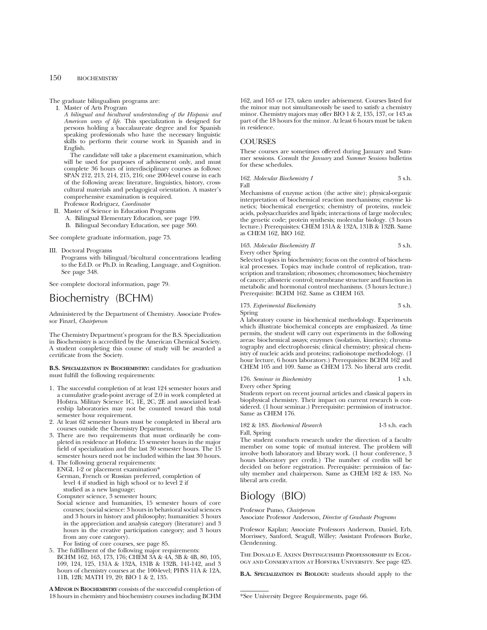The graduate bilingualism programs are:

I. Master of Arts Program

*A bilingual and bicultural understanding of the Hispanic and American ways of life*. This specialization is designed for persons holding a baccalaureate degree and for Spanish speaking professionals who have the necessary linguistic skills to perform their course work in Spanish and in English.

The candidate will take a placement examination, which will be used for purposes of advisement only, and must complete 36 hours of interdisciplinary courses as follows: SPAN 212, 213, 214, 215, 216; one 200-level course in each of the following areas: literature, linguistics, history, crosscultural materials and pedagogical orientation. A master's comprehensive examination is required.

- Professor Rodriguez, *Coordinator*
- II. Master of Science in Education Programs
	- A. Bilingual Elementary Education, see page 199. B. Bilingual Secondary Education, see page 360.

See complete graduate information, page 73.

III. Doctoral Programs

Programs with bilingual/bicultural concentrations leading to the Ed.D. or Ph.D. in Reading, Language, and Cognition. See page 348.

See complete doctoral information, page 79.

## Biochemistry (BCHM)

Administered by the Department of Chemistry. Associate Professor Finzel, *Chairperson*

The Chemistry Department's program for the B.S. Specialization in Biochemistry is accredited by the American Chemical Society. A student completing this course of study will be awarded a certificate from the Society.

**B.S. SPECIALIZATION IN BIOCHEMISTRY:** candidates for graduation must fulfill the following requirements:

- 1. The successful completion of at least 124 semester hours and a cumulative grade-point average of 2.0 in work completed at Hofstra. Military Science 1C, 1E, 2C, 2E and associated leadership laboratories may not be counted toward this total semester hour requirement.
- 2. At least 62 semester hours must be completed in liberal arts courses outside the Chemistry Department.
- 3. There are two requirements that must ordinarily be completed in residence at Hofstra: 15 semester hours in the major field of specialization and the last 30 semester hours. The 15 semester hours need not be included within the last 30 hours.

4. The following general requirements: ENGL 1-2 or placement examination\* German, French or Russian preferred, completion of level 4 if studied in high school or to level 2 if studied as a new language;

- Computer science, 3 semester hours;
- Social science and humanities, 15 semester hours of core courses; (social science: 3 hours in behavioral social sciences and 3 hours in history and philosophy; humanities: 3 hours in the appreciation and analysis category (literature) and 3 hours in the creative participation category; and 3 hours from any core category).

For listing of core courses, see page 85.

5. The fulfillment of the following major requirements: BCHM 162, 163, 173, 176; CHEM 3A & 4A, 3B & 4B, 80, 105, 109, 124, 125, 131A & 132A, 131B & 132B, 141-142, and 3 hours of chemistry courses at the 100-level; PHYS 11A & 12A, 11B, 12B; MATH 19, 20; BIO 1 & 2, 135.

**A MINOR IN BIOCHEMISTRY** consists of the successful completion of 18 hours in chemistry and biochemistry courses including BCHM 162, and 163 or 173, taken under advisement. Courses listed for the minor may not simultaneously be used to satisfy a chemistry minor. Chemistry majors may offer BIO 1 & 2, 135, 137, or 143 as part of the 18 hours for the minor. At least 6 hours must be taken in residence.

## **COURSES**

These courses are sometimes offered during January and Summer sessions. Consult the *January* and *Summer Sessions* bulletins for these schedules.

162. *Molecular Biochemistry I* 3 s.h. Fall

Mechanisms of enzyme action (the active site); physical-organic interpretation of biochemical reaction mechanisms; enzyme kinetics; biochemical energetics; chemistry of proteins, nucleic acids, polysaccharides and lipids; interactions of large molecules; the genetic code; protein synthesis; molecular biology. (3 hours lecture.) Prerequisites: CHEM 131A & 132A, 131B & 132B. Same as CHEM 162, BIO 162.

#### 163. *Molecular Biochemistry II* 3 s.h.

Every other Spring

Selected topics in biochemistry; focus on the control of biochemical processes. Topics may include control of replication, transcription and translation; ribosomes; chromosomes; biochemistry of cancer; allosteric control; membrane structure and function in metabolic and hormonal control mechanisms. (3 hours lecture.) Prerequisite: BCHM 162. Same as CHEM 163.

### 173. *Experimental Biochemistry* 3 s.h.

Spring

A laboratory course in biochemical methodology. Experiments which illustrate biochemical concepts are emphasized. As time permits, the student will carry out experiments in the following areas: biochemical assays; enzymes (isolation, kinetics); chromatography and electrophoresis; clinical chemistry; physical chemistry of nucleic acids and proteins; radioisotope methodology. (1 hour lecture, 6 hours laboratory.) Prerequisites: BCHM 162 and CHEM 105 and 109. Same as CHEM 173. No liberal arts credit.

176. *Seminar in Biochemistry* 1 s.h.

Every other Spring

Students report on recent journal articles and classical papers in biophysical chemistry. Their impact on current research is considered. (1 hour seminar.) Prerequisite: permission of instructor. Same as CHEM 176.

#### 182 & 183. *Biochemical Research* 1-3 s.h. each Fall, Spring

The student conducts research under the direction of a faculty member on some topic of mutual interest. The problem will involve both laboratory and library work. (1 hour conference, 3 hours laboratory per credit.) The number of credits will be decided on before registration. Prerequisite: permission of faculty member and chairperson. Same as CHEM 182 & 183. No liberal arts credit.

## Biology (BIO)

#### Professor Pumo, *Chairperson*

Associate Professor Anderson, *Director of Graduate Programs*

Professor Kaplan; Associate Professors Anderson, Daniel, Erb, Morrissey, Sanford, Seagull, Willey; Assistant Professors Burke, Clendenning.

The Donald E. Axinn Distinguished Professorship in Ecology and Conservation at Hofstra University. See page 425.

**B.A. SPECIALIZATION IN BIOLOGY:** students should apply to the

<sup>\*</sup>See University Degree Requirements, page 66.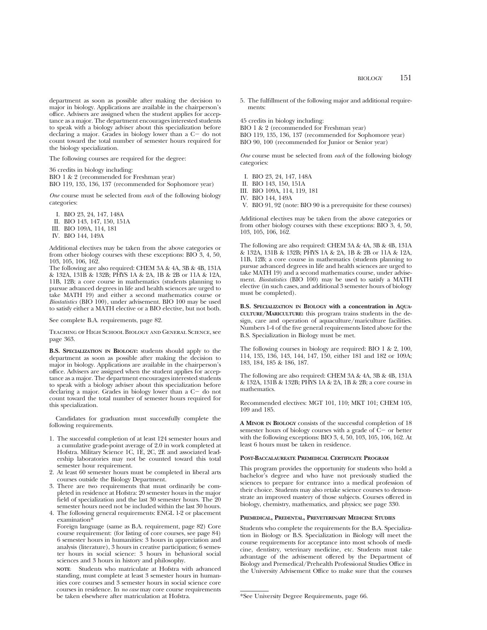department as soon as possible after making the decision to major in biology. Applications are available in the chairperson's office. Advisers are assigned when the student applies for acceptance as a major. The department encourages interested students to speak with a biology adviser about this specialization before declaring a major. Grades in biology lower than a  $C-$  do not count toward the total number of semester hours required for the biology specialization.

The following courses are required for the degree:

36 credits in biology including: BIO 1 & 2 (recommended for Freshman year)

BIO 119, 135, 136, 137 (recommended for Sophomore year)

*One* course must be selected from *each* of the following biology categories:

I. BIO 23, 24, 147, 148A

II. BIO 143, 147, 150, 151A

III. BIO 109A, 114, 181

IV. BIO 144, 149A

Additional electives may be taken from the above categories or from other biology courses with these exceptions: BIO 3, 4, 50, 103, 105, 106, 162.

The following are also required: CHEM 3A & 4A, 3B & 4B, 131A & 132A, 131B & 132B; PHYS 1A & 2A, 1B & 2B or 11A & 12A, 11B, 12B; a core course in mathematics (students planning to pursue advanced degrees in life and health sciences are urged to take MATH 19) and either a second mathematics course or *Biostatistics* (BIO 100), under advisement. BIO 100 may be used to satisfy either a MATH elective or a BIO elective, but not both.

See complete B.A. requirements, page 82.

Teaching of High School Biology and General Science, see page 363.

**B.S. SPECIALIZATION IN BIOLOGY:** students should apply to the department as soon as possible after making the decision to major in biology. Applications are available in the chairperson's office. Advisers are assigned when the student applies for acceptance as a major. The department encourages interested students to speak with a biology adviser about this specialization before declaring a major. Grades in biology lower than a  $C-$  do not count toward the total number of semester hours required for this specialization.

Candidates for graduation must successfully complete the following requirements.

- 1. The successful completion of at least 124 semester hours and a cumulative grade-point average of 2.0 in work completed at Hofstra. Military Science 1C, 1E, 2C, 2E and associated leadership laboratories may not be counted toward this total semester hour requirement.
- 2. At least 60 semester hours must be completed in liberal arts courses outside the Biology Department.
- 3. There are two requirements that must ordinarily be completed in residence at Hofstra: 20 semester hours in the major field of specialization and the last 30 semester hours. The 20 semester hours need not be included within the last 30 hours.
- 4. The following general requirements: ENGL 1-2 or placement examination<sup>\*</sup>

Foreign language (same as B.A. requirement, page 82) Core course requirement: (for listing of core courses, see page 84) 6 semester hours in humanities: 3 hours in appreciation and analysis (literature), 3 hours in creative participation; 6 semester hours in social science: 3 hours in behavioral social sciences and 3 hours in history and philosophy.

**NOTE**: Students who matriculate at Hofstra with advanced standing, must complete at least 3 semester hours in humanities core courses and 3 semester hours in social science core courses in residence. In *no case* may core course requirements be taken elsewhere after matriculation at Hofstra.

5. The fulfillment of the following major and additional requirements:

45 credits in biology including: BIO 1 & 2 (recommended for Freshman year) BIO 119, 135, 136, 137 (recommended for Sophomore year) BIO 90, 100 (recommended for Junior or Senior year)

*One* course must be selected from *each* of the following biology categories:

- I. BIO 23, 24, 147, 148A
- II. BIO 143, 150, 151A
- III. BIO 109A, 114, 119, 181

IV. BIO 144, 149A

V. BIO 91, 92 (note: BIO 90 is a prerequisite for these courses)

Additional electives may be taken from the above categories or from other biology courses with these exceptions: BIO 3, 4, 50, 103, 105, 106, 162.

The following are also required: CHEM 3A & 4A, 3B & 4B, 131A & 132A, 131B & 132B; PHYS 1A & 2A, 1B & 2B or 11A & 12A, 11B, 12B; a core course in mathematics (students planning to pursue advanced degrees in life and health sciences are urged to take MATH 19) and a second mathematics course, under advisement. *Biostatistics* (BIO 100) may be used to satisfy a MATH elective (in such cases, and additional 3 semester hours of biology must be completed).

**B.S. SPECIALIZATION IN BIOLOGY with a concentration in AQUA-CULTURE/MARICULTURE:** this program trains students in the design, care and operation of aquaculture/mariculture facilities. Numbers 1-4 of the five general requirements listed above for the B.S. Specialization in Biology must be met.

The following courses in biology are required: BIO 1 & 2, 100, 114, 135, 136, 143, 144, 147, 150, either 181 and 182 or 109A; 183, 184, 185 & 186, 187.

The following are also required: CHEM 3A & 4A, 3B & 4B, 131A & 132A, 131B & 132B; PHYS 1A & 2A, 1B & 2B; a core course in mathematics.

Recommended electives: MGT 101, 110; MKT 101; CHEM 105, 109 and 185.

**A MINOR IN BIOLOGY** consists of the successful completion of 18 semester hours of biology courses with a grade of  $C-$  or better with the following exceptions: BIO 3, 4, 50, 103, 105, 106, 162. At least 6 hours must be taken in residence.

#### **POST-BACCALAUREATE PREMEDICAL CERTIFICATE PROGRAM**

This program provides the opportunity for students who hold a bachelor's degree and who have not previously studied the sciences to prepare for entrance into a medical profession of their choice. Students may also retake science courses to demonstrate an improved mastery of those subjects. Courses offered in biology, chemistry, mathematics, and physics; see page 330.

#### **PREMEDICAL, PREDENTAL, PREVETERINARY MEDICINE STUDIES**

Students who complete the requirements for the B.A. Specialization in Biology or B.S. Specialization in Biology will meet the course requirements for acceptance into most schools of medicine, dentistry, veterinary medicine, etc. Students must take advantage of the advisement offered by the Department of Biology and Premedical/Prehealth Professional Studies Office in the University Advisement Office to make sure that the courses

<sup>\*</sup>See University Degree Requirements, page 66.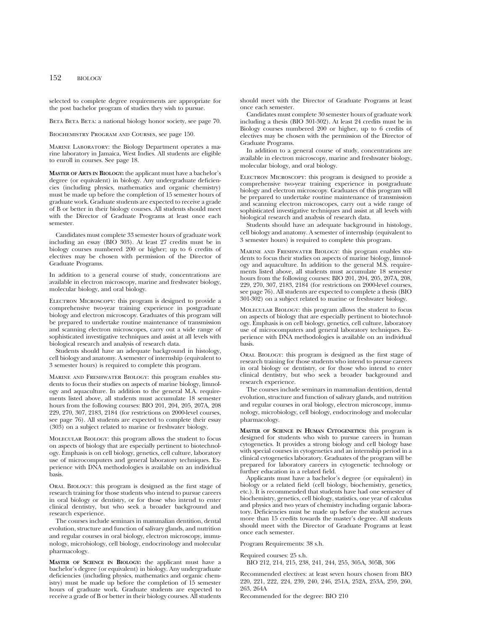selected to complete degree requirements are appropriate for the post bachelor program of studies they wish to pursue.

BETA BETA: a national biology honor society, see page 70.

Biochemistry Program and Courses, see page 150.

Marine Laboratory: the Biology Department operates a marine laboratory in Jamaica, West Indies. All students are eligible to enroll in courses. See page 18.

**MASTER OF ARTS IN BIOLOGY:** the applicant must have a bachelor's degree (or equivalent) in biology. Any undergraduate deficiencies (including physics, mathematics and organic chemistry) must be made up before the completion of 15 semester hours of graduate work. Graduate students are expected to receive a grade of B or better in their biology courses. All students should meet with the Director of Graduate Programs at least once each semester.

Candidates must complete 33 semester hours of graduate work including an essay (BIO 303). At least 27 credits must be in biology courses numbered 200 or higher; up to 6 credits of electives may be chosen with permission of the Director of Graduate Programs.

In addition to a general course of study, concentrations are available in electron microscopy, marine and freshwater biology, molecular biology, and oral biology.

ELECTRON MICROSCOPY: this program is designed to provide a comprehensive two-year training experience in postgraduate biology and electron microscopy. Graduates of this program will be prepared to undertake routine maintenance of transmission and scanning electron microscopes, carry out a wide range of sophisticated investigative techniques and assist at all levels with biological research and analysis of research data.

Students should have an adequate background in histology, cell biology and anatomy. A semester of internship (equivalent to 3 semester hours) is required to complete this program.

Marine and Freshwater Biology: this program enables students to focus their studies on aspects of marine biology, limnology and aquaculture. In addition to the general M.A. requirements listed above, all students must accumulate 18 semester hours from the following courses: BIO 201, 204, 205, 207A, 208 229, 270, 307, 2183, 2184 (for restrictions on 2000-level courses, see page 76). All students are expected to complete their essay (303) on a subject related to marine or freshwater biology.

Molecular Biology: this program allows the student to focus on aspects of biology that are especially pertinent to biotechnology. Emphasis is on cell biology, genetics, cell culture, laboratory use of microcomputers and general laboratory techniques. Experience with DNA methodologies is available on an individual basis.

Oral Biology: this program is designed as the first stage of research training for those students who intend to pursue careers in oral biology or dentistry, or for those who intend to enter clinical dentistry, but who seek a broader background and research experience.

The courses include seminars in mammalian dentition, dental evolution, structure and function of salivary glands, and nutrition and regular courses in oral biology, electron microscopy, immunology, microbiology, cell biology, endocrinology and molecular pharmacology.

**MASTER OF SCIENCE IN BIOLOGY:** the applicant must have a bachelor's degree (or equivalent) in biology. Any undergraduate deficiencies (including physics, mathematics and organic chemistry) must be made up before the completion of 15 semester hours of graduate work. Graduate students are expected to receive a grade of B or better in their biology courses. All students should meet with the Director of Graduate Programs at least once each semester.

Candidates must complete 30 semester hours of graduate work including a thesis (BIO 301-302). At least 24 credits must be in Biology courses numbered 200 or higher, up to 6 credits of electives may be chosen with the permission of the Director of Graduate Programs.

In addition to a general course of study, concentrations are available in electron microscopy, marine and freshwater biology, molecular biology, and oral biology.

ELECTRON MICROSCOPY: this program is designed to provide a comprehensive two-year training experience in postgraduate biology and electron microscopy. Graduates of this program will be prepared to undertake routine maintenance of transmission and scanning electron microscopes, carry out a wide range of sophisticated investigative techniques and assist at all levels with biological research and analysis of research data.

Students should have an adequate background in histology, cell biology and anatomy. A semester of internship (equivalent to 3 semester hours) is required to complete this program.

Marine and Freshwater Biology: this program enables students to focus their studies on aspects of marine biology, limnology and aquaculture. In addition to the general M.S. requirements listed above, all students must accumulate 18 semester hours from the following courses: BIO 201, 204, 205, 207A, 208, 229, 270, 307, 2183, 2184 (for restrictions on 2000-level courses, see page 76). All students are expected to complete a thesis (BIO 301-302) on a subject related to marine or freshwater biology.

Molecular Biology: this program allows the student to focus on aspects of biology that are especially pertinent to biotechnology. Emphasis is on cell biology, genetics, cell culture, laboratory use of microcomputers and general laboratory techniques. Experience with DNA methodologies is available on an individual basis.

Oral Biology: this program is designed as the first stage of research training for those students who intend to pursue careers in oral biology or dentistry, or for those who intend to enter clinical dentistry, but who seek a broader background and research experience.

The courses include seminars in mammalian dentition, dental evolution, structure and function of salivary glands, and nutrition and regular courses in oral biology, electron microscopy, immunology, microbiology, cell biology, endocrinology and molecular pharmacology.

**MASTER OF SCIENCE IN HUMAN CYTOGENETICS:** this program is designed for students who wish to pursue careers in human cytogenetics. It provides a strong biology and cell biology base with special courses in cytogenetics and an internship period in a clinical cytogenetics laboratory. Graduates of the program will be prepared for laboratory careers in cytogenetic technology or further education in a related field.

Applicants must have a bachelor's degree (or equivalent) in biology or a related field (cell biology, biochemistry, genetics, etc.). It is recommended that students have had one semester of biochemistry, genetics, cell biology, statistics, one year of calculus and physics and two years of chemistry including organic laboratory. Deficiencies must be made up before the student accrues more than 15 credits towards the master's degree. All students should meet with the Director of Graduate Programs at least once each semester.

Program Requirements: 38 s.h.

Required courses: 25 s.h.

BIO 212, 214, 215, 238, 241, 244, 255, 305A, 305B, 306

Recommended electives: at least seven hours chosen from BIO 220, 221, 222, 224, 239, 240, 246, 251A, 252A, 253A, 259, 260, 263, 264A

Recommended for the degree: BIO 210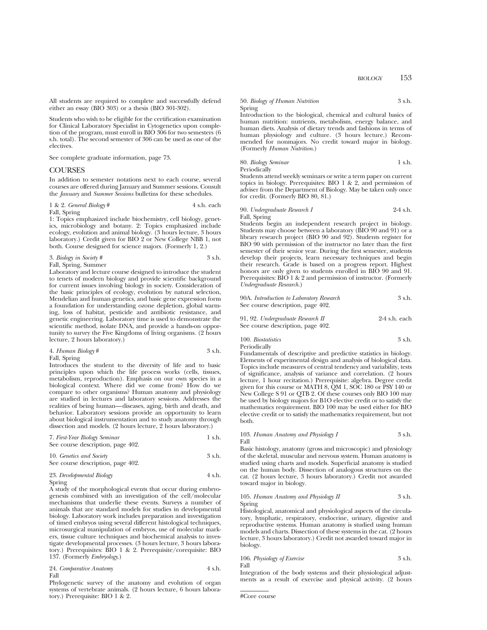All students are required to complete and successfully defend either an essay (BIO 303) or a thesis (BIO 301-302).

Students who wish to be eligible for the certification examination for Clinical Laboratory Specialist in Cytogenetics upon completion of the program, must enroll in BIO 306 for two semesters (6 s.h. total). The second semester of 306 can be used as one of the electives.

See complete graduate information, page 73.

### **COURSES**

In addition to semester notations next to each course, several courses are offered during January and Summer sessions. Consult the *January* and *Summer Sessions* bulletins for these schedules.

1 & 2. *General Biology* # 4 s.h. each Fall, Spring

1: Topics emphasized include biochemistry, cell biology, genetics, microbiology and botany. 2: Topics emphasized include ecology, evolution and animal biology. (3 hours lecture, 3 hours laboratory.) Credit given for BIO 2 or New College NBB 1, not both. Course designed for science majors. (Formerly 1, 2.)

## 3. *Biology in Society #* 3 s.h.

Fall, Spring, Summer

Laboratory and lecture course designed to introduce the student to tenets of modern biology and provide scientific background for current issues involving biology in society. Consideration of the basic principles of ecology, evolution by natural selection, Mendelian and human genetics, and basic gene expression form a foundation for understanding ozone depletion, global warming, loss of habitat, pesticide and antibiotic resistance, and genetic engineering. Laboratory time is used to demonstrate the scientific method, isolate DNA, and provide a hands-on opportunity to survey the Five Kingdoms of living organisms. (2 hours lecture, 2 hours laboratory.)

| 4. Human Biology# | 3 s.h. |
|-------------------|--------|
| Fall, Spring      |        |

Introduces the student to the diversity of life and to basic principles upon which the life process works (cells, tissues, metabolism, reproduction). Emphasis on our own species in a biological context. Where did we come from? How do we compare to other organisms? Human anatomy and physiology are studied in lectures and laboratory sessions. Addresses the realities of being human—diseases, aging, birth and death, and behavior. Laboratory sessions provide an opportunity to learn about biological instrumentation and to study anatomy through dissection and models. (2 hours lecture, 2 hours laboratory.)

| 7. First-Year Biology Seminar     | 1 s.h. |
|-----------------------------------|--------|
| See course description, page 402. |        |

## 10. *Genetics and Society* 3 s.h. See course description, page 402. 23. *Developmental Biology* 4 s.h.

A study of the morphological events that occur during embryogenesis combined with an investigation of the cell/molecular mechanisms that underlie these events. Surveys a number of animals that are standard models for studies in developmental biology. Laboratory work includes preparation and investigation of timed embryos using several different histological techniques, microsurgical manipulation of embryos, use of molecular markers, tissue culture techniques and biochemical analysis to investigate developmental processes. (3 hours lecture, 3 hours laboratory.) Prerequisites: BIO 1 & 2. Prerequisite/corequisite: BIO 137. (Formerly *Embryology*.)

24. *Comparative Anatomy* 4 s.h. Fall

Phylogenetic survey of the anatomy and evolution of organ systems of vertebrate animals. (2 hours lecture, 6 hours laboratory.) Prerequisite: BIO 1 & 2.

50. *Biology of Human Nutrition* 3 s.h. Spring

Introduction to the biological, chemical and cultural basics of human nutrition: nutrients, metabolism, energy balance, and human diets. Analysis of dietary trends and fashions in terms of human physiology and culture. (3 hours lecture.) Recommended for nonmajors. No credit toward major in biology. (Formerly *Human Nutrition*.)

80. *Biology Seminar* 1 s.h. Periodically

Students attend weekly seminars or write a term paper on current topics in biology. Prerequisites: BIO 1 & 2, and permission of adviser from the Department of Biology. May be taken only once for credit. (Formerly BIO 80, 81.)

## 90. *Undergraduate Research I* 2-4 s.h.

Fall, Spring

Students begin an independent research project in biology. Students may choose between a laboratory (BIO 90 and 91) or a library research project (BIO 90 and 92). Students register for BIO 90 with permission of the instructor no later than the first semester of their senior year. During the first semester, students develop their projects, learn necessary techniques and begin their research. Grade is based on a progress report. Highest honors are only given to students enrolled in BIO 90 and 91. Prerequisites: BIO 1 & 2 and permission of instructor. (Formerly *Undergraduate Research.*)

| 90A. Introduction to Laboratory Research<br>See course description, page 402. | 3 s.h.          |
|-------------------------------------------------------------------------------|-----------------|
| 91, 92. Undergraduate Research II                                             | $2-4$ s.h. each |

| 91, 9 <i>2. Онае</i> траашаа кезеатт 11 | -2-4 S.II. Cacii |
|-----------------------------------------|------------------|
| See course description, page 402.       |                  |

100. *Biostatistics* 3 s.h. Periodically

Fundamentals of descriptive and predictive statistics in biology. Elements of experimental design and analysis of biological data. Topics include measures of central tendency and variability, tests of significance, analysis of variance and correlation. (2 hours lecture, 1 hour recitation.) Prerequisite: algebra. Degree credit given for this course or MATH 8, QM 1, SOC 180 or PSY 140 or New College S 91 or QTB 2. Of these courses only BIO 100 may be used by biology majors for B1O elective credit or to satisfy the mathematics requirement. BIO 100 may be used either for BIO elective credit or to satisfy the mathematics requirement, but not both.

103. *Human Anatomy and Physiology I* 3 s.h. Fall

Basic histology, anatomy (gross and microscopic) and physiology of the skeletal, muscular and nervous system. Human anatomy is studied using charts and models. Superficial anatomy is studied on the human body. Dissection of analogous structures on the cat. (2 hours lecture, 3 hours laboratory.) Credit not awarded toward major in biology.

#### 105. *Human Anatomy and Physiology II* 3 s.h. Spring

Histological, anatomical and physiological aspects of the circulatory, lymphatic, respiratory, endocrine, urinary, digestive and reproductive systems. Human anatomy is studied using human models and charts. Dissection of these systems in the cat. (2 hours lecture, 3 hours laboratory.) Credit not awarded toward major in biology.

$$
106. \ Physiology \ of\ Exercise 3 s.h. \\ Fall
$$

Integration of the body systems and their physiological adjustments as a result of exercise and physical activity. (2 hours

Spring

<sup>#</sup>Core course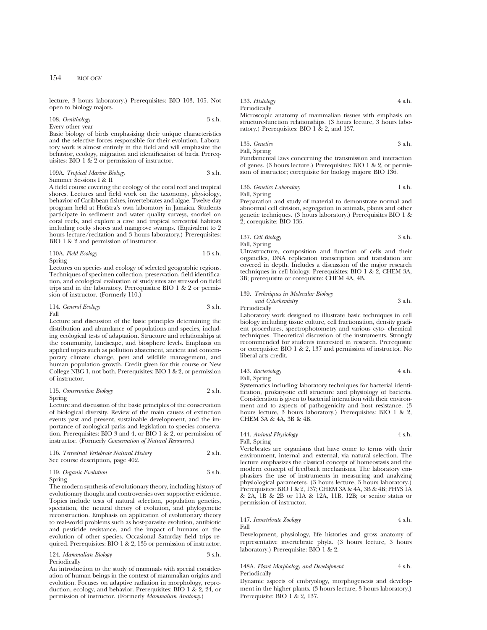lecture, 3 hours laboratory.) Prerequisites: BIO 103, 105. Not open to biology majors.

#### 108. *Ornithology* 3 s.h. Every other year

Basic biology of birds emphasizing their unique characteristics and the selective forces responsible for their evolution. Laboratory work is almost entirely in the field and will emphasize the behavior, ecology, migration and identification of birds. Prerequisites: BIO 1 & 2 or permission of instructor.

#### 109A. *Tropical Marine Biology* 3 s.h. Summer Sessions I & II

A field course covering the ecology of the coral reef and tropical shores. Lectures and field work on the taxonomy, physiology, behavior of Caribbean fishes, invertebrates and algae. Twelve day program held at Hofstra's own laboratory in Jamaica. Students participate in sediment and water quality surveys, snorkel on coral reefs, and explore a cave and tropical terrestrial habitats including rocky shores and mangrove swamps. (Equivalent to 2 hours lecture/recitation and 3 hours laboratory.) Prerequisites: BIO 1 & 2 and permission of instructor.

110A. *Field Ecology* 1-3 s.h. Spring

Lectures on species and ecology of selected geographic regions. Techniques of specimen collection, preservation, field identification, and ecological evaluation of study sites are stressed on field trips and in the laboratory. Prerequisites: BIO 1 & 2 or permission of instructor. (Formerly 110.)

114. *General Ecology* 3 s.h. Fall

Lecture and discussion of the basic principles determining the distribution and abundance of populations and species, including ecological tests of adaptation. Structure and relationships at the community, landscape, and biosphere levels. Emphasis on applied topics such as pollution abatement, ancient and contemporary climate change, pest and wildlife management, and human population growth. Credit given for this course or New College NBG 1, not both. Prerequisites: BIO 1 & 2, or permission of instructor.

```
115. Conservation Biology 2 s.h.
Spring
```
Lecture and discussion of the basic principles of the conservation of biological diversity. Review of the main causes of extinction events past and present, sustainable development, and the importance of zoological parks and legislation to species conservation. Prerequisites: BIO 3 and 4, or BIO 1 & 2, or permission of instructor. (Formerly *Conservation of Natural Resources*.)

| 116. Terrestrial Vertebrate Natural History | 2 s.h. |
|---------------------------------------------|--------|
| See course description, page 402.           |        |

| 119. Organic Evolution | 3 s.h. |
|------------------------|--------|
| Spring                 |        |

The modern synthesis of evolutionary theory, including history of evolutionary thought and controversies over supportive evidence. Topics include tests of natural selection, population genetics, speciation, the neutral theory of evolution, and phylogenetic reconstruction. Emphasis on application of evolutionary theory to real-world problems such as host-parasite evolution, antibiotic and pesticide resistance, and the impact of humans on the evolution of other species. Occasional Saturday field trips required. Prerequisites: BIO 1 & 2, 135 or permission of instructor.

#### 124. *Mammalian Biology* 3 s.h. Periodically

An introduction to the study of mammals with special consideration of human beings in the context of mammalian origins and evolution. Focuses on adaptive radiation in morphology, reproduction, ecology, and behavior. Prerequisites: BIO 1 & 2, 24, or permission of instructor. (Formerly *Mammalian Anatomy*.)

133. *Histology* 4 s.h.

Microscopic anatomy of mammalian tissues with emphasis on structure-function relationships. (3 hours lecture, 3 hours laboratory.) Prerequisites: BIO 1 & 2, and 137.

135. *Genetics* 3 s.h.

Fall, Spring

**Periodically** 

Fundamental laws concerning the transmission and interaction of genes. (3 hours lecture.) Prerequisites: BIO 1 & 2, or permission of instructor; corequisite for biology majors: BIO 136.

136. *Genetics Laboratory* 1 s.h. Fall, Spring

Preparation and study of material to demonstrate normal and abnormal cell division, segregation in animals, plants and other genetic techniques. (3 hours laboratory.) Prerequisites BIO 1 & 2; corequisite: BIO 135.

137. *Cell Biology* 3 s.h. Fall, Spring

Ultrastructure, composition and function of cells and their organelles, DNA replication transcription and translation are covered in depth. Includes a discussion of the major research techniques in cell biology. Prerequisites: BIO 1 & 2, CHEM 3A, 3B; prerequisite or corequisite: CHEM 4A, 4B.

## 139. *Techniques in Molecular Biology and Cytochemistry* 3 s.h.

**Periodically** 

Laboratory work designed to illustrate basic techniques in cell biology including tissue culture, cell fractionation, density gradient procedures, spectrophotometry and various cyto- chemical techniques. Theoretical discussion of the instruments. Strongly recommended for students interested in research. Prerequisite or corequisite: BIO 1 & 2, 137 and permission of instructor. No liberal arts credit.

| 143. Bacteriology | 4 s.h. |
|-------------------|--------|
| Fall, Spring      |        |

Systematics including laboratory techniques for bacterial identification, prokaryotic cell structure and physiology of bacteria. Consideration is given to bacterial interaction with their environment and to aspects of pathogenicity and host resistance. (3 hours lecture, 3 hours laboratory.) Prerequisites: BIO 1 & 2, CHEM 3A & 4A, 3B & 4B.

#### 144. *Animal Physiology* 4 s.h. Fall, Spring

Vertebrates are organisms that have come to terms with their environment, internal and external, via natural selection. The lecture emphasizes the classical concept of homeostasis and the modern concept of feedback mechanisms. The laboratory emphasizes the use of instruments in measuring and analyzing physiological parameters. (3 hours lecture, 3 hours laboratory.) Prerequisites: BIO 1 & 2, 137; CHEM 3A & 4A, 3B & 4B; PHYS 1A & 2A, 1B & 2B or 11A & 12A, 11B, 12B; or senior status or permission of instructor.

#### 147. *Invertebrate Zoology* 4 s.h. Fall

Development, physiology, life histories and gross anatomy of representative invertebrate phyla. (3 hours lecture, 3 hours laboratory.) Prerequisite: BIO 1 & 2.

#### 148A. *Plant Morphology and Development* 4 s.h. Periodically

Dynamic aspects of embryology, morphogenesis and development in the higher plants. (3 hours lecture, 3 hours laboratory.) Prerequisite: BIO 1 & 2, 137.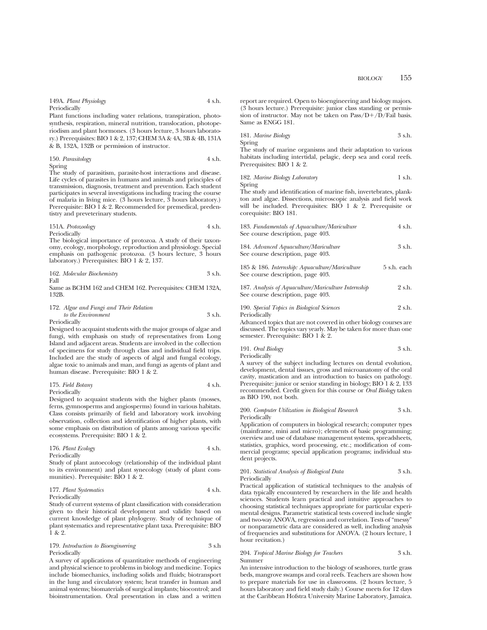Plant functions including water relations, transpiration, photosynthesis, respiration, mineral nutrition, translocation, photoperiodism and plant hormones. (3 hours lecture, 3 hours laboratory.) Prerequisites: BIO 1 & 2, 137; CHEM 3A & 4A, 3B & 4B, 131A & B, 132A, 132B or permission of instructor.

150. *Parasitology* 4 s.h. Spring

The study of parasitism, parasite-host interactions and disease. Life cycles of parasites in humans and animals and principles of transmission, diagnosis, treatment and prevention. Each student participates in several investigations including tracing the course of malaria in living mice. (3 hours lecture, 3 hours laboratory.) Prerequisite: BIO 1 & 2. Recommended for premedical, predentistry and preveterinary students.

#### 151A. *Protozoology* 4 s.h. Periodically

The biological importance of protozoa. A study of their taxonomy, ecology, morphology, reproduction and physiology. Special emphasis on pathogenic protozoa. (3 hours lecture, 3 hours laboratory.) Prerequisites: BIO 1 & 2, 137.

|      | 162. Molecular Biochemistry | 3 s.h. |
|------|-----------------------------|--------|
| Fall |                             |        |

Same as BCHM 162 and CHEM 162. Prerequisites: CHEM 132A, 132B.

#### 172. *Algae and Fungi and Their Relation to the Environment* 3 s.h. Periodically

Designed to acquaint students with the major groups of algae and fungi, with emphasis on study of representatives from Long Island and adjacent areas. Students are involved in the collection of specimens for study through class and individual field trips. Included are the study of aspects of algal and fungal ecology, algae toxic to animals and man, and fungi as agents of plant and human disease. Prerequisite: BIO 1 & 2.

#### 175. *Field Botany* 4 s.h. Periodically

Designed to acquaint students with the higher plants (mosses, ferns, gymnosperms and angiosperms) found in various habitats. Class consists primarily of field and laboratory work involving observation, collection and identification of higher plants, with some emphasis on distribution of plants among various specific ecosystems. Prerequisite: BIO 1 & 2.

176. *Plant Ecology* 4 s.h. Periodically

Study of plant autoecology (relationship of the individual plant to its environment) and plant synecology (study of plant communities). Prerequisite: BIO 1 & 2.

#### 177. *Plant Systematics* 4 s.h. Periodically

Study of current systems of plant classification with consideration given to their historical development and validity based on current knowledge of plant phylogeny. Study of technique of plant systematics and representative plant taxa. Prerequisite: BIO 1 & 2.

### 179. *Introduction to Bioengineering* 3 s.h Periodically

A survey of applications of quantitative methods of engineering and physical science to problems in biology and medicine. Topics include biomechanics, including solids and fluids; biotransport in the lung and circulatory system; heat transfer in human and animal systems; biomaterials of surgical implants; biocontrol; and bioinstrumentation. Oral presentation in class and a written report are required. Open to bioengineering and biology majors. (3 hours lecture.) Prerequisite: junior class standing or permission of instructor. May not be taken on  $Pass/D+/D/Fall$  basis. Same as ENGG 181.

181. *Marine Biology* 3 s.h.

Spring

See course description, page 403.

The study of marine organisms and their adaptation to various habitats including intertidal, pelagic, deep sea and coral reefs. Prerequisites: BIO 1 & 2.

182. *Marine Biology Laboratory* 1 s.h. Spring

The study and identification of marine fish, invertebrates, plankton and algae. Dissections, microscopic analysis and field work will be included. Prerequisites: BIO 1 & 2. Prerequisite or corequisite: BIO 181.

| 183. Fundamentals of Aquaculture/Mariculture<br>See course description, page 403. | 4 s.h.      |
|-----------------------------------------------------------------------------------|-------------|
| 184. Advanced Aquaculture/Mariculture<br>See course description, page 403.        | 3 s.h.      |
| 185 & 186. Internship. Aquaculture/Mariculture                                    | 5 s.h. each |

187. Analysis of Aquaculture/Mariculture Internship 2 s.h. See course description, page 403.

| 190. Special Topics in Biological Sciences | 2 s.h. |
|--------------------------------------------|--------|
| Periodically                               |        |

Advanced topics that are not covered in other biology courses are discussed. The topics vary yearly. May be taken for more than one semester. Prerequisite: BIO 1 & 2.

191. *Oral Biology* 3 s.h. Periodically

A survey of the subject including lectures on dental evolution, development, dental tissues, gross and microanatomy of the oral cavity, mastication and an introduction to basics on pathology. Prerequisite: junior or senior standing in biology; BIO 1 & 2, 133 recommended. Credit given for this course or *Oral Biology* taken as BIO 190, not both.

200. *Computer Utilization in Biological Research* 3 s.h. Periodically

Application of computers in biological research; computer types (mainframe, mini and micro); elements of basic programming; overview and use of database management systems, spreadsheets, statistics, graphics, word processing, etc.; modification of commercial programs; special application programs; individual student projects.

#### 201. *Statistical Analysis of Biological Data* 3 s.h. Periodically

Practical application of statistical techniques to the analysis of data typically encountered by researchers in the life and health sciences. Students learn practical and intuitive approaches to choosing statistical techniques appropriate for particular experimental designs. Parametric statistical tests covered include single and two-way ANOVA, regression and correlation. Tests of "messy" or nonparametric data are considered as well, including analysis of frequencies and substitutions for ANOVA. (2 hours lecture, 1 hour recitation.)

#### 204. *Tropical Marine Biology for Teachers* 3 s.h. Summer

An intensive introduction to the biology of seashores, turtle grass beds, mangrove swamps and coral reefs. Teachers are shown how to prepare materials for use in classrooms. (2 hours lecture, 5 hours laboratory and field study daily.) Course meets for 12 days at the Caribbean Hofstra University Marine Laboratory, Jamaica.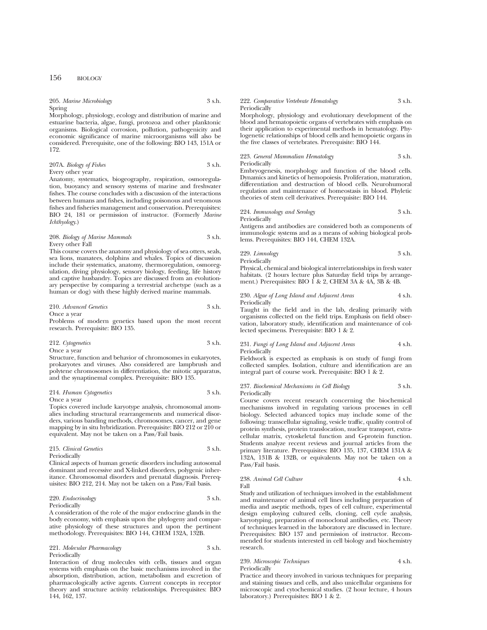| 205. Marine Microbiology | 3 s.h. |
|--------------------------|--------|
| Spring                   |        |

Morphology, physiology, ecology and distribution of marine and estuarine bacteria, algae, fungi, protozoa and other planktonic organisms. Biological corrosion, pollution, pathogenicity and economic significance of marine microorganisms will also be considered. Prerequisite, one of the following: BIO 143, 151A or 172.

#### 207A. *Biology of Fishes* 3 s.h. Every other year

Anatomy, systematics, biogeography, respiration, osmoregulation, buoyancy and sensory systems of marine and freshwater fishes. The course concludes with a discussion of the interactions between humans and fishes, including poisonous and venomous fishes and fisheries management and conservation. Prerequisites: BIO 24, 181 or permission of instructor. (Formerly *Marine Ichthyology*.)

#### 208. *Biology of Marine Mammals* 3 s.h. Every other Fall

This course covers the anatomy and physiology of sea otters, seals, sea lions, manatees, dolphins and whales. Topics of discussion include their systematics, anatomy, thermoregulation, osmoregulation, diving physiology, sensory biology, feeding, life history and captive husbandry. Topics are discussed from an evolutionary perspective by comparing a terrestrial archetype (such as a human or dog) with these highly derived marine mammals.

#### 210. *Advanced Genetics* 3 s.h. Once a year

Problems of modern genetics based upon the most recent research. Prerequisite: BIO 135.

#### 212. *Cytogenetics* 3 s.h. Once a year

Structure, function and behavior of chromosomes in eukaryotes, prokaryotes and viruses. Also considered are lampbrush and polytene chromosomes in differentiation, the mitotic apparatus, and the synaptinemal complex. Prerequisite: BIO 135.

#### 214. *Human Cytogenetics* 3 s.h. Once a year

Topics covered include karyotype analysis, chromosomal anomalies including structural rearrangements and numerical disorders, various banding methods, chromosomes, cancer, and gene mapping by in situ hybridization. Prerequisite: BIO 212 or 210 or equivalent. May not be taken on a Pass/Fail basis.

#### 215. *Clinical Genetics* 3 s.h. Periodically

Clinical aspects of human genetic disorders including autosomal dominant and recessive and X-linked disorders, polygenic inheritance. Chromosomal disorders and prenatal diagnosis. Prerequisites: BIO 212, 214. May not be taken on a Pass/Fail basis.

#### 220. *Endocrinology* 3 s.h. Periodically

#### A consideration of the role of the major endocrine glands in the body economy, with emphasis upon the phylogeny and comparative physiology of these structures and upon the pertinent methodology. Prerequisites: BIO 144, CHEM 132A, 132B.

### 221. *Molecular Pharmacology* 3 s.h. Periodically

Interaction of drug molecules with cells, tissues and organ systems with emphasis on the basic mechanisms involved in the absorption, distribution, action, metabolism and excretion of pharmacologically active agents. Current concepts in receptor theory and structure activity relationships. Prerequisites: BIO 144, 162, 137.

#### 222. *Comparative Vertebrate Hematology* 3 s.h. Periodically

Morphology, physiology and evolutionary development of the blood and hematopoietic organs of vertebrates with emphasis on their application to experimental methods in hematology. Phylogenetic relationships of blood cells and hemopoietic organs in the five classes of vertebrates. Prerequisite: BIO 144.

## 223. *General Mammalian Hematology* 3 s.h. Periodically

Embryogenesis, morphology and function of the blood cells. Dynamics and kinetics of hemopoiesis. Proliferation, maturation, differentiation and destruction of blood cells. Neurohumoral regulation and maintenance of homeostasis in blood. Phyletic theories of stem cell derivatives. Prerequisite: BIO 144.

224. *Immunology and Serology* 3 s.h. Periodically

Antigens and antibodies are considered both as components of immunologic systems and as a means of solving biological problems. Prerequisites: BIO 144, CHEM 132A.

229. *Limnology* 3 s.h. Periodically

Physical, chemical and biological interrelationships in fresh water habitats. (2 hours lecture plus Saturday field trips by arrangement.) Prerequisites: BIO  $\hat{1}$  & 2, CHEM 3A & 4A, 3B & 4B.

### 230. *Algae of Long Island and Adjacent Areas* 4 s.h. Periodically

Taught in the field and in the lab, dealing primarily with organisms collected on the field trips. Emphasis on field observation, laboratory study, identification and maintenance of collected specimens. Prerequisite: BIO 1 & 2.

#### 231. *Fungi of Long Island and Adjacent Areas* 4 s.h. **Periodically**

Fieldwork is expected as emphasis is on study of fungi from collected samples. Isolation, culture and identification are an integral part of course work. Prerequisite: BIO 1 & 2.

#### 237. *Biochemical Mechanisms in Cell Biology* 3 s.h. Periodically

Course covers recent research concerning the biochemical mechanisms involved in regulating various processes in cell biology. Selected advanced topics may include some of the following: transcellular signaling, vesicle traffic, quality control of protein synthesis, protein translocation, nuclear transport, extracellular matrix, cytoskeletal function and G-protein function. Students analyze recent reviews and journal articles from the primary literature. Prerequisites: BIO 135, 137, CHEM 131A & 132A, 131B & 132B, or equivalents. May not be taken on a Pass/Fail basis.

#### 238. *Animal Cell Culture*  $4 \text{ s.h.}$ Fall

Study and utilization of techniques involved in the establishment and maintenance of animal cell lines including preparation of media and aseptic methods, types of cell culture, experimental design employing cultured cells, cloning, cell cycle analysis, karyotyping, preparation of monoclonal antibodies, etc. Theory of techniques learned in the laboratory are discussed in lecture. Prerequisites: BIO 137 and permission of instructor. Recommended for students interested in cell biology and biochemistry research.

## 239. *Microscopic Techniques* 4 s.h.

Periodically

Practice and theory involved in various techniques for preparing and staining tissues and cells, and also unicellular organisms for microscopic and cytochemical studies. (2 hour lecture, 4 hours laboratory.) Prerequisites: BIO 1 & 2.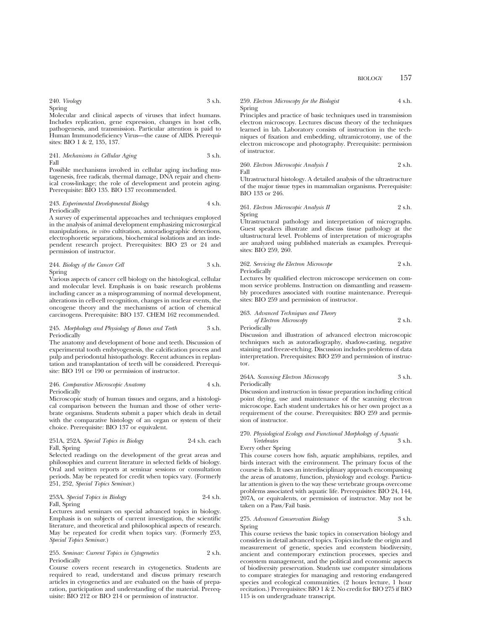BIOLOGY 157

240. *Virology* 3 s.h. Spring

Molecular and clinical aspects of viruses that infect humans. Includes replication, gene expression, changes in host cells, pathogenesis, and transmission. Particular attention is paid to Human Immunodeficiency Virus—the cause of AIDS. Prerequisites: BIO 1 & 2, 135, 137.

241. *Mechanisms in Cellular Aging* 3 s.h. Fall

Possible mechanisms involved in cellular aging including mutagenesis, free radicals, thermal damage, DNA repair and chemical cross-linkage; the role of development and protein aging. Prerequisite: BIO 135. BIO 137 recommended.

#### 243. *Experimental Developmental Biology* 4 s.h. Periodically

A survey of experimental approaches and techniques employed in the analysis of animal development emphasizing microsurgical manipulations, *in vitro* cultivation, autoradiographic detections, electrophoretic separations, biochemical isolations and an independent research project. Prerequisites: BIO 23 or 24 and permission of instructor.

244. *Biology of the Cancer Cell* 3 s.h. Spring

Various aspects of cancer cell biology on the histological, cellular and molecular level. Emphasis is on basic research problems including cancer as a misprogramming of normal development, alterations in cell-cell recognition, changes in nuclear events, the oncogene theory and the mechanisms of action of chemical carcinogens. Prerequisite: BIO 137. CHEM 162 recommended.

#### 245. *Morphology and Physiology of Bones and Teeth* 3 s.h. Periodically

The anatomy and development of bone and teeth. Discussion of experimental tooth embryogenesis, the calcification process and pulp and periodontal histopathology. Recent advances in replantation and transplantation of teeth will be considered. Prerequisite: BIO 191 or 190 or permission of instructor.

#### 246. *Comparative Microscopic Anatomy* 4 s.h. Periodically

Microscopic study of human tissues and organs, and a histological comparison between the human and those of other vertebrate organisms. Students submit a paper which deals in detail with the comparative histology of an organ or system of their choice. Prerequisite: BIO 137 or equivalent.

#### 251A, 252A. *Special Topics in Biology* 2-4 s.h. each Fall, Spring

Selected readings on the development of the great areas and philosophies and current literature in selected fields of biology. Oral and written reports at seminar sessions or consultation periods. May be repeated for credit when topics vary. (Formerly 251, 252, *Special Topics Seminar*.)

### 253A. *Special Topics in Biology* 2-4 s.h. Fall, Spring

Lectures and seminars on special advanced topics in biology. Emphasis is on subjects of current investigation, the scientific literature, and theoretical and philosophical aspects of research. May be repeated for credit when topics vary. (Formerly 253, *Special Topics Seminar*.)

#### 255. *Seminar: Current Topics in Cytogenetics* 2 s.h. Periodically

Course covers recent research in cytogenetics. Students are required to read, understand and discuss primary research articles in cytogenetics and are evaluated on the basis of preparation, participation and understanding of the material. Prerequisite: BIO 212 or BIO 214 or permission of instructor.

#### 259. *Electron Microscopy for the Biologist* 4 s.h. Spring

Principles and practice of basic techniques used in transmission electron microscopy. Lectures discuss theory of the techniques learned in lab. Laboratory consists of instruction in the techniques of fixation and embedding, ultramicrotomy, use of the electron microscope and photography. Prerequisite: permission of instructor.

260. *Electron Microscopic Analysis I* 2 s.h. Fall

Ultrastructural histology. A detailed analysis of the ultrastructure of the major tissue types in mammalian organisms. Prerequisite: BIO 133 or 246.

#### 261. *Electron Microscopic Analysis II* 2 s.h. Spring

Ultrastructural pathology and interpretation of micrographs. Guest speakers illustrate and discuss tissue pathology at the ultastructural level. Problems of interpretation of micrographs are analyzed using published materials as examples. Prerequisites: BIO 259, 260.

#### 262. *Servicing the Electron Microscope* 2 s.h. Periodically

Lectures by qualified electron microscope servicemen on common service problems. Instruction on dismantling and reassembly procedures associated with routine maintenance. Prerequisites: BIO 259 and permission of instructor.

263. *Advanced Techniques and Theory of Electron Microscopy* 2 s.h. Periodically

Discussion and illustration of advanced electron microscopic techniques such as autoradiography, shadow-casting, negative staining and freeze-etching. Discussion includes problems of data interpretation. Prerequisites: BIO 259 and permission of instructor.

264A. *Scanning Electron Microscopy* 3 s.h. Periodically

Discussion and instruction in tissue preparation including critical point drying, use and maintenance of the scanning electron microscope. Each student undertakes his or her own project as a requirement of the course. Prerequisites: BIO 259 and permission of instructor.

### 270. *Physiological Ecology and Functional Morphology of Aquatic Vertebrates* 3 s.h.

Every other Spring

This course covers how fish, aquatic amphibians, reptiles, and birds interact with the environment. The primary focus of the course is fish. It uses an interdisciplinary approach encompassing the areas of anatomy, function, physiology and ecology. Particular attention is given to the way these vertebrate groups overcome problems associated with aquatic life. Prerequisites: BIO 24, 144, 207A, or equivalents, or permission of instructor. May not be taken on a Pass/Fail basis.

#### 275. *Advanced Conservation Biology* 3 s.h. Spring

This course reviews the basic topics in conservation biology and considers in detail advanced topics. Topics include the origin and measurement of genetic, species and ecosystem biodiversity, ancient and contemporary extinction processes, species and ecosystem management, and the political and economic aspects of biodiversity preservation. Students use computer simulations to compare strategies for managing and restoring endangered species and ecological communities. (2 hours lecture, 1 hour recitation.) Prerequisites: BIO 1 & 2. No credit for BIO 275 if BIO 115 is on undergraduate transcript.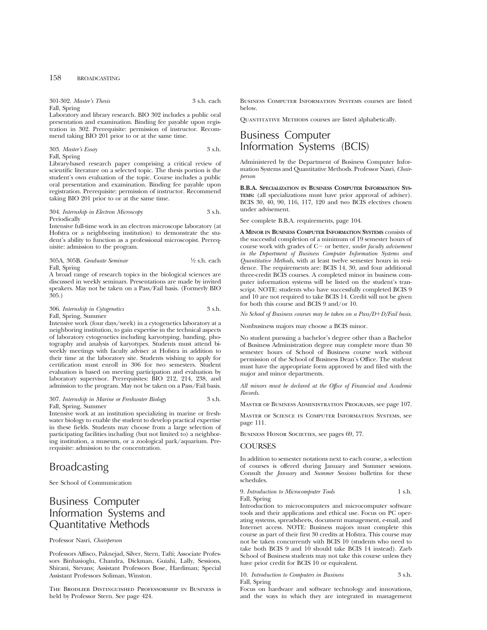301-302. *Master's Thesis* 3 s.h. each Fall, Spring

Laboratory and library research. BIO 302 includes a public oral presentation and examination. Binding fee payable upon registration in 302. Prerequisite: permission of instructor. Recommend taking BIO 201 prior to or at the same time.

### 303. *Master's Essay* 3 s.h. Fall, Spring

Library-based research paper comprising a critical review of scientific literature on a selected topic. The thesis portion is the student's own evaluation of the topic. Course includes a public oral presentation and examination. Binding fee payable upon registration. Prerequisite: permission of instructor. Recommend taking BIO 201 prior to or at the same time.

#### 304. *Internship in Electron Microscopy* 3 s.h. Periodically

Intensive full-time work in an electron microscope laboratory (at Hofstra or a neighboring institution) to demonstrate the student's ability to function as a professional microscopist. Prerequisite: admission to the program.

#### 305A, 305B. *Graduate Seminar* 1⁄2 s.h. each Fall, Spring

A broad range of research topics in the biological sciences are discussed in weekly seminars. Presentations are made by invited speakers. May not be taken on a Pass/Fail basis. (Formerly BIO 305.)

#### 306. *Internship in Cytogenetics* 3 s.h. Fall, Spring, Summer

Intensive work (four days/week) in a cytogenetics laboratory at a neighboring institution, to gain expertise in the technical aspects of laboratory cytogenetics including karyotyping, banding, photography and analysis of karyotypes. Students must attend biweekly meetings with faculty adviser at Hofstra in addition to their time at the laboratory site. Students wishing to apply for certification must enroll in 306 for two semesters. Student evaluation is based on meeting participation and evaluation by laboratory supervisor. Prerequisites: BIO 212, 214, 238, and admission to the program. May not be taken on a Pass/Fail basis.

#### 307. *Internship in Marine or Freshwater Biology* 3 s.h. Fall, Spring, Summer

Intensive work at an institution specializing in marine or freshwater biology to enable the student to develop practical expertise in these fields. Students may choose from a large selection of participating facilities including (but not limited to) a neighboring institution, a museum, or a zoological park/aquarium. Prerequisite: admission to the concentration.

## Broadcasting

See School of Communication

## Business Computer Information Systems and Quantitative Methods

### Professor Nasri, *Chairperson*

Professors Affisco, Paknejad, Silver, Stern, Tafti; Associate Professors Binbasioglu, Chandra, Dickman, Guiahi, Lally, Sessions, Shirani, Stevans; Assistant Professors Bose, Hardiman; Special Assistant Professors Soliman, Winston.

The Brodlieb Distinguished Professorship in Business is held by Professor Stern. See page 424.

Business Computer Information Systems courses are listed below.

QUANTITATIVE METHODS courses are listed alphabetically.

## Business Computer Information Systems (BCIS)

Administered by the Department of Business Computer Information Systems and Quantitative Methods. Professor Nasri, *Chairperson*

**B.B.A. SPECIALIZATION IN BUSINESS COMPUTER INFORMATION SYS-TEMS:** (all specializations must have prior approval of adviser). BCIS 30, 40, 90, 116, 117, 120 and two BCIS electives chosen under advisement.

See complete B.B.A. requirements, page 104.

**A MINOR IN BUSINESS COMPUTER INFORMATION SYSTEMS** consists of the successful completion of a minimum of 19 semester hours of course work with grades of C- or better, *under faculty advisement in the Department of Business Computer Information Systems and Quantitative Methods*, with at least twelve semester hours in residence. The requirements are: BCIS 14, 30, and four additional three-credit BCIS courses. A completed minor in business computer information systems will be listed on the student's transcript. NOTE: students who have successfully completed BCIS 9 and 10 are not required to take BCIS 14. Credit will not be given for both this course and BCIS 9 and/or 10.

*No School of Business courses may be taken on a Pass/D+D/Fail basis.* 

Nonbusiness majors may choose a BCIS minor.

No student pursuing a bachelor's degree other than a Bachelor of Business Administration degree may complete more than 30 semester hours of School of Business course work without permission of the School of Business Dean's Office. The student must have the appropriate form approved by and filed with the major and minor departments.

*All minors must be declared at the Office of Financial and Academic Records.*

Master of Business Administration Programs, see page 107.

Master of Science in Computer Information Systems, see page 111.

BUSINESS HONOR SOCIETIES, see pages 69, 77.

## **COURSES**

In addition to semester notations next to each course, a selection of courses is offered during January and Summer sessions. Consult the *January* and *Summer Sessions* bulletins for these schedules.

9. *Introduction to Microcomputer Tools* 1 s.h. Fall, Spring

Introduction to microcomputers and microcomputer software tools and their applications and ethical use. Focus on PC operating systems, spreadsheets, document management, e-mail, and Internet access. NOTE: Business majors must complete this course as part of their first 30 credits at Hofstra. This course may not be taken concurrently with BCIS 10 (students who need to take both BCIS 9 and 10 should take BCIS 14 instead). Zarb School of Business students may not take this course unless they have prior credit for BCIS 10 or equivalent.

10. *Introduction to Computers in Business* 3 s.h. Fall, Spring

Focus on hardware and software technology and innovations, and the ways in which they are integrated in management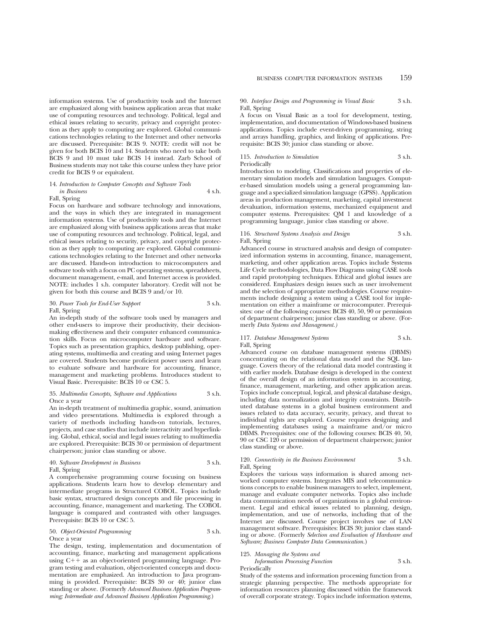information systems. Use of productivity tools and the Internet are emphasized along with business application areas that make use of computing resources and technology. Political, legal and ethical issues relating to security, privacy and copyright protection as they apply to computing are explored. Global communications technologies relating to the Internet and other networks are discussed. Prerequisite: BCIS 9. NOTE: credit will not be given for both BCIS 10 and 14. Students who need to take both BCIS 9 and 10 must take BCIS 14 instead. Zarb School of Business students may not take this course unless they have prior credit for BCIS 9 or equivalent.

#### 14. *Introduction to Computer Concepts and Software Tools in Business* 4 s.h. Fall, Spring

Focus on hardware and software technology and innovations, and the ways in which they are integrated in management information systems. Use of productivity tools and the Internet are emphasized along with business applications areas that make use of computing resources and technology. Political, legal, and ethical issues relating to security, privacy, and copyright protection as they apply to computing are explored. Global communications technologies relating to the Internet and other networks are discussed. Hands-on introduction to microcomputers and software tools with a focus on PC operating systems, spreadsheets, document management, e-mail, and Internet access is provided. NOTE: includes 1 s.h. computer laboratory. Credit will not be given for both this course and BCIS 9 and/or 10.

#### 30. *Power Tools for End-User Support* 3 s.h. Fall, Spring

An in-depth study of the software tools used by managers and other end-users to improve their productivity, their decisionmaking effectiveness and their computer enhanced communication skills. Focus on microcomputer hardware and software. Topics such as presentation graphics, desktop publishing, operating systems, multimedia and creating and using Internet pages are covered. Students become proficient power users and learn to evaluate software and hardware for accounting, finance, management and marketing problems. Introduces student to Visual Basic. Prerequisite: BCIS 10 or CSC 5.

#### 35. *Multimedia Concepts, Software and Applications* 3 s.h. Once a year

An in-depth treatment of multimedia graphic, sound, animation and video presentations. Multimedia is explored through a variety of methods including hands-on tutorials, lectures, projects, and case studies that include interactivity and hyperlinking. Global, ethical, social and legal issues relating to multimedia are explored. Prerequisite: BCIS 30 or permission of department chairperson; junior class standing or above.

#### 40. *Software Development in Business* 3 s.h. Fall, Spring

A comprehensive programming course focusing on business applications. Students learn how to develop elementary and intermediate programs in Structured COBOL. Topics include basic syntax, structured design concepts and file processing in accounting, finance, management and marketing. The COBOL language is compared and contrasted with other languages. Prerequisite: BCIS 10 or CSC 5.

#### 50. *Object-Oriented Programming* 3 s.h. Once a year

The design, testing, implementation and documentation of accounting, finance, marketing and management applications using  $C_{+}$  as an object-oriented programming language. Program testing and evaluation, object-oriented concepts and documentation are emphasized. An introduction to Java programming is provided. Prerequisite: BCIS 30 or 40; junior class standing or above. (Formerly *Advanced Business Application Programming; Intermediate and Advanced Business Application Programming.*)

90. *Interface Design and Programming in Visual Basic* 3 s.h. Fall, Spring

A focus on Visual Basic as a tool for development, testing, implementation, and documentation of Windows-based business applications. Topics include event-driven programming, string and arrays handling, graphics, and linking of applications. Prerequisite: BCIS 30; junior class standing or above.

### 115. *Introduction to Simulation* 3 s.h. Periodically

Introduction to modeling. Classifications and properties of elementary simulation models and simulation languages. Computer-based simulation models using a general programming language and a specialized simulation language (GPSS). Application areas in production management, marketing, capital investment devaluation, information systems, mechanized equipment and computer systems. Prerequisites: QM 1 and knowledge of a programming language, junior class standing or above.

#### 116. *Structured Systems Analysis and Design* 3 s.h. Fall, Spring

Advanced course in structured analysis and design of computerized information systems in accounting, finance, management, marketing, and other application areas. Topics include Systems Life Cycle methodologies, Data Flow Diagrams using CASE tools and rapid prototyping techniques. Ethical and global issues are considered. Emphasizes design issues such as user involvement and the selection of appropriate methodologies. Course requirements include designing a system using a CASE tool for implementation on either a mainframe or microcomputer. Prerequisites: one of the following courses: BCIS 40, 50, 90 or permission of department chairperson; junior class standing or above. (Formerly *Data Systems and Management.)*

#### 117. *Database Management Systems* 3 s.h. Fall, Spring

Advanced course on database management systems (DBMS) concentrating on the relational data model and the SQL language. Covers theory of the relational data model contrasting it with earlier models. Database design is developed in the context of the overall design of an information system in accounting, finance, management, marketing, and other application areas. Topics include conceptual, logical, and physical database design, including data normalization and integrity constraints. Distributed database systems in a global business environment and issues related to data accuracy, security, privacy, and threat to individual rights are explored. Course requires designing and implementing databases using a mainframe and/or micro DBMS. Prerequisites: one of the following courses: BCIS 40, 50, 90 or CSC 120 or permission of department chairperson; junior class standing or above.

#### 120. *Connectivity in the Business Environment* 3 s.h. Fall, Spring

Explores the various ways information is shared among networked computer systems. Integrates MIS and telecommunications concepts to enable business managers to select, implement, manage and evaluate computer networks. Topics also include data communication needs of organizations in a global environment. Legal and ethical issues related to planning, design, implementation, and use of networks, including that of the Internet are discussed. Course project involves use of LAN management software. Prerequisites: BCIS 30; junior class standing or above. (Formerly *Selection and Evaluation of Hardware and Software; Business Computer Data Communication.*)

#### 125. *Managing the Systems and*

*Information Processing Function* 3 s.h.

Periodically

Study of the systems and information processing function from a strategic planning perspective. The methods appropriate for information resources planning discussed within the framework of overall corporate strategy. Topics include information systems,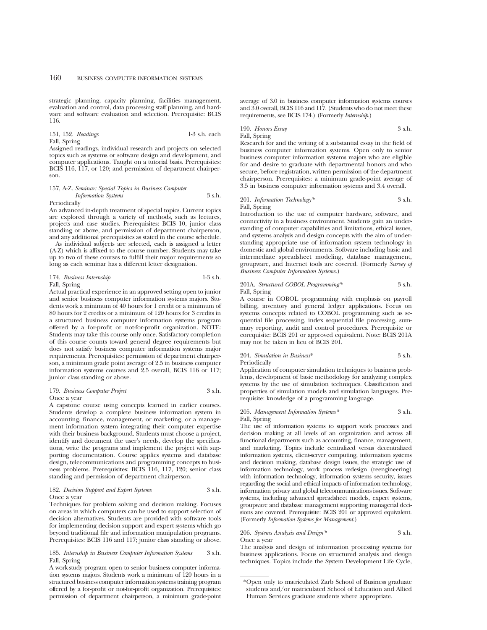strategic planning, capacity planning, facilities management, evaluation and control, data processing staff planning, and hardware and software evaluation and selection. Prerequisite: BCIS 116.

## 151, 152. *Readings* 1-3 s.h. each

Fall, Spring Assigned readings, individual research and projects on selected topics such as systems or software design and development, and computer applications. Taught on a tutorial basis. Prerequisites: BCIS 116, 117, or 120; and permission of department chairperson.

157, A-Z. *Seminar: Special Topics in Business Computer Information Systems* 3 s.h.

Periodically

An advanced in-depth treatment of special topics. Current topics are explored through a variety of methods, such as lectures, projects and case studies. Prerequisites: BCIS 10, junior class standing or above, and permission of department chairperson, and any additional prerequisites as stated in the course schedule.

As individual subjects are selected, each is assigned a letter (A-Z) which is affixed to the course number. Students may take up to two of these courses to fulfill their major requirements so long as each seminar has a different letter designation.

174. *Business Internship* 1-3 s.h. Fall, Spring

Actual practical experience in an approved setting open to junior and senior business computer information systems majors. Students work a minimum of 40 hours for 1 credit or a minimum of 80 hours for 2 credits or a minimum of 120 hours for 3 credits in a structured business computer information systems program offered by a for-profit or not-for-profit organization. NOTE: Students may take this course only once. Satisfactory completion of this course counts toward general degree requirements but does not satisfy business computer information systems major requirements. Prerequisites: permission of department chairperson, a minimum grade point average of 2.5 in business computer information systems courses and 2.5 overall, BCIS 116 or 117; junior class standing or above.

#### 179. *Business Computer Project* 3 s.h. Once a year

A capstone course using concepts learned in earlier courses. Students develop a complete business information system in accounting, finance, management, or marketing, or a management information system integrating their computer expertise with their business background. Students must choose a project, identify and document the user's needs, develop the specifications, write the programs and implement the project with supporting documentation. Course applies systems and database design, telecommunications and programming concepts to business problems. Prerequisites: BCIS 116, 117, 120; senior class standing and permission of department chairperson.

#### 182. *Decision Support and Expert Systems* 3 s.h. Once a year

Techniques for problem solving and decision making. Focuses on areas in which computers can be used to support selection of decision alternatives. Students are provided with software tools for implementing decision support and expert systems which go beyond traditional file and information manipulation programs. Prerequisites: BCIS 116 and 117; junior class standing or above.

185. *Internship in Business Computer Information Systems* 3 s.h. Fall, Spring

A work-study program open to senior business computer information systems majors. Students work a minimum of 120 hours in a structured business computer information systems training program offered by a for-profit or not-for-profit organization. Prerequisites: permission of department chairperson, a minimum grade-point

average of 3.0 in business computer information systems courses and  $3.0$  overall, BCIS 116 and  $117$ . (Students who do not meet these requirements, see BCIS 174.) (Formerly *Internship*.)

### 190. *Honors Essay* 3 s.h. Fall, Spring

Research for and the writing of a substantial essay in the field of business computer information systems. Open only to senior business computer information systems majors who are eligible for and desire to graduate with departmental honors and who secure, before registration, written permission of the department chairperson. Prerequisites: a minimum grade-point average of 3.5 in business computer information systems and 3.4 overall.

#### 201. *Information Technology*\* 3 s.h. Fall, Spring

Introduction to the use of computer hardware, software, and connectivity in a business environment. Students gain an understanding of computer capabilities and limitations, ethical issues, and systems analysis and design concepts with the aim of understanding appropriate use of information system technology in domestic and global environments. Software including basic and intermediate spreadsheet modeling, database management, groupware, and Internet tools are covered. (Formerly *Survey of Business Computer Information Systems.*)

201A. *Structured COBOL Programming\** 3 s.h. Fall, Spring

A course in COBOL programming with emphasis on payroll billing, inventory and general ledger applications. Focus on systems concepts related to COBOL programming such as sequential file processing, index sequential file processing, summary reporting, audit and control procedures. Prerequisite or corequisite: BCIS 201 or approved equivalent. Note: BCIS 201A may not be taken in lieu of BCIS 201.

#### 204. *Simulation in Business*\* 3 s.h. Periodically

Application of computer simulation techniques to business problems, development of basic methodology for analyzing complex systems by the use of simulation techniques. Classification and properties of simulation models and simulation languages. Prerequisite: knowledge of a programming language.

#### 205. *Management Information Systems\** 3 s.h. Fall, Spring

The use of information systems to support work processes and decision making at all levels of an organization and across all functional departments such as accounting, finance, management, and marketing. Topics include centralized versus decentralized information systems, client-server computing, information systems and decision making, database design issues, the strategic use of information technology, work process redesign (reengineering) with information technology, information systems security, issues regarding the social and ethical impacts of information technology, information privacy and global telecommunications issues. Software systems, including advanced spreadsheet models, expert systems, groupware and database management supporting managerial decisions are covered. Prerequisite: BCIS 201 or approved equivalent. (Formerly *Information Systems for Management.*)

## 206. *Systems Analysis and Design\** 3 s.h. Once a year

The analysis and design of information processing systems for business applications. Focus on structured analysis and design techniques. Topics include the System Development Life Cycle,

<sup>\*</sup>Open only to matriculated Zarb School of Business graduate students and/or matriculated School of Education and Allied Human Services graduate students where appropriate.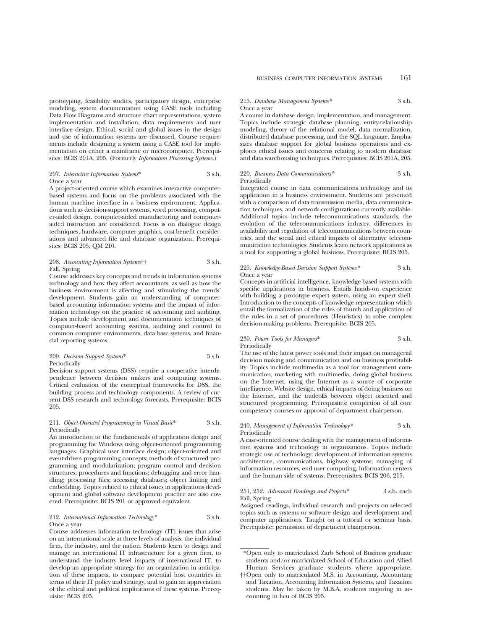prototyping, feasibility studies, participatory design, enterprise modeling, system documentation using CASE tools including Data Flow Diagrams and structure chart representations, system implementation and installation, data requirements and user interface design. Ethical, social and global issues in the design and use of information systems are discussed. Course requirements include designing a system using a CASE tool for implementation on either a mainframe or microcomputer. Prerequisites: BCIS 201A, 205. (Formerly *Information Processing Systems*.)

#### 207. *Interactive Information Systems*\* 3 s.h. Once a year

A project-oriented course which examines interactive computerbased systems and focus on the problems associated with the human machine interface in a business environment. Applications such as decision-support systems, word processing, computer-aided design, computer-aided manufacturing and computeraided instruction are considered. Focus is on dialogue design techniques, hardware, computer graphics, cost-benefit considerations and advanced file and database organization. Prerequisites: BCIS 205, QM 210.

#### 208. *Accounting Information Systems*†† 3 s.h. Fall, Spring

Course addresses key concepts and trends in information systems technology and how they affect accountants, as well as how the business environment is affecting and stimulating the trends' development. Students gain an understanding of computerbased accounting information systems and the impact of information technology on the practice of accounting and auditing. Topics include development and documentation techniques of computer-based accounting systems, auditing and control in common computer environments, data base systems, and financial reporting systems.

#### 209. *Decision Support Systems*\* 3 s.h. Periodically

Decision support systems (DSS) require a cooperative interdependence between decision makers and computing systems. Critical evaluation of the conceptual frameworks for DSS, the building process and technology components. A review of current DSS research and technology forecasts. Prerequisite: BCIS 205.

#### 211. *Object-Oriented Programming in Visual Basic*\* 3 s.h. Periodically

An introduction to the fundamentals of application design and programming for Windows using object-oriented programming languages. Graphical user interface design; object-oriented and event-driven programming concepts; methods of structured programming and modularization; program control and decision structures; procedures and functions; debugging and error handling; processing files; accessing databases; object linking and embedding. Topics related to ethical issues in applications development and global software development practice are also covered. Prerequisite: BCIS 201 or approved equivalent.

#### 212. *International Information Technology\** 3 s.h. Once a year

Course addresses information technology (IT) issues that arise on an international scale at three levels of analysis: the individual firm, the industry, and the nation. Students learn to design and manage an international IT infrastructure for a given firm, to understand the industry level impacts of international IT, to develop an appropriate strategy for an organization in anticipation of these impacts, to compare potential host countries in terms of their IT policy and strategy, and to gain an appreciation of the ethical and political implications of these systems. Prerequisite: BCIS 205.

#### 215. *Database Management Systems\** 3 s.h. Once a year

A course in database design, implementation, and management. Topics include strategic database planning, entity-relationship modeling, theory of the relational model, data normalization, distributed database processing, and the SQL language. Emphasizes database support for global business operations and explores ethical issues and concerns relating to modern database and data warehousing techniques. Prerequisites: BCIS 201A, 205.

#### 220. *Business Data Communications\** 3 s.h. Periodically

Integrated course in data communications technology and its application in a business environment. Students are presented with a comparison of data transmission media, data communication techniques, and network configurations currently available. Additional topics include telecommunications standards, the evolution of the telecommunications industry, differences in availability and regulation of telecommunications between countries, and the social and ethical impacts of alternative telecommunication technologies. Students learn network applications as a tool for supporting a global business. Prerequisite: BCIS 205.

#### 225. *Knowledge-Based Decision Support Systems\** 3 s.h. Once a year

Concepts in artificial intelligence, knowledge-based systems with specific applications in business. Entails hands-on experience with building a prototype expert system, using an expert shell. Introduction to the concepts of knowledge representation which entail the formalization of the rules of thumb and application of the rules in a set of procedures (Heuristics) to solve complex decision-making problems. Prerequisite: BCIS 205.

## 230. *Power Tools for Managers*\* 3 s.h. Periodically

The use of the latest power tools and their impact on managerial decision making and communication and on business profitability. Topics include multimedia as a tool for management communication, marketing with multimedia, doing global business on the Internet, using the Internet as a source of corporate intelligence, Website design, ethical impacts of doing business on the Internet, and the tradeoffs between object oriented and structured programming. Prerequisites: completion of all core competency courses or approval of department chairperson.

#### 240. *Management of Information Technology\** 3 s.h. Periodically

A case-oriented course dealing with the management of information systems and technology in organizations. Topics include strategic use of technology; development of information systems architecture, communications, highway systems; managing of information resources, end user computing, information centers and the human side of systems. Prerequisites: BCIS 206, 215.

#### 251, 252. *Advanced Readings and Projects\** 3 s.h. each Fall, Spring

Assigned readings, individual research and projects on selected topics such as systems or software design and development and computer applications. Taught on a tutorial or seminar basis. Prerequisite: permission of department chairperson.

<sup>\*</sup>Open only to matriculated Zarb School of Business graduate students and/or matriculated School of Education and Allied Human Services graduate students where appropriate.

<sup>††</sup>Open only to matriculated M.S. in Accounting, Accounting and Taxation, Accounting Information Systems, and Taxation students. May be taken by M.B.A. students majoring in accounting in lieu of BCIS 205.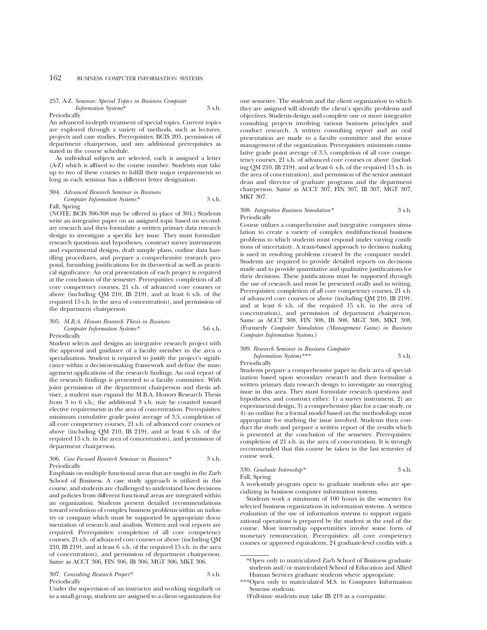#### 257, A-Z. *Seminar: Special Topics in Business Computer Information Systems*\* 3 s.h.

#### Periodically

An advanced in-depth treatment of special topics. Current topics are explored through a variety of methods, such as lectures, projects and case studies. Prerequisites: BCIS 205, permission of department chairperson, and any additional prerequisites as stated in the course schedule.

As individual subjects are selected, each is assigned a letter (A-Z) which is affixed to the course number. Students may take up to two of these courses to fulfill their major requirements so long as each seminar has a different letter designation.

#### 304. *Advanced Research Seminar in Business*

*Computer Information Systems\** 3 s.h. Fall, Spring

(NOTE: BCIS 306-308 may be offered in place of 304.) Students write an integrative paper on an assigned topic based on secondary research and then formulate a written primary data research design to investigate a specific key issue. They must formulate research questions and hypotheses, construct survey instruments and experimental designs, draft sample plans, outline data handling procedures, and prepare a comprehensive research proposal, furnishing justifications for its theoretical as well as practical significance. An oral presentation of each project is required at the conclusion of the semester. Prerequisites: completion of all core competency courses, 21 s.h. of advanced core courses or above (including QM 210, IB 219†, and at least 6 s.h. of the required 15 s.h. in the area of concentration), and permission of the department chairperson.

#### 305. *M.B.A. Honors Research Thesis in Business Computer Information Systems\** 3-6 s.h. Periodically

Student selects and designs an integrative research project with the approval and guidance of a faculty member in the area o specialization. Student is required to justify the project's significance within a decision-making framework and define the management applications of the research findings. An oral report of the research findings is presented to a faculty committee. With joint permission of the department chairperson and thesis adviser, a student may expand the M.B.A. Honors Research Thesis from 3 to 6 s.h.; the additional 3 s.h. may be counted toward elective requirements in the area of concentration. Prerequisites: minimum cumulative grade point average of 3.5, completion of all core competency courses, 21 s.h. of advanced core courses or above (including QM 210, IB 219†, and at least 6 s.h. of the required 15 s.h. in the area of concentration), and permission of department chairperson.

#### 306. *Case Focused Research Seminar in Business\** 3 s.h. Periodically

Emphasis on multiple functional areas that are taught in the Zarb School of Business. A case study approach is utilized in this course, and students are challenged to understand how decisions and policies from different functional areas are integrated within an organization. Students present detailed recommendations toward resolution of complex business problems within an industry or company which must be supported by appropriate documentation of research and analysis. Written and oral reports are required. Prerequisites: completion of all core competency courses, 21 s.h. of advanced core courses or above (including QM 210, IB 219†, and at least 6 s.h. of the required 15 s.h. in the area of concentration), and permission of department chairperson. Same as ACCT 306, FIN 306, IB 306, MGT 306, MKT 306.

307. *Consulting Research Project\** 3 s.h. Periodically

Under the supervision of an instructor and working singularly or in a small group, students are assigned to a client organization for one semester. The students and the client organization to which they are assigned will identify the client's specific problems and objectives. Students design and complete one or more integrative consulting projects involving various business principles and conduct research. A written consulting report and an oral presentation are made to a faculty committee and the senior management of the organization. Prerequisites: minimum cumulative grade point average of 3.5, completion of all core competency courses, 21 s.h. of advanced core courses or above (including QM 210, IB 219†, and at least 6 s.h. of the required 15 s.h. in the area of concentration), and permission of the senior assistant dean and director of graduate programs and the department chairperson. Same as ACCT 307, FIN 307, IB 307, MGT 307, MKT 307.

### 308. *Integrative Business Simulation\** 3 s.h. Periodically

Course utilizes a comprehensive and integrative computer simulation to create a variety of complex multifunctional business problems to which students must respond under varying conditions of uncertainty. A team-based approach to decision making is used in resolving problems created by the computer model. Students are required to provide detailed reports on decisions made and to provide quantitative and qualitative justifications for their decisions. These justifications must be supported through the use of research and must be presented orally and in writing. Prerequisites: completion of all core competency courses, 21 s.h. of advanced core courses or above (including QM 210, IB 219†, and at least 6 s.h. of the required 15 s.h. in the area of concentration), and permission of department chairperson. Same as ACCT 308, FIN 308, IB 308, MGT 308, MKT 308. (Formerly *Computer Simulation (Management Game) in Business Computer Information Systems*.)

## 309. *Research Seminar in Business Computer Information Systems\*\*\** 3 s.h.

Periodically

Students prepare a comprehensive paper in their area of specialization based upon secondary research and then formulate a written primary data research design to investigate an emerging issue in this area. They must formulate research questions and hypotheses, and construct either: 1) a survey instrument, 2) an experimental design, 3) a comprehensive plan for a case study, or 4) an outline for a formal model based on the methodology most appropriate for studying the issue involved. Students then conduct the study and prepare a written report of the results which is presented at the conclusion of the semester. Prerequisites: completion of 21 s.h. in the area of concentration. It is strongly recommended that this course be taken in the last semester of course work.

## 330. *Graduate Internship\** 3 s.h.

Fall, Spring

A work-study program open to graduate students who are specializing in business computer information systems.

Students work a minimum of 100 hours in the semester for selected business organizations in information systems. A written evaluation of the use of information systems to support organizational operations is prepared by the student at the end of the course. Most internship opportunities involve some form of monetary remuneration. Prerequisites: all core competency courses or approved equivalents, 24 graduate-level credits with a

<sup>\*</sup>Open only to matriculated Zarb School of Business graduate students and/or matriculated School of Education and Allied Human Services graduate students where appropriate.

<sup>\*\*\*</sup>Open only to matriculated M.S. in Computer Information Systems students.

<sup>†</sup>Full-time students may take IB 219 as a corequisite.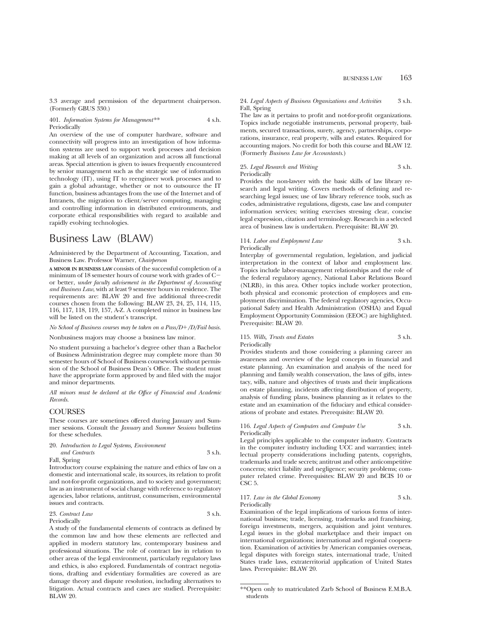3.3 average and permission of the department chairperson. (Formerly GBUS 330.)

#### 401. *Information Systems for Management\*\** 4 s.h. Periodically

An overview of the use of computer hardware, software and connectivity will progress into an investigation of how information systems are used to support work processes and decision making at all levels of an organization and across all functional areas. Special attention is given to issues frequently encountered by senior management such as the strategic use of information technology (IT), using IT to reengineer work processes and to gain a global advantage, whether or not to outsource the IT function, business advantages from the use of the Internet and of Intranets, the migration to client/server computing, managing and controlling information in distributed environments, and corporate ethical responsibilities with regard to available and rapidly evolving technologies.

## Business Law (BLAW)

Administered by the Department of Accounting, Taxation, and Business Law. Professor Warner, *Chairperson*

**A MINOR IN BUSINESS LAW** consists of the successful completion of a minimum of 18 semester hours of course work with grades of  $C$ or better, *under faculty advisement in the Department of Accounting and Business Law*, with at least 9 semester hours in residence. The requirements are: BLAW 20 and five additional three-credit courses chosen from the following: BLAW 23, 24, 25, 114, 115, 116, 117, 118, 119, 157, A-Z. A completed minor in business law will be listed on the student's transcript.

#### *No School of Business courses may be taken on a Pass/D+/D/Fail basis.*

Nonbusiness majors may choose a business law minor.

No student pursuing a bachelor's degree other than a Bachelor of Business Administration degree may complete more than 30 semester hours of School of Business coursework without permission of the School of Business Dean's Office. The student must have the appropriate form approved by and filed with the major and minor departments.

*All minors must be declared at the Office of Financial and Academic Records.*

#### **COURSES**

These courses are sometimes offered during January and Summer sessions. Consult the *January* and *Summer Sessions* bulletins for these schedules.

#### 20. *Introduction to Legal Systems, Environment*

*and Contracts* 3 s.h.

Fall, Spring

Introductory course explaining the nature and ethics of law on a domestic and international scale, its sources, its relation to profit and not-for-profit organizations, and to society and government; law as an instrument of social change with reference to regulatory agencies, labor relations, antitrust, consumerism, environmental issues and contracts.

#### 23. *Contract Law* 3 s.h. Periodically

A study of the fundamental elements of contracts as defined by the common law and how these elements are reflected and applied in modern statutory law, contemporary business and professional situations. The role of contract law in relation to other areas of the legal environment, particularly regulatory laws and ethics, is also explored. Fundamentals of contract negotiations, drafting and evidentiary formalities are covered as are damage theory and dispute resolution, including alternatives to litigation. Actual contracts and cases are studied. Prerequisite: BLAW 20.

### 24. *Legal Aspects of Business Organizations and Activities* 3 s.h. Fall, Spring

The law as it pertains to profit and not-for-profit organizations. Topics include negotiable instruments, personal property, bailments, secured transactions, surety, agency, partnerships, corporations, insurance, real property, wills and estates. Required for accounting majors. No credit for both this course and BLAW 12. (Formerly *Business Law for Accountants*.)

## 25. *Legal Research and Writing* 3 s.h. Periodically

Provides the non-lawyer with the basic skills of law library research and legal writing. Covers methods of defining and researching legal issues; use of law library reference tools, such as codes, administrative regulations, digests, case law and computer information services; writing exercises stressing clear, concise legal expression, citation and terminology. Research in a selected area of business law is undertaken. Prerequisite: BLAW 20.

## 114. *Labor and Employment Law* 3 s.h. Periodically

Interplay of governmental regulation, legislation, and judicial interpretation in the context of labor and employment law. Topics include labor-management relationships and the role of the federal regulatory agency, National Labor Relations Board (NLRB), in this area. Other topics include worker protection, both physical and economic protection of employees and employment discrimination. The federal regulatory agencies, Occupational Safety and Health Administration (OSHA) and Equal Employment Opportunity Commission (EEOC) are highlighted. Prerequisite: BLAW 20.

### 115. *Wills, Trusts and Estates* 3 s.h. Periodically

Provides students and those considering a planning career an awareness and overview of the legal concepts in financial and estate planning. An examination and analysis of the need for planning and family wealth conservation, the laws of gifts, intestacy, wills, nature and objectives of trusts and their implications on estate planning, incidents affecting distribution of property, analysis of funding plans, business planning as it relates to the estate and an examination of the fiduciary and ethical considerations of probate and estates. Prerequisite: BLAW 20.

#### 116. *Legal Aspects of Computers and Computer Use* 3 s.h. Periodically

Legal principles applicable to the computer industry. Contracts in the computer industry including UCC and warranties; intellectual property considerations including patents, copyrights, trademarks and trade secrets; antitrust and other anticompetitive concerns; strict liability and negligence; security problems; computer related crime. Prerequisites: BLAW 20 and BCIS 10 or CSC<sub>5</sub>.

### 117. *Law in the Global Economy* 3 s.h. Periodically

Examination of the legal implications of various forms of international business; trade, licensing, trademarks and franchising, foreign investments, mergers, acquisition and joint ventures. Legal issues in the global marketplace and their impact on international organizations; international and regional cooperation. Examination of activities by American companies overseas, legal disputes with foreign states, international trade, United States trade laws, extraterritorial application of United States laws. Prerequisite: BLAW 20.

<sup>\*\*</sup>Open only to matriculated Zarb School of Business E.M.B.A. students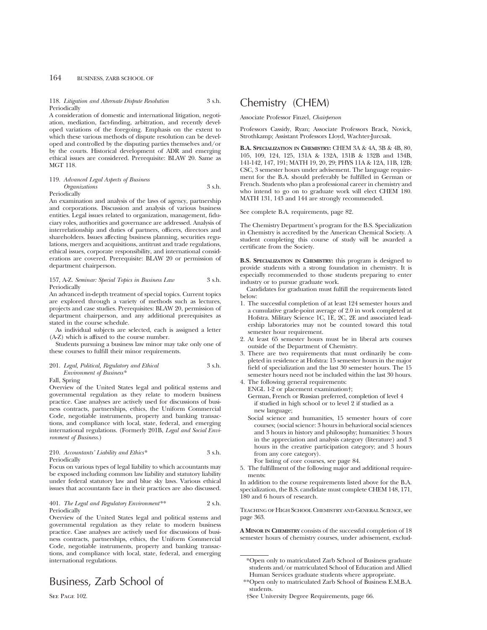#### 118. *Litigation and Alternate Dispute Resolution* 3 s.h. **Periodically**

A consideration of domestic and international litigation, negotiation, mediation, fact-finding, arbitration, and recently developed variations of the foregoing. Emphasis on the extent to which these various methods of dispute resolution can be developed and controlled by the disputing parties themselves and/or by the courts. Historical development of ADR and emerging ethical issues are considered. Prerequisite: BLAW 20. Same as MGT 118.

#### 119. *Advanced Legal Aspects of Business Organizations* 3 s.h. Periodically

An examination and analysis of the laws of agency, partnership and corporations. Discussion and analysis of various business entities. Legal issues related to organization, management, fiduciary roles, authorities and governance are addressed. Analysis of interrelationship and duties of partners, officers, directors and shareholders. Issues affecting business planning, securities regulations, mergers and acquisitions, antitrust and trade regulations, ethical issues, corporate responsibility, and international considerations are covered. Prerequisite: BLAW 20 or permission of department chairperson.

#### 157, A-Z. *Seminar: Special Topics in Business Law* 3 s.h. Periodically

An advanced in-depth treatment of special topics. Current topics are explored through a variety of methods such as lectures, projects and case studies. Prerequisites: BLAW 20, permission of department chairperson, and any additional prerequisites as stated in the course schedule.

As individual subjects are selected, each is assigned a letter (A-Z) which is affixed to the course number.

Students pursuing a business law minor may take only one of these courses to fulfill their minor requirements.

### 201. *Legal, Political, Regulatory and Ethical* 3 s.h. *Environment of Business\**

#### Fall, Spring

Overview of the United States legal and political systems and governmental regulation as they relate to modern business practice. Case analyses are actively used for discussions of business contracts, partnerships, ethics, the Uniform Commercial Code, negotiable instruments, property and banking transactions, and compliance with local, state, federal, and emerging international regulations. (Formerly 201B, *Legal and Social Environment of Business.*)

## 210. *Accountants' Liability and Ethics\** 3 s.h. Periodically

Focus on various types of legal liability to which accountants may be exposed including common law liability and statutory liability under federal statutory law and blue sky laws. Various ethical issues that accountants face in their practices are also discussed.

#### 401. *The Legal and Regulatory Environment\*\** 2 s.h. Periodically

Overview of the United States legal and political systems and governmental regulation as they relate to modern business practice. Case analyses are actively used for discussions of business contracts, partnerships, ethics, the Uniform Commercial Code, negotiable instruments, property and banking transactions, and compliance with local, state, federal, and emerging international regulations.

## Business, Zarb School of

SEE PAGE 102.

## Chemistry (CHEM)

Associate Professor Finzel, *Chairperson*

Professors Cassidy, Ryan; Associate Professors Brack, Novick, Strothkamp; Assistant Professors Lloyd, Wachter-Jurcsak.

**B.A. SPECIALIZATION IN CHEMISTRY:** CHEM 3A & 4A, 3B & 4B, 80, 105, 109, 124, 125, 131A & 132A, 131B & 132B and 134B, 141-142, 147, 191; MATH 19, 20, 29; PHYS 11A & 12A, 11B, 12B; CSC, 3 semester hours under advisement. The language requirement for the B.A. should preferably be fulfilled in German or French. Students who plan a professional career in chemistry and who intend to go on to graduate work will elect CHEM 180. MATH 131, 143 and 144 are strongly recommended.

See complete B.A. requirements, page 82.

The Chemistry Department's program for the B.S. Specialization in Chemistry is accredited by the American Chemical Society. A student completing this course of study will be awarded a certificate from the Society.

**B.S. SPECIALIZATION IN CHEMISTRY:** this program is designed to provide students with a strong foundation in chemistry. It is especially recommended to those students preparing to enter industry or to pursue graduate work.

Candidates for graduation must fulfill the requirements listed below:

- 1. The successful completion of at least 124 semester hours and a cumulative grade-point average of 2.0 in work completed at Hofstra. Military Science 1C, 1E, 2C, 2E and associated leadership laboratories may not be counted toward this total semester hour requirement.
- 2. At least 65 semester hours must be in liberal arts courses outside of the Department of Chemistry.
- 3. There are two requirements that must ordinarily be completed in residence at Hofstra: 15 semester hours in the major field of specialization and the last 30 semester hours. The 15 semester hours need not be included within the last 30 hours.
- 4. The following general requirements:
	- ENGL 1-2 or placement examination†; German, French or Russian preferred, completion of level 4 if studied in high school or to level 2 if studied as a new language;
	- Social science and humanities, 15 semester hours of core courses; (social science: 3 hours in behavioral social sciences and 3 hours in history and philosophy; humanities: 3 hours in the appreciation and analysis category (literature) and 3 hours in the creative participation category; and 3 hours from any core category).
	- For listing of core courses, see page 84.
- 5. The fulfillment of the following major and additional requirements:

In addition to the course requirements listed above for the B.A. specialization, the B.S. candidate must complete CHEM 148, 171, 180 and 6 hours of research.

Teaching of High School Chemistry and General Science, see page 363.

**A MINOR IN CHEMISTRY** consists of the successful completion of 18 semester hours of chemistry courses, under advisement, exclud-

<sup>\*</sup>Open only to matriculated Zarb School of Business graduate students and/or matriculated School of Education and Allied Human Services graduate students where appropriate.

<sup>\*\*</sup>Open only to matriculated Zarb School of Business E.M.B.A. students.

<sup>†</sup>See University Degree Requirements, page 66.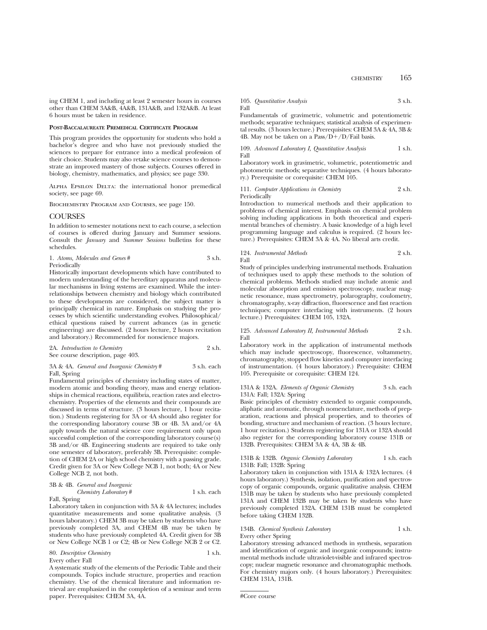ing CHEM 1, and including at least 2 semester hours in courses other than CHEM 3A&B, 4A&B, 131A&B, and 132A&B. At least 6 hours must be taken in residence.

#### **POST-BACCALAUREATE PREMEDICAL CERTIFICATE PROGRAM**

This program provides the opportunity for students who hold a bachelor's degree and who have not previously studied the sciences to prepare for entrance into a medical profession of their choice. Students may also retake science courses to demonstrate an improved mastery of those subjects. Courses offered in biology, chemistry, mathematics, and physics; see page 330.

Alpha Epsilon Delta: the international honor premedical society, see page 69.

Biochemistry Program and Courses, see page 150.

### **COURSES**

In addition to semester notations next to each course, a selection of courses is offered during January and Summer sessions. Consult the *January* and *Summer Sessions* bulletins for these schedules.

| 1. Atoms, Molecules and Genes# | 3 s.h. |
|--------------------------------|--------|
| Periodically                   |        |

Historically important developments which have contributed to modern understanding of the hereditary apparatus and molecular mechanisms in living systems are examined. While the interrelationships between chemistry and biology which contributed to these developments are considered, the subject matter is principally chemical in nature. Emphasis on studying the processes by which scientific understanding evolves. Philosophical/ ethical questions raised by current advances (as in genetic engineering) are discussed. (2 hours lecture, 2 hours recitation and laboratory.) Recommended for nonscience majors.

| 2A. Introduction to Chemistry     | 2 s.h. |
|-----------------------------------|--------|
| See course description, page 403. |        |

3A & 4A. *General and Inorganic Chemistry* # 3 s.h. each Fall, Spring

Fundamental principles of chemistry including states of matter, modern atomic and bonding theory, mass and energy relationships in chemical reactions, equilibria, reaction rates and electrochemistry. Properties of the elements and their compounds are discussed in terms of structure. (3 hours lecture, 1 hour recitation.) Students registering for 3A or 4A should also register for the corresponding laboratory course 3B or 4B. 3A and/or 4A apply towards the natural science core requirement only upon successful completion of the corresponding laboratory course(s) 3B and/or 4B. Engineering students are required to take only one semester of laboratory, preferably 3B. Prerequisite: completion of CHEM 2A or high school chemistry with a passing grade. Credit given for 3A or New College NCB 1, not both; 4A or New College NCB 2, not both.

|  |  |  | 3B & 4B. General and Inorganic                        |
|--|--|--|-------------------------------------------------------|
|  |  |  | $\alpha$ $\alpha$ $\alpha$ $\alpha$ $\alpha$ $\alpha$ |

### Fall, Spring

*Chemistry Laboratory* # 1 s.h. each

Laboratory taken in conjunction with 3A & 4A lectures; includes quantitative measurements and some qualitative analysis. (3 hours laboratory.) CHEM 3B may be taken by students who have previously completed 3A, and CHEM 4B may be taken by students who have previously completed 4A. Credit given for 3B or New College NCB 1 or C2; 4B or New College NCB 2 or C2.

80. Descriptive Chemistry Every other Fall

A systematic study of the elements of the Periodic Table and their compounds. Topics include structure, properties and reaction chemistry. Use of the chemical literature and information retrieval are emphasized in the completion of a seminar and term paper. Prerequisites: CHEM 3A, 4A.

|      | 105. Quantitative Analysis | 3 s.h. |
|------|----------------------------|--------|
| Fall |                            |        |

Fundamentals of gravimetric, volumetric and potentiometric methods; separative techniques; statistical analysis of experimental results. (3 hours lecture.) Prerequisites: CHEM 3A & 4A, 3B & 4B. May not be taken on a  $Pass/D+/D/Fall$  basis.

109. *Advanced Laboratory I, Quantitative Analysis* 1 s.h. Fall

Laboratory work in gravimetric, volumetric, potentiometric and photometric methods; separative techniques. (4 hours laboratory.) Prerequisite or corequisite: CHEM 105.

#### 111. *Computer Applications in Chemistry* 2 s.h. Periodically

Introduction to numerical methods and their application to problems of chemical interest. Emphasis on chemical problem solving including applications in both theoretical and experimental branches of chemistry. A basic knowledge of a high level programming language and calculus is required. (2 hours lecture.) Prerequisites: CHEM 3A & 4A. No liberal arts credit.

### 124. *Instrumental Methods* 2 s.h. Fall

Study of principles underlying instrumental methods. Evaluation of techniques used to apply these methods to the solution of chemical problems. Methods studied may include atomic and molecular absorption and emission spectroscopy, nuclear magnetic resonance, mass spectrometry, polarography, coulometry, chromatography, x-ray diffraction, fluorescence and fast reaction techniques; computer interfacing with instruments. (2 hours lecture.) Prerequisites: CHEM 105, 132A.

#### 125. *Advanced Laboratory II, Instrumental Methods* 2 s.h. Fall

Laboratory work in the application of instrumental methods which may include spectroscopy, fluorescence, voltammetry, chromatography, stopped flow kinetics and computer interfacing of instrumentation. (4 hours laboratory.) Prerequisite: CHEM 105. Prerequisite or corequisite: CHEM 124.

131A & 132A. *Elements of Organic Chemistry* 3 s.h. each 131A: Fall; 132A: Spring

Basic principles of chemistry extended to organic compounds, aliphatic and aromatic, through nomenclature, methods of preparation, reactions and physical properties, and to theories of bonding, structure and mechanism of reaction. (3 hours lecture, 1 hour recitation.) Students registering for 131A or 132A should also register for the corresponding laboratory course 131B or 132B. Prerequisites: CHEM 3A & 4A, 3B & 4B.

131B & 132B. *Organic Chemistry Laboratory* 1 s.h. each 131B: Fall; 132B: Spring

Laboratory taken in conjunction with 131A & 132A lectures. (4 hours laboratory.) Synthesis, isolation, purification and spectroscopy of organic compounds, organic qualitative analysis. CHEM 131B may be taken by students who have previously completed 131A and CHEM 132B may be taken by students who have previously completed 132A. CHEM 131B must be completed before taking CHEM 132B.

#### 134B. *Chemical Synthesis Laboratory* 1 s.h. Every other Spring

Laboratory stressing advanced methods in synthesis, separation and identification of organic and inorganic compounds; instrumental methods include ultraviolet-visible and infrared spectroscopy; nuclear magnetic resonance and chromatographic methods. For chemistry majors only. (4 hours laboratory.) Prerequisites: CHEM 131A, 131B.

<sup>#</sup>Core course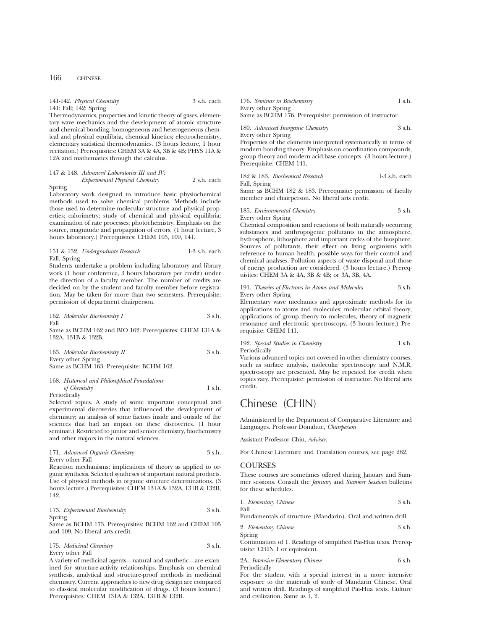141-142. *Physical Chemistry* 3 s.h. each 141: Fall; 142: Spring

Thermodynamics, properties and kinetic theory of gases, elementary wave mechanics and the development of atomic structure and chemical bonding, homogeneous and heterogeneous chemical and physical equilibria, chemical kinetics; electrochemistry, elementary statistical thermodynamics. (3 hours lecture, 1 hour recitation.) Prerequisites: CHEM 3A & 4A, 3B & 4B; PHYS 11A & 12A and mathematics through the calculus.

147 & 148. *Advanced Laboratories III and IV: Experimental Physical Chemistry* 2 s.h. each

Spring Laboratory work designed to introduce basic physiochemical methods used to solve chemical problems. Methods include those used to determine molecular structure and physical properties; calorimetry; study of chemical and physical equilibria; examination of rate processes; photochemistry. Emphasis on the source, magnitude and propagation of errors. (1 hour lecture, 3 hours laboratory.) Prerequisites: CHEM 105, 109, 141.

#### 151 & 152. *Undergraduate Research* 1-3 s.h. each Fall, Spring

Students undertake a problem including laboratory and library work (1 hour conference, 3 hours laboratory per credit) under the direction of a faculty member. The number of credits are decided on by the student and faculty member before registration. May be taken for more than two semesters. Prerequisite: permission of department chairperson.

162. *Molecular Biochemistry I* 3 s.h. Fall

Same as BCHM 162 and BIO 162. Prerequisites: CHEM 131A & 132A, 131B & 132B.

163. *Molecular Biochemistry II* 3 s.h. Every other Spring Same as BCHM 163. Prerequisite: BCHM 162.

#### 168. *Historical and Philosophical Foundations of Chemistry* 1 s.h. Periodically

Selected topics. A study of some important conceptual and experimental discoveries that influenced the development of chemistry; an analysis of some factors inside and outside of the sciences that had an impact on these discoveries. (1 hour seminar.) Restricted to junior and senior chemistry, biochemistry and other majors in the natural sciences.

#### 171. *Advanced Organic Chemistry* 3 s.h. Every other Fall

Reaction mechanisms; implications of theory as applied to organic synthesis. Selected syntheses of important natural products. Use of physical methods in organic structure determinations. (3 hours lecture.) Prerequisites: CHEM 131A & 132A, 131B & 132B, 142.

#### 173. *Experimental Biochemistry* 3 s.h. Spring

Same as BCHM 173. Prerequisites: BCHM 162 and CHEM 105 and 109. No liberal arts credit.

175. *Medicinal Chemistry* 3 s.h. Every other Fall

A variety of medicinal agents—natural and synthetic—are examined for structure-activity relationships. Emphasis on chemical synthesis, analytical and structure-proof methods in medicinal chemistry. Current approaches to new drug design are compared to classical molecular modification of drugs. (3 hours lecture.) Prerequisites: CHEM 131A & 132A, 131B & 132B.

176. *Seminar in Biochemistry* 1 s.h. Every other Spring Same as BCHM 176. Prerequisite: permission of instructor.

| 180. Advanced Inorganic Chemistry | 3 s.h. |
|-----------------------------------|--------|
| Every other Spring                |        |

Properties of the elements interpreted systematically in terms of modern bonding theory. Emphasis on coordination compounds, group theory and modern acid-base concepts. (3 hours lecture.) Prerequisite: CHEM 141.

182 & 183. *Biochemical Research* 1-3 s.h. each Fall, Spring

Same as BCHM 182 & 183. Prerequisite: permission of faculty member and chairperson. No liberal arts credit.

185. *Environmental Chemistry* 3 s.h. Every other Spring

Chemical composition and reactions of both naturally occurring substances and anthropogenic pollutants in the atmosphere, hydrosphere, lithosphere and important cycles of the biosphere. Sources of pollutants, their effect on living organisms with reference to human health, possible ways for their control and chemical analyses. Pollution aspects of waste disposal and those of energy production are considered. (3 hours lecture.) Prerequisites: CHEM 3A & 4A, 3B & 4B; or 3A, 3B, 4A.

#### 191. *Theories of Electrons in Atoms and Molecules* 3 s.h. Every other Spring

Elementary wave mechanics and approximate methods for its applications to atoms and molecules; molecular orbital theory, applications of group theory to molecules, theory of magnetic resonance and electronic spectroscopy. (3 hours lecture.) Prerequisite: CHEM 141.

## 192. *Special Studies in Chemistry* 1 s.h. Periodically

Various advanced topics not covered in other chemistry courses, such as surface analysis, molecular spectroscopy and N.M.R. spectroscopy are presented. May be repeated for credit when topics vary. Prerequisite: permission of instructor. No liberal arts credit.

## Chinese (CHIN)

Administered by the Department of Comparative Literature and Languages. Professor Donahue, *Chairperson*

Assistant Professor Chiu, *Adviser*.

For Chinese Literature and Translation courses, see page 282.

## **COURSES**

These courses are sometimes offered during January and Summer sessions. Consult the *January* and *Summer Sessions* bulletins for these schedules.

1. *Elementary Chinese* 3 s.h. Fall

Fundamentals of structure (Mandarin). Oral and written drill.

| 2. Elementary Chinese | 3 s.h. |
|-----------------------|--------|
| Spring                |        |

Continuation of 1. Readings of simplified Pai-Hua texts. Prerequisite: CHIN 1 or equivalent.

2A. *Intensive Elementary Chinese* 6 s.h. Periodically

For the student with a special interest in a more intensive exposure to the materials of study of Mandarin Chinese. Oral and written drill. Readings of simplified Pai-Hua texts. Culture and civilization. Same as 1, 2.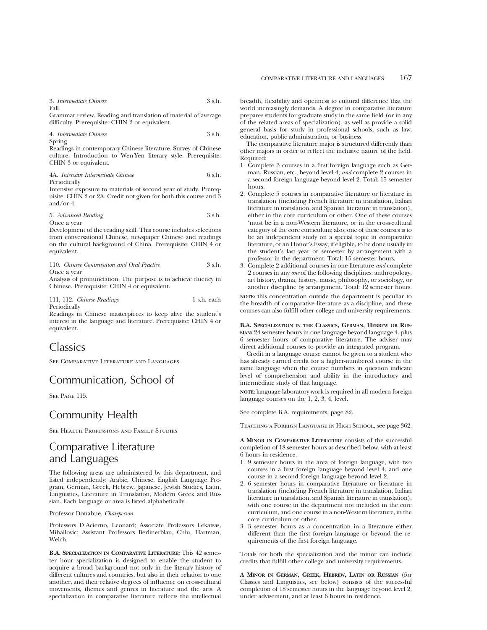3. *Intermediate Chinese* 3 s.h. Fall

Grammar review. Reading and translation of material of average difficulty. Prerequisite: CHIN 2 or equivalent.

4. *Intermediate Chinese* 3 s.h. Spring

Readings in contemporary Chinese literature. Survey of Chinese culture. Introduction to Wen-Yen literary style. Prerequisite: CHIN 3 or equivalent.

4A. *Intensive Intermediate Chinese* 6 s.h. Periodically

Intensive exposure to materials of second year of study. Prerequisite: CHIN 2 or 2A. Credit not given for both this course and 3 and/or 4.

5. *Advanced Reading* 3 s.h.

Once a year Development of the reading skill. This course includes selections from conversational Chinese, newspaper Chinese and readings on the cultural background of China. Prerequisite: CHIN 4 or equivalent.

| 110. Chinese Conversation and Oral Practice | 3 s.h. |
|---------------------------------------------|--------|
| Once a year                                 |        |

Analysis of pronunciation. The purpose is to achieve fluency in Chinese. Prerequisite: CHIN 4 or equivalent.

111, 112. *Chinese Readings* 1 s.h. each Periodically

Readings in Chinese masterpieces to keep alive the student's interest in the language and literature. Prerequisite: CHIN 4 or equivalent.

## Classics

See Comparative Literature and Languages

## Communication, School of

See Page 115.

## Community Health

See Health Professions and Family Studies

## Comparative Literature and Languages

The following areas are administered by this department, and listed independently: Arabic, Chinese, English Language Program, German, Greek, Hebrew, Japanese, Jewish Studies, Latin, Linguistics, Literature in Translation, Modern Greek and Russian. Each language or area is listed alphabetically.

Professor Donahue, *Chairperson*

Professors D'Acierno, Leonard; Associate Professors Lekatsas, Mihailovic; Assistant Professors Berlinerblau, Chiu, Hartman, Welch.

**B.A. SPECIALIZATION IN COMPARATIVE LITERATURE:** This 42 semester hour specialization is designed to enable the student to acquire a broad background not only in the literary history of different cultures and countries, but also in their relation to one another, and their relative degrees of influence on cross-cultural movements, themes and genres in literature and the arts. A specialization in comparative literature reflects the intellectual

breadth, flexibility and openness to cultural difference that the world increasingly demands. A degree in comparative literature prepares students for graduate study in the same field (or in any of the related areas of specialization), as well as provide a solid general basis for study in professional schools, such as law, education, public administration, or business.

The comparative literature major is structured differently than other majors in order to reflect the inclusive nature of the field. Required:

- 1. Complete 3 courses in a first foreign language such as German, Russian, etc., beyond level 4; *and* complete 2 courses in a second foreign language beyond level 2. Total: 15 semester hours.
- 2. Complete 5 courses in comparative literature or literature in translation (including French literature in translation, Italian literature in translation, and Spanish literature in translation), either in the core curriculum or other. One of these courses 'must be in a non-Western literature, or in the cross-cultural category of the core curriculum; also, one of these courses is to be an independent study on a special topic in comparative literature, or an Honor's Essay, if eligible, to be done usually in the student's last year or semester by arrangement with a professor in the department. Total: 15 semester hours.
- 3. Complete 2 additional courses in one literature *and* complete 2 courses in any *one* of the following disciplines: anthropology, art history, drama, history, music, philosophy, or sociology, or another discipline by arrangement. Total: 12 semester hours.

**NOTE:** this concentration outside the department is peculiar to the breadth of comparative literature as a discipline, and these courses can also fulfill other college and university requirements.

#### **B.A. SPECIALIZATION IN THE CLASSICS, GERMAN, HEBREW OR RUS-SIAN:** 24 semester hours in one language beyond language 4, plus 6 semester hours of comparative literature. The adviser may direct additional courses to provide an integrated program.

Credit in a language course cannot be given to a student who has already earned credit for a higher-numbered course in the same language when the course numbers in question indicate level of comprehension and ability in the introductory and intermediate study of that language.

**NOTE:** language laboratory work is required in all modern foreign language courses on the 1, 2, 3, 4, level.

See complete B.A. requirements, page 82.

Teaching a Foreign Language in High School, see page 362.

**A MINOR IN COMPARATIVE LITERATURE** consists of the successful completion of 18 semester hours as described below, with at least 6 hours in residence.

- 1. 9 semester hours in the area of foreign language, with two courses in a first foreign language beyond level 4, and one course in a second foreign language beyond level 2.
- 2. 6 semester hours in comparative literature or literature in translation (including French literature in translation, Italian literature in translation, and Spanish literature in translation), with one course in the department not included in the core curriculum, and one course in a non-Western literature, in the core curriculum or other.
- 3. 3 semester hours as a concentration in a literature either different than the first foreign language or beyond the requirements of the first foreign language.

Totals for both the specialization and the minor can include credits that fulfill other college and university requirements.

**A MINOR IN GERMAN, GREEK, HEBREW, LATIN OR RUSSIAN** (for Classics and Linguistics, see below) consists of the successful completion of 18 semester hours in the language beyond level 2, under advisement, and at least 6 hours in residence.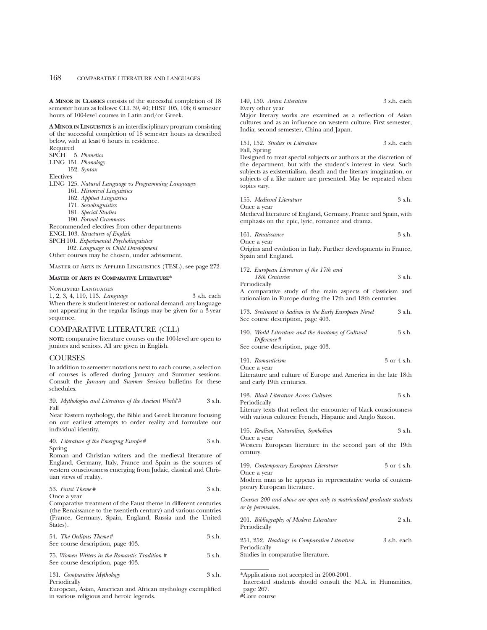**A MINOR IN CLASSICS** consists of the successful completion of 18 semester hours as follows: CLL 39, 40; HIST 105, 106; 6 semester hours of 100-level courses in Latin and/or Greek.

**A MINOR IN LINGUISTICS** is an interdisciplinary program consisting of the successful completion of 18 semester hours as described below, with at least 6 hours in residence.

Required SPCH 5. *Phonetics* LING 151. *Phonology*

152. *Syntax*

Electives

- LING 125. *Natural Language vs Programming Languages*
	- 161. *Historical Linguistics*
	- 162. *Applied Linguistics*
	- 171. *Sociolinguistics*
	- 181. *Special Studies*
	- 190. *Formal Grammars*

Recommended electives from other departments

ENGL 103. *Structures of English*

SPCH 101. *Experimental Psycholinguistics*

102. *Language in Child Development*

Other courses may be chosen, under advisement.

Master of Arts in Applied Linguistics (TESL), see page 272.

#### **MASTER OF ARTS IN COMPARATIVE LITERATURE\***

Nonlisted Languages

1, 2, 3, 4, 110, 113. *Language* 3 s.h. each When there is student interest or national demand, any language not appearing in the regular listings may be given for a 3-year sequence.

## COMPARATIVE LITERATURE (CLL)

**NOTE:** comparative literature courses on the 100-level are open to juniors and seniors. All are given in English.

## **COURSES**

In addition to semester notations next to each course, a selection of courses is offered during January and Summer sessions. Consult the *January* and *Summer Sessions* bulletins for these schedules.

|      |  | 39. Mythologies and Literature of the Ancient World'# | 3 s.h. |
|------|--|-------------------------------------------------------|--------|
| Fall |  |                                                       |        |

Near Eastern mythology, the Bible and Greek literature focusing on our earliest attempts to order reality and formulate our individual identity.

|        | 40. Literature of the Emerging Europe# |  | 3 s.h. |
|--------|----------------------------------------|--|--------|
| Spring |                                        |  |        |

Roman and Christian writers and the medieval literature of England, Germany, Italy, France and Spain as the sources of western consciousness emerging from Judaic, classical and Christian views of reality.

| 53. Faust Theme# | 3 s.h. |
|------------------|--------|
|                  |        |

Once a year

Comparative treatment of the Faust theme in different centuries (the Renaissance to the twentieth century) and various countries (France, Germany, Spain, England, Russia and the United States).

| 54. The Oedipus Theme #           | 3 s.h. |
|-----------------------------------|--------|
| See course description, page 403. |        |

75. *Women Writers in the Romantic Tradition #* 3 s.h. See course description, page 403.

| 131. Comparative Mythology | 3 s.h. |
|----------------------------|--------|
| Periodically               |        |

European, Asian, American and African mythology exemplified in various religious and heroic legends.

149, 150. *Asian Literature* 3 s.h. each Every other year

Major literary works are examined as a reflection of Asian cultures and as an influence on western culture. First semester, India; second semester, China and Japan.

151, 152. *Studies in Literature* 3 s.h. each Fall, Spring

Designed to treat special subjects or authors at the discretion of the department, but with the student's interest in view. Such subjects as existentialism, death and the literary imagination, or subjects of a like nature are presented. May be repeated when topics vary.

| 155. Medieval Literature |             |  |  |  |  |  |  | 3 s.h. |  |  |
|--------------------------|-------------|--|--|--|--|--|--|--------|--|--|
|                          | Once a year |  |  |  |  |  |  |        |  |  |
|                          |             |  |  |  |  |  |  |        |  |  |

Medieval literature of England, Germany, France and Spain, with emphasis on the epic, lyric, romance and drama.

| 161. Renaissance | 3 s.h. |
|------------------|--------|
| Once a vear      |        |

Origins and evolution in Italy. Further developments in France, Spain and England.

172. *European Literature of the 17th and 18th Centuries* 3 s.h. Periodically

A comparative study of the main aspects of classicism and rationalism in Europe during the 17th and 18th centuries.

173. *Sentiment to Sadism in the Early European Novel* 3 s.h. See course description, page 403.

190. *World Literature and the Anatomy of Cultural* 3 s.h. *Difference* #

See course description, page 403.

| 191. Romanticism | 3 or 4 s.h. |
|------------------|-------------|
| Once a vear      |             |

Literature and culture of Europe and America in the late 18th and early 19th centuries.

193. *Black Literature Across Cultures* 3 s.h. Periodically

Literary texts that reflect the encounter of black consciousness with various cultures: French, Hispanic and Anglo Saxon.

|  |  | 195. Realism, Naturalism, Symbolism |  | 3 s.h. |
|--|--|-------------------------------------|--|--------|
|--|--|-------------------------------------|--|--------|

Once a year Western European literature in the second part of the 19th century.

199. *Contemporary European Literature* 3 or 4 s.h. Once a year

Modern man as he appears in representative works of contemporary European literature.

*Courses 200 and above are open only to matriculated graduate students or by permission.*

| 201. Bibliography of Modern Literature | 2 s.h. |
|----------------------------------------|--------|
| Periodically                           |        |

251, 252. *Readings in Comparative Literature* 3 s.h. each Periodically

Studies in comparative literature.

\*Applications not accepted in 2000-2001.

Interested students should consult the M.A. in Humanities, page 267. #Core course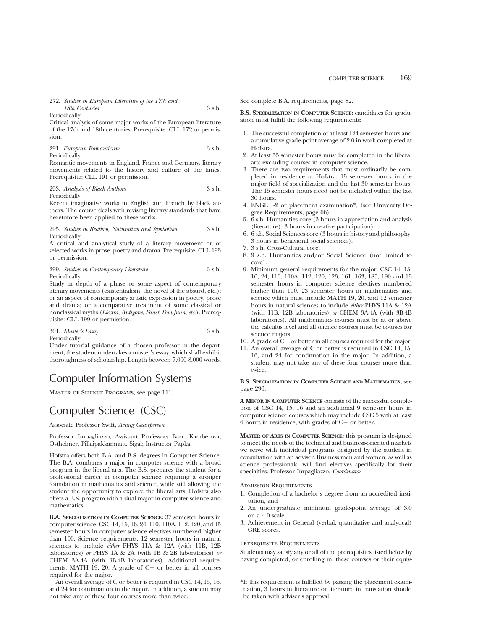## 272. *Studies in European Literature of the 17th and 18th Centuries* 3 s.h.

Periodically

Critical analysis of some major works of the European literature of the 17th and 18th centuries. Prerequisite: CLL 172 or permission.

291. *European Romanticism* 3 s.h. Periodically

Romantic movements in England, France and Germany, literary movements related to the history and culture of the times. Prerequisite: CLL 191 or permission.

293. *Analysis of Black Authors* 3 s.h. Periodically

Recent imaginative works in English and French by black authors. The course deals with revising literary standards that have heretofore been applied to these works.

295. *Studies in Realism, Naturalism and Symbolism* 3 s.h. Periodically

A critical and analytical study of a literary movement or of selected works in prose, poetry and drama. Prerequisite: CLL 195 or permission.

### 299. *Studies in Contemporary Literature* 3 s.h. Periodically

Study in depth of a phase or some aspect of contemporary literary movements (existentialism, the novel of the absurd, etc.); or an aspect of contemporary artistic expression in poetry, prose and drama; or a comparative treatment of some classical or nonclassical myths (*Electra, Antigone, Faust, Don Juan, etc.*). Prerequisite: CLL 199 or permission.

## 301. *Master's Essay* 3 s.h. Periodically

Under tutorial guidance of a chosen professor in the department, the student undertakes a master's essay, which shall exhibit thoroughness of scholarship. Length between 7,000-8,000 words.

## Computer Information Systems

Master of Science Programs, see page 111.

## Computer Science (CSC)

Associate Professor Swift, *Acting Chairperson*

Professor Impagliazzo; Assistant Professors Barr, Kamberova, Ostheimer, Pillaipakkamnatt, Sigal; Instructor Papka.

Hofstra offers both B.A. and B.S. degrees in Computer Science. The B.A. combines a major in computer science with a broad program in the liberal arts. The B.S. prepares the student for a professional career in computer science requiring a stronger foundation in mathematics and science, while still allowing the student the opportunity to explore the liberal arts. Hofstra also offers a B.S. program with a dual major in computer science and mathematics.

**B.A. SPECIALIZATION IN COMPUTER SCIENCE:** 37 semester hours in computer science: CSC 14, 15, 16, 24, 110, 110A, 112, 120, and 15 semester hours in computer science electives numbered higher than 100. Science requirements: 12 semester hours in natural sciences to include *either* PHYS 11A & 12A (with 11B, 12B laboratories) *or* PHYS 1A & 2A (with 1B & 2B laboratories) *or* CHEM 3A-4A (with 3B-4B laboratories). Additional requirements: MATH 19, 20. A grade of  $C-$  or better in all courses required for the major.

An overall average of C or better is required in CSC 14, 15, 16, and 24 for continuation in the major. In addition, a student may not take any of these four courses more than twice.

See complete B.A. requirements, page 82.

**B.S. SPECIALIZATION IN COMPUTER SCIENCE:** candidates for graduation must fulfill the following requirements:

- 1. The successful completion of at least 124 semester hours and a cumulative grade-point average of 2.0 in work completed at Hofstra.
- 2. At least 55 semester hours must be completed in the liberal arts excluding courses in computer science.
- 3. There are two requirements that must ordinarily be completed in residence at Hofstra: 15 semester hours in the major field of specialization and the last 30 semester hours. The 15 semester hours need not be included within the last 30 hours.
- 4. ENGL 1-2 or placement examination\*, (see University Degree Requirements, page 66).
- 5. 6 s.h. Humanities core (3 hours in appreciation and analysis (literature), 3 hours in creative participation).
- 6. 6 s.h. Social Sciences core (3 hours in history and philosophy; 3 hours in behavioral social sciences).
- 7. 3 s.h. Cross-Cultural core.
- 8. 9 s.h. Humanities and/or Social Science (not limited to core).
- 9. Minimum general requirements for the major: CSC 14, 15, 16, 24, 110, 110A, 112, 120, 123, 161, 163, 185, 190 and 15 semester hours in computer science electives numbered higher than 100. 23 semester hours in mathematics and science which must include MATH 19, 20, and 12 semester hours in natural sciences to include *either* PHYS 11A & 12A (with 11B, 12B laboratories) *or* CHEM 3A-4A (with 3B-4B laboratories). All mathematics courses must be at or above the calculus level and all science courses must be courses for science majors.
- 10. A grade of  $C-$  or better in all courses required for the major.
- 11. An overall average of C or better is required in CSC 14, 15, 16, and 24 for continuation in the major. In addition, a student may not take any of these four courses more than twice.

### **B.S. SPECIALIZATION IN COMPUTER SCIENCE AND MATHEMATICS,** see page 296.

**A MINOR IN COMPUTER SCIENCE** consists of the successful completion of CSC 14, 15, 16 and an additional 9 semester hours in computer science courses which may include CSC 5 with at least 6 hours in residence, with grades of  $C-$  or better.

**MASTER OF ARTS IN COMPUTER SCIENCE:** this program is designed to meet the needs of the technical and business-oriented markets we serve with individual programs designed by the student in consultation with an adviser. Business men and women, as well as science professionals, will find electives specifically for their specialties. Professor Impagliazzo, *Coordinator*

#### Admission Requirements

- 1. Completion of a bachelor's degree from an accredited institution, and
- 2. An undergraduate minimum grade-point average of 3.0 on a 4.0 scale.
- 3. Achievement in General (verbal, quantitative and analytical) GRE scores.

## Prerequisite Requirements

Students may satisfy any or all of the prerequisites listed below by having completed, or enrolling in, these courses or their equiv-

<sup>\*</sup>If this requirement is fulfilled by passing the placement examination, 3 hours in literature or literature in translation should be taken with adviser's approval.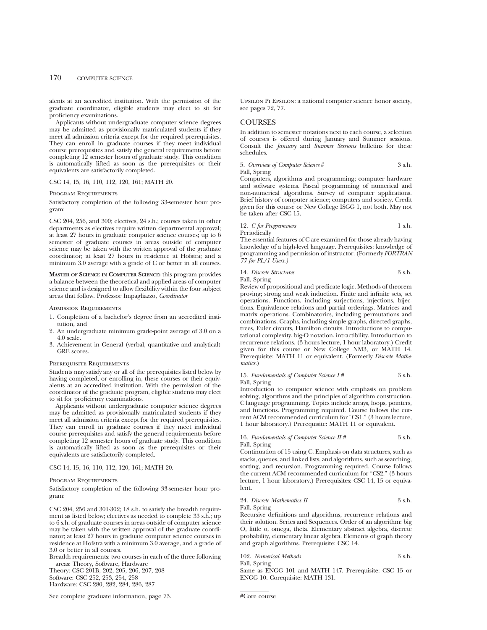alents at an accredited institution. With the permission of the graduate coordinator, eligible students may elect to sit for proficiency examinations.

Applicants without undergraduate computer science degrees may be admitted as provisionally matriculated students if they meet all admission criteria except for the required prerequisites. They can enroll in graduate courses if they meet individual course prerequisites and satisfy the general requirements before completing 12 semester hours of graduate study. This condition is automatically lifted as soon as the prerequisites or their equivalents are satisfactorily completed.

CSC 14, 15, 16, 110, 112, 120, 161; MATH 20.

### Program Requirements

Satisfactory completion of the following 33-semester hour program:

CSC 204, 256, and 300; electives, 24 s.h.; courses taken in other departments as electives require written departmental approval; at least 27 hours in graduate computer science courses; up to 6 semester of graduate courses in areas outside of computer science may be taken with the written approval of the graduate coordinator; at least 27 hours in residence at Hofstra; and a minimum 3.0 average with a grade of C or better in all courses.

**MASTER OF SCIENCE IN COMPUTER SCIENCE:** this program provides a balance between the theoretical and applied areas of computer science and is designed to allow flexibility within the four subject areas that follow. Professor Impagliazzo, *Coordinator*

## Admission Requirements

- 1. Completion of a bachelor's degree from an accredited institution, and
- 2. An undergraduate minimum grade-point average of 3.0 on a 4.0 scale.
- 3. Achievement in General (verbal, quantitative and analytical) GRE scores.

### Prerequisite Requirements

Students may satisfy any or all of the prerequisites listed below by having completed, or enrolling in, these courses or their equivalents at an accredited institution. With the permission of the coordinator of the graduate program, eligible students may elect to sit for proficiency examinations.

Applicants without undergraduate computer science degrees may be admitted as provisionally matriculated students if they meet all admission criteria except for the required prerequisites. They can enroll in graduate courses if they meet individual course prerequisites and satisfy the general requirements before completing 12 semester hours of graduate study. This condition is automatically lifted as soon as the prerequisites or their equivalents are satisfactorily completed.

CSC 14, 15, 16, 110, 112, 120, 161; MATH 20.

### Program Requirements

Satisfactory completion of the following 33-semester hour program:

CSC 204, 256 and 301-302; 18 s.h. to satisfy the breadth requirement as listed below; electives as needed to complete 33 s.h.; up to 6 s.h. of graduate courses in areas outside of computer science may be taken with the written approval of the graduate coordinator; at least 27 hours in graduate computer science courses in residence at Hofstra with a minimum 3.0 average, and a grade of 3.0 or better in all courses.

Breadth requirements: two courses in each of the three following areas: Theory, Software, Hardware

Theory: CSC 201B, 202, 205, 206, 207, 208

Software: CSC 252, 253, 254, 258

Hardware: CSC 280, 282, 284, 286, 287

See complete graduate information, page 73.

Upsilon Pi Epsilon: a national computer science honor society, see pages 72, 77.

## **COURSES**

In addition to semester notations next to each course, a selection of courses is offered during January and Summer sessions. Consult the *January* and *Summer Sessions* bulletins for these schedules.

5. *Overview of Computer Science* # 3 s.h. Fall, Spring

Computers, algorithms and programming; computer hardware and software systems. Pascal programming of numerical and non-numerical algorithms. Survey of computer applications. Brief history of computer science; computers and society. Credit given for this course or New College ISGG 1, not both. May not be taken after CSC 15.

12. *C for Programmers* 1 s.h. Periodically

The essential features of C are examined for those already having knowledge of a high-level language. Prerequisites: knowledge of programming and permission of instructor. (Formerly *FORTRAN 77 for PL/1 Users.)*

# 14. *Discrete Structures* 3 s.h.

Fall, Spring

Review of propositional and predicate logic. Methods of theorem proving; strong and weak induction. Finite and infinite sets, set operations. Functions, including surjections, injections, bijections. Equivalence relations and partial orderings. Matrices and matrix operations. Combinatorics, including permutations and combinations. Graphs, including simple graphs, directed graphs, trees, Euler circuits, Hamilton circuits. Introductions to computational complexity, big-O notation, intractibility. Introduction to recurrence relations. (3 hours lecture, 1 hour laboratory.) Credit given for this course or New College NM3, or MATH 14. Prerequisite: MATH 11 or equivalent. (Formerly *Discrete Mathematics.*)

15. *Fundamentals of Computer Science I #* 3 s.h. Fall, Spring

Introduction to computer science with emphasis on problem solving, algorithms and the principles of algorithm construction. C language programming. Topics include arrays, loops, pointers, and functions. Programming required. Course follows the current ACM recommended curriculum for "CS1." (3 hours lecture, 1 hour laboratory.) Prerequisite: MATH 11 or equivalent.

### 16. *Fundamentals of Computer Science II* # 3 s.h. Fall, Spring

Continuation of 15 using C. Emphasis on data structures, such as stacks, queues, and linked lists, and algorithms, such as searching, sorting, and recursion. Programming required. Course follows the current ACM recommended curriculum for "CS2." (3 hours lecture, 1 hour laboratory.) Prerequisites: CSC 14, 15 or equivalent.

## 24. *Discrete Mathematics II* 3 s.h.

Fall, Spring

Recursive definitions and algorithms, recurrence relations and their solution. Series and Sequences. Order of an algorithm: big O, little o, omega, theta. Elementary abstract algebra, discrete probability, elementary linear algebra. Elements of graph theory and graph algorithms. Prerequisite: CSC 14.

| 102. Numerical Methods | 3 s.h. |
|------------------------|--------|
| Fall, Spring           |        |

Same as ENGG 101 and MATH 147. Prerequisite: CSC 15 or ENGG 10. Corequisite: MATH 131.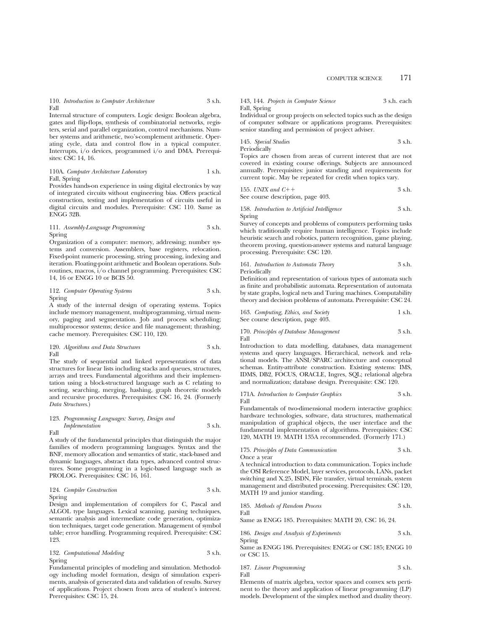110. *Introduction to Computer Architecture* 3 s.h. Fall

Internal structure of computers. Logic design: Boolean algebra, gates and flip-flops, synthesis of combinatorial networks, registers, serial and parallel organization, control mechanisms. Number systems and arithmetic, two's-complement arithmetic. Operating cycle, data and control flow in a typical computer. Interrupts, i/o devices, programmed i/o and DMA. Prerequisites: CSC 14, 16.

110A. *Computer Architecture Laboratory* 1 s.h. Fall, Spring

Provides hands-on experience in using digital electronics by way of integrated circuits without engineering bias. Offers practical construction, testing and implementation of circuits useful in digital circuits and modules. Prerequisite: CSC 110. Same as ENGG 32B.

### 111. *Assembly-Language Programming* 3 s.h. Spring

Organization of a computer: memory, addressing; number systems and conversion. Assemblers, base registers, relocation. Fixed-point numeric processing, string processing, indexing and iteration. Floating-point arithmetic and Boolean operations. Subroutines, macros, i/o channel programming. Prerequisites: CSC 14, 16 or ENGG 10 or BCIS 50.

112. *Computer Operating Systems* 3 s.h. Spring

A study of the internal design of operating systems. Topics include memory management, multiprogramming, virtual memory, paging and segmentation. Job and process scheduling; multiprocessor systems; device and file management; thrashing, cache memory. Prerequisites: CSC 110, 120.

120. *Algorithms and Data Structures* 3 s.h. Fall

The study of sequential and linked representations of data structures for linear lists including stacks and queues, structures, arrays and trees. Fundamental algorithms and their implementation using a block-structured language such as C relating to sorting, searching, merging, hashing, graph theoretic models and recursive procedures. Prerequisites: CSC 16, 24. (Formerly *Data Structures*.)

### 123. *Programming Languages: Survey, Design and Implementation* 3 s.h. Fall

A study of the fundamental principles that distinguish the major families of modern programming languages. Syntax and the BNF, memory allocation and semantics of static, stack-based and dynamic languages, abstract data types, advanced control structures. Some programming in a logic-based language such as PROLOG. Prerequisites: CSC 16, 161.

124. *Compiler Construction* 3 s.h. Spring

Design and implementation of compilers for C, Pascal and ALGOL type languages. Lexical scanning, parsing techniques, semantic analysis and intermediate code generation, optimization techniques, target code generation. Management of symbol table; error handling. Programming required. Prerequisite: CSC 123.

132. *Computational Modeling* 3 s.h. Spring

Fundamental principles of modeling and simulation. Methodology including model formation, design of simulation experiments, analysis of generated data and validation of results. Survey of applications. Project chosen from area of student's interest. Prerequisites: CSC 15, 24.

|              | 143, 144. Projects in Computer Science | 3 s.h. each |
|--------------|----------------------------------------|-------------|
| Fall, Spring |                                        |             |

Individual or group projects on selected topics such as the design of computer software or applications programs. Prerequisites: senior standing and permission of project adviser.

145. *Special Studies* 3 s.h. Periodically

Topics are chosen from areas of current interest that are not covered in existing course offerings. Subjects are announced annually. Prerequisites: junior standing and requirements for current topic. May be repeated for credit when topics vary.

155. *UNIX and C*11 3 s.h. See course description, page 403.

158. *Introduction to Artificial Intelligence* 3 s.h. Spring

Survey of concepts and problems of computers performing tasks which traditionally require human intelligence. Topics include heuristic search and robotics, pattern recognition, game playing, theorem proving, question-answer systems and natural language processing. Prerequisite: CSC 120.

### 161. *Introduction to Automata Theory* 3 s.h. Periodically

Definition and representation of various types of automata such as finite and probabilistic automata. Representation of automata by state graphs, logical nets and Turing machines. Computability theory and decision problems of automata. Prerequisite: CSC 24.

163. *Computing, Ethics, and Society* 1 s.h. See course description, page 403.

170. *Principles of Database Management* 3 s.h. Fall

Introduction to data modelling, databases, data management systems and query languages. Hierarchical, network and relational models. The ANSI/SPARC architecture and conceptual schemas. Entity-attribute construction. Existing systems: IMS, IDMS, DB2, FOCUS, ORACLE, Ingres, SQL; relational algebra and normalization; database design. Prerequisite: CSC 120.

171A. *Introduction to Computer Graphics* 3 s.h. Fall

Fundamentals of two-dimensional modern interactive graphics: hardware technologies, software, data structures, mathematical manipulation of graphical objects, the user interface and the fundamental implementation of algorithms. Prerequisites: CSC 120, MATH 19. MATH 135A recommended. (Formerly 171.)

## 175. *Principles of Data Communication* 3 s.h.

Once a year

A technical introduction to data communication. Topics include the OSI Reference Model, layer services, protocols, LANs, packet switching and X.25, ISDN, File transfer, virtual terminals, system management and distributed processing. Prerequisites: CSC 120, MATH 19 and junior standing.

185. *Methods of Random Process* 3 s.h. Fall

Same as ENGG 185. Prerequisites: MATH 20, CSC 16, 24.

186. *Design and Analysis of Experiments* 3 s.h. Spring

Same as ENGG 186. Prerequisites: ENGG or CSC 185; ENGG 10 or CSC 15.

### 187. *Linear Programming* 3 s.h. Fall

Elements of matrix algebra, vector spaces and convex sets pertinent to the theory and application of linear programming (LP) models. Development of the simplex method and duality theory.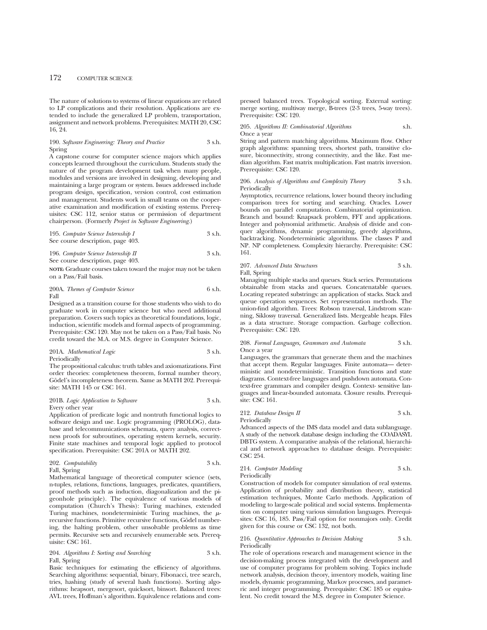The nature of solutions to systems of linear equations are related to LP complications and their resolution. Applications are extended to include the generalized LP problem, transportation, assignment and network problems. Prerequisites: MATH 20, CSC 16, 24.

### 190. *Software Engineering: Theory and Practice* 3 s.h. Spring

A capstone course for computer science majors which applies concepts learned throughout the curriculum. Students study the nature of the program development task when many people, modules and versions are involved in designing, developing and maintaining a large program or system. Issues addressed include program design, specification, version control, cost estimation and management. Students work in small teams on the cooperative examination and modification of existing systems. Prerequisites: CSC 112, senior status or permission of department chairperson. (Formerly *Project in Software Engineering*.)

195. *Computer Science Internship I* 3 s.h. See course description, page 403.

196. *Computer Science Internship II* 3 s.h. See course description, page 403.

**NOTE:** Graduate courses taken toward the major may not be taken on a Pass/Fail basis.

200A. *Themes of Computer Science* 6 s.h. Fall

Designed as a transition course for those students who wish to do graduate work in computer science but who need additional preparation. Covers such topics as theoretical foundations, logic, induction, scientific models and formal aspects of programming. Prerequisite: CSC 120. May not be taken on a Pass/Fail basis. No credit toward the M.A. or M.S. degree in Computer Science.

201A. *Mathematical Logic* 3 s.h. Periodically

The propositional calculus: truth tables and axiomatizations. First order theories: completeness theorem, formal number theory, Gödel's incompleteness theorem. Same as MATH 202. Prerequisite: MATH 145 or CSC 161.

### 201B. *Logic Application to Software* 3 s.h. Every other year

Application of predicate logic and nontruth functional logics to software design and use. Logic programming (PROLOG), database and telecommunications schemata, query analysis, correctness proofs for subroutines, operating system kernels, security. Finite state machines and temporal logic applied to protocol specification. Prerequisite: CSC 201A or MATH 202.

| 202. Computability | 3 s.h. |
|--------------------|--------|
| Fall, Spring       |        |

Mathematical language of theoretical computer science (sets, n-tuples, relations, functions, languages, predicates, quantifiers, proof methods such as induction, diagonalization and the pigeonhole principle). The equivalence of various models of computation (Church's Thesis): Turing machines, extended Turing machines, nondeterministic Turing machines, the  $\mu$ recursive functions. Primitive recursive functions, Godel numbering, the halting problem, other unsolvable problems as time permits. Recursive sets and recursively enumerable sets. Prerequisite: CSC 161.

### 204. *Algorithms I: Sorting and Searching* 3 s.h. Fall, Spring

Basic techniques for estimating the efficiency of algorithms. Searching algorithms: sequential, binary, Fibonacci, tree search, tries, hashing (study of several hash functions). Sorting algorithms: heapsort, mergesort, quicksort, binsort. Balanced trees: AVL trees, Hoffman's algorithm. Equivalence relations and compressed balanced trees. Topological sorting. External sorting: merge sorting, multiway merge, B-trees (2-3 trees, 5-way trees). Prerequisite: CSC 120.

205. *Algorithms II: Combinatorial Algorithms* s.h. Once a year

String and pattern matching algorithms. Maximum flow. Other graph algorithms: spanning trees, shortest path, transitive closure, biconnectivity, strong connectivity, and the like. Fast median algorithm. Fast matrix multiplication. Fast matrix inversion. Prerequisite: CSC 120.

### 206. *Analysis of Algorithms and Complexity Theory* 3 s.h. Periodically

Asymptotics, recurrence relations, lower bound theory including comparison trees for sorting and searching. Oracles. Lower bounds on parallel computation. Combinatorial optimization. Branch and bound: Knapsack problem, FFT and applications. Integer and polynomial arithmetic. Analysis of divide and conquer algorithms, dynamic programming, greedy algorithms, backtracking. Nondeterministic algorithms. The classes P and NP. NP completeness. Complexity hierarchy. Prerequisite: CSC 161.

## 207. *Advanced Data Structures* 3 s.h. Fall, Spring

Managing multiple stacks and queues. Stack series. Permutations obtainable from stacks and queues. Concatenatable queues. Locating repeated substrings: an application of stacks. Stack and queue operation sequences. Set representation methods. The union-find algorithm. Trees: Robson traversal, Lindstrom scanning, Siklossy traversal. Generalized lists. Mergeable heaps. Files as a data structure. Storage compaction. Garbage collection. Prerequisite: CSC 120.

### 208. *Formal Languages, Grammars and Automata* 3 s.h. Once a year

Languages, the grammars that generate them and the machines that accept them. Regular languages. Finite automata— deterministic and nondeterministic. Transition functions and state diagrams. Context-free languages and pushdown automata. Context-free grammars and compiler design. Context- sensitive languages and linear-bounded automata. Closure results. Prerequisite: CSC 161.

212. *Database Design II* 3 s.h. Periodically

Advanced aspects of the IMS data model and data sublanguage. A study of the network database design including the COADASYL DBTG system. A comparative analysis of the relational, hierarchical and network approaches to database design. Prerequisite: CSC 254.

214. *Computer Modeling* 3 s.h. Periodically

Construction of models for computer simulation of real systems. Application of probability and distribution theory, statistical estimation techniques, Monte Carlo methods. Application of modeling to large-scale political and social systems. Implementation on computer using various simulation languages. Prerequisites: CSC 16, 185. Pass/Fail option for nonmajors only. Credit given for this course or CSC 132, not both.

### 216. *Quantitative Approaches to Decision Making* 3 s.h. Periodically

The role of operations research and management science in the decision-making process integrated with the development and use of computer programs for problem solving. Topics include network analysis, decision theory, inventory models, waiting line models, dynamic programming, Markov processes, and parametric and integer programming. Prerequisite: CSC 185 or equivalent. No credit toward the M.S. degree in Computer Science.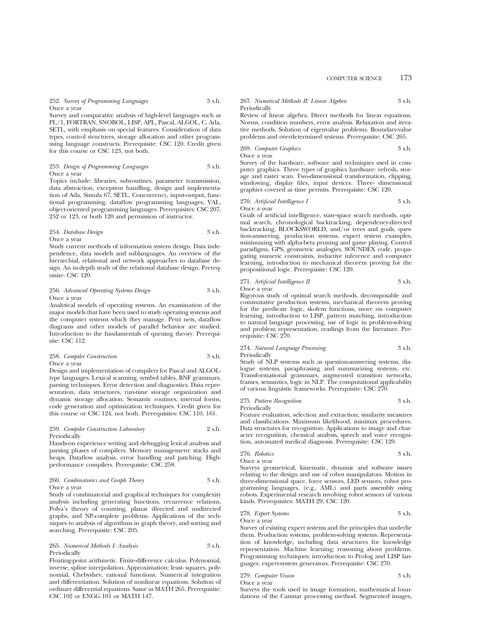252. *Survey of Programming Languages* 3 s.h. Once a year

Survey and comparative analysis of high-level languages such as PL/1, FORTRAN, SNOBOL, LISP, APL, Pascal, ALGOL, C, Ada, SETL, with emphasis on special features. Consideration of data types, control structures, storage allocation and other programming language constructs. Prerequisite: CSC 120. Credit given for this course or CSC 123, not both.

### 253. *Design of Programming Languages* 3 s.h. Once a year

Topics include: libraries, subroutines, parameter transmission, data abstraction, exception handling, design and implementation of Ada, Simula 67, SETL. Concurrency, input-output, functional programming, dataflow programming languages, VAL, object-oriented programming languages. Prerequisites: CSC 207, 252 or 123, or both 120 and permission of instructor.

## 254. *Database Design* 3 s.h. Once a year

Study current methods of information system design. Data independence, data models and sublanguages. An overview of the hierarchial, relational and network approaches to database design. An in-depth study of the relational database design. Prerequisite: CSC 120.

### 256. *Advanced Operating Systems Design* 3 s.h. Once a year

Analytical models of operating systems. An examination of the major models that have been used to study operating systems and the computer systems which they manage. Petri nets, dataflow diagrams and other models of parallel behavior are studied. Introduction to the fundamentals of queuing theory. Prerequisite: CSC 112.

### 258. *Compiler Construction* 3 s.h. Once a year

Design and implementation of compilers for Pascal and ALGOLtype languages. Lexical scanning, symbol tables, BNF grammars, parsing techniques. Error detection and diagnostics. Data representation, data structures, run-time storage organization and dynamic storage allocation. Semantic routines, internal forms, code generation and optimization techniques. Credit given for this course or CSC 124, not both. Prerequisites: CSC 110, 161.

### 259. *Compiler Construction Laboratory* 2 s.h. Periodically

Hands-on experience writing and debugging lexical analysis and parsing phases of compilers. Memory management: stacks and heaps. Dataflow analysis, error handling and patching. Highperformance compilers. Prerequisite: CSC 258.

### 260. *Combinatorics and Graph Theory* 3 s.h. Once a year

Study of combinatorial and graphical techniques for complexity analysis including generating functions, recurrence relations, Polya's theory of counting, planar directed and undirected graphs, and NP-complete problems. Applications of the techniques to analysis of algorithms in graph theory, and sorting and searching. Prerequisite: CSC 205.

### 265. *Numerical Methods I: Analysis* 3 s.h. Periodically

Floating-point arithmetic. Finite-difference calculus. Polynomial, inverse, spline interpolation. Approximation: least- squares, polynomial, Chebyshev, rational functions. Numerical integration and differentiation. Solution of nonlinear equations. Solution of ordinary differential equations. Same as MATH 265. Prerequisite: CSC 102 or ENGG 101 or MATH 147.

### 267. *Numerical Methods II: Linear Algebra* 3 s.h. Periodically

Review of linear algebra. Direct methods for linear equations. Norms, condition numbers, error analysis. Relaxation and iterative methods. Solution of eigenvalue problems. Boundary-value problems and overdetermined systems. Prerequisite: CSC 265.

#### 269. *Computer Graphics* 3 s.h. Once a year

Survey of the hardware, software and techniques used in computer graphics. Three types of graphics hardware: refresh, storage and raster scan. Two-dimensional transformation, clipping, windowing, display files, input devices. Three- dimensional graphics covered as time permits. Prerequisite: CSC 120.

### 270. *Artificial Intelligence I* 3 s.h. Once a year

Goals of artificial intelligence, state-space search methods, optimal search, chronological backtracking, dependency-directed backtracking, BLOCKSWORLD, and/or trees and goals, question-answering, production systems, expert system examples, minimaxing with alpha-beta pruning and game playing. Control paradigms, GPS, geometric analogies, SOUNDEX code, propagating numeric constraints, inductive inference and computer learning, introduction to mechanical theorem proving for the propositional logic. Prerequisite: CSC 120.

| 271. Artificial Intelligence II | 3 s.h. |
|---------------------------------|--------|
|                                 |        |

Once a year

Rigorous study of optimal search methods, decomposable and commutative production systems, mechanical theorem proving for the predicate logic, skolem functions, more on computer learning, introduction to LISP, pattern matching, introduction to natural language processing, use of logic in problem-solving and problem representation, readings from the literature. Prerequisite: CSC 270.

### 274. *Natural Language Processing* 3 s.h. Periodically

Study of NLP systems such as question-answering systems, dialogue systems, paraphrasing and summarizing systems, etc. Transformational grammars, augmented transition networks, frames, semantics, logic in NLP. The computational applicability of various linguistic frameworks. Prerequisite: CSC 270.

### 275. *Pattern Recognition* 3 s.h. Periodically

Feature evaluation, selection and extraction; similarity measures and classifications. Maximum likelihood, minimax procedures. Data structures for recognition. Applications to image and character recognition, chemical analysis, speech and voice recognition, automated medical diagnosis. Prerequisite: CSC 120.

# 276. *Robotics* 3 s.h.

Once a year Surveys geometrical, kinematic, dynamic and software issues relating to the design and use of robot manipulators. Motion in three-dimensional space, force sensors, LED sensors, robot programming languages, (e.g., AML) and parts assembly using robots. Experimental research involving robot sensors of various kinds. Prerequisites: MATH 29, CSC 120.

# 278. *Expert Systems* 3 s.h.

Once a year

Survey of existing expert systems and the principles that underlie them. Production systems, problem-solving systems. Representation of knowledge, including data structures for knowledge representation. Machine learning; reasoning about problems. Programming techniques; introduction to Prolog and LISP languages; expert-system generators. Prerequisite: CSC 270.

# 279. *Computer Vision* 3 s.h.

Once a year

Surveys the tools used in image formation, mathematical foundations of the Canmar processing method. Segmented images,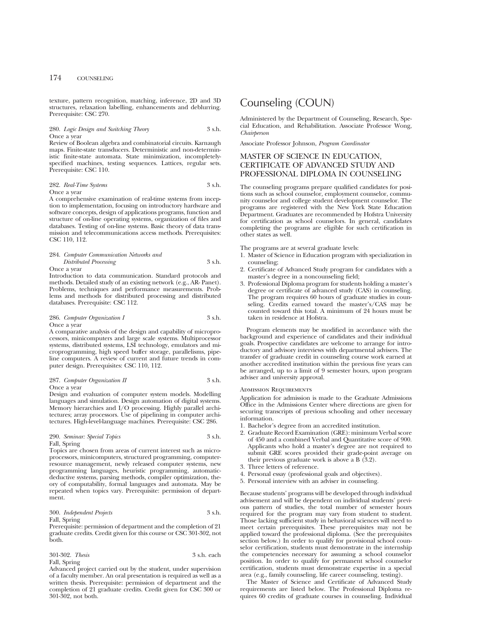texture, pattern recognition, matching, inference, 2D and 3D structures, relaxation labelling, enhancements and deblurring. Prerequisite: CSC 270.

### 280. *Logic Design and Switching Theory* 3 s.h. Once a year

Review of Boolean algebra and combinatorial circuits. Karnaugh maps. Finite-state transducers. Deterministic and non-deterministic finite-state automata. State minimization, incompletelyspecified machines, testing sequences. Lattices, regular sets. Prerequisite: CSC 110.

282. *Real-Time Systems* 3 s.h. Once a year

A comprehensive examination of real-time systems from inception to implementation, focusing on introductory hardware and software concepts, design of applications programs, function and structure of on-line operating systems, organization of files and databases. Testing of on-line systems. Basic theory of data transmission and telecommunications access methods. Prerequisites: CSC 110, 112.

### 284. *Computer Communication Networks and Distributed Processing* 3 s.h. Once a year

Introduction to data communication. Standard protocols and methods. Detailed study of an existing network (e.g., AR- Panet). Problems, techniques and performance measurements. Problems and methods for distributed processing and distributed databases. Prerequisite: CSC 112.

## 286. *Computer Organization I* 3 s.h. Once a year

A comparative analysis of the design and capability of microprocessors, minicomputers and large scale systems. Multiprocessor systems, distributed systems, LSI technology, emulators and microprogramming, high speed buffer storage, parallelisms, pipeline computers. A review of current and future trends in computer design. Prerequisites: CSC 110, 112.

### 287. *Computer Organization II* 3 s.h. Once a year

Design and evaluation of computer system models. Modelling languages and simulation. Design automation of digital systems. Memory hierarchies and I/O processing. Highly parallel architectures; array processors. Use of pipelining in computer architectures. High-level-language machines. Prerequisite: CSC 286.

## 290. *Seminar: Special Topics* 3 s.h. Fall, Spring

Topics are chosen from areas of current interest such as microprocessors, minicomputers, structured programming, computerresource management, newly released computer systems, new programming languages, heuristic programming, automaticdeductive systems, parsing methods, compiler optimization, theory of computability, formal languages and automata. May be repeated when topics vary. Prerequisite: permission of department.

### 300. *Independent Projects* 3 s.h. Fall, Spring

Prerequisite: permission of department and the completion of 21 graduate credits. Credit given for this course or CSC 301-302, not both.

301-302. *Thesis* 3 s.h. each Fall, Spring

Advanced project carried out by the student, under supervision of a faculty member. An oral presentation is required as well as a written thesis. Prerequisite: permission of department and the completion of 21 graduate credits. Credit given for CSC 300 or 301-302, not both.

# Counseling (COUN)

Administered by the Department of Counseling, Research, Special Education, and Rehabilitation. Associate Professor Wong, *Chairperson*

Associate Professor Johnson, *Program Coordinator*

# MASTER OF SCIENCE IN EDUCATION, CERTIFICATE OF ADVANCED STUDY AND PROFESSIONAL DIPLOMA IN COUNSELING

The counseling programs prepare qualified candidates for positions such as school counselor, employment counselor, community counselor and college student development counselor. The programs are registered with the New York State Education Department. Graduates are recommended by Hofstra University for certification as school counselors. In general, candidates completing the programs are eligible for such certification in other states as well.

The programs are at several graduate levels:

- 1. Master of Science in Education program with specialization in counseling;
- 2. Certificate of Advanced Study program for candidates with a master's degree in a noncounseling field;
- 3. Professional Diploma program for students holding a master's degree or certificate of advanced study (CAS) in counseling. The program requires 60 hours of graduate studies in counseling. Credits earned toward the master's/CAS may be counted toward this total. A minimum of 24 hours must be taken in residence at Hofstra.

Program elements may be modified in accordance with the background and experience of candidates and their individual goals. Prospective candidates are welcome to arrange for introductory and advisory interviews with departmental advisers. The transfer of graduate credit in counseling course work earned at another accredited institution within the previous five years can be arranged, up to a limit of 9 semester hours, upon program adviser and university approval.

### Admission Requirements

Application for admission is made to the Graduate Admissions Office in the Admissions Center where directions are given for securing transcripts of previous schooling and other necessary information.

- 1. Bachelor's degree from an accredited institution.
- 2. Graduate Record Examination (GRE): minimum Verbal score of 450 and a combined Verbal and Quantitative score of 900. Applicants who hold a master's degree are not required to submit GRE scores provided their grade-point average on their previous graduate work is above a B (3.2).
- 3. Three letters of reference.
- 4. Personal essay (professional goals and objectives).
- 5. Personal interview with an adviser in counseling.

Because students' programs will be developed through individual advisement and will be dependent on individual students' previous pattern of studies, the total number of semester hours required for the program may vary from student to student. Those lacking sufficient study in behavioral sciences will need to meet certain prerequisites. These prerequisites may not be applied toward the professional diploma. (See the prerequisites section below.) In order to qualify for provisional school counselor certification, students must demonstrate in the internship the competencies necessary for assuming a school counselor position. In order to qualify for permanent school counselor certification, students must demonstrate expertise in a special area (e.g., family counseling, life career counseling, testing).

The Master of Science and Certificate of Advanced Study requirements are listed below. The Professional Diploma requires 60 credits of graduate courses in counseling. Individual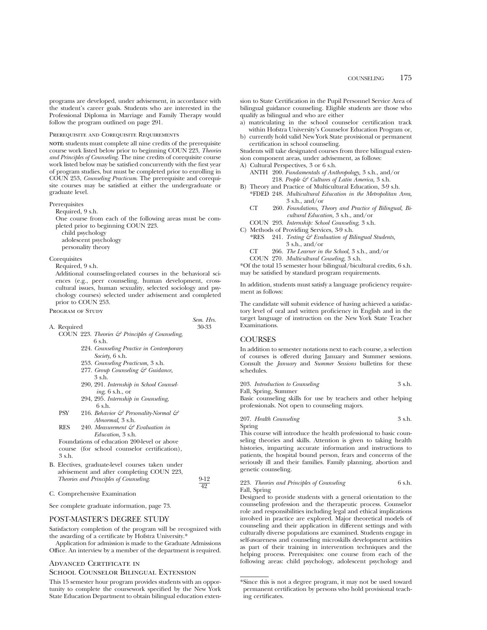programs are developed, under advisement, in accordance with the student's career goals. Students who are interested in the Professional Diploma in Marriage and Family Therapy would follow the program outlined on page 291.

### Prerequisite and Corequisite Requirements

**NOTE:** students must complete all nine credits of the prerequisite course work listed below prior to beginning COUN 223, *Theories and Principles of Counseling*. The nine credits of corequisite course work listed below may be satisfied concurrently with the first year of program studies, but must be completed prior to enrolling in COUN 253, *Counseling Practicum*. The prerequisite and corequisite courses may be satisfied at either the undergraduate or graduate level.

## Prerequisites

Required, 9 s.h.

One course from each of the following areas must be completed prior to beginning COUN 223. child psychology adolescent psychology

personality theory

## Corequisites

Required, 9 s.h.

Additional counseling-related courses in the behavioral sciences (e.g., peer counseling, human development, crosscultural issues, human sexuality, selected sociology and psychology courses) selected under advisement and completed prior to COUN 253.

#### PROGRAM OF STUDY

*Sem. Hrs.* A. Required 30-33

- COUN 223. *Theories & Principles of Counseling*, 6 s.h.
	- 224. *Counseling Practice in Contemporary Society*, 6 s.h.
	- 253. *Counseling Practicum,* 3 s.h. 277. *Group Counseling & Guidance,*
	- 3 s.h. 290, 291. *Internship in School Counseling,* 6 s.h., or
	- 294, 295. *Internship in Counseling,* 6 s.h.
	- PSY 216. *Behavior & Personality-Normal & Abnormal,* 3 s.h.
	- RES 240. *Measurement & Evaluation in Education,* 3 s.h.

Foundations of education 200-level or above course (for school counselor certification), 3 s.h.

- B. Electives, graduate-level courses taken under advisement and after completing COUN 223, *Theories and Principles of Counseling*. 9-12
- C. Comprehensive Examination

See complete graduate information, page 73.

## POST-MASTER'S DEGREE STUDY

Satisfactory completion of the program will be recognized with the awarding of a certificate by Hofstra University.\*

Application for admission is made to the Graduate Admissions Office. An interview by a member of the department is required.

## Advanced Certificate in School Counselor Bilingual Extension

This 15 semester hour program provides students with an opportunity to complete the coursework specified by the New York State Education Department to obtain bilingual education extension to State Certification in the Pupil Personnel Service Area of bilingual guidance counseling. Eligible students are those who qualify as bilingual and who are either

- a) matriculating in the school counselor certification track within Hofstra University's Counselor Education Program or,
- b) currently hold valid New York State provisional or permanent certification in school counseling.

Students will take designated courses from three bilingual extension component areas, under advisement, as follows: A) Cultural Perspectives, 3 or 6 s.h.

- ANTH 200. *Fundamentals of Anthropology,* 3 s.h., and/or 218. *People & Cultures of Latin America,* 3 s.h.
- B) Theory and Practice of Multicultural Education, 3-9 s.h. \*FDED 248. *Multicultural Education in the Metropolitan Area,*  $3 \text{ s.h.}$ , and/or
	- CT 260. *Foundations, Theory and Practice of Bilingual, Bicultural Education,* 3 s.h., and/or
	- COUN 293. *Internship: School Counseling,* 3 s.h.
- C) Methods of Providing Services, 3-9 s.h.
	- \*RES 241. *Testing & Evaluation of Bilingual Students,* 3 s.h., and/or
	- *The Learner in the School,* 3 s.h., and/or CT 266.
	- *Multicultural Couseling,* 3 s.h. COUN 270.

\*Of the total 15 semester hour bilingual/bicultural credits, 6 s.h. may be satisfied by standard program requirements.

In addition, students must satisfy a language proficiency requirement as follows:

The candidate will submit evidence of having achieved a satisfactory level of oral and written proficiency in English and in the target language of instruction on the New York State Teacher Examinations.

## **COURSES**

In addition to semester notations next to each course, a selection of courses is offered during January and Summer sessions. Consult the *January* and *Summer Sessions* bulletins for these schedules.

| 203. Introduction to Counseling | 3 s.h. |
|---------------------------------|--------|
| Fall, Spring, Summer            |        |

Basic counseling skills for use by teachers and other helping professionals. Not open to counseling majors.

207. *Health Counseling* 3 s.h. Spring

This course will introduce the health professional to basic counseling theories and skills. Attention is given to taking health histories, imparting accurate information and instructions to patients, the hospital bound person, fears and concerns of the seriously ill and their families. Family planning, abortion and genetic counseling.

### 223. *Theories and Principles of Counseling* 6 s.h. Fall, Spring

Designed to provide students with a general orientation to the counseling profession and the therapeutic process. Counselor role and responsibilities including legal and ethical implications involved in practice are explored. Major theoretical models of counseling and their application in different settings and with culturally diverse populations are examined. Students engage in self-awareness and counseling microskills development activities as part of their training in intervention techniques and the helping process. Prerequisites: one course from each of the following areas: child psychology, adolescent psychology and

 $\overline{49}$ 

<sup>\*</sup>Since this is not a degree program, it may not be used toward permanent certification by persons who hold provisional teaching certificates.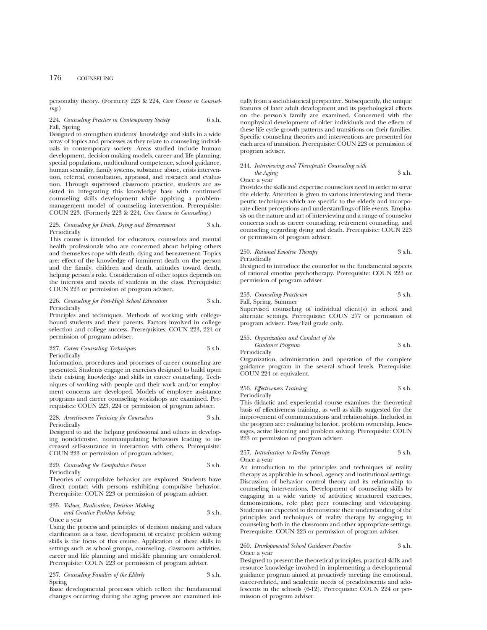personality theory. (Formerly 223 & 224, *Core Course in Counseling*.)

### 224. *Counseling Practice in Contemporary Society* 6 s.h. Fall, Spring

Designed to strengthen students' knowledge and skills in a wide array of topics and processes as they relate to counseling individuals in contemporary society. Areas studied include human development, decision-making models, career and life planning, special populations, multicultural competence, school guidance, human sexuality, family systems, substance abuse, crisis intervention, referral, consultation, appraisal, and research and evaluation. Through supervised classroom practice, students are assisted in integrating this knowledge base with continued counseling skills development while applying a problemmanagement model of counseling intervention. Prerequisite: COUN 223. (Formerly 223 & 224, *Core Course in Counseling*.)

### 225. *Counseling for Death, Dying and Bereavement* 3 s.h. Periodically

This course is intended for educators, counselors and mental health professionals who are concerned about helping others and themselves cope with death, dying and bereavement. Topics are: effect of the knowledge of imminent death on the person and the family, children and death, attitudes toward death, helping person's role. Consideration of other topics depends on the interests and needs of students in the class. Prerequisite: COUN 223 or permission of program adviser.

### 226. *Counseling for Post-High School Education* 3 s.h. Periodically

Principles and techniques. Methods of working with collegebound students and their parents. Factors involved in college selection and college success. Prerequisites: COUN 223, 224 or permission of program adviser.

### 227. *Career Counseling Techniques* 3 s.h. Periodically

Information, procedures and processes of career counseling are presented. Students engage in exercises designed to build upon their existing knowledge and skills in career counseling. Techniques of working with people and their work and/or employment concerns are developed. Models of employee assistance programs and career counseling workshops are examined. Prerequisites: COUN 223, 224 or permission of program adviser.

### 228. *Assertiveness Training for Counselors* 3 s.h. Periodically

Designed to aid the helping professional and others in developing nondefensive, nonmanipulating behaviors leading to increased self-assurance in interaction with others. Prerequisite: COUN 223 or permission of program adviser.

### 229. *Counseling the Compulsive Person* 3 s.h. Periodically

Theories of compulsive behavior are explored. Students have direct contact with persons exhibiting compulsive behavior. Prerequisite: COUN 223 or permission of program adviser.

## 235. *Values, Realization, Decision Making and Creative Problem Solving* 3 s.h.

Once a year

Using the process and principles of decision making and values clarification as a base, development of creative problem solving skills is the focus of this course. Application of these skills in settings such as school groups, counseling, classroom activities, career and life planning and mid-life planning are considered. Prerequisite: COUN 223 or permission of program adviser.

237. *Counseling Families of the Elderly* 3 s.h. Spring

Basic developmental processes which reflect the fundamental changes occurring during the aging process are examined initially from a sociohistorical perspective. Subsequently, the unique features of later adult development and its psychological effects on the person's family are examined. Concerned with the nonphysical development of older individuals and the effects of these life cycle growth patterns and transitions on their families. Specific counseling theories and interventions are presented for each area of transition. Prerequisite: COUN 223 or permission of program adviser.

### 244. *Interviewing and Therapeutic Counseling with the Aging* 3 s.h. Once a year

Provides the skills and expertise counselors need in order to serve the elderly. Attention is given to various interviewing and therapeutic techniques which are specific to the elderly and incorporate client perceptions and understandings of life events. Emphasis on the nature and art of interviewing and a range of counselor concerns such as career counseling, retirement counseling, and counseling regarding dying and death. Prerequisite: COUN 223 or permission of program adviser.

## 250. *Rational Emotive Therapy* 3 s.h. Periodically

Designed to introduce the counselor to the fundamental aspects of rational emotive psychotherapy. Prerequisite: COUN 223 or permission of program adviser.

## 253. *Counseling Practicum* 3 s.h.

Fall, Spring, Summer Supervised counseling of individual client(s) in school and alternate settings. Prerequisite: COUN 277 or permission of program adviser. Pass/Fail grade only.

255. *Organization and Conduct of the Guidance Program* 3 s.h.

Periodically

Organization, administration and operation of the complete guidance program in the several school levels. Prerequisite: COUN 224 or equivalent.

#### 256. *Effectiveness Training* 3 s.h. Periodically

This didactic and experiential course examines the theoretical basis of effectiveness training, as well as skills suggested for the improvement of communications and relationships. Included in the program are: evaluating behavior, problem ownership, I-messages, active listening and problem solving. Prerequisite: COUN 223 or permission of program adviser.

## 257. *Introduction to Reality Therapy* 3 s.h.

Once a year

An introduction to the principles and techniques of reality therapy as applicable in school, agency and institutional settings. Discussion of behavior control theory and its relationship to counseling interventions. Development of counseling skills by engaging in a wide variety of activities; structured exercises, demonstrations, role play; peer counseling and videotaping. Students are expected to demonstrate their understanding of the principles and techniques of reality therapy by engaging in counseling both in the classroom and other appropriate settings. Prerequisite: COUN 223 or permission of program adviser.

### 260. *Developmental School Guidance Practice* 3 s.h. Once a year

Designed to present the theoretical principles, practical skills and resource knowledge involved in implementing a developmental guidance program aimed at proactively meeting the emotional, career-related, and academic needs of preadolescents and adolescents in the schools (6-12). Prerequisite: COUN 224 or permission of program adviser.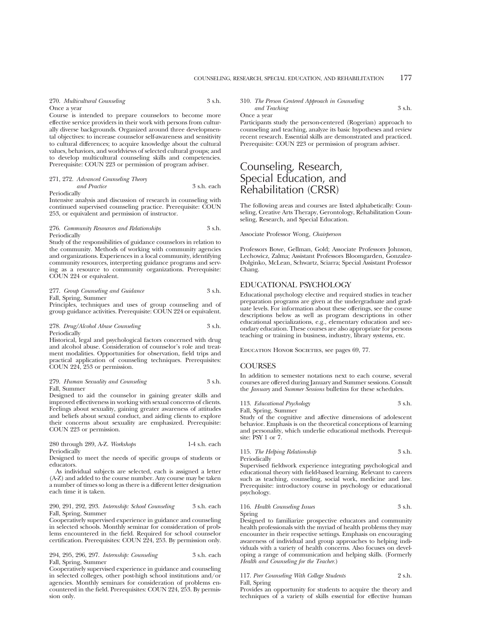270. *Multicultural Counseling* 3 s.h. Once a year

Course is intended to prepare counselors to become more effective service providers in their work with persons from culturally diverse backgrounds. Organized around three developmental objectives: to increase counselor self-awareness and sensitivity to cultural differences; to acquire knowledge about the cultural values, behaviors, and worldviews of selected cultural groups; and to develop multicultural counseling skills and competencies. Prerequisite: COUN 223 or permission of program adviser.

271, 272. *Advanced Counseling Theory and Practice* 3 s.h. each Periodically

Intensive analysis and discussion of research in counseling with continued supervised counseling practice. Prerequisite: COUN 253, or equivalent and permission of instructor.

### 276. *Community Resources and Relationships* 3 s.h. Periodically

Study of the responsibilities of guidance counselors in relation to the community. Methods of working with community agencies and organizations. Experiences in a local community, identifying community resources, interpreting guidance programs and serving as a resource to community organizations. Prerequisite: COUN 224 or equivalent.

277. *Group Counseling and Guidance* 3 s.h. Fall, Spring, Summer

Principles, techniques and uses of group counseling and of group guidance activities. Prerequisite: COUN 224 or equivalent.

278. *Drug/Alcohol Abuse Counseling* 3 s.h. Periodically

Historical, legal and psychological factors concerned with drug and alcohol abuse. Consideration of counselor's role and treatment modalities. Opportunities for observation, field trips and practical application of counseling techniques. Prerequisites: COUN 224, 253 or permission.

279. *Human Sexuality and Counseling* 3 s.h. Fall, Summer

Designed to aid the counselor in gaining greater skills and improved effectiveness in working with sexual concerns of clients. Feelings about sexuality, gaining greater awareness of attitudes and beliefs about sexual conduct, and aiding clients to explore their concerns about sexuality are emphasized. Prerequisite: COUN 223 or permission.

### 280 through 289, A-Z. *Workshops* 1-4 s.h. each Periodically

Designed to meet the needs of specific groups of students or educators.

As individual subjects are selected, each is assigned a letter (A-Z) and added to the course number. Any course may be taken a number of times so long as there is a different letter designation each time it is taken.

### 290, 291, 292, 293. *Internship: School Counseling* 3 s.h. each Fall, Spring, Summer

Cooperatively supervised experience in guidance and counseling in selected schools. Monthly seminar for consideration of problems encountered in the field. Required for school counselor certification. Prerequisites: COUN 224, 253. By permission only.

294, 295, 296, 297. *Internship: Counseling* 3 s.h. each Fall, Spring, Summer

Cooperatively supervised experience in guidance and counseling in selected colleges, other post-high school institutions and/or agencies. Monthly seminars for consideration of problems encountered in the field. Prerequisites: COUN 224, 253. By permission only.

310. *The Person Centered Approach in Counseling*

*and Teaching* 3 s.h.

Once a year

Participants study the person-centered (Rogerian) approach to counseling and teaching, analyze its basic hypotheses and review recent research. Essential skills are demonstrated and practiced. Prerequisite: COUN 223 or permission of program adviser.

# Counseling, Research, Special Education, and Rehabilitation (CRSR)

The following areas and courses are listed alphabetically: Counseling, Creative Arts Therapy, Gerontology, Rehabilitation Counseling, Research, and Special Education.

Associate Professor Wong, *Chairperson*

Professors Bowe, Gellman, Gold; Associate Professors Johnson, Lechowicz, Zalma; Assistant Professors Bloomgarden, Gonzalez-Dolginko, McLean, Schwartz, Sciarra; Special Assistant Professor Chang.

## EDUCATIONAL PSYCHOLOGY

Educational psychology elective and required studies in teacher preparation programs are given at the undergraduate and graduate levels. For information about these offerings, see the course descriptions below as well as program descriptions in other educational specializations, e.g., elementary education and secondary education. These courses are also appropriate for persons teaching or training in business, industry, library systems, etc.

EDUCATION HONOR SOCIETIES, see pages 69, 77.

## **COURSES**

In addition to semester notations next to each course, several courses are offered during January and Summer sessions. Consult the *January* and *Summer Sessions* bulletins for these schedules.

## 113. *Educational Psychology* 3 s.h.

Fall, Spring, Summer

Study of the cognitive and affective dimensions of adolescent behavior. Emphasis is on the theoretical conceptions of learning and personality, which underlie educational methods. Prerequisite: PSY 1 or 7.

# 115. *The Helping Relationship* 3 s.h.

Periodically

Supervised fieldwork experience integrating psychological and educational theory with field-based learning. Relevant to careers such as teaching, counseling, social work, medicine and law. Prerequisite: introductory course in psychology or educational psychology.

### 116. *Health Counseling Issues* 3 s.h. Spring

Designed to familiarize prospective educators and community health professionals with the myriad of health problems they may encounter in their respective settings. Emphasis on encouraging awareness of individual and group approaches to helping individuals with a variety of health concerns. Also focuses on developing a range of communication and helping skills. (Formerly *Health and Counseling for the Teacher*.)

### 117. *Peer Counseling With College Students* 2 s.h. Fall, Spring

Provides an opportunity for students to acquire the theory and techniques of a variety of skills essential for effective human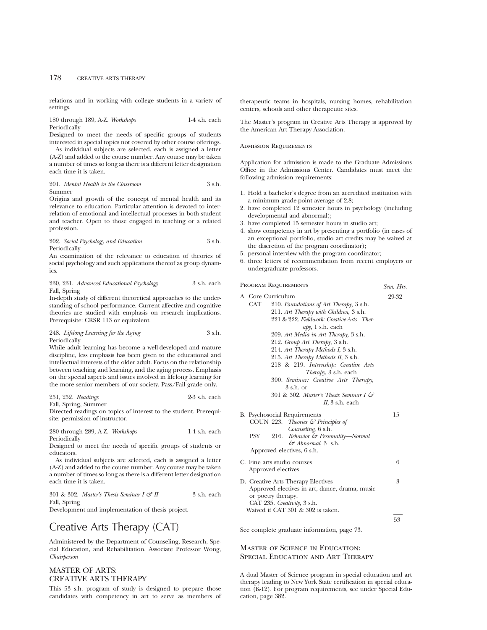relations and in working with college students in a variety of settings.

180 through 189, A-Z. *Workshops* 1-4 s.h. each Periodically

Designed to meet the needs of specific groups of students interested in special topics not covered by other course offerings.

As individual subjects are selected, each is assigned a letter (A-Z) and added to the course number. Any course may be taken a number of times so long as there is a different letter designation each time it is taken.

201. *Mental Health in the Classroom* 3 s.h. Summer

Origins and growth of the concept of mental health and its relevance to education. Particular attention is devoted to interrelation of emotional and intellectual processes in both student and teacher. Open to those engaged in teaching or a related profession.

### 202. *Social Psychology and Education* 3 s.h. Periodically

An examination of the relevance to education of theories of social psychology and such applications thereof as group dynamics.

### 230, 231. *Advanced Educational Psychology* 3 s.h. each Fall, Spring

In-depth study of different theoretical approaches to the understanding of school performance. Current affective and cognitive theories are studied with emphasis on research implications. Prerequisite: CRSR 113 or equivalent.

### 248. *Lifelong Learning for the Aging* 3 s.h. Periodically

While adult learning has become a well-developed and mature discipline, less emphasis has been given to the educational and intellectual interests of the older adult. Focus on the relationship between teaching and learning, and the aging process. Emphasis on the special aspects and issues involved in lifelong learning for the more senior members of our society. Pass/Fail grade only.

251, 252. *Readings* 2-3 s.h. each Fall, Spring, Summer

Directed readings on topics of interest to the student. Prerequisite: permission of instructor.

280 through 289, A-Z. *Workshops* 1-4 s.h. each Periodically

Designed to meet the needs of specific groups of students or educators.

As individual subjects are selected, each is assigned a letter (A-Z) and added to the course number. Any course may be taken a number of times so long as there is a different letter designation each time it is taken.

301 & 302. *Master's Thesis Seminar I & II* 3 s.h. each Fall, Spring

Development and implementation of thesis project.

# Creative Arts Therapy (CAT)

Administered by the Department of Counseling, Research, Special Education, and Rehabilitation. Associate Professor Wong, *Chairperson*

# MASTER OF ARTS: CREATIVE ARTS THERAPY

This 53 s.h. program of study is designed to prepare those candidates with competency in art to serve as members of therapeutic teams in hospitals, nursing homes, rehabilitation centers, schools and other therapeutic sites.

The Master's program in Creative Arts Therapy is approved by the American Art Therapy Association.

Admission Requirements

Application for admission is made to the Graduate Admissions Office in the Admissions Center. Candidates must meet the following admission requirements:

- 1. Hold a bachelor's degree from an accredited institution with a minimum grade-point average of 2.8;
- 2. have completed 12 semester hours in psychology (including developmental and abnormal);
- 3. have completed 15 semester hours in studio art;
- 4. show competency in art by presenting a portfolio (in cases of an exceptional portfolio, studio art credits may be waived at the discretion of the program coordinator);
- 5. personal interview with the program coordinator;
- 6. three letters of recommendation from recent employers or undergraduate professors.

Program Requirements *Sem. Hrs.* A. Core Curriculum 29-32 CAT 210. *Foundations of Art Therapy,* 3 s.h. 211. *Art Therapy with Children*, 3 s.h. 221 & 222. *Fieldwork: Creative Arts Therapy*, 1 s.h. each 209. *Art Media in Art Therapy,* 3 s.h. 212. *Group Art Therapy*, 3 s.h. 214. *Art Therapy Methods I*, 3 s.h. 215. *Art Therapy Methods II*, 3 s.h. 218 & 219. *Internship: Creative Arts Therapy*, 3 s.h. each 300. *Seminar: Creative Arts Therapy*, 3 s.h. or 301 & 302. *Master's Thesis Seminar I & II*, 3 s.h. each B. Psychosocial Requirements 15 COUN 223. *Theories & Principles of Counseling*, 6 s.h. PSY 216. *Behavior & Personality—Normal & Abnormal*, 3 s.h. Approved electives, 6 s.h. C. Fine arts studio courses 6 Approved electives D. Creative Arts Therapy Electives 3 Approved electives in art, dance, drama, music or poetry therapy. CAT 235. *Creativity*, 3 s.h. Waived if CAT 301 & 302 is taken. 53

See complete graduate information, page 73.

## Master of Science in Education: Special Education and Art Therapy

A dual Master of Science program in special education and art therapy leading to New York State certification in special education (K-12). For program requirements, see under Special Education, page 382.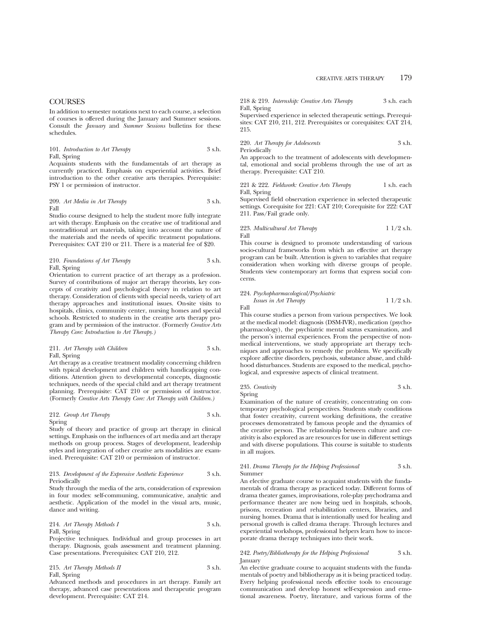## **COURSES**

In addition to semester notations next to each course, a selection of courses is offered during the January and Summer sessions. Consult the *January* and *Summer Sessions* bulletins for these schedules.

### 101. *Introduction to Art Therapy* 3 s.h. Fall, Spring

Acquaints students with the fundamentals of art therapy as currently practiced. Emphasis on experiential activities. Brief introduction to the other creative arts therapies. Prerequisite: PSY 1 or permission of instructor.

209. *Art Media in Art Therapy* 3 s.h. Fall

Studio course designed to help the student more fully integrate art with therapy. Emphasis on the creative use of traditional and nontraditional art materials, taking into account the nature of the materials and the needs of specific treatment populations. Prerequisites: CAT 210 or 211. There is a material fee of \$20.

## 210. *Foundations of Art Therapy* 3 s.h. Fall, Spring

Orientation to current practice of art therapy as a profession. Survey of contributions of major art therapy theorists, key concepts of creativity and psychological theory in relation to art therapy. Consideration of clients with special needs, variety of art therapy approaches and institutional issues. On-site visits to hospitals, clinics, community center, nursing homes and special schools. Restricted to students in the creative arts therapy program and by permission of the instructor. (Formerly *Creative Arts Therapy Core: Introduction to Art Therapy.)*

### 211. *Art Therapy with Children* 3 s.h. Fall, Spring

Art therapy as a creative treatment modality concerning children with typical development and children with handicapping conditions. Attention given to developmental concepts, diagnostic techniques, needs of the special child and art therapy treatment planning. Prerequisite: CAT 210 or permission of instructor. (Formerly *Creative Arts Therapy Core: Art Therapy with Children.)*

## 212. *Group Art Therapy* 3 s.h. Spring

Study of theory and practice of group art therapy in clinical settings. Emphasis on the influences of art media and art therapy methods on group process. Stages of development, leadership styles and integration of other creative arts modalities are examined. Prerequisite: CAT 210 or permission of instructor.

### 213. *Development of the Expressive Aesthetic Experience* 3 s.h. Periodically

Study through the media of the arts, consideration of expression in four modes: self-communing, communicative, analytic and aesthetic. Application of the model in the visual arts, music, dance and writing.

## 214. *Art Therapy Methods I* 3 s.h. Fall, Spring

Projective techniques. Individual and group processes in art therapy. Diagnosis, goals assessment and treatment planning. Case presentations. Prerequisites: CAT 210, 212.

### 215. Art Therapy Methods II 3 s.h. Fall, Spring

Advanced methods and procedures in art therapy. Family art therapy, advanced case presentations and therapeutic program development. Prerequisite: CAT 214.

218 & 219. *Internship: Creative Arts Therapy* 3 s.h. each Fall, Spring

Supervised experience in selected therapeutic settings. Prerequisites: CAT 210, 211, 212. Prerequisites or corequisites: CAT 214, 215.

### 220. *Art Therapy for Adolescents* 3 s.h. Periodically

An approach to the treatment of adolescents with developmental, emotional and social problems through the use of art as therapy. Prerequisite: CAT 210.

221 & 222. *Fieldwork: Creative Arts Therapy* 1 s.h. each Fall, Spring

Supervised field observation experience in selected therapeutic settings. Corequisite for 221: CAT 210; Corequisite for 222: CAT 211. Pass/Fail grade only.

### 223. *Multicultural Art Therapy* 1 1/2 s.h. Fall

This course is designed to promote understanding of various socio-cultural frameworks from which an effective art therapy program can be built. Attention is given to variables that require consideration when working with diverse groups of people. Students view contemporary art forms that express social concerns.

### 224. *Psychopharmacological/Psychiatric*

*Issues in Art Therapy* 1 1/2 s.h. Fall

This course studies a person from various perspectives. We look at the medical model: diagnosis (DSM-IVR), medication (psychopharmacology), the psychiatric mental status examination, and the person's internal experiences. From the perspective of nonmedical interventions, we study appropriate art therapy techniques and approaches to remedy the problem. We specifically explore affective disorders, psychosis, substance abuse, and childhood disturbances. Students are exposed to the medical, psychological, and expressive aspects of clinical treatment.

## 235. *Creativity* 3 s.h. Spring

Examination of the nature of creativity, concentrating on contemporary psychological perspectives. Students study conditions that foster creativity, current working definitions, the creative processes demonstrated by famous people and the dynamics of the creative person. The relationship between culture and creativity is also explored as are resources for use in different settings and with diverse populations. This course is suitable to students in all majors.

### 241. *Drama Therapy for the Helping Professional* 3 s.h. Summer

An elective graduate course to acquaint students with the fundamentals of drama therapy as practiced today. Different forms of drama theater games, improvisations, role-play psychodrama and performance theater are now being ued in hospitals, schools, prisons, recreation and rehabilitation centers, libraries, and nursing homes. Drama that is intentionally used for healing and personal growth is called drama therapy. Through lectures and experiential workshops, professional helpers learn how to incorporate drama therapy techniques into their work.

## 242. *Poetry/Bibliotherapy for the Helping Professional* 3 s.h. January

An elective graduate course to acquaint students with the fundamentals of poetry and bibliotherapy as it is being practiced today. Every helping professional needs effective tools to encourage communication and develop honest self-expression and emotional awareness. Poetry, literature, and various forms of the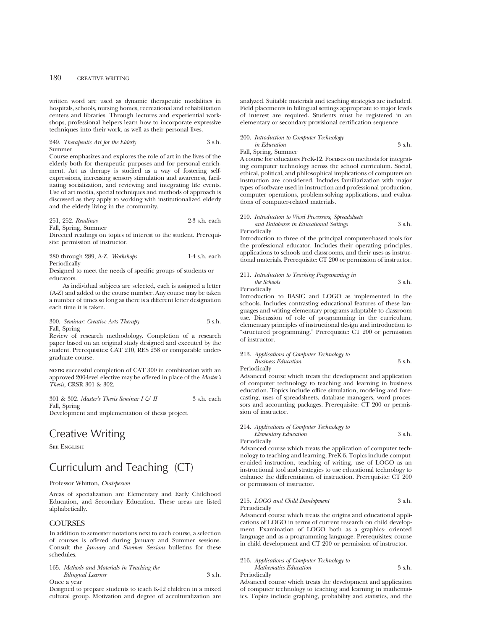written word are used as dynamic therapeutic modalities in hospitals, schools, nursing homes, recreational and rehabilitation centers and libraries. Through lectures and experiential workshops, professional helpers learn how to incorporate expressive techniques into their work, as well as their personal lives.

### 249. *Therapeutic Art for the Elderly* 3 s.h. Summer

Course emphasizes and explores the role of art in the lives of the elderly both for therapeutic purposes and for personal enrichment. Art as therapy is studied as a way of fostering selfexpressions, increasing sensory stimulation and awareness, facilitating socialization, and reviewing and integrating life events. Use of art media, special techniques and methods of approach is discussed as they apply to working with institutionalized elderly and the elderly living in the community.

251, 252. *Readings* 2-3 s.h. each Fall, Spring, Summer

Directed readings on topics of interest to the student. Prerequisite: permission of instructor.

280 through 289, A-Z. *Workshops* 1-4 s.h. each **Periodically** 

Designed to meet the needs of specific groups of students or educators.

As individual subjects are selected, each is assigned a letter (A-Z) and added to the course number. Any course may be taken a number of times so long as there is a different letter designation each time it is taken.

300. *Seminar: Creative Arts Therapy* 3 s.h. Fall, Spring

Review of research methodology. Completion of a research paper based on an original study designed and executed by the student. Prerequisites: CAT 210, RES 258 or comparable undergraduate course.

**NOTE:** successful completion of CAT 300 in combination with an approved 200-level elective may be offered in place of the *Master's Thesis*, CRSR 301 & 302.

301 & 302. *Master's Thesis Seminar I & II* 3 s.h. each Fall, Spring

Development and implementation of thesis project.

# Creative Writing

SEE ENGLISH

# Curriculum and Teaching (CT)

### Professor Whitton, *Chairperson*

Areas of specialization are Elementary and Early Childhood Education, and Secondary Education. These areas are listed alphabetically.

## **COURSES**

In addition to semester notations next to each course, a selection of courses is offered during January and Summer sessions. Consult the *January* and *Summer Sessions* bulletins for these schedules.

### 165. *Methods and Materials in Teaching the Bilingual Learner* 3 s.h. Once a year

Designed to prepare students to teach K-12 children in a mixed cultural group. Motivation and degree of acculturalization are analyzed. Suitable materials and teaching strategies are included. Field placements in bilingual settings appropriate to major levels of interest are required. Students must be registered in an elementary or secondary provisional certification sequence.

## 200. *Introduction to Computer Technology*

### *in Education* 3 s.h. Fall, Spring, Summer

A course for educators PreK-12. Focuses on methods for integrating computer technology across the school curriculum. Social, ethical, political, and philosophical implications of computers on instruction are considered. Includes familiarization with major types of software used in instruction and professional production, computer operations, problem-solving applications, and evaluations of computer-related materials.

210. *Introduction to Word Processors, Spreadsheets and Databases in Educational Settings* 3 s.h. Periodically

Introduction to three of the principal computer-based tools for the professional educator. Includes their operating principles, applications to schools and classrooms, and their uses as instructional materials. Prerequisite: CT 200 or permission of instructor.

| 211. Introduction to Teaching Programming in |        |
|----------------------------------------------|--------|
| the Schools                                  | 3 s.h. |
|                                              |        |

Periodically

Introduction to BASIC and LOGO as implemented in the schools. Includes contrasting educational features of these languages and writing elementary programs adaptable to classroom use. Discussion of role of programming in the curriculum, elementary principles of instructional design and introduction to "structured programming." Prerequisite: CT 200 or permission of instructor.

### 213. *Applications of Computer Technology to Business Education* 3 s.h.

Periodically

Advanced course which treats the development and application of computer technology to teaching and learning in business education. Topics include office simulation, modeling and forecasting, uses of spreadsheets, database managers, word processors and accounting packages. Prerequisite: CT 200 or permission of instructor.

### 214. *Applications of Computer Technology to Elementary Education* 3 s.h.

Periodically

Advanced course which treats the application of computer technology to teaching and learning, PreK-6. Topics include computer-aided instruction, teaching of writing, use of LOGO as an instructional tool and strategies to use educational technology to enhance the differentiation of instruction. Prerequisite: CT 200 or permission of instructor.

### 215. *LOGO and Child Development* 3 s.h. Periodically

Advanced course which treats the origins and educational applications of LOGO in terms of current research on child development. Examination of LOGO both as a graphics- oriented language and as a programming language. Prerequisites: course in child development and CT 200 or permission of instructor.

### 216. *Applications of Computer Technology to Mathematics Education* 3 s.h. Periodically

Advanced course which treats the development and application of computer technology to teaching and learning in mathematics. Topics include graphing, probability and statistics, and the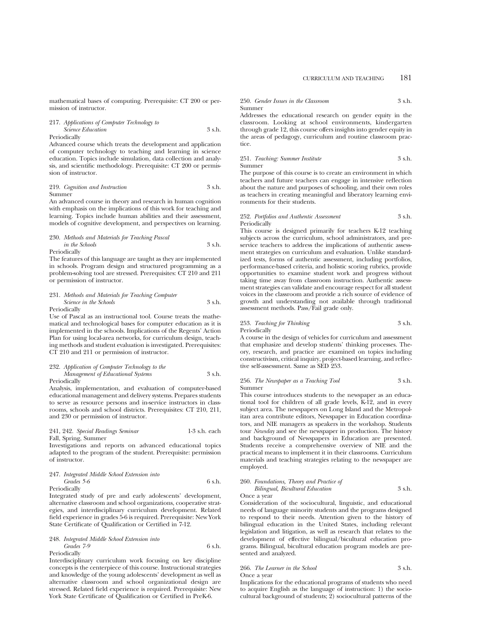mathematical bases of computing. Prerequisite: CT 200 or permission of instructor.

### 217. *Applications of Computer Technology to Science Education* 3 s.h. Periodically

Advanced course which treats the development and application of computer technology to teaching and learning in science education. Topics include simulation, data collection and analysis, and scientific methodology. Prerequisite: CT 200 or permission of instructor.

219. *Cognition and Instruction* 3 s.h. Summer

An advanced course in theory and research in human cognition with emphasis on the implications of this work for teaching and learning. Topics include human abilities and their assessment, models of cognitive development, and perspectives on learning.

## 230. *Methods and Materials for Teaching Pascal*

*in the Schools* 3 s.h. Periodically

The features of this language are taught as they are implemented in schools. Program design and structured programming as a problem-solving tool are stressed. Prerequisites: CT 210 and 211 or permission of instructor.

231. *Methods and Materials for Teaching Computer Science in the Schools* 3 s.h.

Periodically

Use of Pascal as an instructional tool. Course treats the mathematical and technological bases for computer education as it is implemented in the schools. Implications of the Regents' Action Plan for using local-area networks, for curriculum design, teaching methods and student evaluation is investigated. Prerequisites: CT 210 and 211 or permission of instructor.

## 232. *Application of Computer Technology to the Management of Educational Systems* 3 s.h.

Periodically

Analysis, implementation, and evaluation of computer-based educational management and delivery systems. Prepares students to serve as resource persons and in-service instructors in classrooms, schools and school districts. Prerequisites: CT 210, 211, and 230 or permission of instructor.

## 241, 242. *Special Readings Seminar* 1-3 s.h. each Fall, Spring, Summer

Investigations and reports on advanced educational topics adapted to the program of the student. Prerequisite: permission of instructor.

### 247. *Integrated Middle School Extension into Grades* 5-6 6 s.h. Periodically

Integrated study of pre and early adolescents' development, alternative classroom and school organizations, cooperative strategies, and interdisciplinary curriculum development. Related field experience in grades 5-6 is required. Prerequisite: New York State Certificate of Qualification or Certified in 7-12.

# 248. *Integrated Middle School Extension into*

*Grades* 7-9 6 s.h. Periodically

Interdisciplinary curriculum work focusing on key discipline concepts is the centerpiece of this course. Instructional strategies and knowledge of the young adolescents' development as well as alternative classroom and school organizational design are stressed. Related field experience is required. Prerequisite: New York State Certificate of Qualification or Certified in PreK-6.

### 250. *Gender Issues in the Classroom* 3 s.h. Summer

Addresses the educational research on gender equity in the classroom. Looking at school environments, kindergarten through grade 12, this course offers insights into gender equity in the areas of pedagogy, curriculum and routine classroom practice.

## 251. *Teaching: Summer Institute* 3 s.h. Summer

The purpose of this course is to create an environment in which teachers and future teachers can engage in intensive reflection about the nature and purposes of schooling, and their own roles as teachers in creating meaningful and liberatory learning environments for their students.

### 252. *Portfolios and Authentic Assessment* 3 s.h. Periodically

This course is designed primarily for teachers K-12 teaching subjects across the curriculum, school administrators, and preservice teachers to address the implications of authentic assessment strategies on curriculum and evaluation. Unlike standardized tests, forms of authentic assessment, including portfolios, performance-based criteria, and holistic scoring rubrics, provide opportunities to examine student work and progress without taking time away from classroom instruction. Authentic assessment strategies can validate and encourage respect for all student voices in the classroom and provide a rich source of evidence of growth and understanding not available through traditional assessment methods. Pass/Fail grade only.

## 253. *Teaching for Thinking* 3 s.h. Periodically

A course in the design of vehicles for curriculum and assessment that emphasize and develop students' thinking processes. Theory, research, and practice are examined on topics including constructivism, critical inquiry, project-based learning, and reflective self-assessment. Same as SED 253.

### 256. *The Newspaper as a Teaching Tool* 3 s.h. Summer

This course introduces students to the newspaper as an educational tool for children of all grade levels, K-12, and in every subject area. The newspapers on Long Island and the Metropolitan area contribute editors, Newspaper in Education coordinators, and NIE managers as speakers in the workshop. Students tour *Newsday* and see the newspaper in production. The history and background of Newspapers in Education are presented. Students receive a comprehensive overview of NIE and the practical means to implement it in their classrooms. Curriculum materials and teaching strategies relating to the newspaper are employed.

260. *Foundations, Theory and Practice of Bilingual, Bicultural Education* 3 s.h. Once a year

Consideration of the sociocultural, linguistic, and educational needs of language minority students and the programs designed to respond to their needs. Attention given to the history of bilingual education in the United States, including relevant legislation and litigation, as well as research that relates to the development of effective bilingual/bicultural education programs. Bilingual, bicultural education program models are presented and analyzed.

### 266. *The Learner in the School* 3 s.h. Once a year

Implications for the educational programs of students who need to acquire English as the language of instruction: 1) the sociocultural background of students; 2) sociocultural patterns of the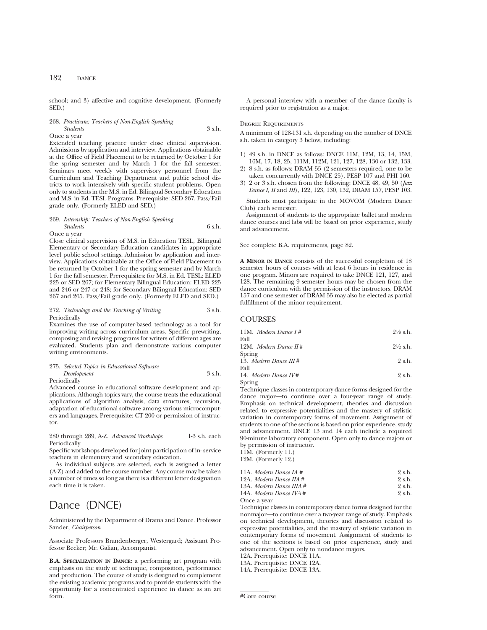school; and 3) affective and cognitive development. (Formerly SED.)

### 268. *Practicum: Teachers of Non-English Speaking Students* 3 s.h. Once a year

Extended teaching practice under close clinical supervision. Admissions by application and interview. Applications obtainable at the Office of Field Placement to be returned by October 1 for the spring semester and by March 1 for the fall semester. Seminars meet weekly with supervisory personnel from the Curriculum and Teaching Department and public school districts to work intensively with specific student problems. Open only to students in the M.S. in Ed. Bilingual Secondary Education and M.S. in Ed. TESL Programs. Prerequisite: SED 267. Pass/Fail grade only. (Formerly ELED and SED.)

### 269. *Internship: Teachers of Non-English Speaking Students* 6 s.h. Once a year

Close clinical supervision of M.S. in Education TESL, Bilingual Elementary or Secondary Education candidates in appropriate level public school settings. Admission by application and interview. Applications obtainable at the Office of Field Placement to be returned by October 1 for the spring semester and by March 1 for the fall semester. Prerequisites: for M.S. in Ed. TESL: ELED 225 or SED 267; for Elementary Bilingual Education: ELED 225 and 246 or 247 or 248; for Secondary Bilingual Education: SED 267 and 265. Pass/Fail grade only. (Formerly ELED and SED.)

### 272. *Technology and the Teaching of Writing* 3 s.h. Periodically

Examines the use of computer-based technology as a tool for improving writing across curriculum areas. Specific prewriting, composing and revising programs for writers of different ages are evaluated. Students plan and demonstrate various computer writing environments.

### 275. *Selected Topics in Educational Software Development* 3 s.h. Periodically

Advanced course in educational software development and applications. Although topics vary, the course treats the educational applications of algorithm analysis, data structures, recursion, adaptation of educational software among various microcomputers and languages. Prerequisite: CT 200 or permission of instructor.

280 through 289, A-Z. *Advanced Workshops* 1-3 s.h. each Periodically

Specific workshops developed for joint participation of in- service teachers in elementary and secondary education.

As individual subjects are selected, each is assigned a letter (A-Z) and added to the course number. Any course may be taken a number of times so long as there is a different letter designation each time it is taken.

# Dance (DNCE)

Administered by the Department of Drama and Dance. Professor Sander, *Chairperson*

Associate Professors Brandenberger, Westergard; Assistant Professor Becker; Mr. Galian, Accompanist.

**B.A. SPECIALIZATION IN DANCE:** a performing art program with emphasis on the study of technique, composition, performance and production. The course of study is designed to complement the existing academic programs and to provide students with the opportunity for a concentrated experience in dance as an art form.

A personal interview with a member of the dance faculty is required prior to registration as a major.

### Degree Requirements

A minimum of 128-131 s.h. depending on the number of DNCE s.h. taken in category 3 below, including:

- 1) 49 s.h. in DNCE as follows: DNCE 11M, 12M, 13, 14, 15M, 16M, 17, 18, 25, 111M, 112M, 121, 127, 128, 130 or 132, 133.
- 2) 8 s.h. as follows: DRAM 55 (2 semesters required, one to be taken concurrently with DNCE 25), PESP 107 and PHI 160.
- 3) 2 or 3 s.h. chosen from the following: DNCE 48, 49, 50 (*Jazz Dance I, II* and *III*), 122, 123, 130, 132, DRAM 157, PESP 103.

Students must participate in the MOVOM (Modern Dance Club) each semester.

Assignment of students to the appropriate ballet and modern dance courses and labs will be based on prior experience, study and advancement.

See complete B.A. requirements, page 82.

**A MINOR IN DANCE** consists of the successful completion of 18 semester hours of courses with at least 6 hours in residence in one program. Minors are required to take DNCE 121, 127, and 128. The remaining 9 semester hours may be chosen from the dance curriculum with the permission of the instructors. DRAM 157 and one semester of DRAM 55 may also be elected as partial fulfillment of the minor requirement.

### **COURSES**

| 11M. Modern Dance $I#$  | $2\frac{1}{2}$ s.h. |
|-------------------------|---------------------|
| Fall                    |                     |
| 12M. Modern Dance $H#$  | $2\frac{1}{2}$ s.h. |
| Spring                  |                     |
| 13. Modern Dance $III#$ | 2 s.h.              |
| Fall                    |                     |
| 14. Modern Dance $I V#$ | 2 s.h.              |
| Spring                  |                     |

Technique classes in contemporary dance forms designed for the dance major—to continue over a four-year range of study. Emphasis on technical development, theories and discussion related to expressive potentialities and the mastery of stylistic variation in contemporary forms of movement. Assignment of students to one of the sections is based on prior experience, study and advancement. DNCE 13 and 14 each include a required 90-minute laboratory component. Open only to dance majors or by permission of instructor.

11M. (Formerly 11.)

12M. (Formerly 12.)

| 11A. Modern Dance IA #   | 2 s.h. |
|--------------------------|--------|
| 12A. Modern Dance IIA #  | 2 s.h. |
| 13A. Modern Dance IIIA # | 2 s.h. |
| 14A. Modern Dance IVA #  | 2 s.h. |
| Once a vear              |        |

Technique classes in contemporary dance forms designed for the nonmajor—to continue over a two-year range of study. Emphasis on technical development, theories and discussion related to expressive potentialities, and the mastery of stylistic variation in contemporary forms of movement. Assignment of students to one of the sections is based on prior experience, study and advancement. Open only to nondance majors.

12A. Prerequisite: DNCE 11A.

13A. Prerequisite: DNCE 12A.

14A. Prerequisite: DNCE 13A.

<sup>#</sup>Core course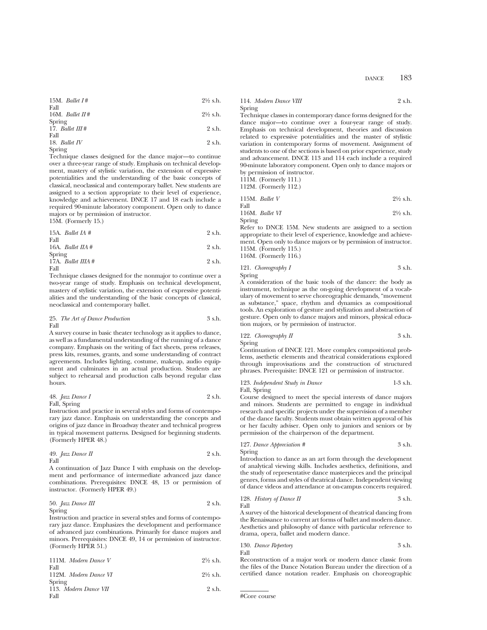| 15M. Ballet I# | $2\frac{1}{2}$ s.h. |                     |
|----------------|---------------------|---------------------|
| Fall           | 16M. Ballet II#     | $2\frac{1}{2}$ s.h. |
| Spring         | 17. Ballet III#     | 2 s.h.              |

Fall 18. *Ballet IV* 2 s.h.

Spring

Technique classes designed for the dance major—to continue over a three-year range of study. Emphasis on technical development, mastery of stylistic variation, the extension of expressive potentialities and the understanding of the basic concepts of classical, neoclassical and contemporary ballet. New students are assigned to a section appropriate to their level of experience, knowledge and achievement. DNCE 17 and 18 each include a required 90-minute laboratory component. Open only to dance majors or by permission of instructor. 15M. (Formerly 15.)

| 15A. <i>Ballet IA</i> $#$            | 2 s.h. |
|--------------------------------------|--------|
| Fall<br>16A. Ballet $\textit{IIA}$ # | 2 s.h. |
| Spring<br>17A. Ballet IIIA #         | 2 s.h. |
| Fall                                 |        |

Technique classes designed for the nonmajor to continue over a two-year range of study. Emphasis on technical development, mastery of stylistic variation, the extension of expressive potentialities and the understanding of the basic concepts of classical, neoclassical and contemporary ballet.

25. *The Art of Dance Production* 3 s.h. Fall

A survey course in basic theater technology as it applies to dance, as well as a fundamental understanding of the running of a dance company. Emphasis on the writing of fact sheets, press releases, press kits, resumes, grants, and some understanding of contract agreements. Includes lighting, costume, makeup, audio equipment and culminates in an actual production. Students are subject to rehearsal and production calls beyond regular class hours.

48. *Jazz Dance I* 2 s.h. Fall, Spring

Instruction and practice in several styles and forms of contemporary jazz dance. Emphasis on understanding the concepts and origins of jazz dance in Broadway theater and technical progress in typical movement patterns. Designed for beginning students. (Formerly HPER 48.)

49. 
$$
Jazz
$$
 *Dance II* 2 s.h. Fall

A continuation of Jazz Dance I with emphasis on the development and performance of intermediate advanced jazz dance combinations. Prerequisites: DNCE 48, 13 or permission of instructor. (Formerly HPER 49.)

50. *Jazz Dance III* 2 s.h. Spring

Instruction and practice in several styles and forms of contemporary jazz dance. Emphasizes the development and performance of advanced jazz combinations. Primarily for dance majors and minors. Prerequisites: DNCE 49, 14 or permission of instructor. (Formerly HPER 51.)

| 111M. Modern Dance V  | $2\frac{1}{2}$ s.h. |
|-----------------------|---------------------|
| Fall                  |                     |
| 112M. Modern Dance VI | $2\frac{1}{2}$ s.h. |
| Spring                |                     |
| 113. Modern Dance VII | $2 \,$ s.h.         |
| Fall                  |                     |
|                       |                     |

114. *Modern Dance VIII* 2 s.h. Spring

Technique classes in contemporary dance forms designed for the dance major—to continue over a four-year range of study. Emphasis on technical development, theories and discussion related to expressive potentialities and the master of stylistic variation in contemporary forms of movement. Assignment of students to one of the sections is based on prior experience, study and advancement. DNCE 113 and 114 each include a required 90-minute laboratory component. Open only to dance majors or by permission of instructor.

111M. (Formerly 111.)

Spring

112M. (Formerly 112.)

|      | 115M. Ballet $V$  | $2\frac{1}{2}$ s.h. |
|------|-------------------|---------------------|
| Fall |                   |                     |
|      | 116M. Ballet $VI$ | $2\frac{1}{2}$ s.h. |

Refer to DNCE 15M. New students are assigned to a section appropriate to their level of experience, knowledge and achievement. Open only to dance majors or by permission of instructor. 115M. (Formerly 115.) 116M. (Formerly 116.)

121. *Choreography I* 3 s.h. Spring

A consideration of the basic tools of the dancer: the body as instrument, technique as the on-going development of a vocabulary of movement to serve choreographic demands, "movement as substance," space, rhythm and dynamics as compositional tools. An exploration of gesture and stylization and abstraction of gesture. Open only to dance majors and minors, physical education majors, or by permission of instructor.

122. *Choreography II* 3 s.h. Spring

Continuation of DNCE 121. More complex compositional problems, asethetic elements and theatrical considerations explored through improvisations and the construction of structured phrases. Prerequisite: DNCE 121 or permission of instructor.

123. *Independent Study in Dance* 1-3 s.h. Fall, Spring

Course designed to meet the special interests of dance majors and minors. Students are permitted to engage in individual research and specific projects under the supervision of a member of the dance faculty. Students must obtain written approval of his or her faculty adviser. Open only to juniors and seniors or by permission of the chairperson of the department.

127. *Dance Appreciation #* 3 s.h. Spring

Introduction to dance as an art form through the development of analytical viewing skills. Includes aesthetics, definitions, and the study of representative dance masterpieces and the principal genres, forms and styles of theatrical dance. Independent viewing of dance videos and attendance at on-campus concerts required.

128. *History of Dance II* 3 s.h. Fall

A survey of the historical development of theatrical dancing from the Renaissance to current art forms of ballet and modern dance. Aesthetics and philosophy of dance with particular reference to drama, opera, ballet and modern dance.

130. *Dance Repertory* 3 s.h. Fall

Reconstruction of a major work or modern dance classic from the files of the Dance Notation Bureau under the direction of a certified dance notation reader. Emphasis on choreographic

#Core course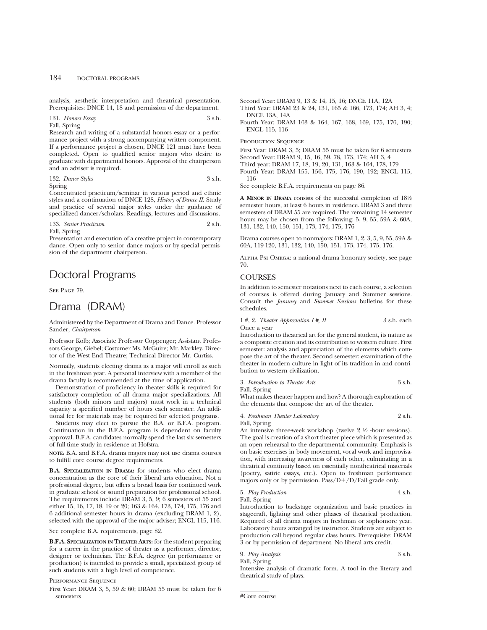analysis, aesthetic interpretation and theatrical presentation. Prerequisites: DNCE 14, 18 and permission of the department.

### 131. *Honors Essay* 3 s.h. Fall, Spring

Research and writing of a substantial honors essay or a performance project with a strong accompanying written component. If a performance project is chosen, DNCE 121 must have been completed. Open to qualified senior majors who desire to graduate with departmental honors. Approval of the chairperson and an adviser is required.

132. *Dance Styles* 3 s.h.

Spring

Concentrated practicum/seminar in various period and ethnic styles and a continuation of DNCE 128, *History of Dance II.* Study and practice of several major styles under the guidance of specialized dancer/scholars. Readings, lectures and discussions.

### 133. *Senior Practicum* 2 s.h. Fall, Spring

Presentation and execution of a creative project in contemporary dance. Open only to senior dance majors or by special permission of the department chairperson.

# Doctoral Programs

SEE PAGE 79.

# Drama (DRAM)

Administered by the Department of Drama and Dance. Professor Sander, *Chairperson*

Professor Kolb; Associate Professor Coppenger; Assistant Professors George, Giebel; Costumer Ms. McGuire; Mr. Markley, Director of the West End Theatre; Technical Director Mr. Curtiss.

Normally, students electing drama as a major will enroll as such in the freshman year. A personal interview with a member of the drama faculty is recommended at the time of application.

Demonstration of proficiency in theater skills is required for satisfactory completion of all drama major specializations. All students (both minors and majors) must work in a technical capacity a specified number of hours each semester. An additional fee for materials may be required for selected programs.

Students may elect to pursue the B.A. or B.F.A. program. Continuation in the B.F.A. program is dependent on faculty approval. B.F.A. candidates normally spend the last six semesters of full-time study in residence at Hofstra.

**NOTE:** B.A. and B.F.A. drama majors may not use drama courses to fulfill core course degree requirements.

**B.A. SPECIALIZATION IN DRAMA:** for students who elect drama concentration as the core of their liberal arts education. Not a professional degree, but offers a broad basis for continued work in graduate school or sound preparation for professional school. The requirements include DRAM 3, 5, 9; 6 semesters of 55 and either 15, 16, 17, 18, 19 or 20; 163 & 164, 173, 174, 175, 176 and 6 additional semester hours in drama (excluding DRAM 1, 2), selected with the approval of the major adviser; ENGL 115, 116.

See complete B.A. requirements, page 82.

**B.F.A. SPECIALIZATION IN THEATER ARTS:** for the student preparing for a career in the practice of theater as a performer, director, designer or technician. The B.F.A. degree (in performance or production) is intended to provide a small, specialized group of such students with a high level of competence.

Performance Sequence

First Year: DRAM 3, 5, 59 & 60; DRAM 55 must be taken for 6 semesters

Second Year: DRAM 9, 13 & 14, 15, 16; DNCE 11A, 12A

- Third Year: DRAM 23 & 24, 131, 165 & 166, 173, 174; AH 3, 4; DNCE 13A, 14A
- Fourth Year: DRAM 163 & 164, 167, 168, 169, 175, 176, 190; ENGL 115, 116

PRODUCTION SEQUENCE

First Year: DRAM 3, 5; DRAM 55 must be taken for 6 semesters Second Year: DRAM 9, 15, 16, 59, 78, 173, 174; AH 3, 4 Third year: DRAM 17, 18, 19, 20, 131, 163 & 164, 178, 179 Fourth Year: DRAM 155, 156, 175, 176, 190, 192; ENGL 115, 116

See complete B.F.A. requirements on page 86.

**A MINOR IN DRAMA** consists of the successful completion of 181⁄2 semester hours, at least 6 hours in residence. DRAM 3 and three semesters of DRAM 55 are required. The remaining 14 semester hours may be chosen from the following: 5, 9, 55, 59A & 60A, 131, 132, 140, 150, 151, 173, 174, 175, 176

Drama courses open to nonmajors: DRAM 1, 2, 3, 5, 9, 55, 59A & 60A, 119-120, 131, 132, 140, 150, 151, 173, 174, 175, 176.

Alpha Psi Omega: a national drama honorary society, see page 70.

## **COURSES**

In addition to semester notations next to each course, a selection of courses is offered during January and Summer sessions. Consult the *January* and *Summer Sessions* bulletins for these schedules.

1 #, 2. *Theater Appreciation 1* #, *II* 3 s.h. each Once a year

Introduction to theatrical art for the general student, its nature as a composite creation and its contribution to western culture. First semester: analysis and appreciation of the elements which compose the art of the theater. Second semester: examination of the theater in modern culture in light of its tradition in and contribution to western civilization.

3. *Introduction to Theater Arts* 3 s.h.

Fall, Spring

What makes theater happen and how? A thorough exploration of the elements that compose the art of the theater.

4. *Freshman Theater Laboratory* 2 s.h. Fall, Spring

An intensive three-week workshop (twelve 2  $\frac{1}{2}$  -hour sessions). The goal is creation of a short theater piece which is presented as an open rehearsal to the departmental community. Emphasis is on basic exercises in body movement, vocal work and improvisation, with increasing awareness of each other, culminating in a theatrical continuity based on essentially nontheatrical materials (poetry, satiric essays, etc.). Open to freshman performance majors only or by permission. Pass/D+/D/Fail grade only.

5. *Play Production* 4 s.h. Fall, Spring

Introduction to backstage organization and basic practices in stagecraft, lighting and other phases of theatrical production. Required of all drama majors in freshman or sophomore year. Laboratory hours arranged by instructor. Students are subject to production call beyond regular class hours. Prerequisite: DRAM 3 or by permission of department. No liberal arts credit.

9. *Play Analysis* 3 s.h. Fall, Spring

Intensive analysis of dramatic form. A tool in the literary and theatrical study of plays.

<sup>#</sup>Core course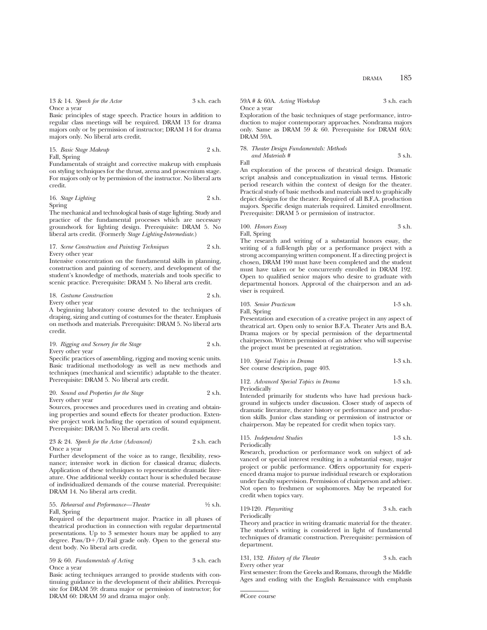| 13 & 14. Speech for the Actor | 3 s.h. each |
|-------------------------------|-------------|
| Once a vear                   |             |

Basic principles of stage speech. Practice hours in addition to regular class meetings will be required. DRAM 13 for drama majors only or by permission of instructor; DRAM 14 for drama majors only. No liberal arts credit.

15. *Basic Stage Makeup* 2 s.h. Fall, Spring

Fundamentals of straight and corrective makeup with emphasis on styling techniques for the thrust, arena and proscenium stage. For majors only or by permission of the instructor. No liberal arts credit.

16. *Stage Lighting* 2 s.h. Spring

The mechanical and technological basis of stage lighting. Study and practice of the fundamental processes which are necessary groundwork for lighting design. Prerequisite: DRAM 5. No liberal arts credit. (Formerly *Stage Lighting-Intermediate.*)

### 17. *Scene Construction and Painting Techniques* 2 s.h. Every other year

Intensive concentration on the fundamental skills in planning, construction and painting of scenery, and development of the student's knowledge of methods, materials and tools specific to scenic practice. Prerequisite: DRAM 5. No liberal arts credit.

18. *Costume Construction* 2 s.h. Every other year

A beginning laboratory course devoted to the techniques of draping, sizing and cutting of costumes for the theater. Emphasis on methods and materials. Prerequisite: DRAM 5. No liberal arts credit.

19. *Rigging and Scenery for the Stage* 2 s.h. Every other year

Specific practices of assembling, rigging and moving scenic units. Basic traditional methodology as well as new methods and techniques (mechanical and scientific) adaptable to the theater. Prerequisite: DRAM 5. No liberal arts credit.

20. *Sound and Properties for the Stage* 2 s.h. Every other year

Sources, processes and procedures used in creating and obtaining properties and sound effects for theater production. Extensive project work including the operation of sound equipment. Prerequisite: DRAM 5. No liberal arts credit.

### 23 & 24. *Speech for the Actor (Advanced)* 2 s.h. each Once a year

Further development of the voice as to range, flexibility, resonance; intensive work in diction for classical drama; dialects. Application of these techniques to representative dramatic literature. One additional weekly contact hour is scheduled because of individualized demands of the course material. Prerequisite: DRAM 14. No liberal arts credit.

### 55. *Rehearsal and Performance—Theater* 1/2 s.h. Fall, Spring

Required of the department major. Practice in all phases of theatrical production in connection with regular departmental presentations. Up to 3 semester hours may be applied to any degree. Pass/ $D+/D/Fail$  grade only. Open to the general student body. No liberal arts credit.

59 & 60. *Fundamentals of Acting* 3 s.h. each Once a year

Basic acting techniques arranged to provide students with continuing guidance in the development of their abilities. Prerequisite for DRAM 59: drama major or permission of instructor; for DRAM 60: DRAM 59 and drama major only.

|             | $59A \# \& 60A$ . Acting Workshop | 3 s.h. each |
|-------------|-----------------------------------|-------------|
| Once a vear |                                   |             |

Exploration of the basic techniques of stage performance, introduction to major contemporary approaches. Nondrama majors only. Same as DRAM 59 & 60. Prerequisite for DRAM 60A: DRAM 59A.

### 78. *Theater Design Fundamentals: Methods and Materials #* 3 s.h. Fall

An exploration of the process of theatrical design. Dramatic script analysis and conceptualization in visual terms. Historic period research within the context of design for the theater. Practical study of basic methods and materials used to graphically depict designs for the theater. Required of all B.F.A. production majors. Specific design materials required. Limited enrollment. Prerequisite: DRAM 5 or permission of instructor.

100. *Honors Essay* 3 s.h. Fall, Spring

The research and writing of a substantial honors essay, the writing of a full-length play or a performance project with a strong accompanying written component. If a directing project is chosen, DRAM 190 must have been completed and the student must have taken or be concurrently enrolled in DRAM 192. Open to qualified senior majors who desire to graduate with departmental honors. Approval of the chairperson and an adviser is required.

103. *Senior Practicum* 1-3 s.h.

Fall, Spring

Presentation and execution of a creative project in any aspect of theatrical art. Open only to senior B.F.A. Theater Arts and B.A. Drama majors or by special permission of the departmental chairperson. Written permission of an adviser who will supervise the project must be presented at registration.

| 110. Special Topics in Drama      | $1-3$ s.h. |
|-----------------------------------|------------|
| See course description, page 403. |            |

| 112. Advanced Special Topics in Drama | $1-3$ s.h. |
|---------------------------------------|------------|
| Periodically                          |            |

Intended primarily for students who have had previous background in subjects under discussion. Closer study of aspects of dramatic literature, theater history or performance and production skills. Junior class standing or permission of instructor or chairperson. May be repeated for credit when topics vary.

### 115. *Independent Studies* 1-3 s.h. Periodically

Research, production or performance work on subject of ad-

vanced or special interest resulting in a substantial essay, major project or public performance. Offers opportunity for experienced drama major to pursue individual research or exploration under faculty supervision. Permission of chairperson and adviser. Not open to freshmen or sophomores. May be repeated for credit when topics vary.

119-120. *Playwriting* 3 s.h. each

Periodically Theory and practice in writing dramatic material for the theater. The student's writing is considered in light of fundamental techniques of dramatic construction. Prerequisite: permission of department.

131, 132. *History of the Theater* 3 s.h. each Every other year

First semester: from the Greeks and Romans, through the Middle Ages and ending with the English Renaissance with emphasis

```
#Core course
```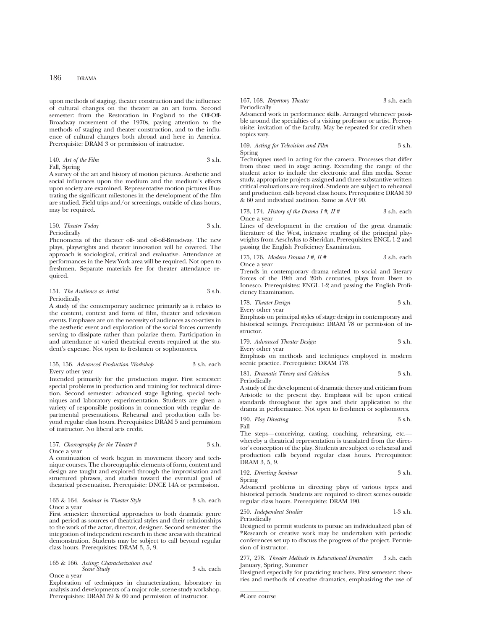upon methods of staging, theater construction and the influence of cultural changes on the theater as an art form. Second semester: from the Restoration in England to the Off-Off-Broadway movement of the 1970s, paying attention to the methods of staging and theater construction, and to the influence of cultural changes both abroad and here in America. Prerequisite: DRAM 3 or permission of instructor.

### 140. *Art of the Film* 3 s.h. Fall, Spring

A survey of the art and history of motion pictures. Aesthetic and social influences upon the medium and the medium's effects upon society are examined. Representative motion pictures illustrating the significant milestones in the development of the film are studied. Field trips and/or screenings, outside of class hours, may be required.

### 150. *Theater Today* 3 s.h. Periodically

Phenomena of the theater off- and off-off-Broadway. The new plays, playwrights and theater innovation will be covered. The approach is sociological, critical and evaluative. Attendance at performances in the New York area will be required. Not open to freshmen. Separate materials fee for theater attendance required.

## 151. *The Audience as Artist* 3 s.h. Periodically

A study of the contemporary audience primarily as it relates to the content, context and form of film, theater and television events. Emphases are on the necessity of audiences as co-artists in the aesthetic event and exploration of the social forces currently serving to dissipate rather than polarize them. Participation in and attendance at varied theatrical events required at the student's expense. Not open to freshmen or sophomores.

### 155, 156. *Advanced Production Workshop* 3 s.h. each Every other year

Intended primarily for the production major. First semester: special problems in production and training for technical direction. Second semester: advanced stage lighting, special techniques and laboratory experimentation. Students are given a variety of responsible positions in connection with regular departmental presentations. Rehearsal and production calls beyond regular class hours. Prerequisites: DRAM 5 and permission of instructor. No liberal arts credit.

### 157. *Choreography for the Theater* # 3 s.h. Once a year

A continuation of work begun in movement theory and technique courses. The choreographic elements of form, content and design are taught and explored through the improvisation and structured phrases, and studies toward the eventual goal of theatrical presentation. Prerequisite: DNCE 14A or permission.

#### 163 & 164. *Seminar in Theater Style* 3 s.h. each Once a year

First semester: theoretical approaches to both dramatic genre and period as sources of theatrical styles and their relationships to the work of the actor, director, designer. Second semester: the integration of independent research in these areas with theatrical demonstration. Students may be subject to call beyond regular class hours. Prerequisites: DRAM 3, 5, 9.

### 165 & 166. *Acting: Characterization and Scene Study* 3 s.h. each Once a year

Exploration of techniques in characterization, laboratory in analysis and developments of a major role, scene study workshop. Prerequisites: DRAM 59 & 60 and permission of instructor.

### 167, 168. *Repertory Theater* 3 s.h. each Periodically

Advanced work in performance skills. Arranged whenever possible around the specialties of a visiting professor or artist. Prerequisite: invitation of the faculty. May be repeated for credit when topics vary.

### 169. *Acting for Television and Film* 3 s.h. Spring

Techniques used in acting for the camera. Processes that differ from those used in stage acting. Extending the range of the student actor to include the electronic and film media. Scene study, appropriate projects assigned and three substantive written critical evaluations are required. Students are subject to rehearsal and production calls beyond class hours. Prerequisites: DRAM 59 & 60 and individual audition. Same as AVF 90.

173, 174. *History of the Drama I #, II #* 3 s.h. each Once a year

Lines of development in the creation of the great dramatic literature of the West, intensive reading of the principal playwrights from Aeschylus to Sheridan. Prerequisites: ENGL 1-2 and passing the English Proficiency Examination.

## 175, 176. *Modern Drama I #, II #* 3 s.h. each Once a year

Trends in contemporary drama related to social and literary forces of the 19th and 20th centuries, plays from Ibsen to Ionesco. Prerequisites: ENGL 1-2 and passing the English Proficiency Examination.

178. *Theater Design* 3 s.h.

Every other year

Emphasis on principal styles of stage design in contemporary and historical settings. Prerequisite: DRAM 78 or permission of instructor.

179. *Advanced Theater Design* 3 s.h. Every other year

Emphasis on methods and techniques employed in modern scenic practice. Prerequisite: DRAM 178.

181. *Dramatic Theory and Criticism* 3 s.h. Periodically

A study of the development of dramatic theory and criticism from Aristotle to the present day. Emphasis will be upon critical standards throughout the ages and their application to the drama in performance. Not open to freshmen or sophomores.

190. *Play Directing* 3 s.h. Fall

The steps—conceiving, casting, coaching, rehearsing, etc. whereby a theatrical representation is translated from the director's conception of the play. Students are subject to rehearsal and production calls beyond regular class hours. Prerequisites: DRAM 3, 5, 9.

192. *Directing Seminar* 3 s.h. Spring

Advanced problems in directing plays of various types and historical periods. Students are required to direct scenes outside regular class hours. Prerequisite: DRAM 190.

250. *Independent Studies* 1-3 s.h. Periodically

Designed to permit students to pursue an individualized plan of \*Research or creative work may be undertaken with periodic conferences set up to discuss the progress of the project. Permission of instructor.

277, 278. *Theater Methods in Educational Dramatics* 3 s.h. each January, Spring, Summer

Designed especially for practicing teachers. First semester: theories and methods of creative dramatics, emphasizing the use of

#Core course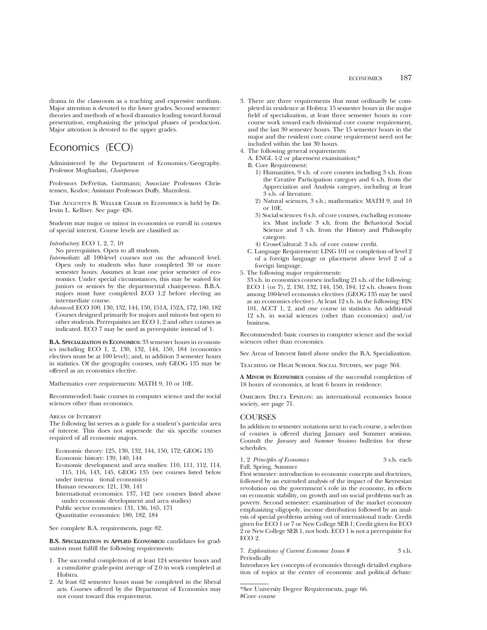drama in the classroom as a teaching and expressive medium. Major attention is devoted to the lower grades. Second semester: theories and methods of school dramatics leading toward formal presentation, emphasizing the principal phases of production. Major attention is devoted to the upper grades.

# Economics (ECO)

Administered by the Department of Economics/Geography. Professor Moghadam, *Chairperson*

Professors DeFreitas, Guttmann; Associate Professors Christensen, Kozlov; Assistant Professors Duffy, Mazzoleni.

The Augustus B. Weller Chair in Economics is held by Dr. Irwin L. Kellner. See page 426.

Students may major or minor in economics or enroll in courses of special interest. Course levels are classified as:

*Introductory*: ECO 1, 2, 7, 10

No prerequisites. Open to all students.

- *Intermediate*: all 100-level courses not on the advanced level. Open only to students who have completed 30 or more semester hours. Assumes at least one prior semester of economics. Under special circumstances, this may be waived for juniors or seniors by the departmental chairperson. B.B.A. majors must have completed ECO 1,2 before electing an intermediate course.
- *Advanced*: ECO 100, 130, 132, 144, 150, 151A, 152A, 172, 180, 182 Courses designed primarily for majors and minors but open to other students. Prerequisites are ECO 1, 2 and other courses as indicated. ECO 7 may be used as prerequisite instead of 1.

**B.A. SPECIALIZATION IN ECONOMICS:** 33 semester hours in economics including ECO 1, 2, 130, 132, 144, 150, 184 (economics electives must be at 100 level); and, in addition 3 semester hours in statistics. Of the geography courses, only GEOG 135 may be offered as an economics elective.

Mathematics core requirements: MATH 9, 10 or 10E.

Recommended: basic courses in computer science and the social sciences other than economics.

### Areas of Interest

The following list serves as a guide for a student's particular area of interest. This does not supersede the six specific courses required of all economic majors.

Economic theory: 125, 130, 132, 144, 150, 172; GEOG 135 Economic history: 139, 140, 144 Economic development and area studies: 110, 111, 112, 114, 115, 116, 143, 145, GEOG 135 (see courses listed below under interna tional economics) Human resources: 121, 130, 141 International economics: 137, 142 (see courses listed above under economic development and area studies) Public sector economics: 131, 136, 165, 171 Quantitative economics: 180, 182, 184

See complete B.A. requirements, page 82.

**B.S. SPECIALIZATION IN APPLIED ECONOMICS:** candidates for graduation must fulfill the following requirements:

- 1. The successful completion of at least 124 semester hours and a cumulative grade-point average of 2.0 in work completed at Hofstra.
- 2. At least 62 semester hours must be completed in the liberal arts. Courses offered by the Department of Economics may not count toward this requirement.
- 3. There are three requirements that must ordinarily be completed in residence at Hofstra: 15 semester hours in the major field of specialization, at least three semester hours in core course work toward each divisional core course requirement, and the last 30 semester hours. The 15 semester hours in the major and the resident core course requirement need not be included within the last 30 hours.
- 4. The following general requirements:
	- A. ENGL 1-2 or placement examination;\*
	- B. Core Requirement:
		- 1) Humanities, 9 s.h. of core courses including 3 s.h. from the Creative Participation category and 6 s.h. from the Appreciation and Analysis category, including at least 3 s.h. of literature.
		- 2) Natural sciences, 3 s.h.; mathematics: MATH 9, and 10 or 10E.
		- 3) Social sciences: 6 s.h. of core courses, excluding economics. Must include 3 s.h. from the Behavioral Social Science and 3 s.h. from the History and Philosophy category.
		- 4) Cross-Cultural: 3 s.h. of core course credit.
	- C. Language Requirement: LING 101 or completion of level 2 of a foreign language or placement above level 2 of a foreign language.
- 5. The following major requirements:
- 33 s.h. in economics courses: including 21 s.h. of the following: ECO 1 (or 7), 2, 130, 132, 144, 150, 184; 12 s.h. chosen from among 100-level economics electives (GEOG 135 may be used as an economics elective). At least 12 s.h. in the following: FIN 101, ACCT 1, 2, and one course in statistics. An additional 12 s.h. in social sciences (other than economics) and/or business.

Recommended: basic courses in computer science and the social sciences other than economics.

See Areas of Interest listed above under the B.A. Specialization.

Teaching of High School Social Studies, see page 364.

**A MINOR IN ECONOMICS** consists of the successful completion of 18 hours of economics, at least 6 hours in residence.

OMICRON DELTA EPSILON: an international economics honor society, see page 71.

## **COURSES**

In addition to semester notations next to each course, a selection of courses is offered during January and Summer sessions. Consult the *January* and *Summer Sessions* bulletins for these schedules.

1, 2 *Principles of Economics* 3 s.h. each Fall, Spring, Summer

First semester: introduction to economic concepts and doctrines, followed by an extended analysis of the impact of the Keynesian revolution on the government's role in the economy, its effects on economic stability, on growth and on social problems such as poverty. Second semester: examination of the market economy emphasizing oligopoly, income distribution followed by an analysis of special problems arising out of international trade. Credit given for ECO 1 or 7 or New College SEB 1; Credit given for ECO 2 or New College SEB 1, not both. ECO 1 is not a prerequisite for ECO 2.

7. *Explorations of Current Economic Issues #* 3 s.h. Periodically

Introduces key concepts of economics through detailed exploration of topics at the center of economic and political debate:

<sup>\*</sup>See University Degree Requirements, page 66. #Core course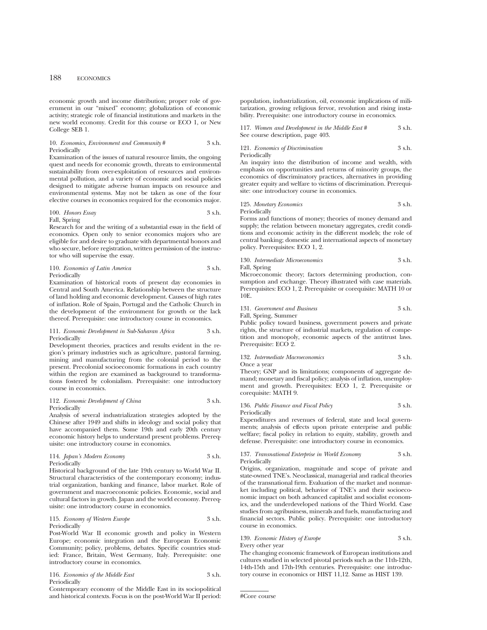economic growth and income distribution; proper role of government in our "mixed" economy; globalization of economic activity; strategic role of financial institutions and markets in the new world economy. Credit for this course or ECO 1, or New College SEB 1.

### 10. *Economics, Environment and Community* # 3 s.h. Periodically

Examination of the issues of natural resource limits, the ongoing quest and needs for economic growth, threats to environmental sustainability from over-exploitation of resources and environmental pollution, and a variety of economic and social policies designed to mitigate adverse human impacts on resource and environmental systems. May not be taken as one of the four elective courses in economics required for the economics major.

100. *Honors Essay* 3 s.h. Fall, Spring

Research for and the writing of a substantial essay in the field of economics. Open only to senior economics majors who are eligible for and desire to graduate with departmental honors and who secure, before registration, written permission of the instructor who will supervise the essay.

110. *Economics of Latin America* 3 s.h. Periodically

Examination of historical roots of present day economies in Central and South America. Relationship between the structure of land holding and economic development. Causes of high rates of inflation. Role of Spain, Portugal and the Catholic Church in the development of the environment for growth or the lack thereof. Prerequisite: one introductory course in economics.

### 111. *Economic Development in Sub-Saharan Africa* 3 s.h. Periodically

Development theories, practices and results evident in the region's primary industries such as agriculture, pastoral farming, mining and manufacturing from the colonial period to the present. Precolonial socioeconomic formations in each country within the region are examined as background to transformations fostered by colonialism. Prerequisite: one introductory course in economics.

### 112. *Economic Development of China* 3 s.h. Periodically

Analysis of several industrialization strategies adopted by the Chinese after 1949 and shifts in ideology and social policy that have accompanied them. Some 19th and early 20th century economic history helps to understand present problems. Prerequisite: one introductory course in economics.

### 114. *Japan's Modern Economy* 3 s.h. Periodically

Historical background of the late 19th century to World War II. Structural characteristics of the contemporary economy; industrial organization, banking and finance, labor market. Role of government and macroeconomic policies. Economic, social and cultural factors in growth. Japan and the world economy. Prerequisite: one introductory course in economics.

### 115. *Economy of Western Europe* 3 s.h. Periodically

Post-World War II economic growth and policy in Western Europe; economic integration and the European Economic Community; policy, problems, debates. Specific countries studied: France, Britain, West Germany, Italy. Prerequisite: one introductory course in economics.

116. *Economics of the Middle East* 3 s.h. Periodically

Contemporary economy of the Middle East in its sociopolitical and historical contexts. Focus is on the post-World War II period: population, industrialization, oil, economic implications of militarization, growing religious fervor, revolution and rising instability. Prerequisite: one introductory course in economics.

| 117. Women and Development in the Middle East # | 3 s.h. |
|-------------------------------------------------|--------|
| See course description, page 403.               |        |

121. *Economics of Discrimination* 3 s.h.

Periodically

An inquiry into the distribution of income and wealth, with emphasis on opportunities and returns of minority groups, the economics of discriminatory practices, alternatives in providing greater equity and welfare to victims of discrimination. Prerequisite: one introductory course in economics.

### 125. *Monetary Economics* 3 s.h. Periodically

Forms and functions of money; theories of money demand and supply; the relation between monetary aggregates, credit conditions and economic activity in the different models; the role of central banking; domestic and international aspects of monetary policy. Prerequisites: ECO 1, 2.

130. *Intermediate Microeconomics* 3 s.h.

Fall, Spring

Microeconomic theory; factors determining production, consumption and exchange. Theory illustrated with case materials. Prerequisites: ECO 1, 2. Prerequisite or corequisite: MATH 10 or 10E.

131. *Government and Business* 3 s.h.

Fall, Spring, Summer

Public policy toward business, government powers and private rights, the structure of industrial markets, regulation of competition and monopoly, economic aspects of the antitrust laws. Prerequisite: ECO 2.

132. *Intermediate Macroeconomics* 3 s.h. Once a year

Theory; GNP and its limitations; components of aggregate demand; monetary and fiscal policy; analysis of inflation, unemployment and growth. Prerequisites: ECO 1, 2. Prerequisite or corequisite: MATH 9.

### 136. *Public Finance and Fiscal Policy* 3 s.h. Periodically

Expenditures and revenues of federal, state and local governments; analysis of effects upon private enterprise and public welfare; fiscal policy in relation to equity, stability, growth and defense. Prerequisite: one introductory course in economics.

### 137. *Transnational Enterprise in World Economy* 3 s.h. Periodically

Origins, organization, magnitude and scope of private and state-owned TNE's. Neoclassical, managerial and radical theories of the transnational firm. Evaluation of the market and nonmarket including political, behavior of TNE's and their socioeconomic impact on both advanced capitalist and socialist economics, and the underdeveloped nations of the Third World. Case studies from agribusiness, minerals and fuels, manufacturing and financial sectors. Public policy. Prerequisite: one introductory course in economics.

### 139. *Economic History of Europe* 3 s.h.

Every other year

The changing economic framework of European institutions and cultures studied in selected pivotal periods such as the 11th-12th, 14th-15th and 17th-19th centuries. Prerequisite: one introductory course in economics or HIST 11,12. Same as HIST 139.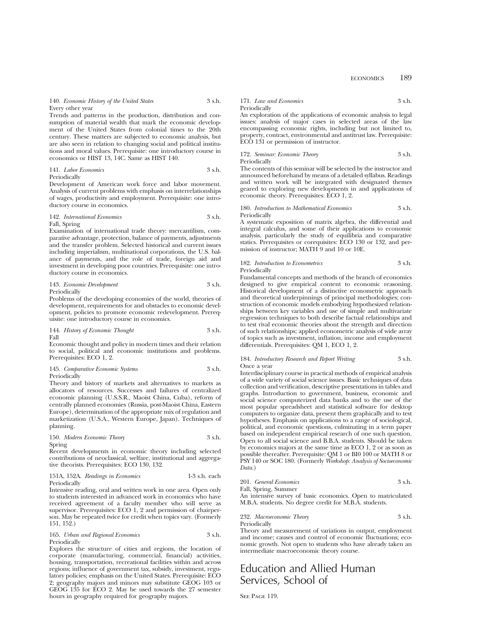140. *Economic History of the United States* 3 s.h. Every other year

Trends and patterns in the production, distribution and consumption of material wealth that mark the economic development of the United States from colonial times to the 20th century. These matters are subjected to economic analysis, but are also seen in relation to changing social and political institutions and moral values. Prerequisite: one introductory course in economics or HIST 13, 14C. Same as HIST 140.

141. *Labor Economics* 3 s.h. Periodically

Development of American work force and labor movement. Analysis of current problems with emphasis on interrelationships of wages, productivity and employment. Prerequisite: one introductory course in economics.

### 142. *International Economics* 3 s.h. Fall, Spring

Examination of international trade theory: mercantilism, comparative advantage, protection, balance of payments, adjustments and the transfer problem. Selected historical and current issues including imperialism, multinational corporations, the U.S. balance of payments, and the role of trade, foreign aid and investment in developing poor countries. Prerequisite: one introductory course in economics.

143. *Economic Development* 3 s.h. Periodically

Problems of the developing economies of the world, theories of development, requirements for and obstacles to economic development, policies to promote economic redevelopment. Prerequisite: one introductory course in economics.

144. *History of Economic Thought* 3 s.h. Fall

Economic thought and policy in modern times and their relation to social, political and economic institutions and problems. Prerequisites: ECO 1, 2.

### 145. *Comparative Economic Systems* 3 s.h. Periodically

Theory and history of markets and alternatives to markets as allocators of resources. Successes and failures of centralized economic planning (U.S.S.R., Maoist China, Cuba), reform of centrally planned economies (Russia, post-Maoist China, Eastern Europe), determination of the appropriate mix of regulation and marketization (U.S.A., Western Europe, Japan). Techniques of planning.

### 150. *Modern Economic Theory* 3 s.h. Spring

Recent developments in economic theory including selected contributions of neoclassical, welfare, institutional and aggregative theorists. Prerequisites: ECO 130, 132.

151A, 152A. *Readings in Economics* 1-3 s.h. each Periodically

Intensive reading, oral and written work in one area. Open only to students interested in advanced work in economics who have received agreement of a faculty member who will serve as supervisor. Prerequisites: ECO 1, 2 and permission of chairperson. May be repeated twice for credit when topics vary. (Formerly 151, 152.)

165. *Urban and Regional Economics* 3 s.h. Periodically

Explores the structure of cities and regions, the location of corporate (manufacturing, commercial, financial) activities, housing, transportation, recreational facilities within and across regions; influence of government tax, subsidy, investment, regulatory policies; emphasis on the United States. Prerequisite: ECO 2; geography majors and minors may substitute GEOG 103 or GEOG 135 for ECO 2. May be used towards the 27 semester hours in geography required for geography majors.

171. *Law and Economics* 3 s.h. Periodically

An exploration of the applications of economic analysis to legal issues: analysis of major cases in selected areas of the law encompassing economic rights, including but not limited to, property, contract, environmental and antitrust law. Prerequisite: ECO 131 or permission of instructor.

172. *Seminar: Economic Theory* 3 s.h. Periodically

The contents of this seminar will be selected by the instructor and announced beforehand by means of a detailed syllabus. Readings and written work will be integrated with designated themes geared to exploring new developments in and applications of economic theory. Prerequisites: ECO 1, 2.

### 180. *Introduction to Mathematical Economics* 3 s.h. Periodically

A systematic exposition of matrix algebra, the differential and integral calculus, and some of their applications to economic analysis, particularly the study of equilibria and comparative statics. Prerequisites or corequisites: ECO 130 or 132, and permission of instructor; MATH 9 and 10 or 10E.

### 182. *Introduction to Econometrics* 3 s.h. Periodically

Fundamental concepts and methods of the branch of economics designed to give empirical content to economic reasoning. Historical development of a distinctive econometric approach and theoretical underpinnings of principal methodologies; construction of economic models embodying hypothesized relationships between key variables and use of simple and multivariate regression techniques to both describe factual relationships and to test rival economic theories about the strength and direction of such relationships; applied econometric analysis of wide array of topics such as investment, inflation, income and employment differentials. Prerequisites: QM 1, ECO 1, 2.

### 184. *Introductory Research and Report Writing* 3 s.h. Once a year

Interdisciplinary course in practical methods of empirical analysis of a wide variety of social science issues. Basic techniques of data collection and verification, descriptive presentations in tables and graphs. Introduction to government, business, economic and social science computerized data banks and to the use of the most popular spreadsheet and statistical software for desktop computers to organize data, present them graphically and to test hypotheses. Emphasis on applications to a range of sociological, political, and economic questions, culminating in a term paper based on independent empirical research of one such question. Open to all social science and B.B.A. students. Should be taken by economics majors at the same time as ECO 1, 2 or as soon as possible thereafter. Prerequisite: QM 1 or BI0 100 or MATH 8 or PSY 140 or SOC 180. (Formerly *Workshop: Analysis of Socioeconomic Data.*)

201. *General Economics* 3 s.h. Fall, Spring, Summer

An intensive survey of basic economics. Open to matriculated M.B.A. students. No degree credit for M.B.A. students.

232. *Macroeconomic Theory* 3 s.h. Periodically

Theory and measurement of variations in output, employment and income; causes and control of economic fluctuations; economic growth. Not open to students who have already taken an intermediate macroeconomic theory course.

# Education and Allied Human Services, School of

SEE PAGE 119.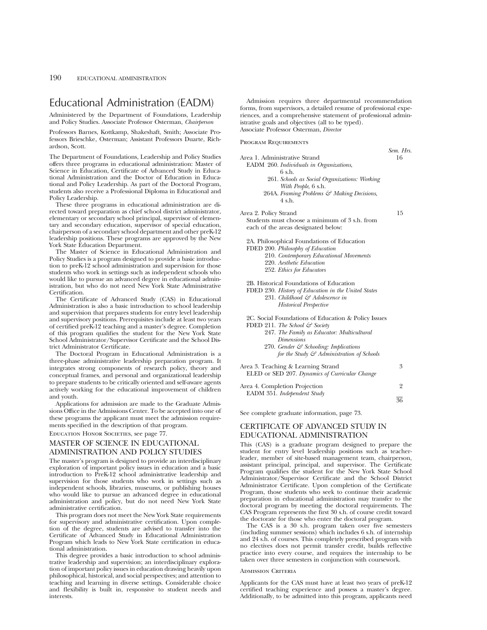# Educational Administration (EADM)

Administered by the Department of Foundations, Leadership and Policy Studies. Associate Professor Osterman, *Chairperson*

Professors Barnes, Kottkamp, Shakeshaft, Smith; Associate Professors Brieschke, Osterman; Assistant Professors Duarte, Richardson, Scott.

The Department of Foundations, Leadership and Policy Studies offers three programs in educational administration: Master of Science in Education, Certificate of Advanced Study in Educational Administration and the Doctor of Education in Educational and Policy Leadership. As part of the Doctoral Program, students also receive a Professional Diploma in Educational and Policy Leadership.

These three programs in educational administration are directed toward preparation as chief school district administrator, elementary or secondary school principal, supervisor of elementary and secondary education, supervisor of special education, chairperson of a secondary school department and other preK-12 leadership positions. These programs are approved by the New York State Education Department.

The Master of Science in Educational Administration and Policy Studies is a program designed to provide a basic introduction to preK-12 school administration and supervision for those students who work in settings such as independent schools who would like to pursue an advanced degree in educational administration, but who do not need New York State Administrative Certification.

The Certificate of Advanced Study (CAS) in Educational Administration is also a basic introduction to school leadership and supervision that prepares students for entry level leadership and supervisory positions. Prerequisites include at least two years of certified preK-12 teaching and a master's degree. Completion of this program qualifies the student for the New York State School Administrator/Supervisor Certificate and the School District Administrator Certificate.

The Doctoral Program in Educational Administration is a three-phase administrative leadership preparation program. It integrates strong components of research policy, theory and conceptual frames, and personal and organizational leadership to prepare students to be critically oriented and self-aware agents actively working for the educational improvement of children and youth.

Applications for admission are made to the Graduate Admissions Office in the Admissions Center. To be accepted into one of these programs the applicant must meet the admission requirements specified in the description of that program.

Education Honor Societies, see page 77.

# MASTER OF SCIENCE IN EDUCATIONAL ADMINISTRATION AND POLICY STUDIES

The master's program is designed to provide an interdisciplinary exploration of important policy issues in education and a basic introduction to PreK-12 school administrative leadership and supervision for those students who work in settings such as independent schools, libraries, museums, or publishing houses who would like to pursue an advanced degree in educational administration and policy, but do not need New York State administrative certification.

This program does not meet the New York State requirements for supervisory and administrative certification. Upon completion of the degree, students are advised to transfer into the Certificate of Advanced Study in Educational Administration Program which leads to New York State certification in educational administration.

This degree provides a basic introduction to school administrative leadership and supervision; an interdisciplinary exploration of important policy issues in education drawing heavily upon philosophical, historical, and social perspectives; and attention to teaching and learning in diverse settings. Considerable choice and flexibility is built in, responsive to student needs and interests.

Admission requires three departmental recommendation forms, from supervisors, a detailed resume of professional experiences, and a comprehensive statement of professional administrative goals and objectives (all to be typed). Associate Professor Osterman, *Director*

Program Requirements

|                                                       | Sem. Hrs.      |
|-------------------------------------------------------|----------------|
| Area 1. Administrative Strand                         | 16             |
| EADM 260. Individuals in Organizations,               |                |
| 6 s.h.                                                |                |
| 261. Schools as Social Organizations: Working         |                |
| With People, 6 s.h.                                   |                |
| 264A. Framing Problems & Making Decisions,            |                |
| $4 \,$ s.h.                                           |                |
|                                                       | 15             |
| Area 2. Policy Strand                                 |                |
| Students must choose a minimum of 3 s.h. from         |                |
| each of the areas designated below:                   |                |
| 2A. Philosophical Foundations of Education            |                |
| FDED 200. Philosophy of Education                     |                |
| 210. Contemporary Educational Movements               |                |
| 220. Aesthetic Education                              |                |
| 252. Ethics for Educators                             |                |
| 2B. Historical Foundations of Education               |                |
| FDED 230. History of Education in the United States   |                |
| 231. Childhood & Adolescence in                       |                |
| <b>Historical Perspective</b>                         |                |
|                                                       |                |
| 2C. Social Foundations of Education & Policy Issues   |                |
| FDED 211. The School & Society                        |                |
| 247. The Family as Educator: Multicultural            |                |
| <i>Dimensions</i>                                     |                |
| 270. Gender & Schooling: Implications                 |                |
| for the Study $\mathcal{F}$ Administration of Schools |                |
|                                                       |                |
| Area 3. Teaching & Learning Strand                    | 3              |
| ELED or SED 207. Dynamics of Curricular Change        |                |
| Area 4. Completion Projection                         | $\overline{2}$ |
| EADM 351. Independent Study                           |                |
|                                                       | 36             |
| See complete graduate information, page 73.           |                |
|                                                       |                |

# CERTIFICATE OF ADVANCED STUDY IN EDUCATIONAL ADMINISTRATION

This (CAS) is a graduate program designed to prepare the student for entry level leadership positions such as teacherleader, member of site-based management team, chairperson, assistant principal, principal, and supervisor. The Certificate Program qualifies the student for the New York State School Administrator/Supervisor Certificate and the School District Administrator Certificate. Upon completion of the Certificate Program, those students who seek to continue their academic preparation in educational administration may transfer to the doctoral program by meeting the doctoral requirements. The CAS Program represents the first 30 s.h. of course credit toward the doctorate for those who enter the doctoral program.

The CAS is a 30 s.h. program taken over five semesters (including summer sessions) which includes 6 s.h. of internship and 24 s.h. of courses. This completely prescribed program with no electives does not permit transfer credit, builds reflective practice into every course, and requires the internship to be taken over three semesters in conjunction with coursework.

### Admission Criteria

Applicants for the CAS must have at least two years of preK-12 certified teaching experience and possess a master's degree. Additionally, to be admitted into this program, applicants need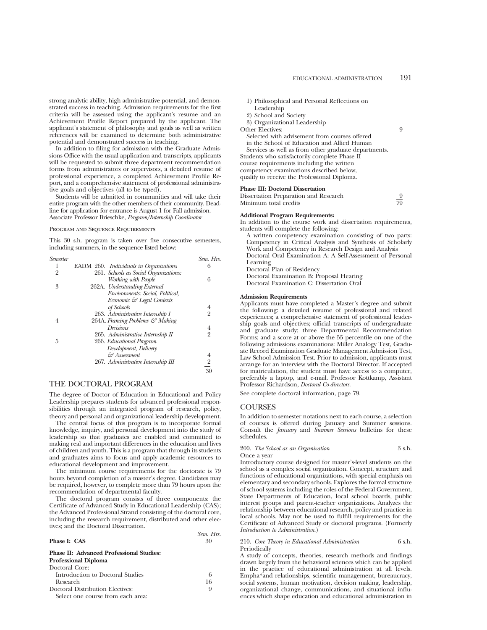strong analytic ability, high administrative potential, and demonstrated success in teaching. Admission requirements for the first criteria will be assessed using the applicant's resume and an Achievement Profile Report prepared by the applicant. The applicant's statement of philosophy and goals as well as written references will be examined to determine both administrative potential and demonstrated success in teaching.

In addition to filing for admission with the Graduate Admissions Office with the usual application and transcripts, applicants will be requested to submit three department recommendation forms from administrators or supervisors, a detailed resume of professional experience, a completed Achievement Profile Report, and a comprehensive statement of professional administrative goals and objectives (all to be typed).

Students will be admitted in communities and will take their entire program with the other members of their community. Deadline for application for entrance is August 1 for Fall admission. Associate Professor Brieschke, *Program/Internship Coordinator*

### Program and Sequence Requirements

This 30 s.h. program is taken over five consecutive semesters, including summers, in the sequence listed below:

| <b>Semester</b> |                                        | Sem. Hrs.               |
|-----------------|----------------------------------------|-------------------------|
|                 | EADM 260. Individuals in Organizations | 6                       |
| 2               | 261. Schools as Social Organizations:  |                         |
|                 | Working with People                    | 6                       |
| 3               | 262A. Understanding External           |                         |
|                 | Environments: Social, Political,       |                         |
|                 | Economic & Legal Contexts              |                         |
|                 | of Schools                             | 4                       |
|                 | 263. Administrative Internship I       | $\overline{2}$          |
| 4               | 264A. Framing Problems & Making        |                         |
|                 | Decisions                              | 4                       |
|                 | 265. Administrative Internship II      | $\overline{2}$          |
| 5               | 266. Educational Program               |                         |
|                 | Development, Delivery                  |                         |
|                 | & Assessment                           | 4                       |
|                 | 267. Administrative Internship III     | $\overline{\mathbf{c}}$ |
|                 |                                        | 30                      |
|                 |                                        |                         |

## THE DOCTORAL PROGRAM

The degree of Doctor of Education in Educational and Policy Leadership prepares students for advanced professional responsibilities through an integrated program of research, policy, theory and personal and organizational leadership development.

The central focus of this program is to incorporate formal knowledge, inquiry, and personal development into the study of leadership so that graduates are enabled and committed to making real and important differences in the education and lives of children and youth. This is a program that through its students and graduates aims to focus and apply academic resources to educational development and improvement.

The minimum course requirements for the doctorate is 79 hours beyond completion of a master's degree. Candidates may be required, however, to complete more than 79 hours upon the recommendation of departmental faculty.

The doctoral program consists of three components: the Certificate of Advanced Study in Educational Leadership (CAS); the Advanced Professional Strand consisting of the doctoral core, including the research requirement, distributed and other electives; and the Doctoral Dissertation.

### **Phase I: CAS** 30

### **Phase II: Advanced Professional Studies: Professional Diploma**

| Doctoral Core:                    |    |
|-----------------------------------|----|
| Introduction to Doctoral Studies  | 6  |
| Research                          | 16 |
| Doctoral Distribution Electives:  | Q  |
| Select one course from each area: |    |

- 1) Philosophical and Personal Reflections on Leadership
- 2) School and Society
- 3) Organizational Leadership
- Other Electives: 9
- Selected with advisement from courses offered in the School of Education and Allied Human Services as well as from other graduate departments. Students who satisfactorily complete Phase II

course requirements including the written competency examinations described below, qualify to receive the Professional Diploma.

### **Phase III: Doctoral Dissertation**

| Dissertation Preparation and Research |    |
|---------------------------------------|----|
| Minimum total credits                 | 79 |

### **Additional Program Requirements:**

In addition to the course work and dissertation requirements, students will complete the following:

A written competency examination consisting of two parts: Competency in Critical Analysis and Synthesis of Scholarly Work and Competency in Research Design and Analysis Doctoral Oral Examination A: A Self-Assessment of Personal Learning Doctoral Plan of Residency Doctoral Examination B: Proposal Hearing Doctoral Examination C: Dissertation Oral

### **Admission Requirements**

Applicants must have completed a Master's degree and submit the following: a detailed resume of professional and related experiences; a comprehensive statement of professional leadership goals and objectives; official transcripts of undergraduate and graduate study; three Departmental Recommendation Forms; and a score at or above the 55 percentile on one of the following admissions examinations: Miller Analogy Test, Graduate Record Examination Graduate Management Admission Test, Law School Admission Test. Prior to admission, applicants must arrange for an interview with the Doctoral Director. If accepted for matriculation, the student must have access to a computer, preferably a laptop, and e-mail. Professor Kottkamp, Assistant Professor Richardson, *Doctoral Co-directors*.

See complete doctoral information, page 79.

### **COURSES**

*Sem. Hrs.*

In addition to semester notations next to each course, a selection of courses is offered during January and Summer sessions. Consult the *January* and *Summer Sessions* bulletins for these schedules.

### 200. *The School as an Organization* 3 s.h. Once a year

Introductory course designed for master's-level students on the school as a complex social organization. Concept, structure and functions of educational organizations, with special emphasis on elementary and secondary schools. Explores the formal structure of school systems including the roles of the Federal Government, State Departments of Education, local school boards, public interest groups and parent-teacher organizations. Analyzes the relationship between educational research, policy and practice in local schools. May not be used to fulfill requirements for the Certificate of Advanced Study or doctoral programs. (Formerly *Introduction to Administration*.)

### 210. *Core Theory in Educational Administration* 6 s.h. Periodically

A study of concepts, theories, research methods and findings drawn largely from the behavioral sciences which can be applied in the practice of educational administration at all levels. Empha\*and relationships, scientific management, bureaucracy, social systems, human motivation, decision making, leadership, organizational change, communications, and situational influences which shape education and educational administration in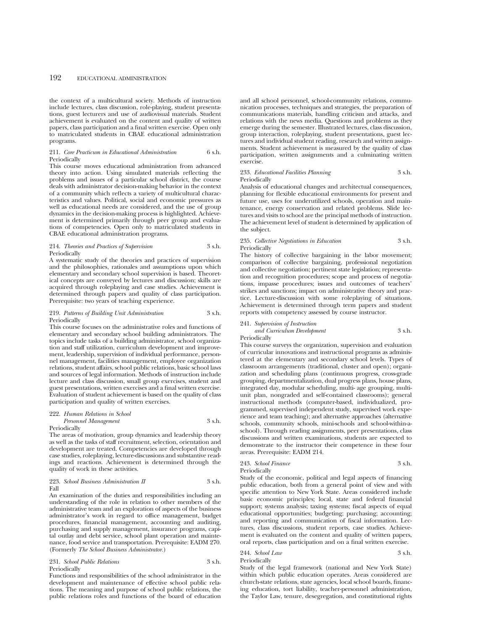the context of a multicultural society. Methods of instruction include lectures, class discussion, role-playing, student presentations, guest lecturers and use of audiovisual materials. Student achievement is evaluated on the content and quality of written papers, class participation and a final written exercise. Open only to matriculated students in CBAE educational administration programs.

### 211. *Core Practicum in Educational Administration* 6 s.h. Periodically

This course moves educational administration from advanced theory into action. Using simulated materials reflecting the problems and issues of a particular school district, the course deals with administrator decision-making behavior in the context of a community which reflects a variety of multicultural characteristics and values. Political, social and economic pressures as well as educational needs are considered, and the use of group dynamics in the decision-making process is highlighted. Achievement is determined primarily through peer group and evaluations of competencies. Open only to matriculated students in CBAE educational administration programs.

### 214. *Theories and Practices of Supervision* 3 s.h. Periodically

A systematic study of the theories and practices of supervision and the philosophies, rationales and assumptions upon which elementary and secondary school supervision is based. Theoretical concepts are conveyed by lectures and discussion; skills are acquired through roleplaying and case studies. Achievement is determined through papers and quality of class participation. Prerequisite: two years of teaching experience.

### 219. *Patterns of Building Unit Administration* 3 s.h. Periodically

This course focuses on the administrative roles and functions of elementary and secondary school building administrators. The topics include tasks of a building administrator, school organization and staff utilization, curriculum development and improvement, leadership, supervision of individual performance, personnel management, facilities management, employee organization relations, student affairs, school public relations, basic school laws and sources of legal information. Methods of instruction include lecture and class discussion, small group exercises, student and guest presentations, written exercises and a final written exercise. Evaluation of student achievement is based on the quality of class participation and quality of written exercises.

### 222. *Human Relations in School Personnel Management* 3 s.h.

### Periodically

The areas of motivation, group dynamics and leadership theory as well as the tasks of staff recruitment, selection, orientation and development are treated. Competencies are developed through case studies, roleplaying, lecture-discussions and substantive readings and reactions. Achievement is determined through the quality of work in these activities.

### 223. *School Business Administration II* 3 s.h. Fall

An examination of the duties and responsibilities including an understanding of the role in relation to other members of the administrative team and an exploration of aspects of the business administrator's work in regard to office management, budget procedures, financial management, accounting and auditing, purchasing and supply management, insurance programs, capital outlay and debt service, school plant operation and maintenance, food service and transportation. Prerequisite: EADM 270. (Formerly *The School Business Administrator.*)

231. *School Public Relations* 3 s.h. Periodically

Functions and responsibilities of the school administrator in the development and maintenance of effective school public relations. The meaning and purpose of school public relations, the public relations roles and functions of the board of education and all school personnel, school-community relations, communication processes, techniques and strategies, the preparation of communications materials, handling criticism and attacks, and relations with the news media. Questions and problems as they emerge during the semester. Illustrated lectures, class discussion, group interaction, roleplaying, student presentations, guest lectures and individual student reading, research and written assignments. Student achievement is measured by the quality of class participation, written assignments and a culminating written exercise.

### 233. *Educational Facilities Planning* 3 s.h. Periodically

Analysis of educational changes and architectual consequences, planning for flexible educational environments for present and future use, uses for underutilized schools, operation and maintenance, energy conservation and related problems. Slide lectures and visits to school are the principal methods of instruction. The achievement level of student is determined by application of the subject.

### 235. *Collective Negotiations in Education* 3 s.h. Periodically

The history of collective bargaining in the labor movement; comparison of collective bargaining, professional negotiation and collective negotiation; pertinent state legislation; representation and recognition procedures; scope and process of negotiations, impasse procedures; issues and outcomes of teachers' strikes and sanctions; impact on administrative theory and practice. Lecture-discussion with some roleplaying of situations. Achievement is determined through term papers and student reports with competency assessed by course instructor.

### 241. *Supervision of Instruction*

*and Curriculum Development* 3 s.h. Periodically

This course surveys the organization, supervision and evaluation of curricular innovations and instructional programs as administered at the elementary and secondary school levels. Types of classroom arrangements (traditional, cluster and open); organization and scheduling plans (continuous progress, cross-grade grouping, departmentalization, dual progress plans, house plans, integrated day, modular scheduling, multi- age grouping, multiunit plan, nongraded and self-contained classrooms); general instructional methods (computer-based, individualized, programmed, supervised independent study, supervised work experience and team teaching); and alternative approaches (alternative schools, community schools, mini-schools and school-within-aschool). Through reading assignments, peer presentations, class discussions and written examinations, students are expected to demonstrate to the instructor their competence in these four areas. Prerequisite: EADM 214.

243. *School Finance* 3 s.h.

Periodically

Study of the economic, political and legal aspects of financing public education, both from a general point of view and with specific attention to New York State. Areas considered include basic economic principles; local, state and federal financial support; systems analysis; taxing systems; fiscal aspects of equal educational opportunities; budgeting; purchasing; accounting; and reporting and communication of fiscal information. Lectures, class discussions, student reports, case studies. Achievement is evaluated on the content and quality of written papers, oral reports, class participation and on a final written exercise.

### 244. *School Law* 3 s.h. Periodically

Study of the legal framework (national and New York State) within which public education operates. Areas considered are church-state relations, state agencies, local school boards, financing education, tort liability, teacher-personnel administration, the Taylor Law, tenure, desegregation, and constitutional rights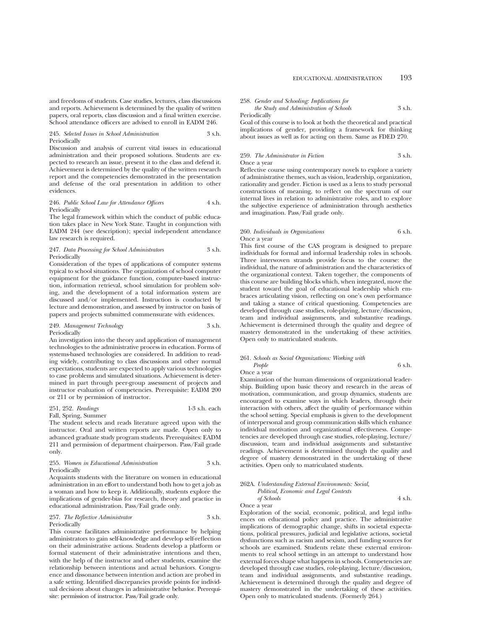and freedoms of students. Case studies, lectures, class discussions and reports. Achievement is determined by the quality of written papers, oral reports, class discussion and a final written exercise. School attendance officers are advised to enroll in EADM 246.

### 245. *Selected Issues in School Administration* 3 s.h. Periodically

Discussion and analysis of current vital issues in educational administration and their proposed solutions. Students are expected to research an issue, present it to the class and defend it. Achievement is determined by the quality of the written research report and the competencies demonstrated in the presentation and defense of the oral presentation in addition to other evidences.

### 246. *Public School Law for Attendance Officers* 4 s.h. Periodically

The legal framework within which the conduct of public education takes place in New York State. Taught in conjunction with EADM 244 (see description); special independent attendance law research is required.

### 247. *Data Processing for School Administrators* 3 s.h. Periodically

Consideration of the types of applications of computer systems typical to school situations. The organization of school computer equipment for the guidance function, computer-based instruction, information retrieval, school simulation for problem solving, and the development of a total information system are discussed and/or implemented. Instruction is conducted by lecture and demonstration, and assessed by instructor on basis of papers and projects submitted commensurate with evidences.

### 249. *Management Technology* 3 s.h. Periodically

An investigation into the theory and application of management technologies to the administrative process in education. Forms of systems-based technologies are considered. In addition to reading widely, contributing to class discussions and other normal expectations, students are expected to apply various technologies to case problems and simulated situations. Achievement is determined in part through peer-group assessment of projects and instructor evaluation of competencies. Prerequisite: EADM 200 or 211 or by permission of instructor.

### 251, 252. *Readings* 1-3 s.h. each Fall, Spring, Summer

The student selects and reads literature agreed upon with the instructor. Oral and written reports are made. Open only to advanced graduate study program students. Prerequisites: EADM 211 and permission of department chairperson. Pass/Fail grade only.

### 255. *Women in Educational Administration* 3 s.h. Periodically

Acquaints students with the literature on women in educational administration in an effort to understand both how to get a job as a woman and how to keep it. Additionally, students explore the implications of gender-bias for research, theory and practice in educational administration. Pass/Fail grade only.

### 257. *The Reflective Administrator* 3 s.h. Periodically

This course facilitates administrative performance by helping administrators to gain self-knowledge and develop self-reflection on their administrative actions. Students develop a platform or formal statement of their administrative intentions and then, with the help of the instructor and other students, examine the relationship between intentions and actual behaviors. Congruence and dissonance between intention and action are probed in a safe setting. Identified discrepancies provide points for individual decisions about changes in administrative behavior. Prerequisite: permission of instructor. Pass/Fail grade only.

## 258. *Gender and Schooling: Implications for*

*the Study and Administration of Schools* 3 s.h.

Periodically

Goal of this course is to look at both the theoretical and practical implications of gender, providing a framework for thinking about issues as well as for acting on them. Same as FDED 270.

## 259. *The Administrator in Fiction* 3 s.h. Once a year

Reflective course using contemporary novels to explore a variety of administrative themes, such as vision, leadership, organization, rationality and gender. Fiction is used as a lens to study personal constructions of meaning, to reflect on the spectrum of our internal lives in relation to administrative roles, and to explore the subjective experience of administration through aesthetics and imagination. Pass/Fail grade only.

## 260. *Individuals in Organizations* 6 s.h. Once a year

This first course of the CAS program is designed to prepare individuals for formal and informal leadership roles in schools. Three interwoven strands provide focus to the course: the individual, the nature of administration and the characteristics of the organizational context. Taken together, the components of this course are building blocks which, when integrated, move the student toward the goal of educational leadership which embraces articulating vision, reflecting on one's own performance and taking a stance of critical questioning. Competencies are developed through case studies, role-playing, lecture/discussion, team and individual assignments, and substantive readings. Achievement is determined through the quality and degree of mastery demonstrated in the undertaking of these activities. Open only to matriculated students.

## 261. *Schools as Social Organizations: Working with People* 6 s.h.

Once a year

Examination of the human dimensions of organizational leadership. Building upon basic theory and research in the areas of motivation, communication, and group dynamics, students are encouraged to examine ways in which leaders, through their interaction with others, affect the quality of performance within the school setting. Special emphasis is given to the development of interpersonal and group communication skills which enhance individual motivation and organizational effectiveness. Competencies are developed through case studies, role-playing, lecture/ discussion, team and individual assignments and substantive readings. Achievement is determined through the quality and degree of mastery demonstrated in the undertaking of these activities. Open only to matriculated students.

| 262A. Understanding External Environments: Social,         |        |
|------------------------------------------------------------|--------|
| Political, Economic and Legal Contexts                     |        |
| of Schools                                                 | 4 s.h. |
| Once a year                                                |        |
| $\mathbf{r}$ , and the state $\mathbf{r}$ and $\mathbf{r}$ |        |

Exploration of the social, economic, political, and legal influences on educational policy and practice. The administrative implications of demographic change, shifts in societal expectations, political pressures, judicial and legislative actions, societal dysfunctions such as racism and sexism, and funding sources for schools are examined. Students relate these external environments to real school settings in an attempt to understand how external forces shape what happens in schools. Competencies are developed through case studies, role-playing, lecture/discussion, team and individual assignments, and substantive readings. Achievement is determined through the quality and degree of mastery demonstrated in the undertaking of these activities. Open only to matriculated students. (Formerly 264.)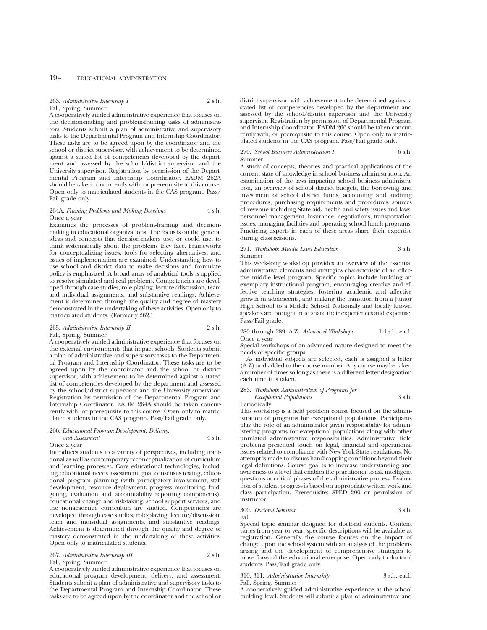### 263. *Administrative Internship I* 2 s.h. Fall, Spring, Summer

A cooperatively guided administrative experience that focuses on the decision-making and problem-framing tasks of administrators. Students submit a plan of administrative and supervisory tasks to the Departmental Program and Internship Coordinator. These tasks are to be agreed upon by the coordinator and the school or district supervisor, with achievement to be determined against a stated list of competencies developed by the department and assessed by the school/district supervisor and the University supervisor. Registration by permission of the Departmental Program and Internship Coordinator. EADM 262A should be taken concurrently with, or prerequisite to this course. Open only to matriculated students in the CAS program. Pass/ Fail grade only.

### 264A. *Framing Problems and Making Decisions* 4 s.h. Once a year

Examines the processes of problem-framing and decisionmaking in educational organizations. The focus is on the general ideas and concepts that decision-makers use, or could use, to think systematically about the problems they face. Frameworks for conceptualizing issues, tools for selecting alternatives, and issues of implementation are examined. Understanding how to use school and district data to make decisions and formulate policy is emphasized. A broad array of analytical tools is applied to resolve simulated and real problems. Competencies are developed through case studies, role-playing, lecture/discussion, team and individual assignments, and substantive readings. Achievement is determined through the quality and degree of mastery demonstrated in the undertaking of these activities. Open only to matriculated students. (Formerly 262.)

### 265. *Administrative Internship II* 2 s.h. Fall, Spring, Summer

A cooperatively guided administrative experience that focuses on the external environments that impact schools. Students submit a plan of administrative and supervisory tasks to the Departmental Program and Internship Coordinator. These tasks are to be agreed upon by the coordinator and the school or district supervisor, with achievement to be determined against a stated list of competencies developed by the department and assessed by the school/district supervisor and the University supervisor. Registration by permission of the Departmental Program and Internship Coordinator. EADM 264A should be taken concurrently with, or prerequisite to this course. Open only to matriculated students in the CAS program. Pass/Fail grade only.

### 266. *Educational Program Development, Delivery, and Assessment* 4 s.h.

Once a year

Introduces students to a variety of perspectives, including traditional as well as contemporary reconceptualization of curriculum and learning processes. Core educational technologies, including educational needs assessment, goal consensus testing, educational program planning (with participatory involvement, staff development, resource deployment, progress monitoring, budgeting, evaluation and accountability reporting components), educational change and risk-taking, school support services, and the nonacademic curriculum are studied. Competencies are developed through case studies, role-playing, lecture/discussion, team and individual assignments, and substantive readings. Achievement is determined through the quality and degree of mastery demonstrated in the undertaking of these activities. Open only to matriculated students.

### 267. *Administrative Internship III* 2 s.h. Fall, Spring, Summer

A cooperatively guided administrative experience that focuses on educational program development, delivery, and assessment. Students submit a plan of administrative and supervisory tasks to the Departmental Program and Internship Coordinator. These tasks are to be agreed upon by the coordinator and the school or district supervisor, with achievement to be determined against a stated list of competencies developed by the department and assessed by the school/district supervisor and the University supervisor. Registration by permission of Departmental Program and Internship Coordinator. EADM 266 should be taken concurrently with, or prerequisite to this course. Open only to matriculated students in the CAS program. Pass/Fail grade only.

### 270. *School Business Administration I* 6 s.h. Summer

A study of concepts, theories and practical applications of the current state of knowledge in school business administration. An examination of the laws impacting school business administration, an overview of school district budgets, the borrowing and investment of school district funds, accounting and auditing procedures, purchasing requirements and procedures, sources of revenue including State aid, health and safety issues and laws, personnel management, insurance, negotiations, transportation issues, managing facilities and operating school lunch programs. Practicing experts in each of these areas share their expertise during class sessions.

### 271. *Workshop: Middle Level Education* 3 s.h. Summer

This week-long workshop provides an overview of the essential administrative elements and strategies characteristic of an effective middle level program. Specific topics include building an exemplary instructional program, encouraging creative and effective teaching strategies, fostering academic and affective growth in adolescents, and making the transition from a Junior High School to a Middle School. Nationally and locally known speakers are brought in to share their experiences and expertise. Pass/Fail grade.

## 280 through 289, A-Z. *Advanced Workshops* 1-4 s.h. each Once a year

Special workshops of an advanced nature designed to meet the needs of specific groups.

As individual subjects are selected, each is assigned a letter (A-Z) and added to the course number. Any course may be taken a number of times so long as there is a different letter designation each time it is taken.

283. *Workshop: Administration of Programs for*

### *Exceptional Populations* 3 s.h. Periodically

This workshop is a field problem course focused on the administration of programs for exceptional populations. Participants play the role of an administrator given responsibility for administering programs for exceptional populations along with other unrelated administrative responsibilities. Administrative field problems presented touch on legal, financial and operational issues related to compliance with New York State regulations. No attempt is made to discuss handicapping conditions beyond their legal definitions. Course goal is to increase understanding and awareness to a level that enables the practitioner to ask intelligent questions at critical phases of the administrative process. Evaluation of student progress is based on appropriate written work and class participation. Prerequisite: SPED 200 or permission of instructor.

300. *Doctoral Seminar* 3 s.h. Fall

Special topic seminar designed for doctoral students. Content varies from year to year; specific descriptions will be available at registration. Generally the course focuses on the impact of change upon the school system with an analysis of the problems arising and the development of comprehensive strategies to move forward the educational enterprise. Open only to doctoral students. Pass/Fail grade only.

310, 311. *Administrative Internship* 3 s.h. each

Fall, Spring, Summer

A cooperatively guided administrative experience at the school building level. Students will submit a plan of administrative and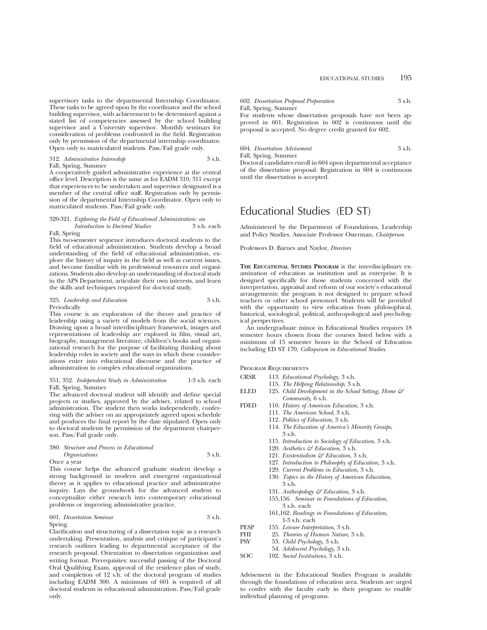supervisory tasks to the departmental Internship Coordinator. These tasks to be agreed upon by the coordinator and the school building supervisor, with achievement to be determined against a stated list of competencies assessed by the school building supervisor and a University supervisor. Monthly seminars for consideration of problems confronted in the field. Registration only by permission of the departmental internship coordinator. Open only to matriculated students. Pass/Fail grade only.

## 312. *Administrative Internship* 3 s.h. Fall, Spring, Summer

A cooperatively guided administrative experience at the central office level. Description is the same as for EADM 310, 311 except that experiences to be undertaken and supervisor designated is a member of the central office staff. Registration only by permission of the departmental Internship Coordinator. Open only to matriculated students. Pass/Fail grade only.

### 320-321. *Exploring the Field of Educational Administration: an Introduction to Doctoral Studies*

### Fall, Spring

This two-semester sequence introduces doctoral students to the field of educational administration. Students develop a broad understanding of the field of educational administration, explore the history of inquiry in the field as well as current issues, and become familiar with its professional resources and organizations. Students also develop an understanding of doctoral study in the APS Department, articulate their own interests, and learn the skills and techniques required for doctoral study.

### 325. *Leadership and Education* 3 s.h. Periodically

This course is an exploration of the theory and practice of leadership using a variety of models from the social sciences. Drawing upon a broad interdisciplinary framework, images and representations of leadership are explored in film, visual art, biography, management literature, children's books and organizational research for the purpose of facilitating thinking about leadership roles in society and the ways in which these considerations enter into educational discourse and the practice of administration in complex educational organizations.

### 351, 352. *Independent Study in Administration* 1-3 s.h. each Fall, Spring, Summer

The advanced doctoral student will identify and define special projects or studies, approved by the adviser, related to school administration. The student then works independently, conferring with the adviser on an appropriately agreed upon schedule and produces the final report by the date stipulated. Open only to doctoral students by permission of the department chairperson. Pass/Fail grade only.

## 380. *Structure and Process in Educational*

| <i><b>Organizations</b></i> | 3 s.h. |
|-----------------------------|--------|
|                             |        |

Once a year

This course helps the advanced graduate student develop a strong background in modern and emergent organizational theory as it applies to educational practice and administrative inquiry. Lays the groundwork for the advanced student to conceptualize either research into contemporary educational problems or improving administrative practice.

### 601. *Dissertation Seminar* 3 s.h. Spring

Clarification and structuring of a dissertation topic as a research undertaking. Presentation, analysis and critique of participant's research outlines leading to departmental acceptance of the research proposal. Orientation to dissertation organization and writing format. Prerequisites: successful passing of the Doctoral Oral Qualifying Exam, approval of the residence plan of study, and completion of 12 s.h. of the doctoral program of studies including EADM 300. A minimum of 601 is required of all doctoral students in educational administration. Pass/Fail grade only.

## 602. *Dissertation Proposal Preparation* 3 s.h. Fall, Spring, Summer

For students whose dissertation proposals have not been approved in 601. Registration in 602 is continuous until the proposal is accepted. No degree credit granted for 602.

### 604. *Dissertation Advisement* 3 s.h.

Fall, Spring, Summer

Doctoral candidates enroll in 604 upon departmental acceptance of the dissertation proposal. Registration in 604 is continuous until the dissertation is accepted.

# Educational Studies (ED ST)

Administered by the Department of Foundations, Leadership and Policy Studies. Associate Professor Osterman, *Chairperson*

Professors D. Barnes and Naylor, *Directors*

**THE EDUCATIONAL STUDIES PROGRAM** is the interdisciplinary examination of education as institution and as enterprise. It is designed specifically for those students concerned with the interpretation, appraisal and reform of our society's educational arrangements; the program is not designed to prepare school teachers or other school personnel. Students will be provided with the opportunity to view education from philosophical, historical, sociological, political, anthropological and psychological perspectives.

An undergraduate minor in Educational Studies requires 18 semester hours chosen from the courses listed below with a minimum of 15 semester hours in the School of Education including ED ST 170, *Colloquium in Educational Studies*.

PROGRAM REQUIREMENTS

| <b>CRSR</b> | 113. Educational Psychology, 3 s.h.                  |
|-------------|------------------------------------------------------|
|             | 115. The Helping Relationship, 3 s.h.                |
| <b>ELED</b> | 125. Child Development in the School Setting, Home & |
|             | Community, 6 s.h.                                    |
| <b>FDED</b> | 110. History of American Education, 3 s.h.           |
|             | 111. The American School, 3 s.h.                     |
|             | 112. Politics of Education, 3 s.h.                   |
|             | 114. The Education of America's Minority Groups,     |
|             | 3 s.h.                                               |
|             | 115. Introduction to Sociology of Education, 3 s.h.  |
|             | 120. Aesthetics $\mathcal{C}$ Education 3 s.h.       |
|             | 121. Existentialism $\mathcal G$ Education, 3 s.h.   |
|             | 127. Introduction to Philosophy of Education, 3 s.h. |
|             | 129. Current Problems in Education, 3 s.h.           |
|             | 130. Topics in the History of American Education,    |
|             | 3 s.h.                                               |
|             | 131. Anthropology & Education, 3 s.h.                |
|             |                                                      |

- 155,156. *Seminar in Foundations of Education,* 3 s.h. each
- 161,162. *Readings in Foundations of Education*, 1-3 s.h. each
- PESP 155. *Leisure Interpretation*, 3 s.h.
- PHI 25. *Theories of Human Nature*, 3 s.h.<br>PSY 53. *Child Psychology*, 3 s.h.
- PSY 53. *Child Psychology*, 3 s.h.
	- 54. *Adolescent Psychology*, 3 s.h.
- SOC 102. *Social Institutions*, 3 s.h.

Advisement in the Educational Studies Program is available through the foundations of education area. Students are urged to confer with the faculty early in their program to enable individual planning of programs.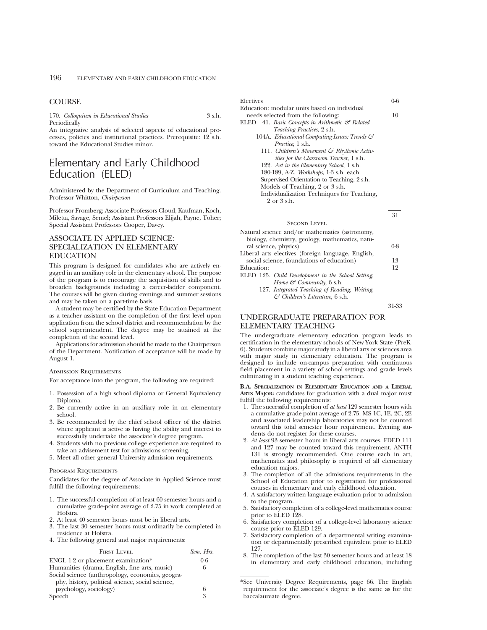## **COURSE**

170. *Colloquium in Educational Studies* 3 s.h. Periodically

An integrative analysis of selected aspects of educational processes, policies and institutional practices. Prerequisite: 12 s.h. toward the Educational Studies minor.

# Elementary and Early Childhood Education<sup>'</sup> (ELED)

Administered by the Department of Curriculum and Teaching. Professor Whitton, *Chairperson*

Professor Fromberg; Associate Professors Cloud, Kaufman, Koch, Miletta, Savage, Semel; Assistant Professors Elijah, Payne, Toher; Special Assistant Professors Cooper, Davey.

## ASSOCIATE IN APPLIED SCIENCE: SPECIALIZATION IN ELEMENTARY EDUCATION

This program is designed for candidates who are actively engaged in an auxiliary role in the elementary school. The purpose of the program is to encourage the acquisition of skills and to broaden backgrounds including a career-ladder component. The courses will be given during evenings and summer sessions and may be taken on a part-time basis.

A student may be certified by the State Education Department as a teacher assistant on the completion of the first level upon application from the school district and recommendation by the school superintendent. The degree may be attained at the completion of the second level.

Applications for admission should be made to the Chairperson of the Department. Notification of acceptance will be made by August 1.

### Admission Requirements

For acceptance into the program, the following are required:

- 1. Possession of a high school diploma or General Equivalency Diploma.
- 2. Be currently active in an auxiliary role in an elementary school.
- 3. Be recommended by the chief school officer of the district where applicant is active as having the ability and interest to successfully undertake the associate's degree program.
- 4. Students with no previous college experience are required to take an advisement test for admissions screening.
- 5. Meet all other general University admission requirements.

### Program Requirements

Candidates for the degree of Associate in Applied Science must fulfill the following requirements:

- 1. The successful completion of at least 60 semester hours and a cumulative grade-point average of 2.75 in work completed at Hofstra.
- At least 40 semester hours must be in liberal arts.
- 3. The last 30 semester hours must ordinarily be completed in residence at Hofstra.
- 4. The following general and major requirements:

| <b>FIRST LEVEL</b>                               | Sem. Hrs. |
|--------------------------------------------------|-----------|
| ENGL 1-2 or placement examination*               | $0 - 6$   |
| Humanities (drama, English, fine arts, music)    | 6         |
| Social science (anthropology, economics, geogra- |           |
| phy, history, political science, social science, |           |
| psychology, sociology)                           | 6         |
| Speech                                           | 3         |

Electives 0-6

| Education: modular units based on individual |    |
|----------------------------------------------|----|
| needs selected from the following:           | 10 |

- ELED 41. *Basic Concepts in Arithmetic & Related Teaching Practices*, 2 s.h.
	- 104A. *Educational Computing Issues: Trends & Practice*, 1 s.h.
		- 111. *Children's Movement & Rhythmic Activities for the Classroom Teacher*, 1 s.h.
		- 122. *Art in the Elementary School*, 1 s.h.
		- 180-189, A-Z. *Workshops*, 1-3 s.h. each
		- Supervised Orientation to Teaching, 2 s.h.
		- Models of Teaching, 2 or 3 s.h. Individualization Techniques for Teaching,
			- 2 or 3 s.h.

|                                                    | .11   |
|----------------------------------------------------|-------|
| <b>SECOND LEVEL</b>                                |       |
| Natural science and/or mathematics (astronomy,     |       |
| biology, chemistry, geology, mathematics, natu-    |       |
| ral science, physics)                              | $6-8$ |
| Liberal arts electives (foreign language, English, |       |
| social science, foundations of education)          | 13    |
| Education:                                         | 12    |
| ELED 125. Child Development in the School Setting, |       |
| Home $\mathcal{F}$ Community, 6 s.h.               |       |
| 127. Integrated Teaching of Reading. Writing.      |       |

127. *Integrated Teaching of Reading, Writing, & Children's Literature*, 6 s.h.

31-33

 $21$ 

## UNDERGRADUATE PREPARATION FOR ELEMENTARY TEACHING

The undergraduate elementary education program leads to certification in the elementary schools of New York State (PreK-6). Students combine major study in a liberal arts or sciences area with major study in elementary education. The program is designed to include on-campus preparation with continuous field placement in a variety of school settings and grade levels culminating in a student teaching experience.

**B.A. SPECIALIZATION IN ELEMENTARY EDUCATION AND A LIBERAL ARTS MAJOR:** candidates for graduation with a dual major must fulfill the following requirements:

- 1. The successful completion of *at least* 129 semester hours with a cumulative grade-point average of 2.75. MS 1C, 1E, 2C, 2E and associated leadership laboratories may not be counted toward this total semester hour requirement. Evening students do not register for these courses.
- 2. *At least* 93 semester hours in liberal arts courses. FDED 111 and 127 may be counted toward this requirement. ANTH 131 is strongly recommended. One course each in art, mathematics and philosophy is required of all elementary education majors.
- 3. The completion of all the admissions requirements in the School of Education prior to registration for professional courses in elementary and early childhood education.
- 4. A satisfactory written language evaluation prior to admission to the program.
- 5. Satisfactory completion of a college-level mathematics course prior to ELED 128.
- 6. Satisfactory completion of a college-level laboratory science course prior to ELED 129.
- 7. Satisfactory completion of a departmental writing examination or departmentally prescribed equivalent prior to ELED 127.
- 8. The completion of the last 30 semester hours and at least 18 in elementary and early childhood education, including

\*See University Degree Requirements, page 66. The English requirement for the associate's degree is the same as for the baccalaureate degree.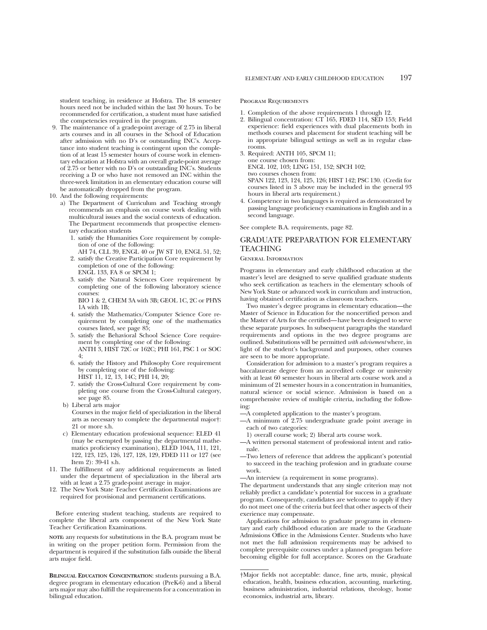student teaching, in residence at Hofstra. The 18 semester hours need not be included within the last 30 hours. To be recommended for certification, a student must have satisfied the competencies required in the program.

- 9. The maintenance of a grade-point average of 2.75 in liberal arts courses and in all courses in the School of Education after admission with no D's or outstanding INC's. Acceptance into student teaching is contingent upon the completion of at least 15 semester hours of course work in elementary education at Hofstra with an overall grade-point average of 2.75 or better with no D's or outstanding INC's. Students receiving a D or who have not removed an INC within the three-week limitation in an elementary education course will be automatically dropped from the program.
- 10. And the following requirements:
	- a) The Department of Curriculum and Teaching strongly recommends an emphasis on course work dealing with multicultural issues and the social contexts of education. The Department recommends that prospective elementary education students
		- 1. satisfy the Humanities Core requirement by completion of one of the following:
		- AH 74, CLL 39, ENGL 40 or JW ST 10, ENGL 51, 52; 2. satisfy the Creative Participation Core requirement by completion of one of the following:
		- ENGL 133, FA 8 or SPCM 1; 3. satisfy the Natural Sciences Core requirement by
		- completing one of the following laboratory science courses:

BIO 1 & 2, CHEM 3A with 3B; GEOL 1C, 2C or PHYS 1A with 1B;

- 4. satisfy the Mathematics/Computer Science Core requirement by completing one of the mathematics courses listed, see page 85;
- 5. satisfy the Behavioral School Science Core requirement by completing one of the following: ANTH 3, HIST 72C or 162C; PHI 161, PSC 1 or SOC 4;
- 6. satisfy the History and Philosophy Core requirement by completing one of the following: HIST 11, 12, 13, 14C; PHI 14, 20;
- 7. satisfy the Cross-Cultural Core requirement by completing one course from the Cross-Cultural category, see page 85.
- b) Liberal arts major

Courses in the major field of specialization in the liberal arts as necessary to complete the departmental major†: 21 or more s.h.

- c) Elementary education professional sequence: ELED 41 (may be exempted by passing the departmental mathematics proficiency examination), ELED 104A, 111, 121, 122, 123, 125, 126, 127, 128, 129, FDED 111 or 127 (see Item 2): 39-41 s.h.
- 11. The fulfillment of any additional requirements as listed under the department of specialization in the liberal arts with at least a 2.75 grade-point average in major.
- 12. The New York State Teacher Certification Examinations are required for provisional and permanent certifications.

Before entering student teaching, students are required to complete the liberal arts component of the New York State Teacher Certification Examinations.

**NOTE:** any requests for substitutions in the B.A. program must be in writing on the proper petition form. Permission from the department is required if the substitution falls outside the liberal arts major field.

**BILINGUAL EDUCATION CONCENTRATION**: students pursuing a B.A. degree program in elementary education (PreK-6) and a liberal arts major may also fulfill the requirements for a concentration in bilingual education.

### Program Requirements

- 1. Completion of the above requirements 1 through 12.
- 2. Bilingual concentration: CT 165, FDED 114, SED 153; Field experience: field experiences with dual placements both in methods courses and placement for student teaching will be in appropriate bilingual settings as well as in regular classrooms.
- 3. Required: ANTH 105, SPCM 11; one course chosen from: ENGL 102, 103; LING 151, 152; SPCH 102; two courses chosen from: SPAN 122, 123, 124, 125, 126; HIST 142; PSC 130. (Credit for courses listed in 3 above may be included in the general 93 hours in liberal arts requirement.)
- 4. Competence in two languages is required as demonstrated by passing language proficiency examinations in English and in a second language.

See complete B.A. requirements, page 82.

## GRADUATE PREPARATION FOR ELEMENTARY TEACHING

### General Information

Programs in elementary and early childhood education at the master's level are designed to serve qualified graduate students who seek certification as teachers in the elementary schools of New York State or advanced work in curriculum and instruction, having obtained certification as classroom teachers.

Two master's degree programs in elementary education—the Master of Science in Education for the noncertified person and the Master of Arts for the certified—have been designed to serve these separate purposes. In subsequent paragraphs the standard requirements and options in the two degree programs are outlined. Substitutions will be permitted *with advisement* where, in light of the student's background and purposes, other courses are seen to be more appropriate.

Consideration for admission to a master's program requires a baccalaureate degree from an accredited college or university with at least 60 semester hours in liberal arts course work and a minimum of 21 semester hours in a concentration in humanities, natural science or social science. Admission is based on a comprehensive review of multiple criteria, including the following:

- —A completed application to the master's program.
- —A minimum of 2.75 undergraduate grade point average in each of two categories:
	- 1) overall course work; 2) liberal arts course work.
- —A written personal statement of professional intent and rationale.
- —Two letters of reference that address the applicant's potential to succeed in the teaching profession and in graduate course work.
- —An interview (a requirement in some programs).

The department understands that any single criterion may not reliably predict a candidate's potential for success in a graduate program. Consequently, candidates are welcome to apply if they do not meet one of the criteria but feel that other aspects of their exerience may compensate.

Applications for admission to graduate programs in elementary and early childhood education are made to the Graduate Admissions Office in the Admissions Center. Students who have not met the full admission requirements may be advised to complete prerequisite courses under a planned program before becoming eligible for full acceptance. Scores on the Graduate

<sup>†</sup>Major fields not acceptable: dance, fine arts, music, physical education, health, business education, accounting, marketing, business administration, industrial relations, theology, home economics, industrial arts, library.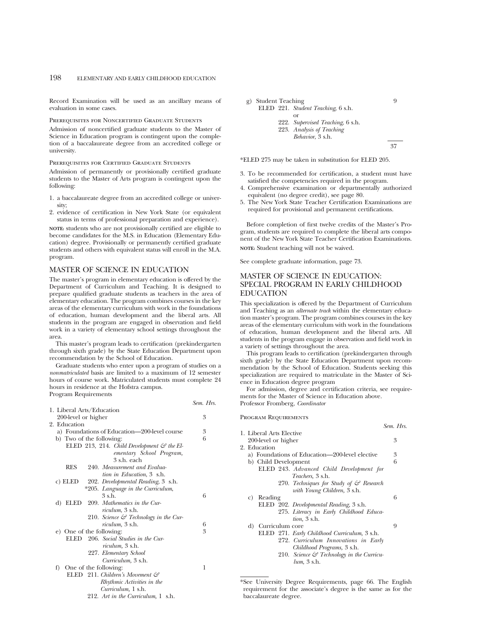Record Examination will be used as an ancillary means of evaluation in some cases.

### Prerequisites for Noncertified Graduate Students

Admission of noncertified graduate students to the Master of Science in Education program is contingent upon the completion of a baccalaureate degree from an accredited college or university.

### Prerequisites for Certified Graduate Students

Admission of permanently or provisionally certified graduate students to the Master of Arts program is contingent upon the following:

- 1. a baccalaureate degree from an accredited college or university;
- 2. evidence of certification in New York State (or equivalent status in terms of professional preparation and experience).

**NOTE:** students who are not provisionally certified are eligible to become candidates for the M.S. in Education (Elementary Education) degree. Provisionally or permanently certified graduate students and others with equivalent status will enroll in the M.A. program.

## MASTER OF SCIENCE IN EDUCATION

The master's program in elementary education is offered by the Department of Curriculum and Teaching. It is designed to prepare qualified graduate students as teachers in the area of elementary education. The program combines courses in the key areas of the elementary curriculum with work in the foundations of education, human development and the liberal arts. All students in the program are engaged in observation and field work in a variety of elementary school settings throughout the area.

This master's program leads to certification (prekindergarten through sixth grade) by the State Education Department upon recommendation by the School of Education.

Graduate students who enter upon a program of studies on a *nonmatriculated* basis are limited to a maximum of 12 semester hours of course work. Matriculated students must complete 24 hours in residence at the Hofstra campus. Program Requirements

|                                                       | Sem. Hrs. |
|-------------------------------------------------------|-----------|
| 1. Liberal Arts/Education                             |           |
| 200-level or higher                                   | 3         |
| 2. Education                                          |           |
| a) Foundations of Education—200-level course          | 3         |
| b) Two of the following:                              | 6         |
| ELED 213, 214. Child Development $\mathcal G$ the El- |           |
| ementary School Program,                              |           |
| $3$ s h each                                          |           |
| <b>RES</b><br>240. Measurement and Evalua-            |           |
| tion in Education, 3 s.h.                             |           |
| 202. Developmental Reading, 3 s.h.<br>c) ELED         |           |
| *205. Language in the Curriculum,                     |           |
| $3$ s.h.                                              | 6         |
| 209. Mathematics in the Cur-<br>d) ELED               |           |
| riculum, 3 s.h.                                       |           |
| 210. Science $\mathcal{C}$ Technology in the Cur-     |           |
| <i>riculum</i> , 3 s.h.                               | 6         |
| e) One of the following:                              | 3         |
| 206. Social Studies in the Cur-<br>ELED –             |           |
| <i>riculum</i> , 3 s.h.                               |           |
| 227. Elementary School                                |           |
| Curriculum, 3 s.h.                                    |           |
| f) One of the following:                              | 1         |
| ELED 211. Children's Movement $\mathcal{C}$           |           |
| Rhythmic Activities in the                            |           |
| Curriculum, 1 s.h.                                    |           |
| 212. Art in the Curriculum, 1 s.h.                    |           |
|                                                       |           |



\*ELED 275 may be taken in substitution for ELED 205.

- 3. To be recommended for certification, a student must have satisfied the competencies required in the program.
- 4. Comprehensive examination or departmentally authorized equivalent (no degree credit), see page 80.
- 5. The New York State Teacher Certification Examinations are required for provisional and permanent certifications.

Before completion of first twelve credits of the Master's Program, students are required to complete the liberal arts component of the New York State Teacher Certification Examinations. **NOTE:** Student teaching will not be waived.

See complete graduate information, page 73.

## MASTER OF SCIENCE IN EDUCATION: SPECIAL PROGRAM IN EARLY CHILDHOOD EDUCATION

This specialization is offered by the Department of Curriculum and Teaching as an *alternate track* within the elementary education master's program. The program combines courses in the key areas of the elementary curriculum with work in the foundations of education, human development and the liberal arts. All students in the program engage in observation and field work in a variety of settings throughout the area.

This program leads to certification (prekindergarten through sixth grade) by the State Education Department upon recommendation by the School of Education. Students seeking this specialization are required to matriculate in the Master of Science in Education degree program

For admission, degree and certification criteria, see requirements for the Master of Science in Education above. Professor Fromberg, *Coordinator*

Program Requirements

|    |                          |                                                                                    | Sem. Hrs |  |
|----|--------------------------|------------------------------------------------------------------------------------|----------|--|
|    | 1. Liberal Arts Elective |                                                                                    |          |  |
|    | 200-level or higher      |                                                                                    | 3        |  |
|    | 2. Education             |                                                                                    |          |  |
|    |                          | a) Foundations of Education—200-level elective                                     | 3        |  |
|    | b) Child Development     |                                                                                    | 6        |  |
|    |                          | ELED 243. Advanced Child Development for<br><i>Teachers</i> , 3 s.h.               |          |  |
|    |                          | 270. Techniques for Study of $\mathcal{F}$ Research<br>with Young Children, 3 s.h. |          |  |
| C) | Reading                  |                                                                                    | 6        |  |
|    |                          | ELED 202. Developmental Reading, 3 s.h.                                            |          |  |
|    |                          | 275. Literacy in Early Childhood Educa-<br><i>tion</i> , 3 s.h.                    |          |  |
|    | d) Curriculum core       |                                                                                    | 9        |  |
|    |                          | ELED 271. Early Childhood Curriculum, 3 s.h.                                       |          |  |
|    |                          | 272. Curriculum Innovations in Early                                               |          |  |
|    |                          | Childhood Programs, 3 s.h.                                                         |          |  |
|    |                          | 210. Science & Technology in the Curricu-                                          |          |  |
|    |                          | $lum$ , $3 \text{ s.h}$ .                                                          |          |  |
|    |                          |                                                                                    |          |  |

\*See University Degree Requirements, page 66. The English requirement for the associate's degree is the same as for the baccalaureate degree.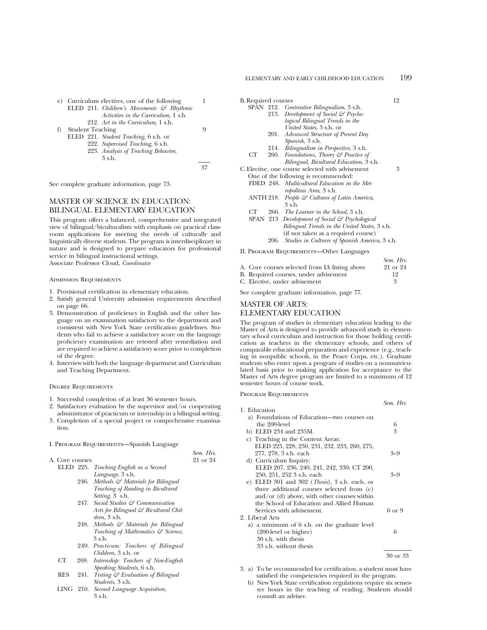|   |                         | e) Curriculum electives, one of the following         |   |
|---|-------------------------|-------------------------------------------------------|---|
|   |                         | ELED 211. Children's Movements $\mathcal{C}$ Rhythmic |   |
|   |                         | Activities in the Curriculum, 1 s.h.                  |   |
|   |                         | 212. Art in the Curriculum, 1 s.h.                    |   |
| f | <b>Student Teaching</b> |                                                       | 9 |
|   |                         | ELED 221. Student Teaching, 6 s.h. or                 |   |
|   |                         | 999 Supervised Teaching 6sh                           |   |

222. *Supervised Teaching,* 6 s.h. 223. *Analysis of Teaching Behavior,* 3 s.h.

37

See complete graduate information, page 73.

# MASTER OF SCIENCE IN EDUCATION: BILINGUAL ELEMENTARY EDUCATION

This program offers a balanced, comprehensive and integrated view of bilingual/biculturalism with emphasis on practical classroom applications for meeting the needs of culturally and linguistically diverse students. The program is interdisciplinary in nature and is designed to prepare educators for professional service in bilingual instructional settings.

Associate Professor Cloud, *Coordinator*

#### Admission Requirements

- 1. Provisional certification in elementary education.
- 2. Satisfy general University admission requirements described on page 66.
- 3. Demonstration of proficiency in English and the other language on an examination satisfactory to the department and consistent with New York State certification guidelines. Students who fail to achieve a satisfactory score on the language proficiency examination are retested after remediation and are required to achieve a satisfactory score prior to completion of the degree.
- 4. Interview with both the language department and Curriculum and Teaching Department.

### Degree Requirements

- 1. Successful completion of at least 36 semester hours.
- 2. Satisfactory evaluation by the supervisor and/or cooperating administrator of practicum or internship in a bilingual setting.
- 3. Completion of a special project or comprehensive examination.

### I. Program Requirements—Spanish Language

|                 |     |                                        | Sem. Hrs. |
|-----------------|-----|----------------------------------------|-----------|
| A. Core courses |     |                                        | 21 or 24  |
|                 |     | ELED 225. Teaching English as a Second |           |
|                 |     | Language, 3 s.h.                       |           |
|                 |     | 246. Methods & Materials for Bilingual |           |
|                 |     | Teaching of Reading in Bicultural      |           |
|                 |     | Setting, 3 s.h.                        |           |
|                 |     | 247. Social Studies & Communication    |           |
|                 |     | Arts for Bilingual & Bicultural Chil-  |           |
|                 |     | $dren. 3$ s.h.                         |           |
|                 |     | 248. Methods & Materials for Bilingual |           |
|                 |     | Teaching of Mathematics & Science,     |           |
|                 |     | 3 s.h.                                 |           |
|                 | 949 | Practicum: Teachers of Bilingual       |           |

- 249. *Practicum: Teachers of Bilingual Children*, 3 s.h. or
- CT 269. *Internship: Teachers of Non-English Speaking Students*, 6 s.h.
- RES 241. *Testing & Evaluation of Bilingual Students*, 3 s.h.
- LING 210. *Second Language Acquisition*, 3 s.h.

| <b>B.</b> Required courses |  |  |  |  |
|----------------------------|--|--|--|--|
|                            |  |  |  |  |

- SPAN 212. *Contrastive Bilingualism*, 3 s.h. 213. *Development of Social & Psychological Bilingual Trends in the United States*, 3 s.h. or
	- 201. *Advanced Structure of Present Day Spanish*, 3 s.h.
	- 214. *Bilingualism in Perspective*, 3 s.h.
- CT 260. *Foundations, Theory & Practice of Bilingual, Bicultural Education*, 3 s.h.
- C. Elective, one course selected with advisement 3 One of the following is recommended: FDED 248. *Multicultural Education in the Met*
	- *ropolitan Area*, 3 s.h. ANTH 218. *People & Cultures of Latin America*, 3 s.h.
	- CT 266. *The Learner in the School*, 3 s.h.
	- SPAN 213 *Development of Social & Psychological Bilingual Trends in the United States*, 3 s.h. (if not taken as a required course) 206. *Studies in Cultures of Spanish America*, 3 s.h.

II. Program Requirements—Other Languages

|                                                | Sem. Hrs. |
|------------------------------------------------|-----------|
| A. Core courses selected from IA listing above | 21 or 24  |
| B. Required courses, under advisement          | 19        |
| C. Elective, under advisement                  |           |

See complete graduate information, page 77.

# MASTER OF ARTS: ELEMENTARY EDUCATION

The program of studies in elementary education leading to the Master of Arts is designed to provide advanced study in elementary school curriculum and instruction for those holding certification as teachers in the elementary schools, and others of comparable educational preparation and experience (e.g., teaching in nonpublic schools, in the Peace Corps, etc.). Graduate students who enter upon a program of studies on a nonmatriculated basis prior to making application for acceptance to the Master of Arts degree program are limited to a maximum of 12 semester hours of course work.

*Sem. Hrs.*

### Program Requirements

| 1. Education                                           |          |
|--------------------------------------------------------|----------|
| a) Foundations of Education-two courses on             |          |
| the 200-level                                          | 6        |
| b) ELED 234 and 235M.                                  | 3        |
| c) Teaching in the Content Areas:                      |          |
| ELED 225, 228, 230, 231, 232, 233, 260, 275,           |          |
| 277, 278, 3 s.h. each                                  | 3–9      |
| d) Curriculum Inquiry:                                 |          |
| ELED 207, 236, 240, 241, 242, 330; CT 200,             |          |
| 250, 251, 252 3 s.h. each                              | $3 - 9$  |
| e) ELED 301 and 302 ( <i>Thesis</i> ), 3 s.h. each, or |          |
| three additional courses selected from (c)             |          |
| $\text{and/or (d)}$ above, with other courses within   |          |
| the School of Education and Allied Human               |          |
| Services with advisement.                              | 6 or 9   |
| 2. Liberal Arts                                        |          |
| a) a minimum of 6 s.h. on the graduate level           |          |
| $(200$ -level or higher)                               | 6        |
| 30 s.h. with thesis                                    |          |
| 33 s.h. without thesis                                 |          |
|                                                        | 30 or 33 |
|                                                        |          |

- 3. a) To be recommended for certification, a student must have satisfied the competencies required in the program.
	- b) New York State certification regulations require six semester hours in the teaching of reading. Students should consult an adviser.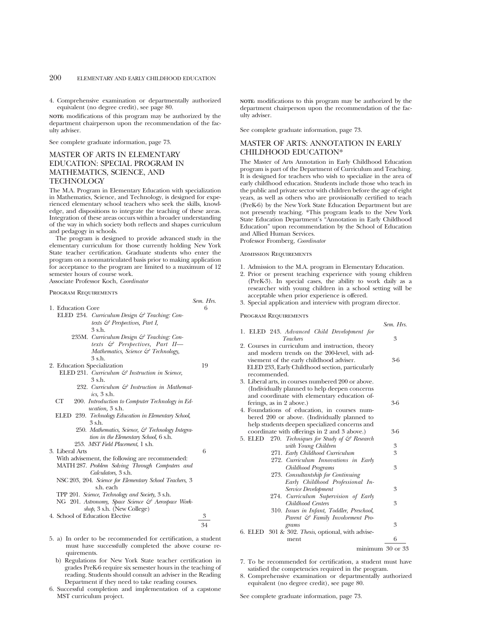4. Comprehensive examination or departmentally authorized equivalent (no degree credit), see page 80.

**NOTE:** modifications of this program may be authorized by the department chairperson upon the recommendation of the faculty adviser.

See complete graduate information, page 73.

# MASTER OF ARTS IN ELEMENTARY EDUCATION: SPECIAL PROGRAM IN MATHEMATICS, SCIENCE, AND TECHNOLOGY

The M.A. Program in Elementary Education with specialization in Mathematics, Science, and Technology, is designed for experienced elementary school teachers who seek the skills, knowledge, and dispositions to integrate the teaching of these areas. Integration of these areas occurs within a broader understanding of the way in which society both reflects and shapes curriculum and pedagogy in schools.

The program is designed to provide advanced study in the elementary curriculum for those currently holding New York State teacher certification. Graduate students who enter the program on a nonmatriculated basis prior to making application for acceptance to the program are limited to a maximum of 12 semester hours of course work.

Associate Professor Koch, *Coordinator*

### Program Requirements

*Sem. Hrs.* 1. Education Core ELED 234. *Curriculum Design & Teaching: Contexts & Perspectives, Part I,* 3 s.h. 235M. *Curriculum Design & Teaching: Contexts & Perspectives, Part II— Mathematics, Science & Technology,* 3 s.h. 2. Education Specialization 19 ELED 231. *Curriculum & Instruction in Science,* 3 s.h. 232. *Curriculum & Instruction in Mathematics,* 3 s.h. CT 200. *Introduction to Computer Technology in Education,* 3 s.h. ELED 239. *Technology Education in Elementary School,* 3 s.h. 250. *Mathematics, Science, & Technology Integration in the Elementary School,* 6 s.h. 253. *MST Field Placement*, 1 s.h. 3. Liberal Arts 6 With advisement, the following are recommended: MATH 287. *Problem Solving Through Computers and Calculators,* 3 s.h. NSC 203, 204. *Science for Elementary School Teachers,* 3 s.h. each TPP 201. *Science, Technology and Society,* 3 s.h. NG 201. *Astronomy, Space Science & Aerospace Workshop,* 3 s.h. (New College) 4. School of Education Elective 3

5. a) In order to be recommended for certification, a student must have successfully completed the above course requirements.

34

- b) Regulations for New York State teacher certification in grades PreK-6 require six semester hours in the teaching of reading. Students should consult an adviser in the Reading Department if they need to take reading courses.
- 6. Successful completion and implementation of a capstone MST curriculum project.

**NOTE:** modifications to this program may be authorized by the department chairperson upon the recommendation of the faculty adviser.

See complete graduate information, page 73.

## MASTER OF ARTS: ANNOTATION IN EARLY CHILDHOOD EDUCATION\*

The Master of Arts Annotation in Early Childhood Education program is part of the Department of Curriculum and Teaching. It is designed for teachers who wish to specialize in the area of early childhood education. Students include those who teach in the public and private sector with children before the age of eight years, as well as others who are provisionally certified to teach (PreK-6) by the New York State Education Department but are not presently teaching. \*This program leads to the New York State Education Department's "Annotation in Early Childhood Education" upon recommendation by the School of Education and Allied Human Services.

Professor Fromberg, *Coordinator*

### Admission Requirements

- 1. Admission to the M.A. program in Elementary Education.
- 2. Prior or present teaching experience with young children (PreK-3). In special cases, the ability to work daily as a researcher with young children in a school setting will be acceptable when prior experience is offered.

*Sem. Hrs.*

minimum 30 or 33

3. Special application and interview with program director.

### Program Requirements

| 1. ELED 243. Advanced Child Development for<br>Teachers                                                                                                     | 3   |
|-------------------------------------------------------------------------------------------------------------------------------------------------------------|-----|
| 2. Courses in curriculum and instruction, theory                                                                                                            |     |
| and modern trends on the 200-level, with ad-<br>visement of the early childhood adviser.<br>ELED 233, Early Childhood section, particularly<br>recommended. | 3-6 |
| 3. Liberal arts, in courses numbered 200 or above.                                                                                                          |     |
| (Individually planned to help deepen concerns)                                                                                                              |     |
| and coordinate with elementary education of-                                                                                                                |     |
| ferings, as in 2 above.)                                                                                                                                    | 3-6 |
| 4. Foundations of education, in courses num-                                                                                                                |     |
| bered 200 or above. (Individually planned to                                                                                                                |     |
| help students deepen specialized concerns and                                                                                                               |     |
| coordinate with offerings in 2 and 3 above.)                                                                                                                | 3-6 |
| 270. Techniques for Study of & Research<br>5. ELED                                                                                                          |     |
| with Young Children                                                                                                                                         | 3   |
| 271. Early Childhood Curriculum                                                                                                                             | 3   |
| 272. Curriculum Innovations in Early                                                                                                                        |     |
| Childhood Programs                                                                                                                                          | 3   |
| 273. Consultantship for Continuing                                                                                                                          |     |
| Early Childhood Professional In-                                                                                                                            |     |
| Service Development                                                                                                                                         | 3   |
| 274. Curriculum Supervision of Early                                                                                                                        |     |
| Childhood Centers                                                                                                                                           | 3   |
| 310. Issues in Infant, Toddler, Preschool,                                                                                                                  |     |
| Parent & Family Involvement Pro-                                                                                                                            |     |
| grams                                                                                                                                                       | 3   |
| 6. ELED 301 & 302. Thesis, optional, with advise-                                                                                                           |     |
| ment                                                                                                                                                        | 6   |

7. To be recommended for certification, a student must have satisfied the competencies required in the program.

8. Comprehensive examination or departmentally authorized equivalent (no degree credit), see page 80.

See complete graduate information, page 73.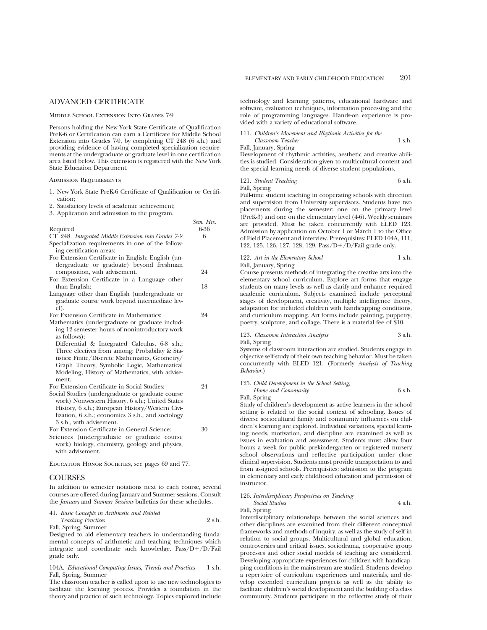## ADVANCED CERTIFICATE

### Middle School Extension Into Grades 7-9

Persons holding the New York State Certificate of Qualification PreK-6 or Certification can earn a Certificate for Middle School Extension into Grades 7-9, by completing CT 248 (6 s.h.) and providing evidence of having completed specialization requirements at the undergraduate or graduate level in one certification area listed below. This extension is registered with the New York State Education Department.

### Admission Requirements

- 1. New York State PreK-6 Certificate of Qualification or Certification;
- 2. Satisfactory levels of academic achievement;
- 3. Application and admission to the program.

|                                                     | Sem. 1415. |
|-----------------------------------------------------|------------|
| Required                                            | 6-36       |
| CT 248. Integrated Middle Extension into Grades 7-9 | 6          |
| Specialization requirements in one of the follow-   |            |
| ing certification areas:                            |            |
| For Extension Certificate in English: English (un-  |            |
| dergraduate or graduate) beyond freshman            |            |
| composition, with advisement.                       | 24         |
| For Extension Certificate in a Language other       |            |
| than English:                                       | 18         |
| Language other than English (undergraduate or       |            |
| graduate course work beyond intermediate lev-       |            |
| el).                                                |            |
| For Extension Certificate in Mathematics:           | 24         |
| Mathematics (undergraduate or graduate includ-      |            |
| ing 12 semester hours of nonintroductory work       |            |
| as follows):                                        |            |
| Differential & Integrated Calculus, 6-8 s.h.;       |            |
| Three electives from among: Probability & Sta-      |            |
| tistics: Finite/Discrete Mathematics, Geometry/     |            |
| Graph Theory, Symbolic Logic, Mathematical          |            |
| Modeling, History of Mathematics, with advise-      |            |
| ment.                                               |            |
| For Extension Certificate in Social Studies:        | 24         |
| Social Studies (undergraduate or graduate course    |            |
| work) Nonwestern History, 6 s.h.; United States     |            |
| History, 6 s.h.; European History/Western Civi-     |            |
| lization, 6 s.h.; economics 3 s.h., and sociology   |            |
| 3 s.h., with advisement.                            |            |
| For Extension Certificate in General Science:       | 30         |
| Sciences (undergraduate or graduate course          |            |
| work) biology, chemistry, geology and physics,      |            |
| with advisement.                                    |            |

Education Honor Societies, see pages 69 and 77.

## **COURSES**

In addition to semester notations next to each course, several courses are offered during January and Summer sessions. Consult the *January* and *Summer Sessions* bulletins for these schedules.

|  |  |  |  | 41. Basic Concepts in Arithmetic and Related |  |  |  |
|--|--|--|--|----------------------------------------------|--|--|--|
|--|--|--|--|----------------------------------------------|--|--|--|

*Teaching Practices* 2 s.h.

Fall, Spring, Summer

Designed to aid elementary teachers in understanding fundamental concepts of arithmetic and teaching techniques which integrate and coordinate such knowledge.  $Pass/D+ /D/Fail$ grade only.

104A. *Educational Computing Issues, Trends and Practices* 1 s.h. Fall, Spring, Summer

The classroom teacher is called upon to use new technologies to facilitate the learning process. Provides a foundation in the theory and practice of such technology. Topics explored include

technology and learning patterns, educational hardware and software, evaluation techniques, information processing and the role of programming languages. Hands-on experience is provided with a variety of educational software.

### 111. *Children's Movement and Rhythmic Activities for the*

*Classroom Teacher* 1 s.h. Fall, January, Spring

Development of rhythmic activities, aesthetic and creative abilities is studied. Consideration given to multicultural content and the special learning needs of diverse student populations.

121. *Student Teaching* 6 s.h.

Fall, Spring

*Sem. Hrs.*

Full-time student teaching in cooperating schools with direction and supervision from University supervisors. Students have two placements during the semester: one on the primary level (PreK-3) and one on the elementary level (4-6). Weekly seminars are provided. Must be taken concurrently with ELED 123. Admission by application on October 1 or March 1 to the Office of Field Placement and interview. Prerequisites: ELED 104A, 111, 122, 125, 126, 127, 128, 129. Pass/ $D+/D/Fail$  grade only.

## 122. Art in the Elementary School 1 s.h.

Fall, January, Spring

Course presents methods of integrating the creative arts into the elementary school curriculum. Explore art forms that engage students on many levels as well as clarify and enhance required academic curriculum. Subjects examined include perceptual stages of development, creativity, multiple intelligence theory, adaptation for included children with handicapping conditions, and curriculum mapping. Art forms include painting, puppetry, poetry, sculpture, and collage. There is a material fee of \$10.

### 123. *Classroom Interaction Analysis* 3 s.h. Fall, Spring

Systems of classroom interaction are studied. Students engage in objective self-study of their own teaching behavior. Must be taken concurrently with ELED 121. (Formerly *Analysis of Teaching Behavior*.)

# 125. *Child Development in the School Setting, Home and Community* 6 s.h.

Fall, Spring

Study of children's development as active learners in the school setting is related to the social context of schooling. Issues of diverse sociocultural family and community influences on children's learning are explored. Individual variations, special learning needs, motivation, and discipline are examined as well as issues in evaluation and assessment. Students must allow four hours a week for public prekindergarten or registered nursery school observations and reflective participation under close clinical supervision. Students must provide transportation to and from assigned schools. Prerequisites: admission to the program in elementary and early childhood education and permission of instructor.

### 126. *Interdisciplinary Perspectives on Teaching Social Studies* 4 s.h.

Fall, Spring

Interdisciplinary relationships between the social sciences and other disciplines are examined from their different conceptual frameworks and methods of inquiry, as well as the study of self in relation to social groups. Multicultural and global education, controversies and critical issues, sociodrama, cooperative group processes and other social models of teaching are considered. Developing appropriate experiences for children with handicapping conditions in the mainstream are studied. Students develop a repertoire of curriculum experiences and materials, and develop extended curriculum projects as well as the ability to facilitate children's social development and the building of a class community. Students participate in the reflective study of their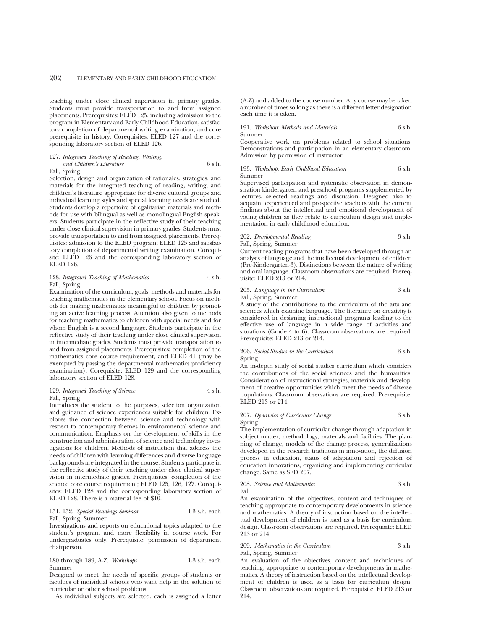teaching under close clinical supervision in primary grades. Students must provide transportation to and from assigned placements. Prerequisites: ELED 125, including admission to the program in Elementary and Early Childhood Education, satisfactory completion of departmental writing examination, and core prerequisite in history. Corequisites: ELED 127 and the corresponding laboratory section of ELED 126.

### 127. *Integrated Teaching of Reading, Writing, and Children's Literature* 6 s.h. Fall, Spring

Selection, design and organization of rationales, strategies, and materials for the integrated teaching of reading, writing, and children's literature appropriate for diverse cultural groups and individual learning styles and special learning needs are studied. Students develop a repertoire of egalitarian materials and methods for use with bilingual as well as monolingual English speakers. Students participate in the reflective study of their teaching under close clinical supervision in primary grades. Students must provide transportation to and from assigned placements. Prerequisites: admission to the ELED program; ELED 125 and satisfactory completion of departmental writing examination. Corequisite: ELED 126 and the corresponding laboratory section of ELED 126.

### 128. *Integrated Teaching of Mathematics* 4 s.h. Fall, Spring

Examination of the curriculum, goals, methods and materials for teaching mathematics in the elementary school. Focus on methods for making mathematics meaningful to children by promoting an active learning process. Attention also given to methods for teaching mathematics to children with special needs and for whom English is a second language. Students participate in the reflective study of their teaching under close clinical supervision in intermediate grades. Students must provide transportation to and from assigned placements. Prerequisites: completion of the mathematics core course requirement, and ELED 41 (may be exempted by passing the departmental mathematics proficiency examination). Corequisite: ELED 129 and the corresponding laboratory section of ELED 128.

## 129. *Integrated Teaching of Science* 4 s.h. Fall, Spring

Introduces the student to the purposes, selection organization and guidance of science experiences suitable for children. Explores the connection between science and technology with respect to contemporary themes in environmental science and communication. Emphasis on the development of skills in the construction and administration of science and technology investigations for children. Methods of instruction that address the needs of children with learning differences and diverse language backgrounds are integrated in the course. Students participate in the reflective study of their teaching under close clinical supervision in intermediate grades. Prerequisites: completion of the science core course requirement; ELED 125, 126, 127. Corequisites: ELED 128 and the corresponding laboratory section of ELED 128. There is a material fee of \$10.

### 151, 152. *Special Readings Seminar* 1-3 s.h. each Fall, Spring, Summer

Investigations and reports on educational topics adapted to the student's program and more flexibility in course work. For undergraduates only. Prerequisite: permission of department chairperson.

### 180 through 189, A-Z. *Workshops* 1-3 s.h. each Summer

Designed to meet the needs of specific groups of students or faculties of individual schools who want help in the solution of curricular or other school problems.

As individual subjects are selected, each is assigned a letter

(A-Z) and added to the course number. Any course may be taken a number of times so long as there is a different letter designation each time it is taken.

191. *Workshop: Methods and Materials* 6 s.h. Summer

Cooperative work on problems related to school situations. Demonstrations and participation in an elementary classroom. Admission by permission of instructor.

### 193. *Workshop: Early Childhood Education* 6 s.h. Summer

Supervised participation and systematic observation in demonstration kindergarten and preschool programs supplemented by lectures, selected readings and discussion. Designed also to acquaint experienced and prospective teachers with the current findings about the intellectual and emotional development of young children as they relate to curriculum design and implementation in early childhood education.

## 202. *Developmental Reading* 3 s.h. Fall, Spring, Summer

Current reading programs that have been developed through an analysis of language and the intellectual development of children (Pre-Kindergarten-3). Distinctions between the nature of writing and oral language. Classroom observations are required. Prerequisite: ELED 213 or 214.

## 205. *Language in the Curriculum* 3 s.h. Fall, Spring, Summer

A study of the contributions to the curriculum of the arts and sciences which examine language. The literature on creativity is considered in designing instructional programs leading to the effective use of language in a wide range of activities and situations (Grade 4 to 6). Classroom observations are required. Prerequisite: ELED 213 or 214.

### 206. *Social Studies in the Curriculum* 3 s.h. Spring

An in-depth study of social studies curriculum which considers the contributions of the social sciences and the humanities. Consideration of instructional strategies, materials and development of creative opportunities which meet the needs of diverse populations. Classroom observations are required. Prerequisite: ELED 213 or 214.

### 207. *Dynamics of Curricular Change* 3 s.h. Spring

The implementation of curricular change through adaptation in subject matter, methodology, materials and facilities. The planning of change, models of the change process, generalizations developed in the research traditions in innovation, the diffusion process in education, status of adaptation and rejection of education innovations, organizing and implementing curricular change. Same as SED 207.

208. *Science and Mathematics* 3 s.h. Fall

An examination of the objectives, content and techniques of teaching appropriate to contemporary developments in science and mathematics. A theory of instruction based on the intellectual development of children is used as a basis for curriculum design. Classroom observations are required. Prerequisite: ELED 213 or 214.

### 209. Mathematics in the Curriculum 3 s.h. Fall, Spring, Summer

An evaluation of the objectives, content and techniques of teaching, appropriate to contemporary developments in mathematics. A theory of instruction based on the intellectual development of children is used as a basis for curriculum design. Classroom observations are required. Prerequisite: ELED 213 or 214.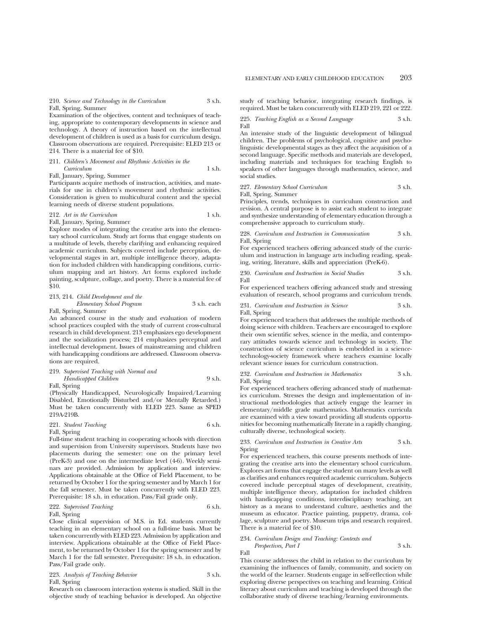### 210. *Science and Technology in the Curriculum* 3 s.h. Fall, Spring, Summer

Examination of the objectives, content and techniques of teaching, appropriate to contemporary developments in science and technology. A theory of instruction based on the intellectual development of children is used as a basis for curriculum design. Classroom observations are required. Prerequisite: ELED 213 or 214. There is a material fee of \$10.

## 211. *Children's Movement and Rhythmic Activities in the Curriculum* 1 s.h.

Fall, January, Spring, Summer

Participants acquire methods of instruction, activities, and materials for use in children's movement and rhythmic activities. Consideration is given to multicultural content and the special learning needs of diverse student populations.

#### 212. Art in the Curriculum 1 s.h. Fall, January, Spring, Summer

Explore modes of integrating the creative arts into the elementary school curriculum. Study art forms that engage students on a multitude of levels, thereby clarifying and enhancing required academic curriculum. Subjects covered include perception, developmental stages in art, multiple intelligence theory, adaptation for included children with handicapping conditions, curriculum mapping and art history. Art forms explored include painting, sculpture, collage, and poetry. There is a material fee of \$10.

## 213, 214. *Child Development and the Elementary School Program* 3 s.h. each

Fall, Spring, Summer

An advanced course in the study and evaluation of modern school practices coupled with the study of current cross-cultural research in child development. 213 emphasizes ego development and the socialization process; 214 emphasizes perceptual and intellectual development. Issues of mainstreaming and children with handicapping conditions are addressed. Classroom observations are required.

## 219. *Supervised Teaching with Normal and Handicapped Children* 9 s.h.

Fall, Spring

(Physically Handicapped, Neurologically Impaired/Learning Disabled, Emotionally Disturbed and/or Mentally Retarded.) Must be taken concurrently with ELED 223. Same as SPED 219A-219B.

### 221. *Student Teaching* 6 s.h. Fall, Spring

Full-time student teaching in cooperating schools with direction and supervision from University supervisors. Students have two placements during the semester: one on the primary level (PreK-3) and one on the intermediate level (4-6). Weekly seminars are provided. Admission by application and interview. Applications obtainable at the Office of Field Placement, to be returned by October 1 for the spring semester and by March 1 for the fall semester. Must be taken concurrently with ELED 223. Prerequisite: 18 s.h. in education. Pass/Fail grade only.

### 222. Supervised Teaching 6 s.h. Fall, Spring

Close clinical supervision of M.S. in Ed. students currently teaching in an elementary school on a full-time basis. Must be taken concurrently with ELED 223. Admission by application and interview. Applications obtainable at the Office of Field Placement, to be returned by October 1 for the spring semester and by March 1 for the fall semester. Prerequisite: 18 s.h. in education. Pass/Fail grade only.

223. *Analysis of Teaching Behavior* 3 s.h. Fall, Spring

Research on classroom interaction systems is studied. Skill in the objective study of teaching behavior is developed. An objective study of teaching behavior, integrating research findings, is required. Must be taken concurrently with ELED 219, 221 or 222.

225. *Teaching English as a Second Language* 3 s.h. Fall

An intensive study of the linguistic development of bilingual children. The problems of psychological, cognitive and psycholinguistic developmental stages as they affect the acquisition of a second language. Specific methods and materials are developed, including materials and techniques for teaching English to speakers of other languages through mathematics, science, and social studies.

227. *Elementary School Curriculum* 3 s.h.

Fall, Spring, Summer

Principles, trends, techniques in curriculum construction and revision. A central purpose is to assist each student to integrate and synthesize understanding of elementary education through a comprehensive approach to curriculum study.

228. *Curriculum and Instruction in Communication* 3 s.h. Fall, Spring

For experienced teachers offering advanced study of the curriculum and instruction in language arts including reading, speaking, writing, literature, skills and appreciation (PreK-6).

230. *Curriculum and Instruction in Social Studies* 3 s.h. Fall

For experienced teachers offering advanced study and stressing evaluation of research, school programs and curriculum trends.

231. *Curriculum and Instruction in Science* 3 s.h. Fall, Spring

For experienced teachers that addresses the multiple methods of doing science with children. Teachers are encouraged to explore their own scientific selves, science in the media, and contemporary attitudes towards science and technology in society. The construction of science curriculum is embedded in a sciencetechnology-society framework where teachers examine locally relevant science issues for curriculum construction.

232. *Curriculum and Instruction in Mathematics* 3 s.h. Fall, Spring

For experienced teachers offering advanced study of mathematics curriculum. Stresses the design and implementation of instructional methodologies that actively engage the learner in elementary/middle grade mathematics. Mathematics curricula are examined with a view toward providing all students opportunities for becoming mathematically literate in a rapidly changing, culturally diverse, technological society.

233. *Curriculum and Instruction in Creative Arts* 3 s.h. Spring

For experienced teachers, this course presents methods of integrating the creative arts into the elementary school curriculum. Explores art forms that engage the student on many levels as well as clarifies and enhances required academic curriculum. Subjects covered include perceptual stages of development, creativity, multiple intelligence theory, adaptation for included children with handicapping conditions, interdisciplinary teaching, art history as a means to understand culture, aesthetics and the museum as educator. Practice painting, puppetry, drama, collage, sculpture and poetry. Museum trips and research required. There is a material fee of \$10.

## 234. *Curriculum Design and Teaching: Contexts and*

*Perspectives, Part I* 3 s.h. Fall

This course addresses the child in relation to the curriculum by examining the influences of family, community, and society on the world of the learner. Students engage in self-reflection while exploring diverse perspectives on teaching and learning. Critical literacy about curriculum and teaching is developed through the collaborative study of diverse teaching/learning environments.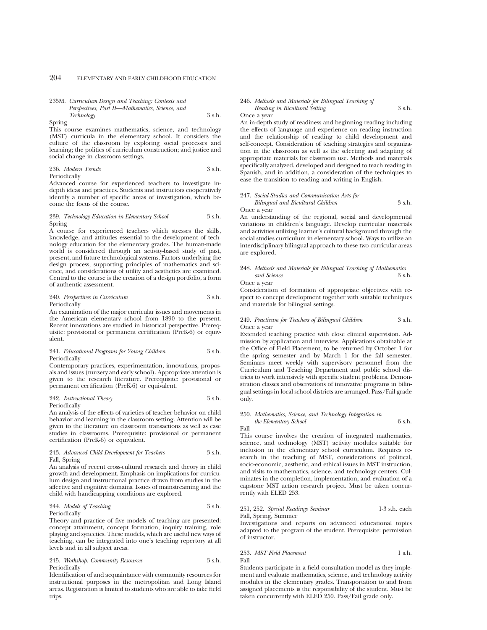## 235M. *Curriculum Design and Teaching: Contexts and Perspectives, Part II—Mathematics, Science, and Technology* 3 s.h.

Spring

This course examines mathematics, science, and technology (MST) curricula in the elementary school. It considers the culture of the classroom by exploring social processes and learning; the politics of curriculum construction; and justice and social change in classroom settings.

236. *Modern Trends* 3 s.h.

Periodically

Advanced course for experienced teachers to investigate indepth ideas and practices. Students and instructors cooperatively identify a number of specific areas of investigation, which become the focus of the course.

### 239. *Technology Education in Elementary School* 3 s.h. Spring

A course for experienced teachers which stresses the skills, knowledge, and attitudes essential to the development of technology education for the elementary grades. The human-made world is considered through an activity-based study of past, present, and future technological systems. Factors underlying the design process, supporting principles of mathematics and science, and considerations of utility and aesthetics are examined. Central to the course is the creation of a design portfolio, a form of authentic assessment.

### 240. *Perspectives in Curriculum* 3 s.h. Periodically

An examination of the major curricular issues and movements in the American elementary school from 1890 to the present. Recent innovations are studied in historical perspective. Prerequisite: provisional or permanent certification (PreK-6) or equivalent.

### 241. *Educational Programs for Young Children* 3 s.h. **Periodically**

Contemporary practices, experimentation, innovations, proposals and issues (nursery and early school). Appropriate attention is given to the research literature. Prerequisite: provisional or permanent certification (PreK-6) or equivalent.

#### 242. *Instructional Theory* 3 s.h. Periodically

An analysis of the effects of varieties of teacher behavior on child behavior and learning in the classroom setting. Attention will be given to the literature on classroom transactions as well as case studies in classrooms. Prerequisite: provisional or permanent certification (PreK-6) or equivalent.

### 243. *Advanced Child Development for Teachers* 3 s.h. Fall, Spring

An analysis of recent cross-cultural research and theory in child growth and development. Emphasis on implications for curriculum design and instructional practice drawn from studies in the affective and cognitive domains. Issues of mainstreaming and the child with handicapping conditions are explored.

## 244. *Models of Teaching* 3 s.h. Periodically

Theory and practice of five models of teaching are presented: concept attainment, concept formation, inquiry training, role playing and synectics. These models, which are useful new ways of teaching, can be integrated into one's teaching repertory at all levels and in all subject areas.

## 245. *Workshop: Community Resources* 3 s.h. Periodically

Identification of and acquaintance with community resources for instructional purposes in the metropolitan and Long Island areas. Registration is limited to students who are able to take field trips.

### 246. *Methods and Materials for Bilingual Teaching of Reading in Bicultural Setting*  $\frac{1}{2}$  3 s.h.

Once a year

An in-depth study of readiness and beginning reading including the effects of language and experience on reading instruction and the relationship of reading to child development and self-concept. Consideration of teaching strategies and organization in the classroom as well as the selecting and adapting of appropriate materials for classroom use. Methods and materials specifically analyzed, developed and designed to teach reading in Spanish, and in addition, a consideration of the techniques to ease the transition to reading and writing in English.

## 247. *Social Studies and Communication Arts for Bilingual and Bicultural Children* 3 s.h.

Once a year

An understanding of the regional, social and developmental variations in children's language. Develop curricular materials and activities utilizing learner's cultural background through the social studies curriculum in elementary school. Ways to utilize an interdisciplinary bilingual approach to these two curricular areas are explored.

### 248. *Methods and Materials for Bilingual Teaching of Mathematics and Science* 3 s.h. Once a year

Consideration of formation of appropriate objectives with respect to concept development together with suitable techniques and materials for bilingual settings.

### 249. *Practicum for Teachers of Bilingual Children* 3 s.h. Once a year

Extended teaching practice with close clinical supervision. Admission by application and interview. Applications obtainable at the Office of Field Placement, to be returned by October 1 for the spring semester and by March 1 for the fall semester. Seminars meet weekly with supervisory personnel from the Curriculum and Teaching Department and public school districts to work intensively with specific student problems. Demonstration classes and observations of innovative programs in bilingual settings in local school districts are arranged. Pass/Fail grade only.

### 250. *Mathematics, Science, and Technology Integration in the Elementary School* 6 s.h.

Fall

This course involves the creation of integrated mathematics, science, and technology (MST) activity modules suitable for inclusion in the elementary school curriculum. Requires research in the teaching of MST, considerations of political, socio-economic, aesthetic, and ethical issues in MST instruction, and visits to mathematics, science, and technology centers. Culminates in the completion, implementation, and evaluation of a capstone MST action research project. Must be taken concurrently with ELED 253.

# 251, 252. *Special Readings Seminar* 1-3 s.h. each

Fall, Spring, Summer Investigations and reports on advanced educational topics adapted to the program of the student. Prerequisite: permission of instructor.

### 253. *MST Field Placement* 1 s.h. Fall

Students participate in a field consultation model as they implement and evaluate mathematics, science, and technology activity modules in the elementary grades. Transportation to and from assigned placements is the responsibility of the student. Must be taken concurrently with ELED 250. Pass/Fail grade only.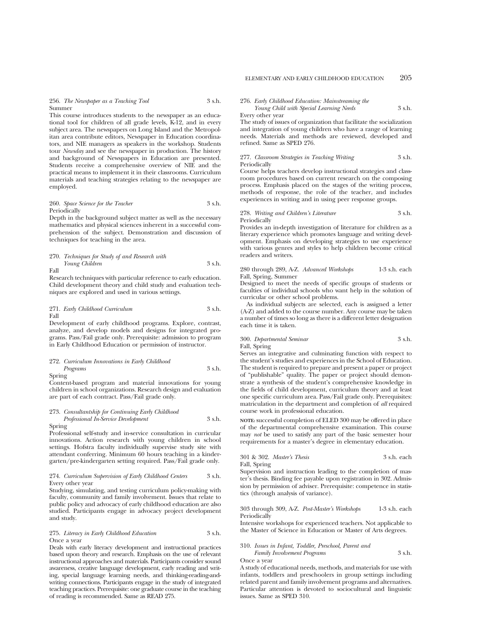256. *The Newspaper as a Teaching Tool* 3 s.h. Summer

This course introduces students to the newspaper as an educational tool for children of all grade levels,  $\overline{k-1}2$ , and in every subject area. The newspapers on Long Island and the Metropolitan area contribute editors, Newspaper in Education coordinators, and NIE managers as speakers in the workshop. Students tour *Newsday* and see the newspaper in production. The history and background of Newspapers in Education are presented. Students receive a comprehensive overview of NIE and the practical means to implement it in their classrooms. Curriculum materials and teaching strategies relating to the newspaper are employed.

260. *Space Science for the Teacher* 3 s.h. Periodically

Depth in the background subject matter as well as the necessary mathematics and physical sciences inherent in a successful comprehension of the subject. Demonstration and discussion of techniques for teaching in the area.

### 270. *Techniques for Study of and Research with Young Children* 3 s.h. Fall

Research techniques with particular reference to early education. Child development theory and child study and evaluation techniques are explored and used in various settings.

271. *Early Childhood Curriculum* 3 s.h. Fall

Development of early childhood programs. Explore, contrast, analyze, and develop models and designs for integrated programs. Pass/Fail grade only. Prerequisite: admission to program in Early Childhood Education or permission of instructor.

### 272. *Curriculum Innovations in Early Childhood*

### *Programs* 3 s.h. Spring

Content-based program and material innovations for young children in school organizations. Research design and evaluation are part of each contract. Pass/Fail grade only.

### 273. *Consultantship for Continuing Early Childhood Professional In-Service Development* 3 s.h. Spring

Professional self-study and in-service consultation in curricular innovations. Action research with young children in school settings. Hofstra faculty individually supervise study site with attendant conferring. Minimum 60 hours teaching in a kindergarten/pre-kindergarten setting required. Pass/Fail grade only.

### 274. *Curriculum Supervision of Early Childhood Centers* 3 s.h. Every other year

Studying, simulating, and testing curriculum policy-making with faculty, community and family involvement. Issues that relate to public policy and advocacy of early childhood education are also studied. Participants engage in advocacy project development and study.

### 275. *Literacy in Early Childhood Education* 3 s.h. Once a year

Deals with early literacy development and instructional practices based upon theory and research. Emphasis on the use of relevant instructional approaches and materials. Participants consider sound awareness, creative language development, early reading and writing, special language learning needs, and thinking-reading-andwriting connections. Participants engage in the study of integrated teaching practices. Prerequisite: one graduate course in the teaching of reading is recommended. Same as READ 275.

### 276. *Early Childhood Education: Mainstreaming the*

*Young Child with Special Learning Needs* 3 s.h.

Every other year

The study of issues of organization that facilitate the socialization and integration of young children who have a range of learning needs. Materials and methods are reviewed, developed and refined. Same as SPED 276.

### 277. *Classroom Strategies in Teaching Writing* 3 s.h. Periodically

Course helps teachers develop instructional strategies and classroom procedures based on current research on the composing process. Emphasis placed on the stages of the writing process, methods of response, the role of the teacher, and includes experiences in writing and in using peer response groups.

### 278. *Writing and Children's Literature* 3 s.h. Periodically

Provides an in-depth investigation of literature for children as a literary experience which promotes language and writing development. Emphasis on developing strategies to use experience with various genres and styles to help children become critical readers and writers.

### 280 through 289, A-Z. *Advanced Workshops* 1-3 s.h. each Fall, Spring, Summer

Designed to meet the needs of specific groups of students or faculties of individual schools who want help in the solution of curricular or other school problems.

As individual subjects are selected, each is assigned a letter (A-Z) and added to the course number. Any course may be taken a number of times so long as there is a different letter designation each time it is taken.

## 300. *Departmental Seminar* 3 s.h. Fall, Spring

Serves an integrative and culminating function with respect to the student's studies and experiences in the School of Education. The student is required to prepare and present a paper or project of "publishable" quality. The paper or project should demonstrate a synthesis of the student's comprehensive knowledge in the fields of child development, curriculum theory and at least one specific curriculum area. Pass/Fail grade only. Prerequisites: matriculation in the department and completion of *all* required course work in professional education.

**NOTE:** successful completion of ELED 300 may be offered in place of the departmental comprehensive examination. This course may *not* be used to satisfy any part of the basic semester hour requirements for a master's degree in elementary education.

### 301 & 302. *Master's Thesis* 3 s.h. each Fall, Spring

Supervision and instruction leading to the completion of master's thesis. Binding fee payable upon registration in 302. Admission by permission of adviser. Prerequisite: competence in statistics (through analysis of variance).

303 through 309, A-Z. *Post-Master's Workshops* 1-3 s.h. each **Periodically** 

Intensive workshops for experienced teachers. Not applicable to the Master of Science in Education or Master of Arts degrees.

### 310. *Issues in Infant, Toddler, Preschool, Parent and Family Involvement Programs* 3 s.h.

Once a year A study of educational needs, methods, and materials for use with infants, toddlers and preschoolers in group settings including related parent and family involvement programs and alternatives. Particular attention is devoted to sociocultural and linguistic issues. Same as SPED 310.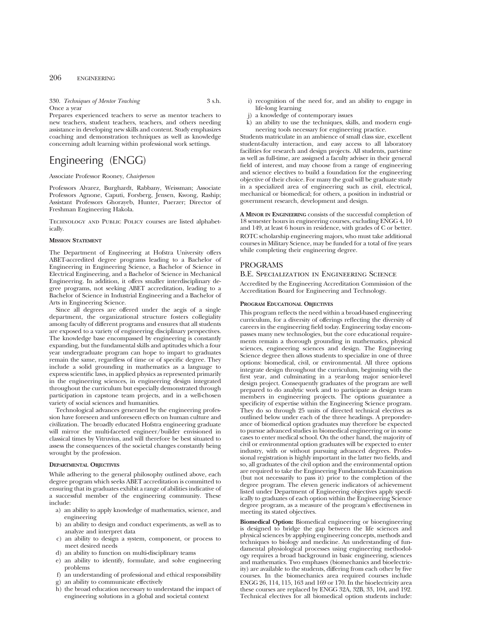330. *Techniques of Mentor Teaching* 3 s.h. Once a year

Prepares experienced teachers to serve as mentor teachers to new teachers, student teachers, teachers, and others needing assistance in developing new skills and content. Study emphasizes coaching and demonstration techniques as well as knowledge concerning adult learning within professional work settings.

# Engineering (ENGG)

Associate Professor Rooney, *Chairperson*

Professors Alvarez, Burghardt, Rabbany, Weissman; Associate Professors Agnone, Caputi, Forsberg, Jensen, Kwong, Raship; Assistant Professors Ghorayeb, Hunter, Puerzer; Director of Freshman Engineering Hakola.

Technology and Public Policy courses are listed alphabetically.

#### **MISSION STATEMENT**

The Department of Engineering at Hofstra University offers ABET-accredited degree programs leading to a Bachelor of Engineering in Engineering Science, a Bachelor of Science in Electrical Engineering, and a Bachelor of Science in Mechanical Engineering. In addition, it offers smaller interdisciplinary degree programs, not seeking ABET accreditation, leading to a Bachelor of Science in Industrial Engineering and a Bachelor of Arts in Engineering Science.

Since all degrees are offered under the aegis of a single department, the organizational structure fosters collegiality among faculty of different programs and ensures that all students are exposed to a variety of engineering disciplinary perspectives. The knowledge base encompassed by engineering is constantly expanding, but the fundamental skills and aptitudes which a four year undergraduate program can hope to impart to graduates remain the same, regardless of time or of specific degree. They include a solid grounding in mathematics as a language to express scientific laws, in applied physics as represented primarily in the engineering sciences, in engineering design integrated throughout the curriculum but especially demonstrated through participation in capstone team projects, and in a well-chosen variety of social sciences and humanities.

Technological advances generated by the engineering profession have foreseen and unforeseen effects on human culture and civilization. The broadly educated Hofstra engineering graduate will mirror the multi-faceted engineer/builder envisioned in classical times by Vitruvius, and will therefore be best situated to assess the consequences of the societal changes constantly being wrought by the profession.

### **DEPARTMENTAL OBJECTIVES**

While adhering to the general philosophy outlined above, each degree program which seeks ABET accreditation is committed to ensuring that its graduates exhibit a range of abilities indicative of a successful member of the engineering community. These include:

- a) an ability to apply knowledge of mathematics, science, and engineering
- b) an ability to design and conduct experiments, as well as to analyze and interpret data
- c) an ability to design a system, component, or process to meet desired needs
- d) an ability to function on multi-disciplinary teams
- e) an ability to identify, formulate, and solve engineering problems
- f) an understanding of professional and ethical responsibility
- g) an ability to communicate effectively
- h) the broad education necessary to understand the impact of engineering solutions in a global and societal context
- i) recognition of the need for, and an ability to engage in life-long learning
- j) a knowledge of contemporary issues<br>k) an ability to use the techniques, skill
- an ability to use the techniques, skills, and modern engineering tools necessary for engineering practice.

Students matriculate in an ambience of small class size, excellent student-faculty interaction, and easy access to all laboratory facilities for research and design projects. All students, part-time as well as full-time, are assigned a faculty adviser in their general field of interest, and may choose from a range of engineering and science electives to build a foundation for the engineering objective of their choice. For many the goal will be graduate study in a specialized area of engineering such as civil, electrical, mechanical or biomedical; for others, a position in industrial or government research, development and design.

**A MINOR IN ENGINEERING** consists of the successful completion of 18 semester hours in engineering courses, excluding ENGG 4, 10 and 149, at least 6 hours in residence, with grades of C or better.

ROTC scholarship engineering majors, who must take additional courses in Military Science, may be funded for a total of five years while completing their engineering degree.

## PROGRAMS

#### B.E. Specialization in Engineering Science

Accredited by the Engineering Accreditation Commission of the Accreditation Board for Engineering and Technology.

#### **PROGRAM EDUCATIONAL OBJECTIVES**

This program reflects the need within a broad-based engineering curriculum, for a diversity of offerings reflecting the diversity of careers in the engineering field today. Engineering today encompasses many new technologies, but the core educational requirements remain a thorough grounding in mathematics, physical sciences, engineering sciences and design. The Engineering Science degree then allows students to specialize in one of three options: biomedical, civil, or environmental. All three options integrate design throughout the curriculum, beginning with the first year, and culminating in a year-long major senior-level design project. Consequently graduates of the program are well prepared to do analytic work and to participate as design team members in engineering projects. The options guarantee a specificity of expertise within the Engineering Science program. They do so through 25 units of directed technical electives as outlined below under each of the three headings. A preponderance of biomedical option graduates may therefore be expected to pursue advanced studies in biomedical engineering or in some cases to enter medical school. On the other hand, the majority of civil or environmental option graduates will be expected to enter industry, with or without pursuing advanced degrees. Professional registration is highly important in the latter two fields, and so, all graduates of the civil option and the environmental option are required to take the Engineering Fundamentals Examination (but not necessarily to pass it) prior to the completion of the degree program. The eleven generic indicators of achievement listed under Department of Engineering objectives apply specifically to graduates of each option within the Engineering Science degree program, as a measure of the program's effectiveness in meeting its stated objectives.

**Biomedical Option:** Biomedical engineering or bioengineering is designed to bridge the gap between the life sciences and physical sciences by applying engineering concepts, methods and techniques to biology and medicine. An understanding of fundamental physiological processes using engineering methodology requires a broad background in basic engineering, sciences and mathematics. Two emphases (biomechanics and bioelectricity) are available to the students, differing from each other by five courses. In the biomechanics area required courses include ENGG 26, 114, 115, 163 and 169 or 170. In the bioelectricity area these courses are replaced by ENGG 32A, 32B, 33, 104, and 192. Technical electives for all biomedical option students include: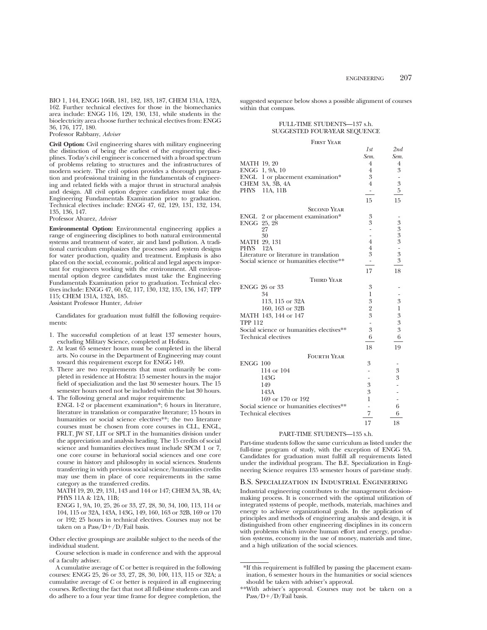BIO 1, 144, ENGG 166B, 181, 182, 183, 187, CHEM 131A, 132A, 162. Further technical electives for those in the biomechanics area include: ENGG 116, 129, 130, 131, while students in the bioelectricity area choose further technical electives from: ENGG 36, 176, 177, 180.

Professor Rabbany, *Adviser*

**Civil Option:** Civil engineering shares with military engineering the distinction of being the earliest of the engineering disciplines. Today's civil engineer is concerned with a broad spectrum of problems relating to structures and the infrastructures of modern society. The civil option provides a thorough preparation and professional training in the fundamentals of engineering and related fields with a major thrust in structural analysis and design. All civil option degree candidates must take the Engineering Fundamentals Examination prior to graduation. Technical electives include: ENGG 47, 62, 129, 131, 132, 134, 135, 136, 147.

Professor Alvarez, *Adviser*

**Environmental Option:** Environmental engineering applies a range of engineering disciplines to both natural environmental systems and treatment of water, air and land pollution. A traditional curriculum emphasizes the processes and system designs for water production, quality and treatment. Emphasis is also placed on the social, economic, political and legal aspects important for engineers working with the environment. All environmental option degree candidates must take the Engineering Fundamentals Examination prior to graduation. Technical electives include: ENGG 47, 60, 62, 117, 130, 132, 135, 136, 147; TPP 115; CHEM 131A, 132A, 185.

Assistant Professor Hunter, *Adviser*

Candidates for graduation must fulfill the following requirements:

- 1. The successful completion of at least 137 semester hours, excluding Military Science, completed at Hofstra.
- 2. At least 65 semester hours must be completed in the liberal arts. No course in the Department of Engineering may count toward this requirement except for ENGG 149.
- 3. There are two requirements that must ordinarily be completed in residence at Hofstra: 15 semester hours in the major field of specialization and the last 30 semester hours. The 15 semester hours need not be included within the last 30 hours.

4. The following general and major requirements: ENGL 1-2 or placement examination\*; 6 hours in literature, literature in translation or comparative literature; 15 hours in humanities or social science electives\*\*; the two literature courses must be chosen from core courses in CLL, ENGL, FRLT, JW ST, LIT or SPLT in the humanities division under the appreciation and analysis heading. The 15 credits of social science and humanities electives must include SPCM 1 or 7. one core course in behavioral social sciences and one core course in history and philosophy in social sciences. Students transferring in with previous social science/humanities credits may use them in place of core requirements in the same category as the transferred credits.

MATH 19, 20, 29, 131, 143 and 144 or 147; CHEM 3A, 3B, 4A; PHYS 11A & 12A, 11B;

ENGG 1, 9A, 10, 25, 26 or 33, 27, 28, 30, 34, 100, 113, 114 or 104, 115 or 32A, 143A, 143G, 149, 160, 163 or 32B, 169 or 170 or 192; 25 hours in technical electives. Courses may not be taken on a Pass/ $D+/D$ /Fail basis.

Other elective groupings are available subject to the needs of the individual student.

Course selection is made in conference and with the approval of a faculty adviser.

A cumulative average of C or better is required in the following courses: ENGG 25, 26 or 33, 27, 28, 30, 100, 113, 115 or 32A; a cumulative average of C or better is required in all engineering courses. Reflecting the fact that not all full-time students can and do adhere to a four year time frame for degree completion, the suggested sequence below shows a possible alignment of courses within that compass.

## FULL-TIME STUDENTS—137 s.h. SUGGESTED FOUR-YEAR SEQUENCE

#### First Year

|                                          | 1st                      | 2nd              |
|------------------------------------------|--------------------------|------------------|
|                                          | Sem.                     | Sem.             |
| MATH 19, 20                              | 4                        | 4                |
| ENGG 1, 9A, 10                           | 4                        | 3                |
| ENGL 1 or placement examination*         | 3                        |                  |
| CHEM 3A, 3B, 4A                          | $\overline{4}$           | 3                |
| PHYS 11A, 11B                            | $\overline{\phantom{a}}$ | 5                |
|                                          | 15                       | 15               |
| <b>SECOND YEAR</b>                       |                          |                  |
| ENGL 2 or placement examination*         | 3                        |                  |
| ENGG 25, 28                              | 3                        |                  |
| 27                                       | L,                       | $3333$ $-333$    |
| 30                                       | L,                       |                  |
| MATH 29, 131                             | $\overline{4}$           |                  |
| 12A<br>PHYS                              | $\overline{4}$           |                  |
| Literature or literature in translation  | 3                        |                  |
| Social science or humanities elective**  | ۳                        |                  |
|                                          | 17                       | 18               |
| Third Year                               |                          |                  |
| ENGG 26 or 33                            | 3                        |                  |
| 34                                       | 1                        |                  |
| 113, 115 or 32A                          | 3                        | 3                |
| 160, 163 or 32B                          | $\overline{2}$           | 1                |
| MATH 143, 144 or 147                     | 3                        | $\boldsymbol{3}$ |
| <b>TPP 112</b>                           | $\overline{\phantom{0}}$ | 3                |
| Social science or humanities electives** | 3                        | 3                |
| <b>Technical electives</b>               | 6                        | 6                |
|                                          | 18                       | 19               |
| <b>FOURTH YEAR</b>                       |                          |                  |
| <b>ENGG 100</b>                          | 3                        |                  |
| 114 or 104                               |                          | 3                |
| 143G                                     |                          | 3                |
| 149                                      | 3                        |                  |
| 143A                                     | 3                        |                  |
| 169 or 170 or 192                        | 1                        |                  |
| Social science or humanities electives** |                          | 6                |
| Technical electives                      | 7                        | 6                |
|                                          | 17                       | 18               |
|                                          |                          |                  |

#### PART-TIME STUDENTS—135 s.h.

Part-time students follow the same curriculum as listed under the full-time program of study, with the exception of ENGG 9A. Candidates for graduation must fulfill all requirements listed under the individual program. The B.E. Specialization in Engineering Science requires 135 semester hours of part-time study.

#### B.S. Specialization in Industrial Engineering

Industrial engineering contributes to the management decisionmaking process. It is concerned with the optimal utilization of integrated systems of people, methods, materials, machines and energy to achieve organizational goals. In the application of principles and methods of engineering analysis and design, it is distinguished from other engineering disciplines in its concern with problems which involve human effort and energy, production systems, economy in the use of money, materials and time, and a high utilization of the social sciences.

<sup>\*</sup>If this requirement is fulfilled by passing the placement examination, 6 semester hours in the humanities or social sciences should be taken with adviser's approval.

<sup>\*\*</sup>With adviser's approval. Courses may not be taken on a Pass/D+/D/Fail basis.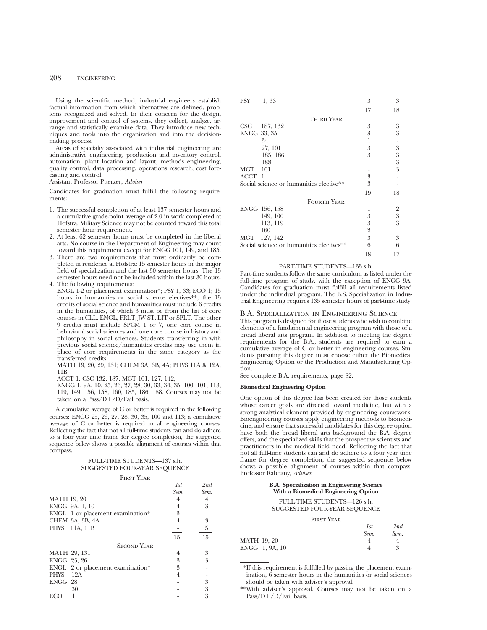Using the scientific method, industrial engineers establish factual information from which alternatives are defined, problems recognized and solved. In their concern for the design, improvement and control of systems, they collect, analyze, arrange and statistically examine data. They introduce new techniques and tools into the organization and into the decisionmaking process.

Areas of specialty associated with industrial engineering are administrative engineering, production and inventory control, automation, plant location and layout, methods engineering, quality control, data processing, operations research, cost forecasting and control.

Assistant Professor Puerzer, *Adviser*

Candidates for graduation must fulfill the following requirements:

- 1. The successful completion of at least 137 semester hours and a cumulative grade-point average of 2.0 in work completed at Hofstra. Military Science may not be counted toward this total semester hour requirement.
- 2. At least 62 semester hours must be completed in the liberal arts. No course in the Department of Engineering may count toward this requirement except for ENGG 101, 149, and 185.
- 3. There are two requirements that must ordinarily be completed in residence at Hofstra: 15 semester hours in the major field of specialization and the last 30 semester hours. The 15 semester hours need not be included within the last 30 hours. 4. The following requirements:
- ENGL 1-2 or placement examination\*; PSY 1, 33; ECO 1; 15 hours in humanities or social science electives\*\*; the 15 credits of social science and humanities must include 6 credits in the humanities, of which 3 must be from the list of core courses in CLL, ENGL, FRLT, JW ST, LIT or SPLT. The other 9 credits must include SPCM 1 or 7, one core course in behavioral social sciences and one core course in history and philosophy in social sciences. Students transferring in with previous social science/humanities credits may use them in place of core requirements in the same category as the transferred credits.

MATH 19, 20, 29, 131; CHEM 3A, 3B, 4A; PHYS 11A & 12A, 11B

ACCT 1; CSC 132, 187; MGT 101, 127, 142;

ENGG 1, 9A, 10, 25, 26, 27, 28, 30, 33, 34, 35, 100, 101, 113, 119, 149, 156, 158, 160, 185, 186, 188. Courses may not be taken on a Pass/ $D+/D/F$ ail basis.

A cumulative average of C or better is required in the following courses: ENGG 25, 26, 27, 28, 30, 35, 100 and 113; a cumulative average of C or better is required in all engineering courses. Reflecting the fact that not all full-time students can and do adhere to a four year time frame for degree completion, the suggested sequence below shows a possible alignment of courses within that compass.

## FULL-TIME STUDENTS—137 s.h. SUGGESTED FOUR-YEAR SEQUENCE

#### First Year

|                    |                                  | 1st  | 2nd  |
|--------------------|----------------------------------|------|------|
|                    |                                  | Sem. | Sem. |
| <b>MATH 19, 20</b> |                                  | 4    | 4    |
|                    | ENGG 9A, 1, 10                   | 4    | 3    |
|                    | ENGL 1 or placement examination* | 3    |      |
|                    | CHEM 3A, 3B, 4A                  |      | 3    |
|                    | PHYS 11A, 11B                    |      | 5    |
|                    |                                  | 15   | 15   |
|                    | <b>SECOND YEAR</b>               |      |      |
| MATH 29, 131       |                                  | 4    | 3    |
| ENGG 25, 26        |                                  | 3    | 3    |
|                    | ENGL 2 or placement examination* | 3    |      |
| PHYS               | 12A                              | 4    |      |
| ENGG 28            |                                  |      | 3    |
|                    | 30                               |      | 3    |
| ECC                |                                  |      | 3    |

| PSY<br>1, 33                             | 3              | 3                |
|------------------------------------------|----------------|------------------|
|                                          | 17             | 18               |
| <b>THIRD YEAR</b>                        |                |                  |
| 187, 132<br>CSC                          | 3              | 3                |
| ENGG 33, 35                              | 3              | 3                |
| 34                                       | 1              |                  |
| 27, 101                                  | 3              | 3                |
| 185, 186                                 | 3              | 3                |
| 188                                      |                | $\boldsymbol{3}$ |
| <b>MGT</b><br>101                        |                | 3                |
| ACCT<br>1                                | 3              |                  |
| Social science or humanities elective**  | 3              |                  |
|                                          | 19             | 18               |
| <b>FOURTH YEAR</b>                       |                |                  |
| ENGG 156, 158                            | 1              | 2                |
| 149, 100                                 | 3              | 3                |
| 113, 119                                 | 3              | 3                |
| 160                                      | $\overline{2}$ |                  |
| 127, 142<br>MGT                          | 3              | 3                |
| Social science or humanities electives** | 6              | 6                |
|                                          | 18             | 17               |

#### PART-TIME STUDENTS—135 s.h.

Part-time students follow the same curriculum as listed under the full-time program of study, with the exception of ENGG 9A. Candidates for graduation must fulfill all requirements listed under the individual program. The B.S. Specialization in Industrial Engineering requires 135 semester hours of part-time study.

## B.A. Specialization in Engineering Science

This program is designed for those students who wish to combine elements of a fundamental engineering program with those of a broad liberal arts program. In addition to meeting the degree requirements for the B.A., students are required to earn a cumulative average of C or better in engineering courses. Students pursuing this degree must choose either the Biomedical Engineering Option or the Production and Manufacturing Option.

See complete B.A. requirements, page 82.

## **Biomedical Engineering Option**

One option of this degree has been created for those students whose career goals are directed toward medicine, but with a strong analytical element provided by engineering coursework. Bioengineering courses apply engineering methods to biomedicine, and ensure that successful candidates for this degree option have both the broad liberal arts background the B.A. degree offers, and the specialized skills that the prospective scientists and practitioners in the medical field need. Reflecting the fact that not all full-time students can and do adhere to a four year time frame for degree completion, the suggested sequence below shows a possible alignment of courses within that compass. Professor Rabbany, *Adviser*.

## **B.A. Specialization in Engineering Science With a Biomedical Engineering Option**

#### FULL-TIME STUDENTS—126 s.h. SUGGESTED FOUR-YEAR SEQUENCE

First Year

|                | 1st  | $_{2nd}$          |
|----------------|------|-------------------|
|                | Sem. | Sem.              |
| MATH 19, 20    |      |                   |
| ENGG 1, 9A, 10 |      | $\mathbf{\Omega}$ |

\*If this requirement is fulfilled by passing the placement examination, 6 semester hours in the humanities or social sciences should be taken with adviser's approval.

\*\*With adviser's approval. Courses may not be taken on a Pass/D+/D/Fail basis.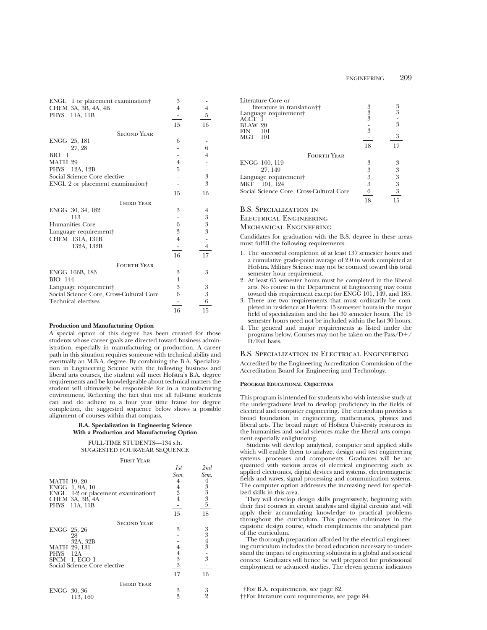| ENGL 1 or placement examination†             | 3              |                  |
|----------------------------------------------|----------------|------------------|
| CHEM 3A, 3B, 4A, 4B                          | $\overline{4}$ | $\overline{4}$   |
| <b>PHYS</b><br>11A, 11B                      |                | 5                |
|                                              | 15             | 16               |
| <b>SECOND YEAR</b>                           |                |                  |
| ENGG 25, 181                                 | 6              |                  |
| 27, 28                                       |                | 6                |
| BЮ<br>-1                                     |                | $\overline{4}$   |
| MATH 29                                      | $\overline{4}$ |                  |
| PHYS 12A, 12B                                | 5              |                  |
| Social Science Core elective                 |                | $\boldsymbol{3}$ |
| ENGL 2 or placement examination <sup>†</sup> |                | 3                |
|                                              | 15             | 16               |
| <b>THIRD YEAR</b>                            |                |                  |
| ENGG 30, 34, 182                             | 3              | $\overline{4}$   |
| 113                                          |                | 3                |
| Humanities Core                              | 6              | 3                |
| Language requirement                         | 3              | 3                |
| CHEM 131A, 131B                              | $\overline{4}$ |                  |
| 132A, 132B                                   |                | $\overline{4}$   |
|                                              | 16             | 17               |
| <b>FOURTH YEAR</b>                           |                |                  |
| ENGG 166B, 183                               | 3              | 3                |
| <b>BIO</b> 144                               | $\overline{4}$ |                  |
| Language requirement†                        | 3              | 3                |
| Social Science Core, Cross-Cultural Core     | 6              | 3                |
| Technical electives                          |                | 6                |
|                                              | 16             | 15               |

## **Production and Manufacturing Option**

A special option of this degree has been created for those students whose career goals are directed toward business administration, especially in manufacturing or production. A career path in this situation requires someone with technical ability and eventually an M.B.A. degree. By combining the B.A. Specialization in Engineering Science with the following business and liberal arts courses, the student will meet Hofstra's B.A. degree requirements and be knowledgeable about technical matters the student will ultimately be responsible for in a manufacturing environment. Reflecting the fact that not all full-time students can and do adhere to a four year time frame for degree completion, the suggested sequence below shows a possible alignment of courses within that compass.

#### **B.A. Specialization in Engineering Science With a Production and Manufacturing Option**

## FULL-TIME STUDENTS—134 s.h. SUGGESTED FOUR-YEAR SEQUENCE

#### First Year

|                                                | 1st            | 2nd                                       |
|------------------------------------------------|----------------|-------------------------------------------|
|                                                | Sem.           | Sem.                                      |
| <b>MATH 19, 20</b>                             | 4              |                                           |
| ENGG 1, 9A, 10                                 | 4              | $\frac{4}{3}$ $\frac{3}{3}$ $\frac{3}{5}$ |
| ENGL 1-2 or placement examination <sup>+</sup> | 3              |                                           |
| CHEM 3A, 3B, 4A                                | 4              |                                           |
| PHYS 11A, 11B                                  |                |                                           |
|                                                | 15             | 18                                        |
| <b>SECOND YEAR</b>                             |                |                                           |
| ENGG 25, 26                                    | 3              |                                           |
| 28                                             |                | $\frac{3}{3}$ $\frac{4}{3}$               |
| 32A, 32B                                       |                |                                           |
| MATH 29, 131                                   |                |                                           |
| PHYS 12A                                       | 4              |                                           |
| SPCM 1, ECO 1                                  | 3              | 3                                         |
| Social Science Core elective                   | $\mathfrak{Z}$ |                                           |
|                                                | 17             | 16                                        |
| <b>THIRD YEAR</b>                              |                |                                           |
| ENGG 30, 36                                    | 3              | $\frac{3}{2}$                             |
| 113, 160                                       | 3              |                                           |

| Literature Core or                       |               |    |
|------------------------------------------|---------------|----|
| literature in translation††              | 3             | 3  |
| Language requirement                     | $\frac{3}{3}$ | 3  |
| ACCT                                     |               |    |
| BLAW 20                                  |               | 3  |
| -101<br>FIN                              | 3             |    |
| MGT 101                                  |               | 3  |
|                                          | 18            | 17 |
| <b>FOURTH YEAR</b>                       |               |    |
| ENGG 100, 119                            | 3             | 3  |
| 27, 149                                  | 3             | 3  |
| Language requirement†                    | 3             | 3  |
| MKT 101, 124                             | 3             | 3  |
| Social Science Core, Cross-Cultural Core | 6             | 3  |
|                                          | 18            | 15 |
| R S. Specialization in                   |               |    |

## B.S. Specialization in Electrical Engineering

## Mechanical Engineering

Candidates for graduation with the B.S. degree in these areas must fulfill the following requirements:

- 1. The successful completion of at least 137 semester hours and a cumulative grade-point average of 2.0 in work completed at Hofstra. Military Science may not be counted toward this total semester hour requirement.
- 2. At least 65 semester hours must be completed in the liberal arts. No course in the Department of Engineering may count toward this requirement except for ENGG 101, 149, and 185.
- 3. There are two requirements that must ordinarily be completed in residence at Hofstra: 15 semester hours in the major field of specialization and the last 30 semester hours. The 15 semester hours need not be included within the last 30 hours.
- 4. The general and major requirements as listed under the programs below. Courses may not be taken on the  $Pass/D+$ / D/Fail basis.

## B.S. Specialization in Electrical Engineering

Accredited by the Engineering Accreditation Commission of the Accreditation Board for Engineering and Technology.

## **PROGRAM EDUCATIONAL OBJECTIVES**

This program is intended for students who wish intensive study at the undergraduate level to develop proficiency in the fields of electrical and computer engineering. The curriculum provides a broad foundation in engineering, mathematics, physics and liberal arts. The broad range of Hofstra University resources in the humanities and social sciences make the liberal arts component especially enlightening.

Students will develop analytical, computer and applied skills which will enable them to analyze, design and test engineering systems, processes and components. Graduates will be acquainted with various areas of electrical engineering such as applied electronics, digital devices and systems, electromagnetic fields and waves, signal processing and communication systems. The computer option addresses the increasing need for specialized skills in this area.

They will develop design skills progressively, beginning with their first courses in circuit analysis and digital circuits and will apply their accumulating knowledge to practical problems throughout the curriculum. This process culminates in the capstone design course, which complements the analytical part of the curriculum.

The thorough preparation afforded by the electrical engineering curriculum includes the broad education necessary to understand the impact of engineering solutions in a global and societal context. Graduates will hence be well prepared for professional employment or advanced studies. The eleven generic indicators

<sup>†</sup>For B.A. requirements, see page 82.

<sup>††</sup>For literature core requirements, see page 84.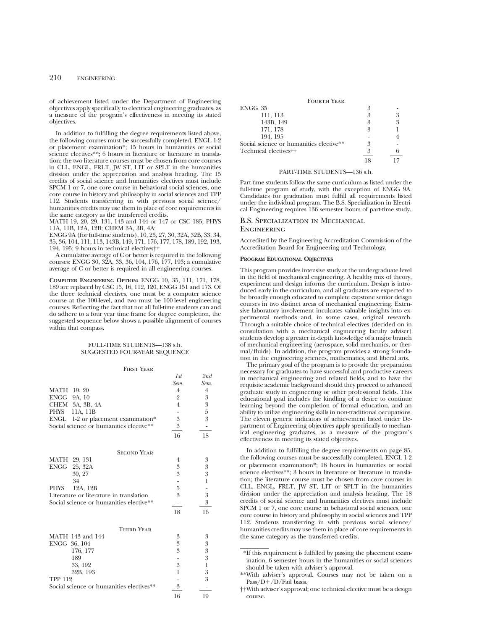of achievement listed under the Department of Engineering objectives apply specifically to electrical engineering graduates, as a measure of the program's effectiveness in meeting its stated objectives.

In addition to fulfilling the degree requirements listed above, the following courses must be successfully completed. ENGL 1-2 or placement examination\*; 15 hours in humanities or social science electives\*\*; 6 hours in literature or literature in translation; the two literature courses must be chosen from core courses in CLL, ENGL, FRLT, JW ST, LIT or SPLT in the humanities division under the appreciation and analysis heading. The 15 credits of social science and humanities electives must include SPCM 1 or 7, one core course in behavioral social sciences, one core course in history and philosophy in social sciences and TPP 112. Students transferring in with previous social science/ humanities credits may use them in place of core requirements in the same category as the transferred credits.

MATH 19, 20, 29, 131, 143 and 144 or 147 or CSC 185; PHYS 11A, 11B, 12A, 12B; CHEM 3A, 3B, 4A;

ENGG 9A (for full-time students), 10, 25, 27, 30, 32A, 32B, 33, 34, 35, 36, 104, 111, 113, 143B, 149, 171, 176, 177, 178, 189, 192, 193, 194, 195; 9 hours in technical electives††

A cumulative average of C or better is required in the following courses: ENGG 30, 32A, 33, 36, 104, 176, 177, 193; a cumulative average of C or better is required in all engineering courses.

**COMPUTER ENGINEERING OPTION:** ENGG 10, 35, 111, 171, 178, 189 are replaced by CSC 15, 16, 112, 120, ENGG 151 and 173. Of the three technical electives, one must be a computer science course at the 100-level, and two must be 100-level engineering courses. Reflecting the fact that not all full-time students can and do adhere to a four year time frame for degree completion, the suggested sequence below shows a possible alignment of courses within that compass.

## FULL-TIME STUDENTS—138 s.h. SUGGESTED FOUR-YEAR SEQUENCE

#### First Year

|                    |                                         | 1st            | 2nd  |
|--------------------|-----------------------------------------|----------------|------|
|                    |                                         | Sem.           | Sem. |
| <b>MATH</b> 19, 20 |                                         | $\overline{4}$ | 4    |
| ENGG 9A, 10        |                                         | $\overline{2}$ | 3    |
|                    | CHEM 3A, 3B, 4A                         | $\overline{4}$ | 3    |
| PHYS               | 11A, 11B                                |                | 5    |
|                    | ENGL 1-2 or placement examination*      | 3              | 3    |
|                    | Social science or humanities elective** | 3              |      |
|                    |                                         | 16             | 18   |
|                    | <b>SECOND YEAR</b>                      |                |      |
|                    | MATH 29, 131                            | 4              | 3    |
|                    | ENGG 25, 32A                            | 3              | 3    |
|                    | 30, 27                                  | 3              | 3    |
|                    | 34                                      |                |      |
| <b>PHYS</b>        | 12A, 12B                                | 5              |      |
|                    | Literature or literature in translation | 3              | 3    |
|                    | Social science or humanities elective** |                | 3    |
|                    |                                         | 18             | 16   |

| <b>THIRD YEAR</b>                        |   |   |
|------------------------------------------|---|---|
| MATH 143 and 144                         | 3 | 3 |
| ENGG 36, 104                             | 3 | 3 |
| 176, 177                                 | 3 | 3 |
| 189                                      |   | 3 |
| 33, 192                                  | 3 |   |
| 32B, 193                                 |   | 3 |
| <b>TPP 112</b>                           |   | 3 |
| Social science or humanities electives** | 2 |   |
|                                          |   |   |

| <b>FOURTH YEAR</b>                      |   |   |
|-----------------------------------------|---|---|
| ENGG 35                                 | 3 |   |
| 111, 113                                | 3 |   |
| 143B, 149                               | 3 | 3 |
| 171, 178                                | 3 |   |
| 194.195                                 |   |   |
| Social science or humanities elective** | 3 |   |
| Technical electives <sup>††</sup>       | 2 |   |
|                                         |   |   |

#### PART-TIME STUDENTS—136 s.h.

Part-time students follow the same curriculum as listed under the full-time program of study, with the exception of ENGG 9A. Candidates for graduation must fulfill all requirements listed under the individual program. The B.S. Specialization in Electrical Engineering requires 136 semester hours of part-time study.

## B.S. Specialization in Mechanical **ENGINEERING**

Accredited by the Engineering Accreditation Commission of the Accreditation Board for Engineering and Technology.

#### **PROGRAM EDUCATIONAL OBJECTIVES**

This program provides intensive study at the undergraduate level in the field of mechanical engineering. A healthy mix of theory, experiment and design informs the curriculum. Design is introduced early in the curriculum, and all graduates are expected to be broadly enough educated to complete capstone senior deisgn courses in two distinct areas of mechanical engineering. Extensive laboratory involvement inculcates valuable insights into experimental methods and, in some cases, original research. Through a suitable choice of technical electives (decided on in consultation with a mechanical engineering faculty adviser) students develop a greater in-depth knowledge of a major branch of mechanical engineering (aerospace, solid mechanics, or thermal/fluids). In addition, the program provides a strong foundation in the engineering sciences, mathematics, and liberal arts.

The primary goal of the program is to provide the preparation necessary for graduates to have successful and productive careers in mechanical engineering and related fields, and to have the requisite academic background should they proceed to advanced graduate study in engineering or other professional fields. This educational goal includes the kindling of a desire to continue learning beyond the completion of formal education, and an ability to utilize engineering skills in non-traditional occupations. The eleven generic indicators of achievement listed under Department of Engineering objectives apply specifically to mechanical engineering graduates, as a measure of the program's effectiveness in meeting its stated objectives.

In addition to fulfilling the degree requirements on page 85, the following courses must be successfully completed. ENGL 1-2 or placement examination\*; 18 hours in humanities or social science electives\*\*; 3 hours in literature or literature in translation; the literature course must be chosen from core courses in CLL, ENGL, FRLT, JW ST, LIT or SPLT in the humanities division under the appreciation and analysis heading. The 18 credits of social science and humanities electives must include SPCM 1 or 7, one core course in behavioral social sciences, one core course in history and philosophy in social sciences and TPP 112. Students transferring in with previous social science/ humanities credits may use them in place of core requirements in the same category as the transferred credits.

<sup>\*</sup>If this requirement is fulfilled by passing the placement examination, 6 semester hours in the humanities or social sciences should be taken with adviser's approval.

<sup>\*\*</sup>With adviser's approval. Courses may not be taken on a Pass/D+/D/Fail basis.

<sup>††</sup>With adviser's approval; one technical elective must be a design course.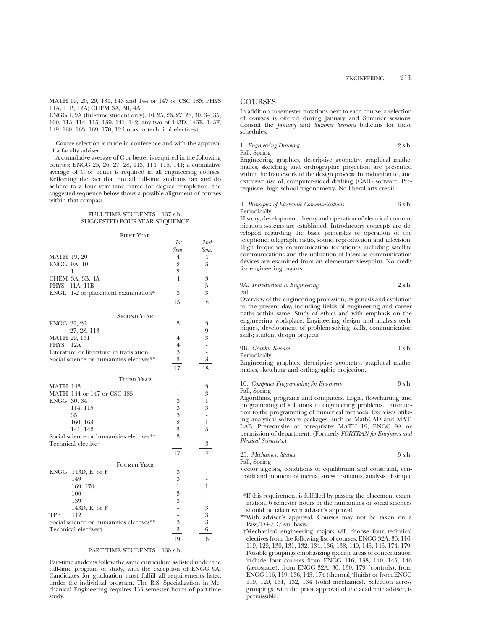MATH 19, 20, 29, 131, 143 and 144 or 147 or CSC 185; PHYS 11A, 11B, 12A; CHEM 3A, 3B, 4A;

ENGG 1, 9A (full-time student only), 10, 25, 26, 27, 28, 30, 34, 35, 100, 113, 114, 115, 139, 141, 142, any two of 143D, 143E, 143F; 149, 160, 163, 169, 170; 12 hours in technical electives†

Course selection is made in conference and with the approval of a faculty adviser.

A cumulative average of C or better is required in the following courses: ENGG 25, 26, 27, 28, 113, 114, 115, 141; a cumulative average of C or better is required in all engineering courses. Reflecting the fact that not all full-time students can and do adhere to a four year time frame for degree completion, the suggested sequence below shows a possible alignment of courses within that compass.

## FULL-TIME STUDENTS—137 s.h. SUGGESTED FOUR-YEAR SEQUENCE

#### First Year

|                                          | 1st                      | 2nd                      |
|------------------------------------------|--------------------------|--------------------------|
|                                          | Sem.                     | Sem.                     |
| <b>MATH 19, 20</b>                       | $\overline{4}$           | $\overline{4}$           |
| ENGG 9A, 10                              | $\overline{2}$           | 3                        |
| 1                                        | $\overline{2}$           | $\overline{\phantom{a}}$ |
| CHEM 3A, 3B, 4A                          | $\overline{4}$           | 3                        |
| PHYS<br>11A, 11B                         | $\overline{\phantom{0}}$ | 5                        |
| ENGL 1-2 or placement examination*       | $\mathfrak{Z}$           | 3                        |
|                                          | 15                       | 18                       |
| <b>SECOND YEAR</b>                       |                          |                          |
| <b>ENGG 25, 26</b>                       | 3                        | 3                        |
| 27, 28, 113                              | $\overline{\phantom{0}}$ | 9                        |
| <b>MATH 29, 131</b>                      | 4                        | 3                        |
| PHYS 12A                                 | $\overline{4}$           | $\overline{\phantom{0}}$ |
| Literature or literature in translation  | 3                        | $\overline{a}$           |
| Social science or humanities electives** | 3                        | 3                        |
|                                          | 17                       | 18                       |
| THIRD YEAR                               |                          |                          |
| <b>MATH 143</b>                          |                          | 3                        |
| MATH 144 or 147 or CSC 185               |                          | 3                        |
| ENGG 30, 34                              | 3                        | $\mathbf{1}$             |
| 114, 115                                 | 3                        | 3                        |
| 35                                       | 3                        | $\overline{\phantom{a}}$ |
| 160, 163                                 | $\overline{2}$           | 1                        |
| 141, 142                                 | 3                        | 3                        |
| Social science or humanities electives** | 3                        | $\overline{\phantom{0}}$ |
| Technical elective†                      | -                        | 3                        |
|                                          | 17                       | 17                       |
| <b>FOURTH YEAR</b>                       |                          |                          |
| ENGG<br>143D, E, or F                    | 3                        |                          |
| 149                                      | 3                        |                          |
| 169, 170                                 | 1                        | 1                        |
| 100                                      | 3                        | $\overline{\phantom{0}}$ |
| 139                                      | 3                        |                          |
| 143D, E, or F                            | -                        | 3                        |
| 112<br>TPP                               |                          | 3                        |
| Social science or humanities electives** | 3                        | 3                        |
| Technical electives <sup>+</sup>         | 3                        | 6                        |
|                                          | 19                       | 16                       |

## PART-TIME STUDENTS—135 s.h.

Part-time students follow the same curriculum as listed under the full-time program of study, with the exception of ENGG 9A. Candidates for graduation must fulfill all requirements listed under the individual program. The B.S. Specialization in Mechanical Engineering requires 135 semester hours of part-time study.

## **COURSES**

In addition to semester notations next to each course, a selection of courses is offered during January and Summer sessions. Consult the *January* and *Summer Sessions* bulletins for these schedules.

## 1. *Engineering Drawing* 2 s.h.

Fall, Spring

Engineering graphics, descriptive geometry, graphical mathematics, sketching and orthographic projection are presented within the framework of the design process. Introduction to, and extensive use of, computer-aided drafting (CAD) software. Prerequisite: high school trigonometry. No liberal arts credit.

#### 4. *Principles of Electronic Communications* 3 s.h. Periodically

History, development, theory and operation of electrical communication systems are established. Introductory concepts are developed regarding the basic principles of operation of the telephone, telegraph, radio, sound reproduction and television. High frequency communication techniques including satellite communications and the utilization of lasers as communication devices are examined from an elementary viewpoint. No credit for engineering majors.

#### 9A. *Introduction to Engineering* 2 s.h. Fall

Overview of the engineering profession, its genesis and evolution to the present day, including fields of engineering and career paths within same. Study of ethics and with emphasis on the engineering workplace. Engineering design and analysis techniques, development of problem-solving skills, communication skills; student design projects.

9B. *Graphic Science* 1 s.h.

Periodically

Engineering graphics, descriptive geometry, graphical mathematics, sketching and orthographic projection.

10. *Computer Programming for Engineers* 3 s.h. Fall, Spring

Algorithms, programs and computers. Logic, flowcharting and programming of solutions to engineering problems. Introduction to the programming of numerical methods. Exercises utilizing analytical software packages, such as MathCAD and MAT-LAB. Prerequisite or corequisite: MATH 19, ENGG 9A or permission of department. (Formerly *FORTRAN for Engineers and Physical Scientists*.)

| 25. Mechanics: Statics | 3 s.h. |
|------------------------|--------|
| Fall, Spring           |        |

Vector algebra, conditions of equilibrium and constraint, centroids and moment of inertia, stress resultants, analysis of simple

<sup>\*</sup>If this requirement is fulfilled by passing the placement examination, 6 semester hours in the humanities or social sciences should be taken with adviser's approval.

<sup>\*\*</sup>With adviser's approval. Courses may not be taken on a Pass/D+/D/Fail basis.

<sup>†</sup>Mechanical engineering majors will choose four technical electives from the following list of courses: ENGG 32A, 36, 116, 119, 129, 130, 131, 132, 134, 136, 138, 140, 145, 146, 174, 179. Possible groupings emphasizing specific areas of concentration include four courses from ENGG 116, 138, 140, 145, 146 (aerospace), from ENGG 32A, 36, 130, 179 (controls), from ENGG 116, 119, 136, 145, 174 (thermal/fluids) or from ENGG 119, 129, 131, 132, 134 (solid mechanics). Selection across groupings, with the prior approval of the academic adviser, is permissible.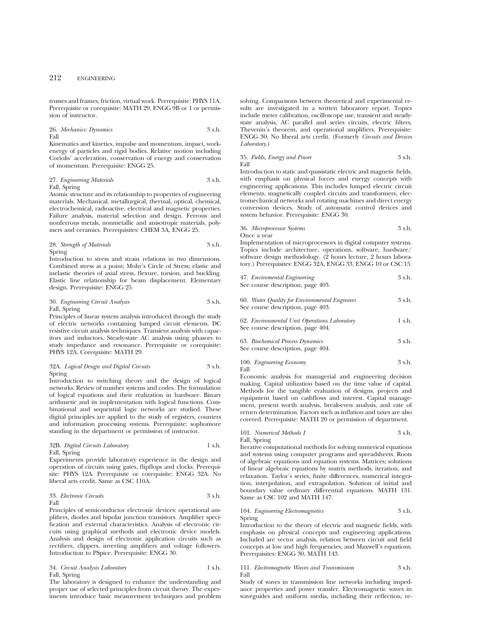trusses and frames, friction, virtual work. Prerequisite: PHYS 11A. Prerequisite or corequisite: MATH 29, ENGG 9B or 1 or permission of instructor.

#### 26. *Mechanics: Dynamics* 3 s.h. Fall

Kinematics and kinetics, impulse and momentum, impact, workenergy of particles and rigid bodies. Relative motion including Coriolis' acceleration, conservation of energy and conservation of momentum. Prerequisite: ENGG 25.

## 27. *Engineering Materials* 3 s.h. Fall, Spring

Atomic structure and its relationship to properties of engineering materials. Mechanical, metallurgical, thermal, optical, chemical, electrochemical, radioactive, electrical and magnetic properties. Failure analysis, material selection and design. Ferrous and nonferrous metals, nonmetallic and anisotropic materials, polymers and ceramics. Prerequisites: CHEM 3A, ENGG 25.

#### 28. *Strength of Materials* 3 s.h. Spring

Introduction to stress and strain relations in two dimensions. Combined stress at a point; Mohr's Circle of Stress; elastic and inelastic theories of axial stress, flexure, torsion, and buckling. Elastic line relationship for beam displacement. Elementary design. Prerequisite: ENGG 25.

#### 30. *Engineering Circuit Analysis* 3 s.h. Fall, Spring

Principles of linear system analysis introduced through the study of electric networks containing lumped circuit elements. DC resistive circuit analysis techniques. Transient analysis with capacitors and inductors. Steady-state AC analysis using phasors to study impedance and resonance. Prerequisite or corequisite: PHYS 12A. Corequisite: MATH 29.

### 32A. *Logical Design and Digital Circuits* 3 s.h. Spring

Introduction to switching theory and the design of logical networks. Review of number systems and codes. The formulation of logical equations and their realization in hardware. Binary arithmetic and its implementation with logical functions. Combinational and sequential logic networks are studied. These digital principles are applied to the study of registers, counters and information processing systems. Prerequisite: sophomore standing in the department or permission of instructor.

## 32B. *Digital Circuits Laboratory* 1 s.h. Fall, Spring

Experiments provide laboratory experience in the design and operation of circuits using gates, flipflops and clocks. Prerequisite: PHYS 12A. Prerequisite or corequisite: ENGG 32A. No liberal arts credit. Same as CSC 110A.

#### 33. *Electronic Circuits* 3 s.h. Fall

Principles of semiconductor electronic devices: operational amplifiers, diodes and bipolar junction transistors. Amplifier specification and external characteristics. Analysis of electronic circuits using graphical methods and electronic device models. Analysis and design of electronic application circuits such as rectifiers, clippers, inverting amplifiers and voltage followers. Introduction to PSpice. Prerequisite: ENGG 30.

### 34. *Circuit Analysis Laboratory* 1 s.h. Fall, Spring

The laboratory is designed to enhance the understanding and proper use of selected principles from circuit theory. The experiments introduce basic measurement techniques and problem

solving. Comparisons between theoretical and experimental results are investigated in a written laboratory report. Topics include meter calibration, oscilloscope use, transient and steadystate analysis, AC parallel and series circuits, electric filters, Thevenin's theorem, and operational amplifiers. Prerequisite: ENGG 30. No liberal arts credit. (Formerly *Circuits and Devices Laboratory*.)

### 35. *Fields, Energy and Power* 3 s.h. Fall

Introduction to static and quasistatic electric and magnetic fields, with emphasis on physical forces and energy concepts with engineering applications. This includes lumped electric circuit elements, magnetically coupled circuits and transformers, electromechanical networks and rotating machines and direct energy conversion devices. Study of automatic control devices and system behavior. Prerequisite: ENGG 30.

#### 36. *Microprocessor Systems* 3 s.h. Once a year

Implementation of microprocessors in digital computer systems. Topics include architecture, operations, software, hardware/ software design methodology. (2 hours lecture, 2 hours laboratory.) Prerequisites: ENGG 32A, ENGG 33, ENGG 10 or CSC 15.

| 47. Enviromental Engineering      | 3 s.h. |
|-----------------------------------|--------|
| See course description, page 403. |        |

| 60. Water Quality for Environmental Engineers | 3 s.h. |
|-----------------------------------------------|--------|
| See course description, page 403.             |        |

| 62. Environmental Unit Operations Laboratory |  | 1 s.h. |
|----------------------------------------------|--|--------|
| See course description, page 404.            |  |        |

| 63. Biochemical Process Dynamics  | 3 s.h. |
|-----------------------------------|--------|
| See course description, page 404. |        |

#### 100. *Engineering Economy* 3 s.h. Fall

Economic analysis for managerial and engineering decision making. Capital utilization based on the time value of capital. Methods for the tangible evaluation of designs, projects and equipment based on cashflows and interest. Capital management, present worth analysis, break-even analysis, and rate of return determination. Factors such as inflation and taxes are also covered. Prerequisite: MATH 20 or permission of department.

## 101. *Numerical Methods I* 3 s.h. Fall, Spring

Iterative computational methods for solving numerical equations and systems using computer programs and spreadsheets. Roots of algebraic equations and equation systems. Matrices; solutions of linear algebraic equations by matrix methods, iteration, and relaxation. Taylor's series, finite differences, numerical integration, interpolation, and extrapolation. Solution of initial and boundary value ordinary differential equations. MATH 131. Same as CSC 102 and MATH 147.

#### 104. *Engineering Electromagnetics* 3 s.h. Spring

Introduction to the theory of electric and magnetic fields, with emphasis on physical concepts and engineering applications. Included are vector analysis, relation between circuit and field concepts at low and high frequencies, and Maxwell's equations. Prerequisites: ENGG 30, MATH 143.

111. *Electromagnetic Waves and Transmission* 3 s.h. Fall

Study of waves in transmission line networks including impedance properties and power transfer. Electromagnetic waves in waveguides and uniform media, including their reflection, re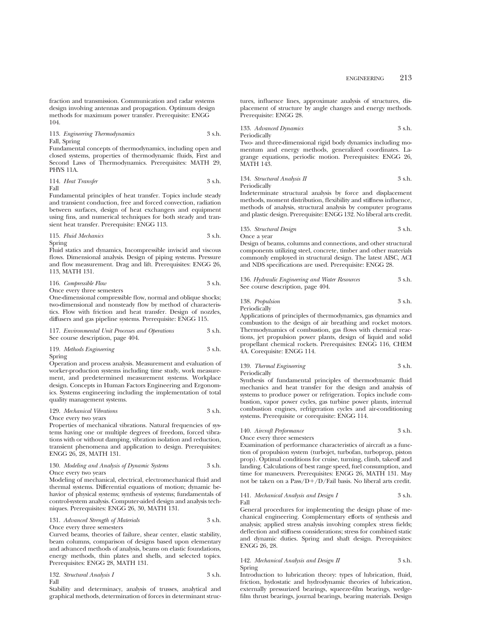fraction and transmission. Communication and radar systems design involving antennas and propagation. Optimum design methods for maximum power transfer. Prerequisite: ENGG 104.

113. *Engineering Thermodynamics* 3 s.h. Fall, Spring

Fundamental concepts of thermodynamics, including open and closed systems, properties of thermodynamic fluids, First and Second Laws of Thermodynamics. Prerequisites: MATH 29, PHYS 11A.

114. *Heat Transfer* 3 s.h. Fall

Fundamental principles of heat transfer. Topics include steady and transient conduction, free and forced convection, radiation between surfaces, design of heat exchangers and equipment using fins, and numerical techniques for both steady and transient heat transfer. Prerequisite: ENGG 113.

115. *Fluid Mechanics* 3 s.h. Spring

Fluid statics and dynamics, Incompressible inviscid and viscous flows. Dimensional analysis. Design of piping systems. Pressure and flow measurement. Drag and lift. Prerequisites: ENGG 26, 113, MATH 131.

116. *Compressible Flow* 3 s.h. Once every three semesters

One-dimensional compressible flow, normal and oblique shocks; two-dimensional and nonsteady flow by method of characteristics. Flow with friction and heat transfer. Design of nozzles, diffusers and gas pipeline systems. Prerequisite: ENGG 115.

117. *Environmental Unit Processes and Operations* 3 s.h. See course description, page 404.

119. *Methods Engineering* 3 s.h. Spring

Operation and process analysis. Measurement and evaluation of worker-production systems including time study, work measurement, and predetermined measurement systems. Workplace design. Concepts in Human Factors Engineering and Ergonomics. Systems engineering including the implementation of total quality management systems.

129. *Mechanical Vibrations* 3 s.h. Once every two years

Properties of mechanical vibrations. Natural frequencies of systems having one or multiple degrees of freedom, forced vibrations with or without damping, vibration isolation and reduction, transient phenomena and application to design. Prerequisites: ENGG 26, 28, MATH 131.

#### 130. *Modeling and Analysis of Dynamic Systems* 3 s.h. Once every two years

Modeling of mechanical, electrical, electromechanical fluid and thermal systems. Differential equations of motion; dynamic behavior of physical systems; synthesis of systems; fundamentals of control-system analysis. Computer-aided design and analysis techniques. Prerequisites: ENGG 26, 30, MATH 131.

131. *Advanced Strength of Materials* 3 s.h. Once every three semesters

Curved beams, theories of failure, shear center, elastic stability, beam columns, comparison of designs based upon elementary and advanced methods of analysis, beams on elastic foundations, energy methods, thin plates and shells, and selected topics. Prerequisites: ENGG 28, MATH 131.

132. *Structural Analysis I* 3 s.h. Fall

Stability and determinacy, analysis of trusses, analytical and graphical methods, determination of forces in determinant structures, influence lines, approximate analysis of structures, displacement of structure by angle changes and energy methods. Prerequisite: ENGG 28.

133. *Advanced Dynamics* 3 s.h. Periodically

Two- and three-dimensional rigid body dynamics including momentum and energy methods, generalized coordinates. Lagrange equations, periodic motion. Prerequisites: ENGG 26, MATH 143.

134. *Structural Analysis II* 3 s.h. Periodically

Indeterminate structural analysis by force and displacement methods, moment distribution, flexibility and stiffness influence, methods of analysis, structural analysis by computer programs and plastic design. Prerequisite: ENGG 132. No liberal arts credit.

135. *Structural Design* 3 s.h.

Once a year

Design of beams, columns and connections, and other structural components utilizing steel, concrete, timber and other materials commonly employed in structural design. The latest AISC, ACI and NDS specifications are used. Prerequisite: ENGG 28.

136. *Hydraulic Engineering and Water Resources* 3 s.h. See course description, page 404.

138. *Propulsion* 3 s.h. Periodically

Applications of principles of thermodynamics, gas dynamics and combustion to the design of air breathing and rocket motors. Thermodynamics of combustion, gas flows with chemical reactions, jet propulsion power plants, design of liquid and solid propellant chemical rockets. Prerequisites: ENGG 116, CHEM 4A. Corequisite: ENGG 114.

#### 139. *Thermal Engineering* 3 s.h. Periodically

Synthesis of fundamental principles of thermodynamic fluid mechanics and heat transfer for the design and analysis of systems to produce power or refrigeration. Topics include combustion, vapor power cycles, gas turbine power plants, internal combustion engines, refrigeration cycles and air-conditioning systems. Prerequisite or corequisite: ENGG 114.

# 140. *Aircraft Performance* 3 s.h.

Once every three semesters

Examination of performance characteristics of aircraft as a function of propulsion system (turbojet, turbofan, turboprop, piston prop). Optimal conditions for cruise, turning, climb, takeoff and landing. Calculations of best range speed, fuel consumption, and time for maneuvers. Prerequisites: ENGG 26, MATH 131. May not be taken on a Pass/D+/D/Fail basis. No liberal arts credit.

#### 141. *Mechanical Analysis and Design I* 3 s.h. Fall

General procedures for implementing the design phase of mechanical engineering. Complementary efforts of synthesis and analysis; applied stress analysis involving complex stress fields; deflection and stiffness considerations; stress for combined static and dynamic duties. Spring and shaft design. Prerequisites: ENGG 26, 28.

### 142. *Mechanical Analysis and Design II* 3 s.h. Spring

Introduction to lubrication theory: types of lubrication, fluid, friction, hydostatic and hydrodynamic theories of lubrication, externally pressurized bearings, squeeze-film bearings, wedgefilm thrust bearings, journal bearings, bearing materials. Design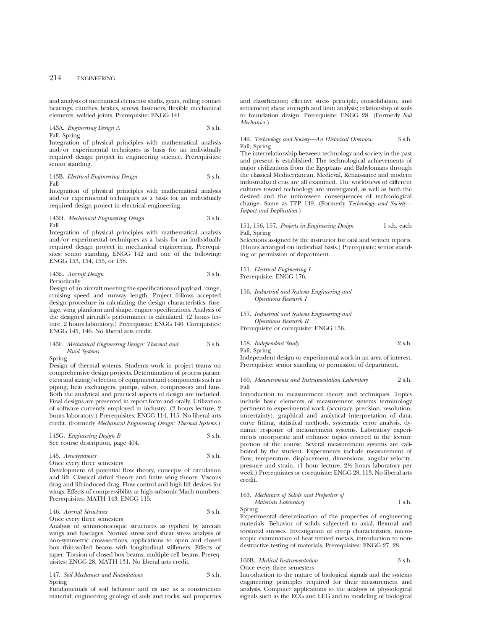and analysis of mechanical elements: shafts, gears, rolling contact bearings, clutches, brakes, screws, fasteners, flexible mechanical elements, welded joints. Prerequisite: ENGG 141.

143A. *Engineering Design A* 3 s.h. Fall, Spring

Integration of physical principles with mathematical analysis and/or experimental techniques as basis for an individually required design project in engineering science. Prerequisites: senior standing.

143B. *Electrical Engineering Design* 3 s.h. Fall

Integration of physical principles with mathematical analysis and/or experimental techniques as a basis for an individually required design project in electrical engineering.

143D. *Mechanical Engineering Design* 3 s.h. Fall

Integration of physical principles with mathematical analysis and/or experimental techniques as a basis for an individually required design project in mechanical engineering. Prerequisites: senior standing, ENGG 142 and one of the following: ENGG 153, 154, 155, or 158.

143E. *Aircraft Design* 3 s.h. Periodically

Design of an aircraft meeting the specifications of payload, range, cruising speed and runway length. Project follows accepted design procedure in calculating the design characteristics: fuselage, wing planform and shape, engine specifications. Analysis of the designed aircraft's performance is calculated. (2 hours lecture, 2 hours laboratory.) Prerequisite: ENGG 140. Corequisites: ENGG 145, 146. No liberal arts credit.

### 143F. *Mechanical Engineering Design: Thermal and* 3 s.h. *Fluid Systems*

Spring

Design of thermal systems. Students work in project teams on comprehensive design projects. Determination of process parameters and sizing/selection of equipment and components such as piping, heat exchangers, pumps, valves, compressors and fans. Both the analytical and practical aspects of design are included. Final designs are presented in report form and orally. Utilization of software currently employed in industry. (2 hours lecture, 2 hours laboratory.) Prerequisites: ENGG 114, 115. No liberal arts credit. (Formerly *Mechanical Engineering Design: Thermal Systems*.)

143G. *Engineering Design B* 3 s.h. See course description, page 404.

145. *Aerodynamics* 3 s.h. Once every three semesters

Development of potential flow theory, concepts of circulation and lift. Classical airfoil theory and finite wing theory. Viscous drag and lift-induced drag. Flow control and high lift devices for wings. Effects of compressibility at high subsonic Mach numbers. Prerequisites: MATH 143, ENGG 115.

# 146. *Aircraft Structures* 3 s.h.

Once every three semesters Analysis of semimonocoque structures as typified by aircraft wings and fuselages. Normal stress and shear stress analysis of non-symmetric cross-sections, applications to open and closed box thin-walled beams with longitudinal stiffeners. Effects of taper. Torsion of closed box beams, multiple cell beams. Prerequisites: ENGG 28, MATH 131. No liberal arts credit.

147. *Soil Mechanics and Foundations* 3 s.h. Spring

Fundamentals of soil behavior and its use as a construction material; engineering geology of soils and rocks; soil properties and classification; effective stress principle, consolidation, and settlement; shear strength and limit analysis; relationship of soils to foundation design. Prerequisite: ENGG 28. (Formerly *Soil Mechanics*.)

#### 149. *Technology and Society—An Historical Overview* 3 s.h. Fall, Spring

The interrelationship between technology and society in the past and present is established. The technological achievements of major civilizations from the Egyptians and Babylonians through the classical Mediterranean, Medieval, Renaissance and modern industrialized eras are all examined. The worldviews of different cultures toward technology are investigated, as well as both the desired and the unforeseen consequences of technological change. Same as TPP 149. (Formerly *Technology and Society— Impact and Implication*.)

151, 156, 157. *Projects in Engineering Design* 1 s.h. each Fall, Spring

Selections assigned by the instructor for oral and written reports. (Hours arranged on individual basis.) Prerequisite: senior standing or permission of department.

151. *Electrical Engineering I* Prerequisite: ENGG 176.

#### 156. *Industrial and Systems Engineering and Operations Research I*

157. *Industrial and Systems Engineering and Operations Research II*

Prerequisite or corequisite: ENGG 156.

### 158. *Independent Study* 2 s.h. Fall, Spring Independent design or experimental work in an area of interest.

Prerequisite: senior standing or permission of department.

160. *Measurements and Instrumentation Laboratory* 2 s.h. Fall

Introduction to measurement theory and techniques. Topics include basic elements of measurement systems terminology pertinent to experimental work (accuracy, precision, resolution, uncertainty), graphical and analytical interpretation of data, curve fitting, statistical methods, systematic error analysis, dynamic response of measurement systems. Laboratory experiments incorporate and enhance topics covered in the lecture portion of the course. Several measurement systems are calibrated by the student. Experiments include measurement of flow, temperature, displacement, dimensions, angular velocity, pressure and strain. (1 hour lecture, 21⁄2 hours laboratory per week.) Prerequisites or corequisite: ENGG 28, 113. No liberal arts credit.

## 163. *Mechanics of Solids and Properties of Materials Laboratory* 1 s.h. Spring

Experimental determination of the properties of engineering materials. Behavior of solids subjected to axial, flexural and torsional stresses. Investigation of creep characteristics, microscopic examination of heat treated metals, introduction to nondestructive testing of materials. Prerequisites: ENGG 27, 28.

## 166B. *Medical Instrumentation* 3 s.h.

#### Once every three semesters

Introduction to the nature of biological signals and the systems engineering principles required for their measurement and analysis. Computer applications to the analysis of physiological signals such as the ECG and EEG and to modeling of biological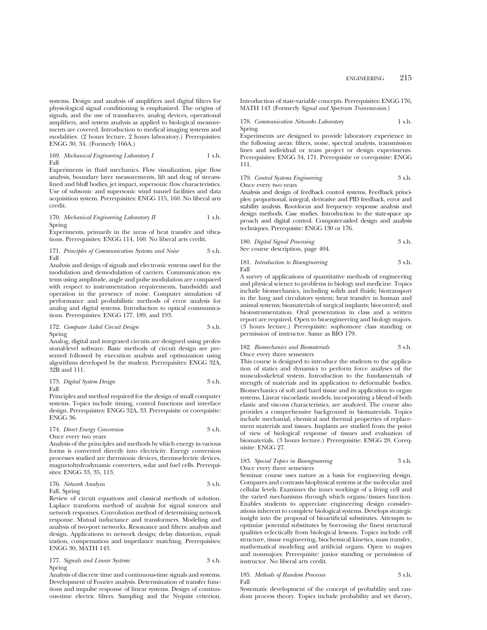systems. Design and analysis of amplifiers and digital filters for physiological signal conditioning is emphasized. The origins of signals, and the use of transducers, analog devices, operational amplifiers, and system analysis as applied to biological measurements are covered. Introduction to medical imaging systems and modalities. (2 hours lecture, 2 hours laboratory.) Prerequisites: ENGG 30, 34. (Formerly 166A.)

## 169. *Mechanical Engineering Laboratory I* 1 s.h. Fall

Experiments in fluid mechanics. Flow visualization, pipe flow analysis, boundary layer measurements, lift and drag of streamlined and bluff bodies, jet impact, supersonic flow characteristics. Use of subsonic and supersonic wind tunnel facilities and data acquisition system. Prerequisites: ENGG 115, 160. No liberal arts credit.

#### 170. *Mechanical Engineering Laboratory II* 1 s.h. Spring

Experiments, primarily in the areas of heat transfer and vibrations. Prerequisites: ENGG 114, 160. No liberal arts credit.

#### 171. *Principles of Communication Systems and Noise* 3 s.h. Fall

Analysis and design of signals and electronic systems used for the modulation and demodulation of carriers. Communication systems using amplitude, angle and pulse modulation are compared with respect to instrumentation requirements, bandwidth and operation in the presence of noise. Computer simulation of performance and probabilistic methods of error analysis for analog and digital systems. Introduction to optical communications. Prerequisites: ENGG 177, 189, and 193.

#### 172. *Computer Aided Circuit Design* 3 s.h. Spring

Analog, digital and integrated circuits are designed using professional-level software. Basic methods of circuit design are presented followed by execution analysis and optimization using algorithms developed by the student. Prerequisites: ENGG 32A, 32B and 111.

173. *Digital System Design* 3 s.h. Fall

Principles and method required for the design of small computer systems. Topics include timing, control functions and interface design. Prerequisites: ENGG 32A, 33. Prerequisite or corequisite: ENGG 36.

#### 174. *Direct Energy Conversion* 3 s.h. Once every two years

Analysis of the principles and methods by which energy in various forms is converted directly into electricity. Energy conversion processes studied are thermionic devices, thermoelectric devices, magnetohydrodynamic converters, solar and fuel cells. Prerequisites: ENGG 33, 35, 113.

## 176. *Network Analysis* 3 s.h. Fall, Spring

Review of circuit equations and classical methods of solution. Laplace transform method of analysis for signal sources and network responses. Convolution method of determining network response. Mutual inductance and transformers. Modeling and analysis of two-port networks. Resonance and filters: analysis and design. Applications to network design; delay distortion, equalization, compensation and impedance matching. Prerequisites: ENGG 30, MATH 143.

177. *Signals and Linear Systems* 3 s.h. Spring

Analysis of discrete time and continuous-time signals and systems. Development of Fourier analysis. Determination of transfer functions and impulse response of linear systems. Design of continuous-time electric filters. Sampling and the Nyquist criterion. Introduction of state-variable concepts. Prerequisites: ENGG 176, MATH 143 (Formerly *Signal and Spectrum Transmission*.)

178. *Communication Networks Laboratory* 1 s.h. Spring

Experiments are designed to provide laboratory experience in the following areas: filters, noise, spectral analysis, transmission lines and individual or team project or design experiments. Prerequisites: ENGG 34, 171. Prerequisite or corequisite: ENGG 111.

#### 179. *Control Systems Engineering* 3 s.h. Once every two years

Analysis and design of feedback control systems. Feedback principles: proportional, integral, derivative and PID feedback, error and stability analysis. Root-locus and frequency- response analysis and design methods. Case studies. Introduction to the state-space approach and digital control. Computer-aided design and analysis techniques. Prerequisite: ENGG 130 or 176.

180. *Digital Signal Processing* 3 s.h. See course description, page 404.

181. *Introduction to Bioengineering* 3 s.h. Fall

A survey of applications of quantitative methods of engineering and physical science to problems in biology and medicine. Topics include biomechanics, including solids and fluids; biotransport in the lung and circulatory system; heat transfer in human and animal systems; biomaterials of surgical implants; biocontrol; and bioinstrumentation. Oral presentation in class and a written report are required. Open to bioengineering and biology majors. (3 hours lecture.) Prerequisite: sophomore class standing or permission of instructor. Same as BIO 179.

#### 182. *Biomechanics and Biomaterials* 3 s.h. Once every three semesters

This course is designed to introduce the students to the application of statics and dynamics to perform force analyses of the musculo-skeletal system. Introduction to the fundamentals of strength of materials and its application to deformable bodies. Biomechanics of soft and hard tissue and its application to organ systems. Linear viscoelastic models, incorporating a blend of both elastic and viscous characteristics, are analyzed. The course also provides a comprehensive background in biomaterials. Topics include mechanial, chemical and thermal properties of replacement materials and tissues. Implants are studied from the point of view of biological response of tissues and evaluation of biomaterials. (3 hours lecture.) Prerequisitie: ENGG 28. Corequisite: ENGG 27.

### 183. *Special Topics in Bioengineering* 3 s.h. Once every three semesters

Seminar course uses nature as a basis for engineering design. Compares and contrasts biophysical systems at the molecular and cellular levels. Examines the inner workings of a living cell and the varied mechanisms through which organs/tissues function. Enables students to appreciate engineering design considerations inherent to complete biological systems. Develops strategic insight into the proposal of bioartificial substitutes. Attempts to optimize potential substitutes by borrowing the finest structural qualities eclectically from biological lessons. Topics include cell structure, tissue engineering, biochemical kinetics, mass transfer, mathematical modeling and artificial organs. Open to majors and nonmajors. Prerequisite: junior standing or permission of instructor. No liberal arts credit.

#### 185. *Methods of Random Processes* 3 s.h. Fall

Systematic development of the concept of probability and random process theory. Topics include probability and set theory,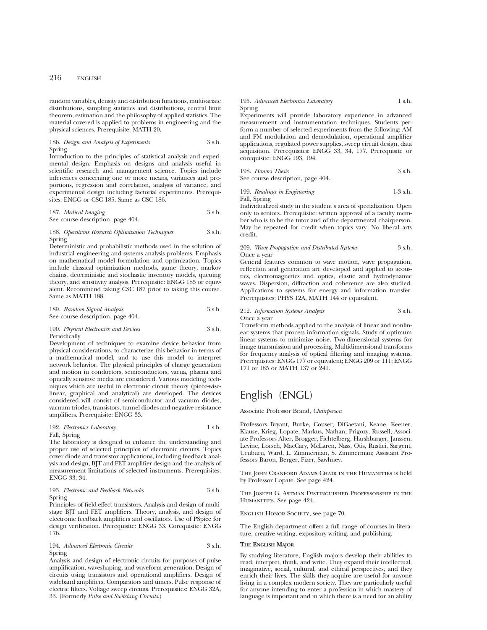random variables, density and distribution functions, multivariate distributions, sampling statistics and distributions, central limit theorem, estimation and the philosophy of applied statistics. The material covered is applied to problems in engineering and the physical sciences. Prerequisite: MATH 20.

#### 186. *Design and Analysis of Experiments* 3 s.h. Spring

Introduction to the principles of statistical analysis and experimental design. Emphasis on designs and analysis useful in scientific research and management science. Topics include inferences concerning one or more means, variances and proportions, regression and correlation, analysis of variance, and experimental design including factorial experiments. Prerequisites: ENGG or CSC 185. Same as CSC 186.

187. *Medical Imaging* 3 s.h. See course description, page 404.

#### 188. *Operations Research Optimization Techniques* 3 s.h. Spring

Deterministic and probabilistic methods used in the solution of industrial engineering and systems analysis problems. Emphasis on mathematical model formulation and optimization. Topics include classical optimization methods, game theory, markov chains, deterministic and stochastic inventory models, queuing theory, and sensitivity analysis. Prerequisite: ENGG 185 or equivalent. Recommend taking CSC 187 prior to taking this course. Same as MATH 188.

189. *Random Signal Analysis* 3 s.h. See course description, page 404.

### 190. *Physical Electronics and Devices* 3 s.h. Periodically

Development of techniques to examine device behavior from physical considerations, to characterize this behavior in terms of a mathematical model, and to use this model to interpret network behavior. The physical principles of charge generation and motion in conductors, semiconductors, vacua, plasma and optically sensitive media are considered. Various modeling techniques which are useful in electronic circuit theory (piece-wiselinear, graphical and analytical) are developed. The devices considered will consist of semiconductor and vacuum diodes, vacuum triodes, transistors, tunnel diodes and negative resistance amplifiers. Prerequisite: ENGG 33.

## 192. *Electronics Laboratory* 1 s.h. Fall, Spring

The laboratory is designed to enhance the understanding and proper use of selected principles of electronic circuits. Topics cover diode and transistor applications, including feedback analysis and design, BJT and FET amplifier design and the analysis of measurement limitations of selected instruments. Prerequisites: ENGG 33, 34.

#### 193. *Electronic and Feedback Networks* 3 s.h. Spring

Principles of field-effect transistors. Analysis and design of multistage BJT and FET amplifiers. Theory, analysis, and design of electronic feedback amplifiers and oscillators. Use of PSpice for design verification. Prerequisite: ENGG 33. Corequisite: ENGG 176.

194. *Advanced Electronic Circuits* 3 s.h. Spring

Analysis and design of electronic circuits for purposes of pulse amplification, waveshaping, and waveform generation. Design of circuits using transistors and operational amplifiers. Design of wideband amplifiers. Comparators and timers. Pulse response of electric filters. Voltage sweep circuits. Prerequisites: ENGG 32A, 33. (Formerly *Pulse and Switching Circuits*.)

#### 195. *Advanced Electronics Laboratory* 1 s.h. Spring

Experiments will provide laboratory experience in advanced measurement and instrumentation techniques. Students perform a number of selected experiments from the following: AM and FM modulation and demodulation, operational amplifier applications, regulated power supplies, sweep circuit design, data acquisition. Prerequisites: ENGG 33, 34, 177. Prerequisite or corequisite: ENGG 193, 194.

198. *Honors Thesis* 3 s.h.

See course description, page 404.

#### 199. *Readings in Engineering* 1-3 s.h. Fall, Spring

Individualized study in the student's area of specialization. Open only to seniors. Prerequisite: written approval of a faculty member who is to be the tutor and of the departmental chairperson. May be repeated for credit when topics vary. No liberal arts credit.

#### 209. *Wave Propagation and Distributed Systems* 3 s.h. Once a year

General features common to wave motion, wave propagation, reflection and generation are developed and applied to acoustics, electromagnetics and optics, elastic and hydrodynamic waves. Dispersion, diffraction and coherence are also studied. Applications to systems for energy and information transfer. Prerequisites: PHYS 12A, MATH 144 or equivalent.

#### 212. *Information Systems Analysis* 3 s.h. Once a year

Transform methods applied to the analysis of linear and nonlinear systems that process information signals. Study of optimum linear systems to minimize noise. Two-dimensional systems for image transmission and processing. Multidimensional transforms for frequency analysis of optical filtering and imaging systems. Prerequisites: ENGG 177 or equivalent; ENGG 209 or 111; ENGG 171 or 185 or MATH 137 or 241.

# English (ENGL)

Associate Professor Brand, *Chairperson*

Professors Bryant, Burke, Couser, DiGaetani, Keane, Keener, Klause, Krieg, Lopate, Markus, Nathan, Prigozy, Russell; Associate Professors Alter, Brogger, Fichtelberg, Harshbarger, Janssen, Levine, Lorsch, MacCary, McLaren, Nass, Otis, Rustici, Sargent, Uruburu, Ward, L. Zimmerman, S. Zimmerman; Assistant Professors Baron, Berger, Fizer, Sawhney.

THE JOHN CRANFORD ADAMS CHAIR IN THE HUMANITIES is held by Professor Lopate. See page 424.

The Joseph G. Astman Distinguished Professorship in the HUMANITIES. See page 424.

ENGLISH HONOR SOCIETY, see page 70.

The English department offers a full range of courses in literature, creative writing, expository writing, and publishing.

#### **THE ENGLISH MAJOR**

By studying literature, English majors develop their abilities to read, interpret, think, and write. They expand their intellectual, imaginative, social, cultural, and ethical perspectives, and they enrich their lives. The skills they acquire are useful for anyone living in a complex modern society. They are particularly useful for anyone intending to enter a profession in which mastery of language is important and in which there is a need for an ability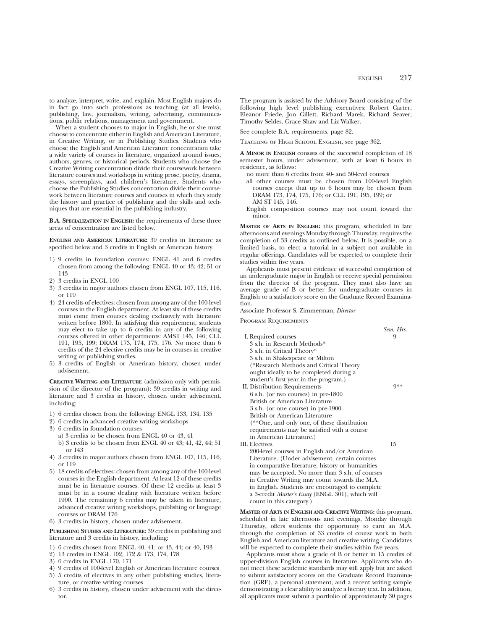to analyze, interpret, write, and explain. Most English majors do in fact go into such professions as teaching (at all levels), publishing, law, journalism, writing, advertising, communications, public relations, management and government.

When a student chooses to major in English, he or she must choose to concentrate either in English and American Literature, in Creative Writing, or in Publishing Studies. Students who choose the English and American Literature concentration take a wide variety of courses in literature, organized around issues, authors, genres, or historical periods. Students who choose the Creative Writing concentration divide their coursework between literature courses and workshops in writing prose, poetry, drama, essays, screenplays, and children's literature. Students who choose the Publishing Studies concentration divide their coursework between literature courses and courses in which they study the history and practice of publishing and the skills and techniques that are essential in the publishing industry.

**B.A. SPECIALIZATION IN ENGLISH:** the requirements of these three areas of concentration are listed below.

**ENGLISH AND AMERICAN LITERATURE:** 39 credits in literature as specified below and 3 credits in English or American history.

- 1) 9 credits in foundation courses: ENGL 41 and 6 credits chosen from among the following: ENGL 40 or 43; 42; 51 or 143
- 2) 3 credits in ENGL 100
- 3) 3 credits in major authors chosen from ENGL 107, 115, 116, or 119
- 4) 24 credits of electives: chosen from among any of the 100-level courses in the English department. At least six of these credits must come from courses dealing exclusively with literature written before 1800. In satisfying this requirement, students may elect to take up to 6 credits in any of the following courses offered in other departments: AMST 145, 146; CLL 191, 195, 199; DRAM 173, 174, 175, 176. No more than 6 credits of the 24 elective credits may be in courses in creative writing or publishing studies.
- 5) 3 credits of English or American history, chosen under advisement.

**CREATIVE WRITING AND LITERATURE** (admission only with permission of the director of the program): 39 credits in writing and literature and 3 credits in history, chosen under advisement, including:

- 1) 6 credits chosen from the following: ENGL 133, 134, 135
- 2) 6 credits in advanced creative writing workshops
- 3) 6 credits in foundation courses
	- a) 3 credits to be chosen from ENGL 40 or 43, 41
	- b) 3 credits to be chosen from ENGL 40 or 43; 41, 42, 44; 51 or 143
- 4) 3 credits in major authors chosen from ENGL 107, 115, 116, or 119
- 5) 18 credits of electives: chosen from among any of the 100-level courses in the English department. At least 12 of these credits must be in literature courses. Of these 12 credits at least 3 must be in a course dealing with literature written before 1900. The remaining 6 credits may be taken in literature, advanced creative writing workshops, publishing or language courses or DRAM 176
- 6) 3 credits in history, chosen under advisement.

**PUBLISHING STUDIES AND LITERATURE:** 39 credits in publishing and literature and 3 credits in history, including:

- 1) 6 credits chosen from ENGL 40, 41; or 43, 44; or 40, 193
- 2) 13 credits in ENGL 102, 172 & 173, 174, 178
- 3) 6 credits in ENGL 170, 171
- 4) 9 credits of 100-level English or American literature courses
- 5) 5 credits of electives in any other publishing studies, literature, or creative writing courses
- 6) 3 credits in history, chosen under advisement with the director.

The program is assisted by the Advisory Board consisting of the following high level publishing executives: Robert Carter, Eleanor Friede, Jon Gillett, Richard Marek, Richard Seaver, Timothy Seldes, Grace Shaw and Liz Walker.

See complete B.A. requirements, page 82.

Teaching of High School English, see page 362.

**A MINOR IN ENGLISH** consists of the successful completion of 18 semester hours, under advisement, with at least 6 hours in residence, as follows:

- no more than 6 credits from 40- and 50-level courses
- all other courses must be chosen from 100-level English courses except that up to 6 hours may be chosen from DRAM 173, 174, 175, 176; or CLL 191, 195, 199; or AM ST 145, 146.
- English composition courses may not count toward the minor.

**MASTER OF ARTS IN ENGLISH:** this program, scheduled in late afternoons and evenings Monday through Thursday, requires the completion of 33 credits as outlined below. It is possible, on a limited basis, to elect a tutorial in a subject not available in regular offerings. Candidates will be expected to complete their studies within five years.

Applicants must present evidence of successful completion of an undergraduate major in English or receive special permission from the director of the program. They must also have an average grade of B or better for undergraduate courses in English or a satisfactory score on the Graduate Record Examination.

Associate Professor S. Zimmerman, *Director*

Program Requirements

|                                                  | Sem. Hrs. |
|--------------------------------------------------|-----------|
| I. Required courses                              |           |
| 3 s.h. in Research Methods*                      |           |
| 3 s.h. in Critical Theory*                       |           |
| 3 s.h. in Shakespeare or Milton                  |           |
| (*Research Methods and Critical Theory           |           |
| ought ideally to be completed during a           |           |
| student's first year in the program.)            |           |
| II. Distribution Requirements                    | Q**       |
| 6 s.h. (or two courses) in pre-1800              |           |
| British or American Literature                   |           |
| 3 s.h. (or one course) in pre-1900               |           |
| British or American Literature                   |           |
| (**One, and only one, of these distribution      |           |
| requirements may be satisfied with a course      |           |
| in American Literature.)                         |           |
| III. Electives                                   | 15        |
| 200-level courses in English and/or American     |           |
| Literature. (Under advisement, certain courses   |           |
| in comparative literature, history or humanities |           |
| may be accepted. No more than 3 s.h. of courses  |           |
| in Creative Writing may count towards the M.A.   |           |

**MASTER OF ARTS IN ENGLISH AND CREATIVE WRITING:** this program, scheduled in late afternoons and evenings, Monday through Thursday, offers students the opportunity to earn an M.A. through the completion of 33 credits of course work in both English and American literature and creative writing. Candidates will be expected to complete their studies within five years.

in English. Students are encouraged to complete a 3-credit *Master's Essay* (ENGL 301), which will

count in this category.)

Applicants must show a grade of B or better in 15 credits of upper-division English courses in literature. Applicants who do not meet these academic standards may still apply but are asked to submit satisfactory scores on the Graduate Record Examination (GRE), a personal statement, and a recent writing sample demonstrating a clear ability to analyze a literary text. In addition, all applicants must submit a portfolio of approximately 30 pages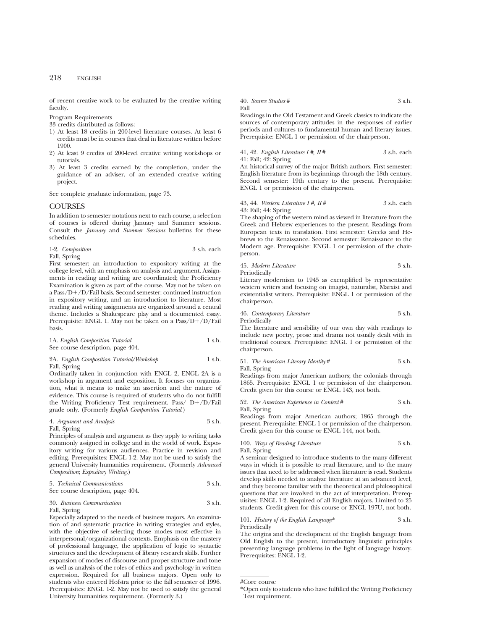of recent creative work to be evaluated by the creative writing faculty.

Program Requirements

33 credits distributed as follows:

- 1) At least 18 credits in 200-level literature courses. At least 6 credits must be in courses that deal in literature written before 1900.
- 2) At least 9 credits of 200-level creative writing workshops or tutorials.
- 3) At least 3 credits earned by the completion, under the guidance of an adviser, of an extended creative writing project.

See complete graduate information, page 73.

## **COURSES**

In addition to semester notations next to each course, a selection of courses is offered during January and Summer sessions. Consult the *January* and *Summer Sessions* bulletins for these schedules.

| 1-2. Composition | 3 s.h. each |
|------------------|-------------|
| Fall, Spring     |             |

First semester: an introduction to expository writing at the college level, with an emphasis on analysis and argument. Assignments in reading and writing are coordinated; the Proficiency Examination is given as part of the course. May not be taken on a Pass/D $+$ /D/Fail basis. Second semester: continued instruction in expository writing, and an introduction to literature. Most reading and writing assignments are organized around a central theme. Includes a Shakespeare play and a documented essay. Prerequisite: ENGL 1. May not be taken on a  $Pass/D+/D/Fall$ basis.

1A. *English Composition Tutorial* 1 s.h. See course description, page 404.

## 2A. *English Composition Tutorial/Workshop* 1 s.h. Fall, Spring

Ordinarily taken in conjunction with ENGL 2, ENGL 2A is a workshop in argument and exposition. It focuses on organization, what it means to make an assertion and the nature of evidence. This course is required of students who do not fulfill the Writing Proficiency Test requirement. Pass/  $D+/D/Fail$ grade only. (Formerly *English Composition Tutorial*.)

4. *Argument and Analysis* 3 s.h. Fall, Spring

Principles of analysis and argument as they apply to writing tasks commonly assigned in college and in the world of work. Expository writing for various audiences. Practice in revision and editing. Prerequisites: ENGL 1-2. May not be used to satisfy the general University humanities requirement. (Formerly *Advanced Composition*; *Expository Writing*.)

## 5. *Technical Communications* 3 s.h. See course description, page 404.

30. *Business Communication* 3 s.h.

Fall, Spring Especially adapted to the needs of business majors. An examination of and systematic practice in writing strategies and styles, with the objective of selecting those modes most effective in interpersonal/organizational contexts. Emphasis on the mastery of professional language, the application of logic to syntactic structures and the development of library research skills. Further expansion of modes of discourse and proper structure and tone as well as analysis of the roles of ethics and psychology in written expression. Required for all business majors. Open only to students who entered Hofstra prior to the fall semester of 1996. Prerequisites: ENGL 1-2. May not be used to satisfy the general University humanities requirement. (Formerly 3.)

## 40. *Source Studies* # 3 s.h. Fall

Readings in the Old Testament and Greek classics to indicate the sources of contemporary attitudes in the responses of earlier periods and cultures to fundamental human and literary issues. Prerequisite: ENGL 1 or permission of the chairperson.

### 41, 42. *English Literature I #, II* # 3 s.h. each 41: Fall; 42: Spring

An historical survey of the major British authors. First semester: English literature from its beginnings through the 18th century. Second semester: 19th century to the present. Prerequisite: ENGL 1 or permission of the chairperson.

#### 43, 44. *Western Literature I #, II #* 3 s.h. each 43: Fall; 44: Spring

The shaping of the western mind as viewed in literature from the Greek and Hebrew experiences to the present. Readings from European texts in translation. First semester: Greeks and Hebrews to the Renaissance. Second semester: Renaissance to the Modern age. Prerequisite: ENGL 1 or permission of the chairperson.

45. *Modern Literature* 3 s.h. Periodically

Literary modernism to 1945 as exemplified by representative western writers and focusing on imagist, naturalist, Marxist and existentialist writers. Prerequisite: ENGL 1 or permission of the chairperson.

46. *Contemporary Literature* 3 s.h. Periodically

The literature and sensibility of our own day with readings to include new poetry, prose and drama not usually dealt with in traditional courses. Prerequisite: ENGL 1 or permission of the chairperson.

51. *The American Literary Identity* # 3 s.h. Fall, Spring

Readings from major American authors; the colonials through 1865. Prerequisite: ENGL 1 or permission of the chairperson. Credit given for this course or ENGL 143, not both.

52. *The American Experience in Context* # 3 s.h. Fall, Spring

Readings from major American authors; 1865 through the present. Prerequisite: ENGL 1 or permission of the chairperson. Credit given for this course or ENGL 144, not both.

#### 100. *Ways of Reading Literature* 3 s.h. Fall, Spring

A seminar designed to introduce students to the many different ways in which it is possible to read literature, and to the many issues that need to be addressed when literature is read. Students develop skills needed to analyze literature at an advanced level, and they become familiar with the theoretical and philosophical questions that are involved in the act of interpretation. Prerequisites: ENGL 1-2. Required of all English majors. Limited to 25 students. Credit given for this course or ENGL 197U, not both.

## 101. *History of the English Language*\* 3 s.h. Periodically

The origins and the development of the English language from Old English to the present, introductory linguistic principles presenting language problems in the light of language history. Prerequisites: ENGL 1-2.

<sup>#</sup>Core course

<sup>\*</sup>Open only to students who have fulfilled the Writing Proficiency Test requirement.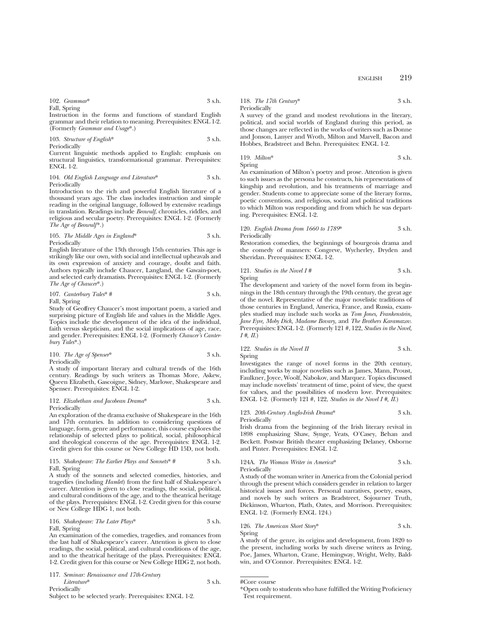ENGLISH 219

102. *Grammar*\* 3 s.h. Fall, Spring

Instruction in the forms and functions of standard English grammar and their relation to meaning. Prerequisites: ENGL 1-2. (Formerly *Grammar and Usage*\*.)

103. *Structure of English*\* 3 s.h. Periodically

Current linguistic methods applied to English: emphasis on structural linguistics, transformational grammar. Prerequisites: ENGL 1-2.

104. *Old English Language and Literature*\* 3 s.h. Periodically

Introduction to the rich and powerful English literature of a thousand years ago. The class includes instruction and simple reading in the original language, followed by extensive readings in translation. Readings include *Beowulf*, chronicles, riddles, and religious and secular poetry. Prerequisites: ENGL 1-2. (Formerly *The Age of Beowulf*\*.)

#### 105. *The Middle Ages in England*\* 3 s.h. Periodically

English literature of the 13th through 15th centuries. This age is strikingly like our own, with social and intellectual upheavals and its own expression of anxiety and courage, doubt and faith. Authors typically include Chaucer, Langland, the Gawain-poet, and selected early dramatists. Prerequisites: ENGL 1-2. (Formerly *The Age of Chaucer*\*.)

107. *Canterbury Tales*\* # 3 s.h. Fall, Spring

Study of Geoffrey Chaucer's most important poem, a varied and surprising picture of English life and values in the Middle Ages. Topics include the development of the idea of the individual, faith versus skepticism, and the social implications of age, race, and gender. Prerequisites: ENGL 1-2. (Formerly *Chaucer's Canterbury Tales*\*.)

110. *The Age of Spenser*\* 3 s.h. Periodically

A study of important literary and cultural trends of the 16th century. Readings by such writers as Thomas More, Askew, Queen Elizabeth, Gascoigne, Sidney, Marlowe, Shakespeare and Spenser. Prerequisites: ENGL 1-2.

#### 112. *Elizabethan and Jacobean Drama*\* 3 s.h. Periodically

An exploration of the drama exclusive of Shakespeare in the 16th and 17th centuries. In addition to considering questions of language, form, genre and performance, this course explores the relationship of selected plays to political, social, philosophical and theological concerns of the age. Prerequisites: ENGL 1-2. Credit given for this course or New College HD 15D, not both.

#### 115. *Shakespeare: The Earlier Plays and Sonnets*\* # 3 s.h. Fall, Spring

A study of the sonnets and selected comedies, histories, and tragedies (including *Hamlet*) from the first half of Shakespeare's career. Attention is given to close readings, the social, political, and cultural conditions of the age, and to the theatrical heritage of the plays. Prerequisites: ENGL 1-2. Credit given for this course or New College HDG 1, not both.

## 116. *Shakespeare: The Later Plays*\* 3 s.h. Fall, Spring

An examination of the comedies, tragedies, and romances from the last half of Shakespeare's career. Attention is given to close readings, the social, political, and cultural conditions of the age, and to the theatrical heritage of the plays. Prerequisites: ENGL 1-2. Credit given for this course or New College HDG 2, not both.

117. *Seminar: Renaissance and 17th-Century Literature*\* 3 s.h. Periodically

Subject to be selected yearly. Prerequisites: ENGL 1-2.

118. *The 17th Century*\* 3 s.h. Periodically

A survey of the grand and modest revolutions in the literary, political, and social worlds of England during this period, as those changes are reflected in the works of writers such as Donne and Jonson, Lanyer and Wroth, Milton and Marvell, Bacon and Hobbes, Bradstreet and Behn. Prerequisites: ENGL 1-2.

119. *Milton*\* 3 s.h. Spring

An examination of Milton's poetry and prose. Attention is given to such issues as the persona he constructs, his representations of kingship and revolution, and his treatments of marriage and gender. Students come to appreciate some of the literary forms, poetic conventions, and religious, social and political traditions to which Milton was responding and from which he was departing. Prerequisites: ENGL 1-2.

120. *English Drama from 1660 to 1789*\* 3 s.h. Periodically

Restoration comedies, the beginnings of bourgeois drama and the comedy of manners: Congreve, Wycherley, Dryden and Sheridan. Prerequisites: ENGL 1-2.

121. *Studies in the Novel I #* 3 s.h. Spring

The development and variety of the novel form from its beginnings in the 18th century through the 19th century, the great age of the novel. Representative of the major novelistic traditions of those centuries in England, America, France, and Russia, examples studied may include such works as *Tom Jones, Frankenstein, Jane Eyre, Moby Dick, Madame Bovary,* and *The Brothers Karamazov.* Prerequisites: ENGL 1-2. (Formerly 121 #, 122, *Studies in the Novel, I #, II*.)

122. *Studies in the Novel II* 3 s.h. Spring

Investigates the range of novel forms in the 20th century, including works by major novelists such as James, Mann, Proust, Faulkner, Joyce, Woolf, Nabokov, and Marquez. Topics discussed may include novelists' treatment of time, point of view, the quest for values, and the possibilities of modern love. Prerequisites: ENGL 1-2. (Formerly 121 #, 122, *Studies in the Novel I #, II*.)

123. *20th-Century Anglo-Irish Drama*\* 3 s.h. Periodically

Irish drama from the beginning of the Irish literary revival in 1898 emphasizing Shaw, Synge, Yeats, O'Casey, Behan and Beckett. Postwar British theater emphasizing Delaney, Osborne and Pinter. Prerequisites: ENGL 1-2.

124A. *The Woman Writer in America*\* 3 s.h. Periodically

A study of the woman writer in America from the Colonial period through the present which considers gender in relation to larger historical issues and forces. Personal narratives, poetry, essays, and novels by such writers as Bradstreet, Sojourner Truth, Dickinson, Wharton, Plath, Oates, and Morrison. Prerequisites: ENGL 1-2. (Formerly ENGL 124.)

126. *The American Short Story*\* 3 s.h. Spring

A study of the genre, its origins and development, from 1820 to the present, including works by such diverse writers as Irving, Poe, James, Wharton, Crane, Hemingway, Wright, Welty, Baldwin, and O'Connor. Prerequisites: ENGL 1-2.

#Core course

<sup>\*</sup>Open only to students who have fulfilled the Writing Proficiency Test requirement.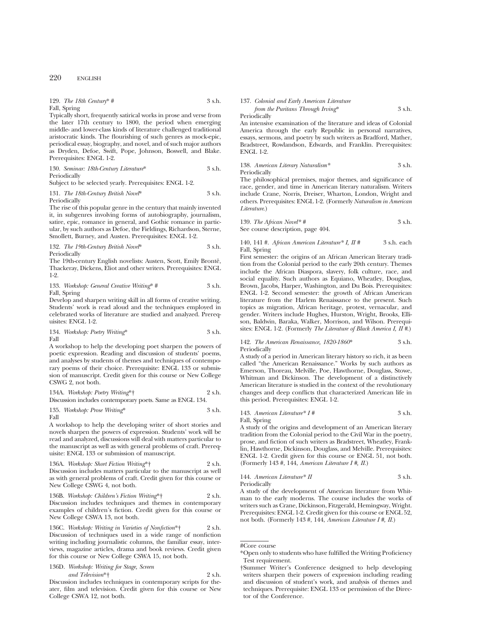129. *The 18th Century*\* # 3 s.h. Fall, Spring

Typically short, frequently satirical works in prose and verse from the later 17th century to 1800, the period when emerging middle- and lower-class kinds of literature challenged traditional aristocratic kinds. The flourishing of such genres as mock-epic, periodical essay, biography, and novel, and of such major authors as Dryden, Defoe, Swift, Pope, Johnson, Boswell, and Blake. Prerequisites: ENGL 1-2.

130. *Seminar: 18th-Century Literature*\* 3 s.h. Periodically

Subject to be selected yearly. Prerequisites: ENGL 1-2.

#### 131. *The 18th-Century British Novel*\* 3 s.h. Periodically

The rise of this popular genre in the century that mainly invented it, in subgenres involving forms of autobiography, journalism, satire, epic, romance in general, and Gothic romance in particular, by such authors as Defoe, the Fieldings, Richardson, Sterne, Smollett, Burney, and Austen. Prerequisites: ENGL 1-2.

#### 132. *The 19th-Century British Novel*\* 3 s.h. Periodically

The 19th-century English novelists: Austen, Scott, Emily Brontë, Thackeray, Dickens, Eliot and other writers. Prerequisites: ENGL 1-2.

133. *Workshop: General Creative Writing*\* # 3 s.h. Fall, Spring

Develop and sharpen writing skill in all forms of creative writing. Students' work is read aloud and the techniques employed in celebrated works of literature are studied and analyzed. Prerequisites: ENGL 1-2.

134. *Workshop: Poetry Writing*\* 3 s.h. Fall

A workshop to help the developing poet sharpen the powers of poetic expression. Reading and discussion of students' poems, and analyses by students of themes and techniques of contemporary poems of their choice. Prerequisite: ENGL 133 or submission of manuscript. Credit given for this course or New College CSWG 2, not both.

134A. *Workshop: Poetry Writing*\*† 2 s.h. Discussion includes contemporary poets. Same as ENGL 134.

135. *Workshop: Prose Writing*\* 3 s.h. Fall

A workshop to help the developing writer of short stories and novels sharpen the powers of expression. Students' work will be read and analyzed, discussions will deal with matters particular to the manuscript as well as with general problems of craft. Prerequisite: ENGL 133 or submission of manuscript.

136A. *Workshop: Short Fiction Writing*\*† 2 s.h. Discussion includes matters particular to the manuscript as well as with general problems of craft. Credit given for this course or New College CSWG 4, not both.

136B. *Workshop: Children's Fiction Writing*\*† 2 s.h. Discussion includes techniques and themes in contemporary examples of children's fiction. Credit given for this course or New College CSWA 13, not both.

136C. *Workshop: Writing in Varieties of Nonfiction*\*† 2 s.h. Discussion of techniques used in a wide range of nonfiction writing including journalistic columns, the familiar essay, interviews, magazine articles, drama and book reviews. Credit given for this course or New College CSWA 15, not both.

## 136D. *Workshop: Writing for Stage, Screen*

# *and Television*\*† 2 s.h.

Discussion includes techniques in contemporary scripts for theater, film and television. Credit given for this course or New College CSWA 12, not both.

# 137. *Colonial and Early American Literature*

*from the Puritans Through Irving*\* 3 s.h.

Periodically

An intensive examination of the literature and ideas of Colonial America through the early Republic in personal narratives, essays, sermons, and poetry by such writers as Bradford, Mather, Bradstreet, Rowlandson, Edwards, and Franklin. Prerequisites: ENGL 1-2.

#### 138. *American Literary Naturalism\** 3 s.h. Periodically

The philosophical premises, major themes, and significance of race, gender, and time in American literary naturalism. Writers include Crane, Norris, Dreiser, Wharton, London, Wright and others. Prerequisites: ENGL 1-2. (Formerly *Naturalism in American Literature*.)

139. *The African Novel\* #* 3 s.h. See course description, page 404.

## 140, 141 #. *African American Literature\* I, II #* 3 s.h. each Fall, Spring

First semester: the origins of an African American literary tradition from the Colonial period to the early 20th century. Themes include the African Diaspora, slavery, folk culture, race, and social equality. Such authors as Equiano, Wheatley, Douglass, Brown, Jacobs, Harper, Washington, and Du Bois. Prerequisites: ENGL 1-2. Second semester: the growth of African American literature from the Harlem Renaissance to the present. Such topics as migration, African heritage, protest, vernacular, and gender. Writers include Hughes, Hurston, Wright, Brooks, Ellison, Baldwin, Baraka, Walker, Morrison, and Wilson. Prerequisites: ENGL 1-2. (Formerly *The Literature of Black America I, II #*.)

#### 142. *The American Renaissance, 1820-1860*\* 3 s.h. Periodically

A study of a period in American literary history so rich, it as been called "the American Renaissance." Works by such authors as Emerson, Thoreau, Melville, Poe, Hawthorne, Douglass, Stowe, Whitman and Dickinson. The development of a distinctively American literature is studied in the context of the revolutionary changes and deep conflicts that characterized American life in this period. Prerequisites: ENGL 1-2.

# 143. *American Literature\* I #* 3 s.h.

Fall, Spring

A study of the origins and development of an American literary tradition from the Colonial period to the Civil War in the poetry, prose, and fiction of such writers as Bradstreet, Wheatley, Franklin, Hawthorne, Dickinson, Douglass, and Melville. Prerequisites: ENGL 1-2. Credit given for this course or ENGL 51, not both. (Formerly 143 #, 144, *American Literature I #, II*.)

144. *American Literature\* II* 3 s.h. Periodically

A study of the development of American literature from Whitman to the early moderns. The course includes the works of writers such as Crane, Dickinson, Fitzgerald, Hemingway, Wright. Prerequisites: ENGL 1-2. Credit given for this course or ENGL 52, not both. (Formerly 143 #, 144, *American Literature I #, II*.)

#Core course

<sup>\*</sup>Open only to students who have fulfilled the Writing Proficiency Test requirement.

<sup>†</sup>Summer Writer's Conference designed to help developing writers sharpen their powers of expression including reading and discussion of student's work, and analysis of themes and techniques. Prerequisite: ENGL 133 or permission of the Director of the Conference.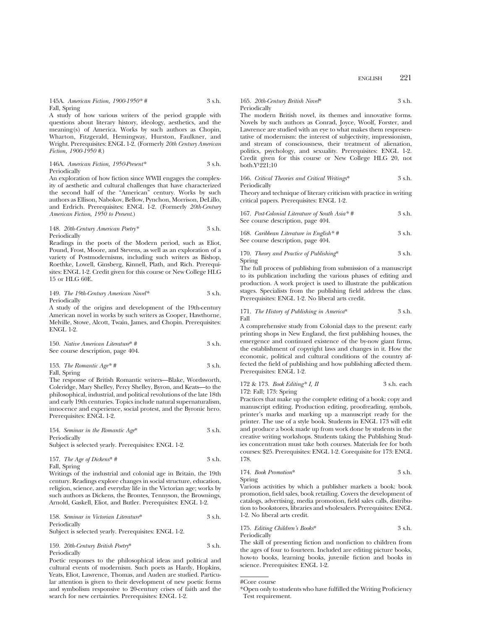145A. *American Fiction, 1900-1950\* #* 3 s.h. Fall, Spring

A study of how various writers of the period grapple with questions about literary history, ideology, aesthetics, and the meaning(s) of America. Works by such authors as Chopin, Wharton, Fitzgerald, Hemingway, Hurston, Faulkner, and Wright. Prerequisites: ENGL 1-2. (Formerly *20th Century American Fiction, 1900-1950 #*.)

#### 146A. *American Fiction, 1950-Present\** 3 s.h. Periodically

An exploration of how fiction since WWII engages the complexity of aesthetic and cultural challenges that have characterized the second half of the "American" century. Works by such authors as Ellison, Nabokov, Bellow, Pynchon, Morrison, DeLillo, and Erdrich. Prerequisites: ENGL 1-2. (Formerly *20th-Century American Fiction, 1950 to Present*.)

## 148. *20th-Century American Poetry\** 3 s.h. Periodically

Readings in the poets of the Modern period, such as Eliot, Pound, Frost, Moore, and Stevens, as well as an exploration of a variety of Postmodernisms, including such writers as Bishop, Roethke, Lowell, Ginsberg, Kinnell, Plath, and Rich. Prerequisites: ENGL 1-2. Credit given for this course or New College HLG 15 or HLG 60E.

149. *The 19th-Century American Novel\** 3 s.h. Periodically

A study of the origins and development of the 19th-century American novel in works by such writers as Cooper, Hawthorne, Melville, Stowe, Alcott, Twain, James, and Chopin. Prerequisites: ENGL 1-2.

150. *Native American Literature*\* # 3 s.h. See course description, page 404.

| 153. The Romantic Age* # | 3 s.h. |
|--------------------------|--------|
| Fall, Spring             |        |

The response of British Romantic writers—Blake, Wordsworth, Coleridge, Mary Shelley, Percy Shelley, Byron, and Keats—to the philosophical, industrial, and political revolutions of the late 18th and early 19th centuries. Topics include natural supernaturalism, innocence and experience, social protest, and the Byronic hero. Prerequisites: ENGL 1-2.

154. *Seminar in the Romantic Age*\* 3 s.h. Periodically Subject is selected yearly. Prerequisites: ENGL 1-2.

157. *The Age of Dickens*\* # 3 s.h. Fall, Spring

Writings of the industrial and colonial age in Britain, the 19th century. Readings explore changes in social structure, education, religion, science, and everyday life in the Victorian age; works by such authors as Dickens, the Brontes, Tennyson, the Brownings, Arnold, Gaskell, Eliot, and Butler. Prerequisites: ENGL 1-2.

158. *Seminar in Victorian Literature*\* 3 s.h. Periodically Subject is selected yearly. Prerequisites: ENGL 1-2.

159. *20th-Century British Poetry*\* 3 s.h. Periodically

Poetic responses to the philosophical ideas and political and cultural events of modernism. Such poets as Hardy, Hopkins, Yeats, Eliot, Lawrence, Thomas, and Auden are studied. Particular attention is given to their development of new poetic forms and symbolism responsive to 20-century crises of faith and the search for new certainties. Prerequisites: ENGL 1-2.

## 165. *20th-Century British Novel*\* 3 s.h. Periodically

The modern British novel, its themes and innovative forms. Novels by such authors as Conrad, Joyce, Woolf, Forster, and Lawrence are studied with an eye to what makes them respresentative of modernism: the interest of subjectivity, impressionism, and stream of consciousness, their treatment of alienation, politics, psychology, and sexuality. Prerequisites: ENGL 1-2. Credit given for this course or New College HLG 20, not  $both.Y<sup>1</sup>221;10$ 

166. *Critical Theories and Critical Writings*\* 3 s.h. Periodically

Theory and technique of literary criticism with practice in writing critical papers. Prerequisites: ENGL 1-2.

| 167. Post-Colonial Literature of South Asia*#<br>See course description, page 404. | 3 s.h. |
|------------------------------------------------------------------------------------|--------|
| 168. Caribbean Literature in English*#                                             | 3 s.h. |

See course description, page  $\overline{404}$ 

170. *Theory and Practice of Publishing*\* 3 s.h. Spring

The full process of publishing from submission of a manuscript to its publication including the various phases of editing and production. A work project is used to illustrate the publication stages. Specialists from the publishing field address the class. Prerequisites: ENGL 1-2. No liberal arts credit.

171. *The History of Publishing in America*<sup>\*</sup> 3 s.h. Fall

A comprehensive study from Colonial days to the present: early printing shops in New England, the first publishing houses, the emergence and continued existence of the by-now giant firms, the establishment of copyright laws and changes in it. How the economic, political and cultural conditions of the country affected the field of publishing and how publishing affected them. Prerequisites: ENGL 1-2.

172 & 173. *Book Editing\* I, II* 3 s.h. each 172: Fall; 173: Spring

Practices that make up the complete editing of a book: copy and manuscript editing. Production editing, proofreading, symbols, printer's marks and marking up a manuscript ready for the printer. The use of a style book. Students in ENGL 173 will edit and produce a book made up from work done by students in the creative writing workshops. Students taking the Publishing Studies concentration must take both courses. Materials fee for both courses: \$25. Prerequisites: ENGL 1-2. Corequisite for 173: ENGL 178.

174. *Book Promotion*\* 3 s.h. Spring

Various activities by which a publisher markets a book: book promotion, field sales, book retailing. Covers the development of catalogs, advertising, media promotion, field sales calls, distribution to bookstores, libraries and wholesalers. Prerequisites: ENGL 1-2. No liberal arts credit.

175. *Editing Children's Books*\* 3 s.h. Periodically

The skill of presenting fiction and nonfiction to children from the ages of four to fourteen. Included are editing picture books, how-to books, learning books, juvenile fiction and books in science. Prerequisites: ENGL 1-2.

<sup>#</sup>Core course

<sup>\*</sup>Open only to students who have fulfilled the Writing Proficiency Test requirement.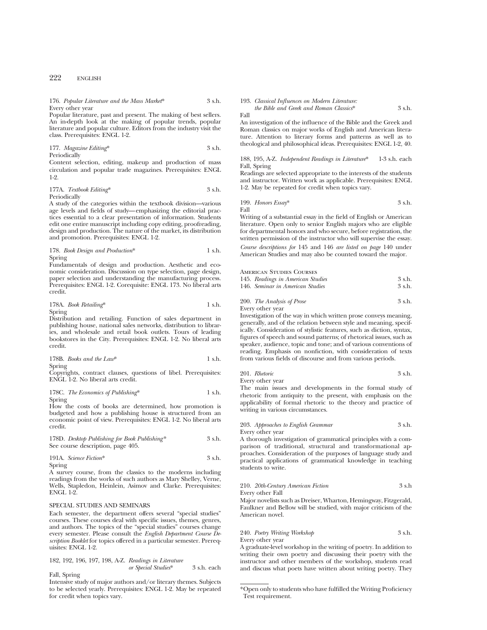#### 176. *Popular Literature and the Mass Market*\* 3 s.h. Every other year

Popular literature, past and present. The making of best sellers. An in-depth look at the making of popular trends, popular literature and popular culture. Editors from the industry visit the class. Prerequisites: ENGL 1-2.

177. *Magazine Editing*\* 3 s.h. Periodically

Content selection, editing, makeup and production of mass circulation and popular trade magazines. Prerequisites: ENGL 1-2.

#### 177A. *Textbook Editing*\* 3 s.h. Periodically

A study of the categories within the textbook division—various age levels and fields of study—emphasizing the editorial practices essential to a clear presentation of information. Students edit one entire manuscript including copy editing, proofreading, design and production. The nature of the market, its distribution and promotion. Prerequisites: ENGL 1-2.

178. *Book Design and Production*\* 1 s.h. Spring

Fundamentals of design and production. Aesthetic and economic consideration. Discussion on type selection, page design, paper selection and understanding the manufacturing process. Prerequisites: ENGL 1-2. Corequisite: ENGL 173. No liberal arts credit.

178A. *Book Retailing*\* 1 s.h.

Spring

Distribution and retailing. Function of sales department in publishing house, national sales networks, distribution to libraries, and wholesale and retail book outlets. Tours of leading bookstores in the City. Prerequisites: ENGL 1-2. No liberal arts credit.

178B. *Books and the Law*\* 1 s.h. Spring

Copyrights, contract clauses, questions of libel. Prerequisites: ENGL 1-2. No liberal arts credit.

#### 178C. *The Economics of Publishing*\* 1 s.h. Spring

How the costs of books are determined, how promotion is budgeted and how a publishing house is structured from an economic point of view. Prerequisites: ENGL 1-2. No liberal arts credit.

| 178D. Desktop Publishing for Book Publishing* | 3 s.h. |
|-----------------------------------------------|--------|
| See course description, page 405.             |        |

191A. *Science Fiction*\* 3 s.h. Spring

A survey course, from the classics to the moderns including readings from the works of such authors as Mary Shelley, Verne, Wells, Stapledon, Heinlein, Asimov and Clarke. Prerequisites: ENGL 1-2.

#### SPECIAL STUDIES AND SEMINARS

Each semester, the department offers several "special studies" courses. These courses deal with specific issues, themes, genres, and authors. The topics of the "special studies" courses change every semester. Please consult the *English Department Course Description Booklet* for topics offered in a particular semester. Prerequisites: ENGL 1-2.

182, 192, 196, 197, 198, A-Z. *Readings in Literature or Special Studies*\* 3 s.h. each

Fall, Spring Intensive study of major authors and/or literary themes. Subjects to be selected yearly. Prerequisites: ENGL 1-2. May be repeated

for credit when topics vary.

## 193. *Classical Influences on Modern Literature: the Bible and Greek and Roman Classics*\* 3 s.h.

Fall

An investigation of the influence of the Bible and the Greek and Roman classics on major works of English and American literature. Attention to literary forms and patterns as well as to theological and philosophical ideas. Prerequisites: ENGL 1-2, 40.

188, 195, A-Z. *Independent Readings in Literature*\* 1-3 s.h. each Fall, Spring

Readings are selected appropriate to the interests of the students and instructor. Written work as applicable. Prerequisites: ENGL 1-2. May be repeated for credit when topics vary.

199. *Honors Essay*\*
$$
3 \, \text{s.h.}
$$
 Fall

Writing of a substantial essay in the field of English or American literature. Open only to senior English majors who are eligible for departmental honors and who secure, before registration, the written permission of the instructor who will supervise the essay. *Course descriptions for* 145 and 146 *are listed on page* 140 under American Studies and may also be counted toward the major.

American Studies Courses

| 145. Readings in American Studies | 3 s.h. |
|-----------------------------------|--------|
| 146. Seminar in American Studies  | 3 s.h. |

| 200. The Analysis of Prose     | 3 s.h. |
|--------------------------------|--------|
| Para and the first part of the |        |

Every other year

Investigation of the way in which written prose conveys meaning, generally, and of the relation between style and meaning, specifically. Consideration of stylistic features, such as diction, syntax, figures of speech and sound patterns; of rhetorical issues, such as speaker, audience, topic and tone; and of various conventions of reading. Emphasis on nonfiction, with consideration of texts from various fields of discourse and from various periods.

| 201. Rhetoric    | 3 s.h. |
|------------------|--------|
| Every other year |        |

The main issues and developments in the formal study of rhetoric from antiquity to the present, with emphasis on the applicability of formal rhetoric to the theory and practice of writing in various circumstances.

#### 203. *Approaches to English Grammar* 3 s.h. Every other year

A thorough investigation of grammatical principles with a comparison of traditional, structural and transformational approaches. Consideration of the purposes of language study and practical applications of grammatical knowledge in teaching students to write.

## 210. *20th-Century American Fiction* 3 s.h Every other Fall

Major novelists such as Dreiser, Wharton, Hemingway, Fitzgerald, Faulkner and Bellow will be studied, with major criticism of the American novel.

## 240. *Poetry Writing Workshop* 3 s.h. Every other year

A graduate-level workshop in the writing of poetry. In addition to writing their own poetry and discussing their poetry with the instructor and other members of the workshop, students read and discuss what poets have written about writing poetry. They

<sup>\*</sup>Open only to students who have fulfilled the Writing Proficiency Test requirement.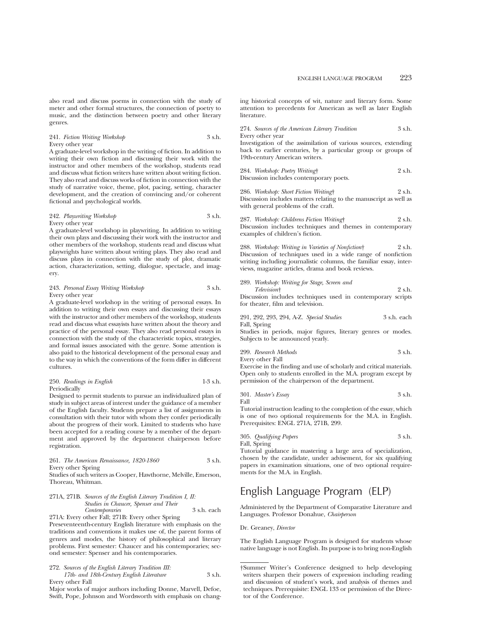also read and discuss poems in connection with the study of meter and other formal structures, the connection of poetry to music, and the distinction between poetry and other literary genres.

241. *Fiction Writing Workshop* 3 s.h. Every other year

A graduate-level workshop in the writing of fiction. In addition to writing their own fiction and discussing their work with the instructor and other members of the workshop, students read and discuss what fiction writers have written about writing fiction. They also read and discuss works of fiction in connection with the study of narrative voice, theme, plot, pacing, setting, character development, and the creation of convincing and/or coherent fictional and psychological worlds.

242. *Playwriting Workshop* 3 s.h. Every other year

A graduate-level workshop in playwriting. In addition to writing their own plays and discussing their work with the instructor and other members of the workshop, students read and discuss what playwrights have written about writing plays. They also read and discuss plays in connection with the study of plot, dramatic action, characterization, setting, dialogue, spectacle, and imagery.

243. *Personal Essay Writing Workshop* 3 s.h. Every other year

A graduate-level workshop in the writing of personal essays. In addition to writing their own essays and discussing their essays with the instructor and other members of the workshop, students read and discuss what essayists have written about the theory and practice of the personal essay. They also read personal essays in connection with the study of the characteristic topics, strategies, and formal issues associated with the genre. Some attention is also paid to the historical development of the personal essay and to the way in which the conventions of the form differ in different cultures.

| 250. Readings in English | $1-3$ s.h. |
|--------------------------|------------|
| Periodically             |            |

Designed to permit students to pursue an individualized plan of study in subject areas of interest under the guidance of a member of the English faculty. Students prepare a list of assignments in consultation with their tutor with whom they confer periodically about the progress of their work. Limited to students who have been accepted for a reading course by a member of the department and approved by the department chairperson before registration.

#### 261. *The American Renaissance, 1820-1860* 3 s.h. Every other Spring

Studies of such writers as Cooper, Hawthorne, Melville, Emerson, Thoreau, Whitman.

#### 271A, 271B. *Sources of the English Literary Tradition I, II: Studies in Chaucer, Spenser and Their Contemporaries* 3 s.h. each 271A: Every other Fall; 271B: Every other Spring

Preseventeenth-century English literature with emphasis on the traditions and conventions it makes use of, the parent forms of genres and modes, the history of philosophical and literary problems. First semester: Chaucer and his contemporaries; second semester: Spenser and his contemporaries.

272. *Sources of the English Literary Tradition III: 17th- and 18th-Century English Literature* 3 s.h. Every other Fall

Major works of major authors including Donne, Marvell, Defoe, Swift, Pope, Johnson and Wordsworth with emphasis on chang-

ing historical concepts of wit, nature and literary form. Some attention to precedents for American as well as later English literature.

| 274. Sources of the American Literary Tradition                 | 3 s.h. |
|-----------------------------------------------------------------|--------|
| Every other year                                                |        |
| Investigation of the assimilation of various sources, extending |        |
| back to earlier centuries, by a particular group or groups of   |        |
| 19th-century American writers.                                  |        |
| $0.01$ TIT $1.1$ $\ldots$ $1.1$                                 |        |

284. *Workshop: Poetry Writing*† 2 s.h. Discussion includes contemporary poets.

286. *Workshop: Short Fiction Writing*† 2 s.h. Discussion includes matters relating to the manuscript as well as with general problems of the craft.

287. *Workshop: Childrens Fiction Writing*† 2 s.h. Discussion includes techniques and themes in contemporary examples of children's fiction.

288. *Workshop: Writing in Varieties of Nonfiction*† 2 s.h. Discussion of techniques used in a wide range of nonfiction writing including journalistic columns, the familiar essay, interviews, magazine articles, drama and book reviews.

| 289. Workshop: Writing for Stage, Screen and                |        |
|-------------------------------------------------------------|--------|
| <i>Television</i> <sup>†</sup>                              | 2 s.h. |
| Discussion includes techniques used in contemporary scripts |        |
| for theater, film and television.                           |        |

|              |  | 291, 292, 293, 294, A-Z. Special Studies | 3 s.h. each |
|--------------|--|------------------------------------------|-------------|
| Fall, Spring |  |                                          |             |

Studies in periods, major figures, literary genres or modes. Subjects to be announced yearly.

299. *Research Methods* 3 s.h.

Every other Fall

Exercise in the finding and use of scholarly and critical materials. Open only to students enrolled in the M.A. program except by permission of the chairperson of the department.

301. *Master's Essay* 3 s.h. Fall

Tutorial instruction leading to the completion of the essay, which is one of two optional requirements for the M.A. in English. Prerequisites: ENGL 271A, 271B, 299.

305. *Qualifying Papers* 3 s.h. Fall, Spring

Tutorial guidance in mastering a large area of specialization, chosen by the candidate, under advisement, for six qualifying papers in examination situations, one of two optional requirements for the M.A. in English.

# English Language Program (ELP)

Administered by the Department of Comparative Literature and Languages. Professor Donahue, *Chairperson*

Dr. Greaney, *Director*

The English Language Program is designed for students whose native language is not English. Its purpose is to bring non-English

<sup>†</sup>Summer Writer's Conference designed to help developing writers sharpen their powers of expression including reading and discussion of student's work, and analysis of themes and techniques. Prerequisite: ENGL 133 or permission of the Director of the Conference.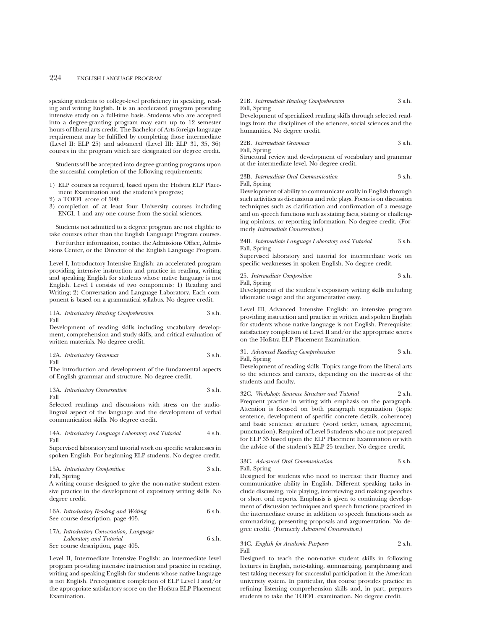speaking students to college-level proficiency in speaking, reading and writing English. It is an accelerated program providing intensive study on a full-time basis. Students who are accepted into a degree-granting program may earn up to 12 semester hours of liberal arts credit. The Bachelor of Arts foreign language requirement may be fulfilled by completing those intermediate (Level II: ELP 25) and advanced (Level III: ELP 31, 35, 36) courses in the program which are designated for degree credit.

Students will be accepted into degree-granting programs upon the successful completion of the following requirements:

- 1) ELP courses as required, based upon the Hofstra ELP Placement Examination and the student's progress;
- 2) a TOEFL score of 500;
- 3) completion of at least four University courses including ENGL 1 and any one course from the social sciences.

Students not admitted to a degree program are not eligible to take courses other than the English Language Program courses.

For further information, contact the Admissions Office, Admissions Center, or the Director of the English Language Program.

Level I, Introductory Intensive English: an accelerated program providing intensive instruction and practice in reading, writing and speaking English for students whose native language is not English. Level I consists of two components: 1) Reading and Writing; 2) Conversation and Language Laboratory. Each component is based on a grammatical syllabus. No degree credit.

11A. *Introductory Reading Comprehension* 3 s.h. Fall

Development of reading skills including vocabulary development, comprehension and study skills, and critical evaluation of written materials. No degree credit.

$$
12A. \ Introductory Grammar \hspace{2.5cm} 3 s.h. \hspace{2.5cm}
$$
 Fall

The introduction and development of the fundamental aspects of English grammar and structure. No degree credit.

13A. *Introductory Conversation* 3 s.h. Fall

Selected readings and discussions with stress on the audiolingual aspect of the language and the development of verbal communication skills. No degree credit.

#### 14A. *Introductory Language Laboratory and Tutorial* 4 s.h. Fall

Supervised laboratory and tutorial work on specific weaknesses in spoken English. For beginning ELP students. No degree credit.

15A. *Introductory Composition* 3 s.h. Fall, Spring

A writing course designed to give the non-native student extensive practice in the development of expository writing skills. No degree credit.

16A. *Introductory Reading and Writing* 6 s.h. See course description, page 405.

17A. *Introductory Conversation, Language Laboratory and Tutorial* 6 s.h. See course description, page 405.

Level II, Intermediate Intensive English: an intermediate level program providing intensive instruction and practice in reading, writing and speaking English for students whose native language is not English. Prerequisites: completion of ELP Level I and/or the appropriate satisfactory score on the Hofstra ELP Placement Examination.

#### 21B. *Intermediate Reading Comprehension* 3 s.h. Fall, Spring

Development of specialized reading skills through selected readings from the disciplines of the sciences, social sciences and the humanities. No degree credit.

22B. *Intermediate Grammar* 3 s.h. Fall, Spring

Structural review and development of vocabulary and grammar at the intermediate level. No degree credit.

23B. *Intermediate Oral Communication* 3 s.h. Fall, Spring

Development of ability to communicate orally in English through such activities as discussions and role plays. Focus is on discussion techniques such as clarification and confirmation of a message and on speech functions such as stating facts, stating or challenging opinions, or reporting information. No degree credit. (Formerly *Intermediate Conversation*.)

24B. *Intermediate Language Laboratory and Tutorial* 3 s.h. Fall, Spring

Supervised laboratory and tutorial for intermediate work on specific weaknesses in spoken English. No degree credit.

25. *Intermediate Composition* 3 s.h.

Fall, Spring Development of the student's expository writing skills including

idiomatic usage and the argumentative essay. Level III, Advanced Intensive English: an intensive program providing instruction and practice in written and spoken English

for students whose native language is not English. Prerequisite: satisfactory completion of Level II and/or the appropriate scores on the Hofstra ELP Placement Examination.

31. *Advanced Reading Comprehension* 3 s.h.

Fall, Spring

Development of reading skills. Topics range from the liberal arts to the sciences and careers, depending on the interests of the students and faculty.

32C. *Workshop: Sentence Structure and Tutorial* 2 s.h. Frequent practice in writing with emphasis on the paragraph. Attention is focused on both paragraph organization (topic sentence, development of specific concrete details, coherence) and basic sentence structure (word order, tenses, agreement, punctuation). Required of Level 3 students who are not prepared for ELP 35 based upon the ELP Placement Examination or with the advice of the student's ELP 25 teacher. No degree credit.

#### 33C. *Advanced Oral Communication* 3 s.h. Fall, Spring

Designed for students who need to increase their fluency and communicative ability in English. Different speaking tasks include discussing, role playing, interviewing and making speeches or short oral reports. Emphasis is given to continuing development of discussion techniques and speech functions practiced in the intermediate course in addition to speech functions such as summarizing, presenting proposals and argumentation. No degree credit. (Formerly *Advanced Conversation*.)

#### 34C. *English for Academic Purposes* 2 s.h. Fall

Designed to teach the non-native student skills in following lectures in English, note-taking, summarizing, paraphrasing and test taking necessary for successful participation in the American university system. In particular, this course provides practice in refining listening comprehension skills and, in part, prepares students to take the TOEFL examination. No degree credit.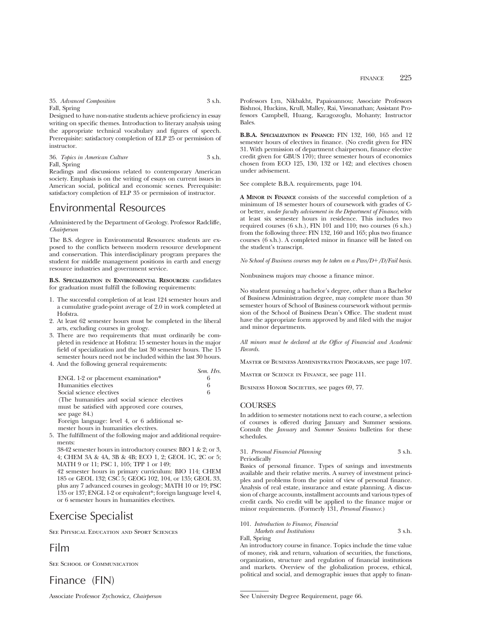35. *Advanced Composition* 3 s.h. Fall, Spring

Designed to have non-native students achieve proficiency in essay writing on specific themes. Introduction to literary analysis using the appropriate technical vocabulary and figures of speech. Prerequisite: satisfactory completion of ELP 25 or permission of instructor.

36. *Topics in American Culture* 3 s.h. Fall, Spring

Readings and discussions related to contemporary American society. Emphasis is on the writing of essays on current issues in American social, political and economic scenes. Prerequisite: satisfactory completion of ELP 35 or permission of instructor.

# Environmental Resources

Administered by the Department of Geology. Professor Radcliffe, *Chairperson*

The B.S. degree in Environmental Resources: students are exposed to the conflicts between modern resource development and conservation. This interdisciplinary program prepares the student for middle management positions in earth and energy resource industries and government service.

**B.S. SPECIALIZATION IN ENVIRONMENTAL RESOURCES:** candidates for graduation must fulfill the following requirements:

- 1. The successful completion of at least 124 semester hours and a cumulative grade-point average of 2.0 in work completed at Hofstra.
- 2. At least 62 semester hours must be completed in the liberal arts, excluding courses in geology.
- 3. There are two requirements that must ordinarily be completed in residence at Hofstra: 15 semester hours in the major field of specialization and the last 30 semester hours. The 15 semester hours need not be included within the last 30 hours.
- 4. And the following general requirements:

|                                                | $UUIU_1 + IIIJ_2$ |
|------------------------------------------------|-------------------|
| ENGL 1-2 or placement examination*             | 6                 |
| Humanities electives                           | 6                 |
| Social science electives                       | 6                 |
| (The humanities and social science electives)  |                   |
| must be satisfied with approved core courses,  |                   |
| see page 84.)                                  |                   |
| Foreign language: level 4, or 6 additional se- |                   |
| mester hours in humanities electives.          |                   |
|                                                |                   |

5. The fulfillment of the following major and additional requirements:

38-42 semester hours in introductory courses: BIO 1 & 2; or 3, 4; CHEM 3A & 4A, 3B & 4B; ECO 1, 2; GEOL 1C, 2C or 5; MATH 9 or 11; PSC 1, 105; TPP 1 or 149;

42 semester hours in primary curriculum: BIO 114; CHEM 185 or GEOL 132; CSC 5; GEOG 102, 104, or 135; GEOL 33, plus any 7 advanced courses in geology; MATH 10 or 19; PSC 135 or 137; ENGL 1-2 or equivalent\*; foreign language level 4, or 6 semester hours in humanities electives.

# Exercise Specialist

See Physical Education and Sport Sciences

# Film

See School of Communication

Finance (FIN)

Associate Professor Zychowicz, *Chairperson*

Professors Lyn, Nikbakht, Papaioannou; Associate Professors Bishnoi, Huckins, Krull, Malley, Rai, Viswanathan; Assistant Professors Campbell, Huang, Karagozoglu, Mohanty; Instructor Bales.

**B.B.A. SPECIALIZATION IN FINANCE:** FIN 132, 160, 165 and 12 semester hours of electives in finance. (No credit given for FIN 31. With permission of department chairperson, finance elective credit given for GBUS 170); three semester hours of economics chosen from ECO 125, 130, 132 or 142; and electives chosen under advisement.

See complete B.B.A. requirements, page 104.

**A MINOR IN FINANCE** consists of the successful completion of a minimum of 18 semester hours of coursework with grades of Cor better, *under faculty advisement in the Department of Finance*, with at least six semester hours in residence. This includes two required courses (6 s.h.), FIN 101 and 110; two courses (6 s.h.) from the following three: FIN 132, 160 and 165; plus two finance courses (6 s.h.). A completed minor in finance will be listed on the student's transcript.

*No School of Business courses may be taken on a Pass/D+/D/Fail basis.* 

Nonbusiness majors may choose a finance minor.

No student pursuing a bachelor's degree, other than a Bachelor of Business Administration degree, may complete more than 30 semester hours of School of Business coursework without permission of the School of Business Dean's Office. The student must have the appropriate form approved by and filed with the major and minor departments.

*All minors must be declared at the Office of Financial and Academic Records.*

Master of Business Administration Programs, see page 107.

Master of Science in Finance, see page 111.

BUSINESS HONOR SOCIETIES, see pages 69, 77.

## **COURSES**

*Sem. Hrs.*

In addition to semester notations next to each course, a selection of courses is offered during January and Summer sessions. Consult the *January* and *Summer Sessions* bulletins for these schedules.

31. *Personal Financial Planning* 3 s.h.

Periodically

Basics of personal finance. Types of savings and investments available and their relative merits. A survey of investment principles and problems from the point of view of personal finance. Analysis of real estate, insurance and estate planning. A discussion of charge accounts, installment accounts and various types of credit cards. No credit will be applied to the finance major or minor requirements. (Formerly 131, *Personal Finance.*)

## 101. *Introduction to Finance, Financial*

*Markets and Institutions* 3 s h. Fall, Spring

An introductory course in finance. Topics include the time value of money, risk and return, valuation of securities, the functions, organization, structure and regulation of financial institutions and markets. Overview of the globalization process, ethical, political and social, and demographic issues that apply to finan-

See University Degree Requirement, page 66.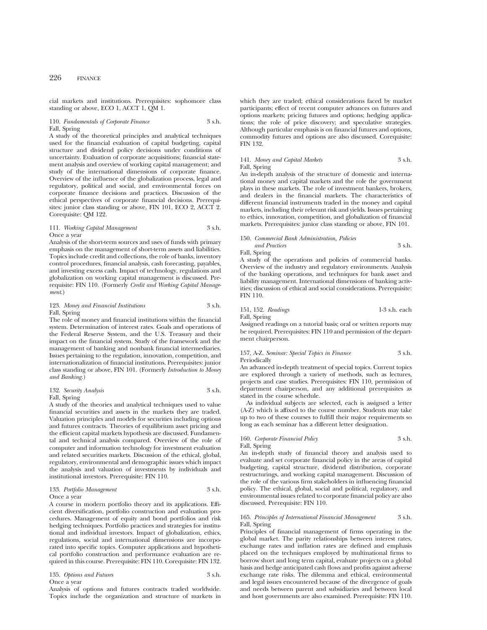cial markets and institutions. Prerequisites: sophomore class standing or above, ECO 1, ACCT 1,  $OM$  1.

## 110. *Fundamentals of Corporate Finance* 3 s.h. Fall, Spring

A study of the theoretical principles and analytical techniques used for the financial evaluation of capital budgeting, capital structure and dividend policy decisions under conditions of uncertainty. Evaluation of corporate acquisitions; financial statement analysis and overview of working capital management; and study of the international dimensions of corporate finance. Overview of the influence of the globalization process, legal and regulatory, political and social, and environmental forces on corporate finance decisions and practices. Discussion of the ethical perspectives of corporate financial decisions. Prerequisites: junior class standing or above, FIN 101, ECO 2, ACCT 2. Corequisite: QM 122.

## 111. *Working Capital Management* 3 s.h. Once a year

Analysis of the short-term sources and uses of funds with primary emphasis on the management of short-term assets and liabilities. Topics include credit and collections, the role of banks, inventory control procedures, financial analysis, cash forecasting, payables, and investing excess cash. Impact of technology, regulations and globalization on working capital management is discussed. Prerequisite: FIN 110. (Formerly *Credit and Working Capital Management*.)

## 123. *Money and Financial Institutions* 3 s.h. Fall, Spring

The role of money and financial institutions within the financial system. Determination of interest rates. Goals and operations of the Federal Reserve System, and the U.S. Treasury and their impact on the financial system. Study of the framework and the management of banking and nonbank financial intermediaries. Issues pertaining to the regulation, innovation, competition, and internationalization of financial institutions. Prerequisites: junior class standing or above, FIN 101. (Formerly *Introduction to Money and Banking.*)

132. *Security Analysis* 3 s.h. Fall, Spring

A study of the theories and analytical techniques used to value financial securities and assets in the markets they are traded. Valuation principles and models for securities including options and futures contracts. Theories of equilibrium asset pricing and the efficient capital markets hypothesis are discussed. Fundamental and technical analysis compared. Overview of the role of computer and information technology for investment evaluation and related securities markets. Discussion of the ethical, global, regulatory, environmental and demographic issues which impact the analysis and valuation of investments by individuals and institutional investors. Prerequisite: FIN 110.

#### 133. *Portfolio Management* 3 s.h. Once a year

A course in modern portfolio theory and its applications. Efficient diversification, portfolio construction and evaluation procedures. Management of equity and bond portfolios and risk hedging techniques. Portfolio practices and strategies for institutional and individual investors. Impact of globalization, ethics, regulations, social and international dimensions are incorporated into specific topics. Computer applications and hypothetical portfolio construction and performance evaluation are required in this course. Prerequisite: FIN 110. Corequisite: FIN 132.

135. *Options and Futures* 3 s.h. Once a year

Analysis of options and futures contracts traded worldwide. Topics include the organization and structure of markets in

which they are traded; ethical considerations faced by market participants; effect of recent computer advances on futures and options markets; pricing futures and options; hedging applications; the role of price discovery; and speculative strategies. Although particular emphasis is on financial futures and options, commodity futures and options are also discussed. Corequisite: FIN 132.

## 141. *Money and Capital Markets* 3 s.h. Fall, Spring

An in-depth analysis of the structure of domestic and international money and capital markets and the role the government plays in these markets. The role of investment bankers, brokers, and dealers in the financial markets. The characteristics of different financial instruments traded in the money and capital markets, including their relevant risk and yields. Issues pertaining to ethics, innovation, competition, and globalization of financial markets. Prerequisites: junior class standing or above, FIN 101.

#### 150. *Commercial Bank Administration, Policies*

*and Practices* 3 s.h. Fall, Spring

A study of the operations and policies of commercial banks. Overview of the industry and regulatory environments. Analysis of the banking operations, and techniques for bank asset and liability management. International dimensions of banking activities; discussion of ethical and social considerations. Prerequisite: FIN 110.

151, 152. *Readings* 1-3 s.h. each

Fall, Spring

Assigned readings on a tutorial basis; oral or written reports may be required. Prerequisites: FIN 110 and permission of the department chairperson.

#### 157, A-Z. *Seminar: Special Topics in Finance* 3 s.h. Periodically

An advanced in-depth treatment of special topics. Current topics are explored through a variety of methods, such as lectures, projects and case studies. Prerequisites: FIN 110, permission of department chairperson, and any additional prerequisites as stated in the course schedule.

As individual subjects are selected, each is assigned a letter (A-Z) which is affixed to the course number. Students may take up to two of these courses to fulfill their major requirements so long as each seminar has a different letter designation.

# 160. *Corporate Financial Policy* 3 s.h.

Fall, Spring

An in-depth study of financial theory and analysis used to evaluate and set corporate financial policy in the areas of capital budgeting, capital structure, dividend distribution, corporate restructurings, and working capital management. Discussion of the role of the various firm stakeholders in influencing financial policy. The ethical, global, social and political, regulatory, and environmental issues related to corporate financial policy are also discussed. Prerequisite: FIN 110.

#### 165. *Principles of International Financial Management* 3 s.h. Fall, Spring

Principles of financial management of firms operating in the global market. The parity relationships between interest rates, exchange rates and inflation rates are defined and emphasis placed on the techniques employed by multinational firms to borrow short and long term capital, evaluate projects on a global basis and hedge anticipated cash flows and profits against adverse exchange rate risks. The dilemma and ethical, environmental and legal issues encountered because of the divergence of goals and needs between parent and subsidiaries and between local and host governments are also examined. Prerequisite: FIN 110.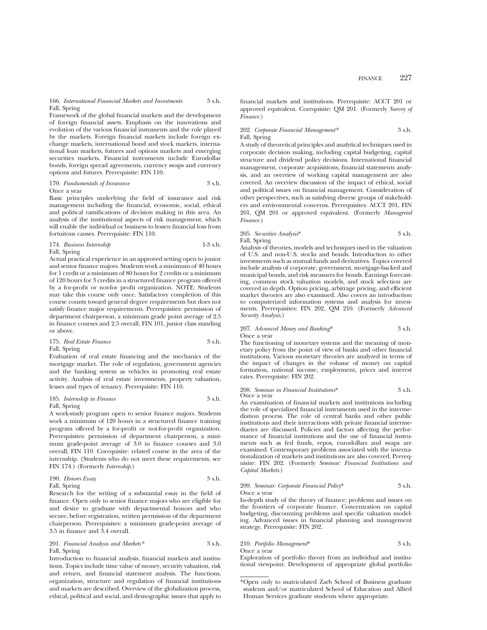166. *International Financial Markets and Investments* 3 s.h. Fall, Spring

Framework of the global financial markets and the development of foreign financial assets. Emphasis on the innovations and evolution of the various financial instuments and the role played by the markets. Foreign financial markets include foreign exchange markets, international bond and stock markets, international loan markets, futures and options markets and emerging securities markets. Financial instruments include Eurodollar bonds, foreign spread agreements, currency swaps and currency options and futures. Prerequisite: FIN 110.

170. *Fundamentals of Insurance* 3 s.h. Once a year

Basic principles underlying the field of insurance and risk management including the financial, economic, social, ethical and political ramifications of decision making in this area. An analysis of the institutional aspects of risk management, which will enable the individual or business to lessen financial loss from fortuitous causes. Prerequisite: FIN 110.

#### 174. *Business Internship* 1-3 s.h. Fall, Spring

Actual practical experience in an approved setting open to junior and senior finance majors. Students work a minimum of 40 hours for 1 credit or a minimum of 80 hours for 2 credits or a minimum of 120 hours for 3 credits in a structured finance program offered by a for-profit or not-for profit organization. NOTE: Students may take this course only once. Satisfactory completion of this course counts toward general degree requirements but does not satisfy finance major requirements. Prerequisites: permission of department chairperson, a minimum grade point average of 2.5 in finance courses and 2.5 overall, FIN 101, junior class standing or above.

## 175. *Real Estate Finance* 3 s.h. Fall, Spring

Evaluation of real estate financing and the mechanics of the mortgage market. The role of regulation, government agencies and the banking system as vehicles in promoting real estate activity. Analysis of real estate investments, property valuation, leases and types of tenancy. Prerequisite: FIN 110.

#### 185. *Internship in Finance* 3 s.h. Fall, Spring

A work-study program open to senior finance majors. Students work a minimum of 120 hours in a structured finance training program offered by a for-profit or not-for-profit organization. Prerequisites: permission of department chairperson, a minimum grade-point average of 3.0 in finance courses and 3.0 overall, FIN 110. Corequisite: related course in the area of the internship. (Students who do not meet these requirements, see FIN 174.) (Formerly *Internship*.)

| 190. Honors Essay | 3 s.h. |
|-------------------|--------|
| Fall, Spring      |        |

Research for the writing of a substantial essay in the field of finance. Open only to senior finance majors who are eligible for and desire to graduate with departmental honors and who secure, before registration, written permission of the department chairperson. Prerequisites: a minimum grade-point average of 3.5 in finance and 3.4 overall.

201. *Financial Analysis and Markets\** 3 s.h. Fall, Spring

Introduction to financial analysis, financial markets and institutions. Topics include time value of money, security valuation, risk and return, and financial statement analysis. The functions, organization, structure and regulation of financial institutions and markets are described. Overview of the globalization process, ethical, political and social, and demographic issues that apply to

financial markets and institutions. Prerequisite: ACCT 201 or approved equivalent. Corequisite: QM 201. (Formerly *Survey of Finance.*)

## 202. *Corporate Financial Management\** 3 s.h. Fall, Spring

A study of theoretical principles and analytical techniques used in corporate decision making, including capital budgeting, capital structure and dividend policy decisions. International financial management, corporate acquisitions, financial statements analysis, and an overview of working capital management are also covered. An overview discussion of the impact of ethical, social and political issues on financial management. Consideration of other perspectives, such as satisfying diverse groups of stakeholders and environmental concerns. Prerequisites: ACCT 201, FIN 201, QM 201 or approved equivalent. (Formerly *Managerial Finance.*)

## 205. *Securities Analysis*\* 3 s.h. Fall, Spring

Analysis of theories, models and techniques used in the valuation of U.S. and non-U.S. stocks and bonds. Introduction to other investments such as mutual funds and derivatives. Topics covered include analysis of corporate, government, mortgage-backed and municipal bonds, and risk measures for bonds. Earnings forecasting, common stock valuation models, and stock selection are covered in depth. Option pricing, arbitrage pricing, and efficient market theories are also examined. Also covers an introduction to computerized information systems and analysis for investments. Prerequisites: FIN 202, QM 210. (Formerly *Advanced Security Analysis*.)

## 207. *Advanced Money and Banking*\* 3 s.h. Once a year

The functioning of monetary systems and the meaning of monetary policy from the point of view of banks and other financial institutions. Various monetary theories are analyzed in terms of the impact of changes in the volume of money on capital formation, national income, employment, prices and interest rates. Prerequisite: FIN 202.

#### 208. *Seminar in Financial Institutions*\* 3 s.h. Once a year

An examination of financial markets and institutions including the role of specialized financial instruments used in the intermediation process. The role of central banks and other public institutions and their interactions with private financial intermediaries are discussed. Policies and factors affecting the performance of financial institutions and the use of financial instruments such as fed funds, repos, eurodollars and swaps are examined. Contemporary problems associated with the internationalization of markets and institutions are also covered. Prerequisite: FIN 202. (Formerly *Seminar: Financial Institutions and Capital Markets*.)

209. *Seminar: Corporate Financial Policy*\* 3 s.h. Once a year

In-depth study of the theory of finance; problems and issues on the frontiers of corporate finance. Concentration on capital budgeting, discounting problems and specific valuation modeling. Advanced issues in financial planning and management strategy. Prerequisite: FIN 202.

## 210. *Portfolio Management*\* 3 s.h.

Once a year

Exploration of portfolio theory from an individual and institutional viewpoint. Development of appropriate global portfolio

<sup>\*</sup>Open only to matriculated Zarb School of Business graduate students and/or matriculated School of Education and Allied Human Services graduate students where appropriate.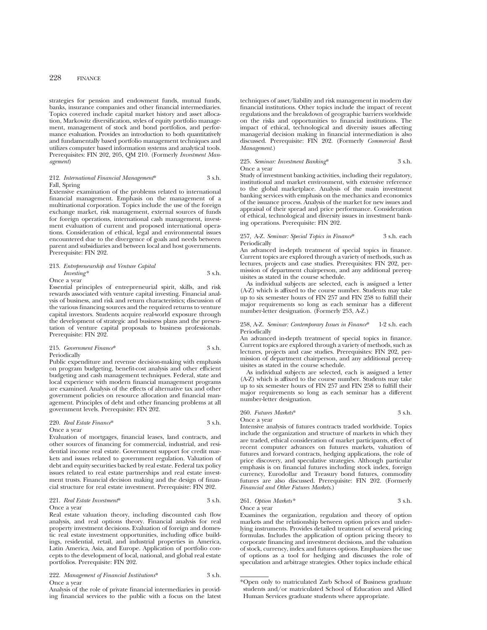strategies for pension and endowment funds, mutual funds, banks, insurance companies and other financial intermediaries. Topics covered include capital market history and asset allocation, Markowitz diversification, styles of equity portfolio management, management of stock and bond portfolios, and performance evaluation. Provides an introduction to both quantitatively and fundamentally based portfolio management techniques and utilizes computer based information systems and analytical tools. Prerequisites: FIN 202, 205, QM 210. (Formerly *Investment Management*)

### 212. *International Financial Management*\* 3 s.h. Fall, Spring

Extensive examination of the problems related to international financial management. Emphasis on the management of a multinational corporation. Topics include the use of the foreign exchange market, risk management, external sources of funds for foreign operations, international cash management, investment evaluation of current and proposed international operations. Consideration of ethical, legal and environmental issues encountered due to the divergence of goals and needs between parent and subsidiaries and between local and host governments. Prerequisite: FIN 202.

## 213. *Entrepreneurship and Venture Capital Investing\** 3 s.h.

Once a year

Essential principles of entrepreneurial spirit, skills, and risk rewards associated with venture capital investing. Financial analysis of business, and risk and return characteristics; discussion of the various financing sources and the required returns to venture capital investors. Students acquire real-world exposure through the development of strategic and business plans and the presentation of venture capital proposals to business professionals. Prerequisite: FIN 202.

## 215. *Government Finance*\* 3 s.h. Periodically

Public expenditure and revenue decision-making with emphasis on program budgeting, benefit-cost analysis and other efficient budgeting and cash management techniques. Federal, state and local experience with modern financial management programs are examined. Analysis of the effects of alternative tax and other government policies on resource allocation and financial management. Principles of debt and other financing problems at all government levels. Prerequisite: FIN 202.

#### 220. *Real Estate Finance*\* 3 s.h. Once a year

Evaluation of mortgages, financial leases, land contracts, and other sources of financing for commercial, industrial, and residential income real estate. Government support for credit markets and issues related to government regulation. Valuation of debt and equity securities backed by real estate. Federal tax policy issues related to real estate partnerships and real estate investment trusts. Financial decision making and the design of financial structure for real estate investment. Prerequisite: FIN 202.

#### 221. *Real Estate Investment*\* 3 s.h. Once a year

Real estate valuation theory, including discounted cash flow analysis, and real options theory. Financial analysis for real property investment decisions. Evaluation of foreign and domestic real estate investment opportunities, including office buildings, residential, retail, and industrial properties in America, Latin America, Asia, and Europe. Application of portfolio concepts to the development of local, national, and global real estate portfolios. Prerequisite: FIN 202.

#### 222. *Management of Financial Institutions*\* 3 s.h. Once a year

Analysis of the role of private financial intermediaries in providing financial services to the public with a focus on the latest techniques of asset/liability and risk management in modern day financial institutions. Other topics include the impact of recent regulations and the breakdown of geographic barriers worldwide on the risks and opportunities to financial institutions. The impact of ethical, technological and diversity issues affecting managerial decision making in financial intermediation is also discussed. Prerequisite: FIN 202. (Formerly *Commercial Bank Management*.)

#### 225. *Seminar: Investment Banking*\* 3 s.h. Once a year

Study of investment banking activities, including their regulatory, institutional and market environment, with extensive reference to the global marketplace. Analysis of the main investment banking services with emphasis on the mechanics and economics of the issuance process. Analysis of the market for new issues and appraisal of their spread and price performance. Consideration of ethical, technological and diversity issues in investment banking operations. Prerequisite: FIN 202.

#### 257, A-Z. *Seminar: Special Topics in Finance*\* 3 s.h. each Periodically

An advanced in-depth treatment of special topics in finance. Current topics are explored through a variety of methods, such as lectures, projects and case studies. Prerequisites: FIN 202, permission of department chairperson, and any additional prerequisites as stated in the course schedule.

As individual subjects are selected, each is assigned a letter (A-Z) which is affixed to the course number. Students may take up to six semester hours of FIN 257 and FIN 258 to fulfill their major requirements so long as each seminar has a different number-letter designation. (Formerly 253, A-Z.)

#### 258, A-Z. *Seminar: Contemporary Issues in Finance*\* 1-2 s.h. each Periodically

An advanced in-depth treatment of special topics in finance. Current topics are explored through a variety of methods, such as lectures, projects and case studies. Prerequisites: FIN 202, permission of department chairperson, and any additional prerequisites as stated in the course schedule.

As individual subjects are selected, each is assigned a letter (A-Z) which is affixed to the course number. Students may take up to six semester hours of FIN 257 and FIN 258 to fulfill their major requirements so long as each seminar has a different number-letter designation.

## 260. *Futures Markets*\* 3 s.h.

Once a year

Intensive analysis of futures contracts traded worldwide. Topics include the organization and structure of markets in which they are traded, ethical consideration of market participants, effect of recent computer advances on futures markets, valuation of futures and forward contracts, hedging applications, the role of price discovery, and speculative strategies. Although particular emphasis is on financial futures including stock index, foreign currency, Eurodollar and Treasury bond futures, commodity futures are also discussed. Prerequisite: FIN 202. (Formerly *Financial and Other Futures Markets*.)

# 261. *Option Markets\** 3 s.h.

Once a year

Examines the organization, regulation and theory of option markets and the relationship between option prices and underlying instruments. Provides detailed treatment of several pricing formulas. Includes the application of option pricing theory to corporate financing and investment decisions, and the valuation of stock, currency, index and futures options. Emphasizes the use of options as a tool for hedging and discusses the role of speculation and arbitrage strategies. Other topics include ethical

<sup>\*</sup>Open only to matriculated Zarb School of Business graduate students and/or matriculated School of Education and Allied Human Services graduate students where appropriate.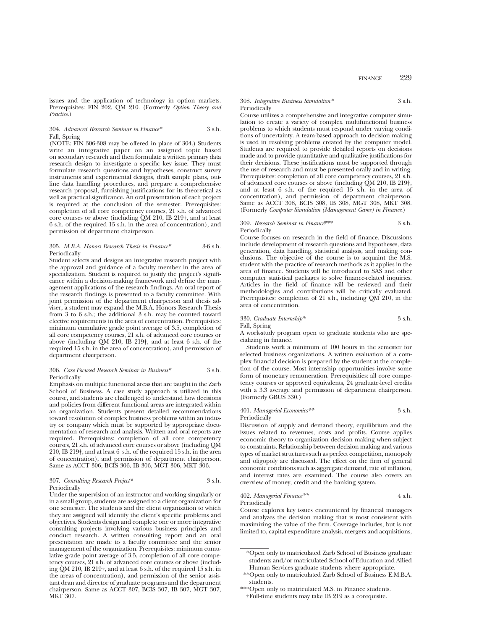issues and the application of technology in option markets. Prerequisites: FIN 202, QM 210. (Formerly *Option Theory and Practice*.)

#### 304. *Advanced Research Seminar in Finance\** 3 s.h. Fall, Spring

(NOTE: FIN 306-308 may be offered in place of 304.) Students write an integrative paper on an assigned topic based on secondary research and then formulate a written primary data research design to investigate a specific key issue. They must formulate research questions and hypotheses, construct survey instruments and experimental designs, draft sample plans, outline data handling procedures, and prepare a comprehensive research proposal, furnishing justifications for its theoretical as well as practical significance. An oral presentation of each project is required at the conclusion of the semester. Prerequisites: completion of all core competency courses, 21 s.h. of advanced core courses or above (including QM 210, IB 219†, and at least 6 s.h. of the required 15 s.h. in the area of concentration), and permission of department chairperson.

#### 305. *M.B.A. Honors Research Thesis in Finance\** 3-6 s.h. Periodically

Student selects and designs an integrative research project with the approval and guidance of a faculty member in the area of specialization. Student is required to justify the project's significance within a decision-making framework and define the management applications of the research findings. An oral report of the research findings is presented to a faculty committee. With joint permission of the department chairperson and thesis adviser, a student may expand the M.B.A. Honors Research Thesis from 3 to 6 s.h.; the additional 3 s.h. may be counted toward elective requirements in the area of concentration. Prerequisites: minimum cumulative grade point average of 3.5, completion of all core competency courses, 21 s.h. of advanced core courses or above (including QM 210, IB 219†, and at least 6 s.h. of the required 15 s.h. in the area of concentration), and permission of department chairperson.

#### 306. *Case Focused Research Seminar in Business\** 3 s.h. Periodically

Emphasis on multiple functional areas that are taught in the Zarb School of Business. A case study approach is utilized in this course, and students are challenged to understand how decisions and policies from different functional areas are integrated within an organization. Students present detailed recommendations toward resolution of complex business problems within an industry or company which must be supported by appropriate documentation of research and analysis. Written and oral reports are required. Prerequisites: completion of all core competency courses, 21 s.h. of advanced core courses or above (including QM 210, IB 219†, and at least 6 s.h. of the required 15 s.h. in the area of concentration), and permission of department chairperson. Same as ACCT 306, BCIS 306, IB 306, MGT 306, MKT 306.

#### 307. *Consulting Research Project\** 3 s.h. Periodically

Under the supervision of an instructor and working singularly or in a small group, students are assigned to a client organization for one semester. The students and the client organization to which they are assigned will identify the client's specific problems and objectives. Students design and complete one or more integrative consulting projects involving various business principles and conduct research. A written consulting report and an oral presentation are made to a faculty committee and the senior management of the organization. Prerequisites: minimum cumulative grade point average of 3.5, completion of all core competency courses, 21 s.h. of advanced core courses or above (including  $OM$  210, IB 219<sup>†</sup>, and at least 6 s.h. of the required 15 s.h. in the areas of concentration), and permission of the senior assistant dean and director of graduate programs and the department chairperson. Same as ACCT 307, BCIS 307, IB 307, MGT 307, MKT 307.

#### 308. *Integrative Business Simulation\** 3 s.h. **Periodically**

Course utilizes a comprehensive and integrative computer simulation to create a variety of complex multifunctional business problems to which students must respond under varying conditions of uncertainty. A team-based approach to decision making is used in resolving problems created by the computer model. Students are required to provide detailed reports on decisions made and to provide quantitative and qualitative justifications for their decisions. These justifications must be supported through the use of research and must be presented orally and in writing. Prerequisites: completion of all core competency courses, 21 s.h. of advanced core courses or above (including QM 210, IB 219†, and at least 6 s.h. of the required 15 s.h. in the area of concentration), and permission of department chairperson. Same as ACCT 308, BCIS 308, IB 308, MGT 308, MKT 308. (Formerly *Computer Simulation (Management Game) in Finance*.)

#### 309. *Research Seminar in Finance*\*\*\* 3 s.h. Periodically

Course focuses on research in the field of finance. Discussions include development of research questions and hypotheses, data generation, data handling, statistical analysis, and making conclusions. The objective of the course is to acquaint the M.S. student with the practice of research methods as it applies in the area of finance. Students will be introduced to SAS and other computer statistical packages to solve finance-related inquiries. Articles in the field of finance will be reviewed and their methodologies and contributions will be critically evaluated. Prerequisites: completion of 21 s.h., including QM 210, in the area of concentration.

## 330. *Graduate Internship\** 3 s.h.

Fall, Spring

A work-study program open to graduate students who are specializing in finance.

Students work a minimum of 100 hours in the semester for selected business organizations. A written evaluation of a complex financial decision is prepared by the student at the completion of the course. Most internship opportunities involve some form of monetary remuneration. Prerequisities: all core competency courses or approved equivalents, 24 graduate-level credits with a 3.3 average and permission of department chairperson. (Formerly GBUS 330.)

## 401. *Managerial Economics\*\** 3 s.h. Periodically

Discussion of supply and demand theory, equilibrium and the issues related to revenues, costs and profits. Course applies economic theory to organization decision making when subject to constraints. Relationship between decision making and various types of market structures such as perfect competition, monopoly and oligopoly are discussed. The effect on the firm of general economic conditions such as aggregate demand, rate of inflation, and interest rates are examined. The course also covers an overview of money, credit and the banking system.

## 402. *Managerial Finance\*\** 4 s.h. Periodically

Course explores key issues encountered by financial managers and analyzes the decision making that is most consistent with maximizing the value of the firm. Coverage includes, but is not limited to, capital expenditure analysis, mergers and acquisitions,

<sup>\*</sup>Open only to matriculated Zarb School of Business graduate students and/or matriculated School of Education and Allied Human Services graduate students where appropriate.

<sup>\*\*</sup>Open only to matriculated Zarb School of Business E.M.B.A. students.

<sup>\*\*\*</sup>Open only to matriculated M.S. in Finance students. †Full-time students may take IB 219 as a corequisite.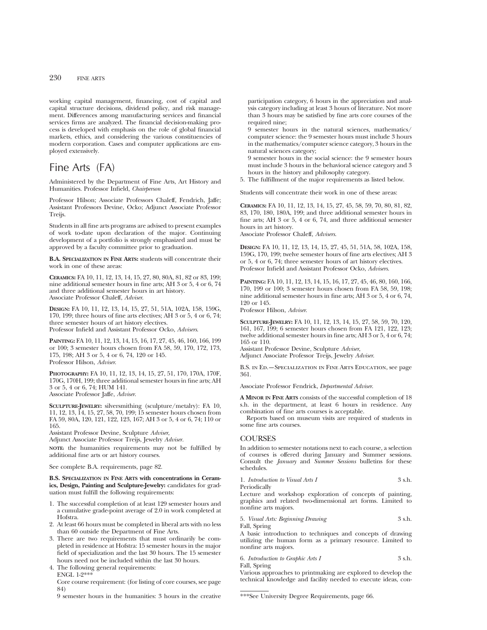working capital management, financing, cost of capital and capital structure decisions, dividend policy, and risk management. Differences among manufacturing services and financial services firms are analyzed. The financial decision-making process is developed with emphasis on the role of global financial markets, ethics, and considering the various constituencies of modern corporation. Cases and computer applications are employed extensively.

# Fine Arts (FA)

Administered by the Department of Fine Arts, Art History and Humanities. Professor Infield, *Chairperson*

Professor Hilson; Associate Professors Chaleff, Fendrich, Jaffe; Assistant Professors Devine, Ocko; Adjunct Associate Professor Treijs.

Students in all fine arts programs are advised to present examples of work to-date upon declaration of the major. Continuing development of a portfolio is strongly emphasized and must be approved by a faculty committee prior to graduation.

**B.A. SPECIALIZATION IN FINE ARTS:** students will concentrate their work in one of these areas:

**CERAMICS:** FA 10, 11, 12, 13, 14, 15, 27, 80, 80A, 81, 82 or 83, 199; nine additional semester hours in fine arts; AH 3 or 5, 4 or 6, 74 and three additional semester hours in art history. Associate Professor Chaleff, *Adviser*.

**DESIGN:** FA 10, 11, 12, 13, 14, 15, 27, 51, 51A, 102A, 158, 159G, 170, 199; three hours of fine arts electives; AH 3 or 5, 4 or 6, 74; three semester hours of art history electives. Professor Infield and Assistant Professor Ocko, *Advisers*.

**PAINTING:** FA 10, 11, 12, 13, 14, 15, 16, 17, 27, 45, 46, 160, 166, 199 or 100; 3 semester hours chosen from FA 58, 59, 170, 172, 173, 175, 198; AH 3 or 5, 4 or 6, 74, 120 or 145. Professor Hilson, *Adviser*.

**PHOTOGRAPHY:** FA 10, 11, 12, 13, 14, 15, 27, 51, 170, 170A, 170F, 170G, 170H, 199; three additional semester hours in fine arts; AH 3 or 5, 4 or 6, 74; HUM 141. Associate Professor Jaffe, *Adviser*.

**SCULPTURE-JEWELRY:** silversmithing (sculpture/metalry): FA 10, 11, 12, 13, 14, 15, 27, 58, 70, 199; 15 semester hours chosen from FA 59, 80A, 120, 121, 122, 123, 167; AH 3 or 5, 4 or 6, 74; 110 or 165.

Assistant Professor Devine, Sculpture *Adviser*,

Adjunct Associate Professor Treijs, Jewelry *Adviser.*

**NOTE:** the humanities requirements may not be fulfilled by additional fine arts or art history courses.

See complete B.A. requirements, page 82.

**B.S. SPECIALIZATION IN FINE ARTS with concentrations in Ceramics, Design, Painting and Sculpture-Jewelry:** candidates for graduation must fulfill the following requirements:

- 1. The successful completion of at least 129 semester hours and a cumulative grade-point average of 2.0 in work completed at Hofstra.
- 2. At least 66 hours must be completed in liberal arts with no less than 60 outside the Department of Fine Arts.
- 3. There are two requirements that must ordinarily be completed in residence at Hofstra: 15 semester hours in the major field of specialization and the last 30 hours. The 15 semester hours need not be included within the last 30 hours.

4. The following general requirements:

ENGL 1-2\*\*\*

Core course requirement: (for listing of core courses, see page 84)

9 semester hours in the humanities: 3 hours in the creative

participation category, 6 hours in the appreciation and analysis category including at least 3 hours of literature. Not more than 3 hours may be satisfied by fine arts core courses of the required nine:

9 semester hours in the natural sciences, mathematics/ computer science: the 9 semester hours must include 3 hours in the mathematics/computer science category, 3 hours in the natural sciences category;

9 semester hours in the social science: the 9 semester hours must include 3 hours in the behavioral science category and 3 hours in the history and philosophy category.

5. The fulfillment of the major requirements as listed below.

Students will concentrate their work in one of these areas:

**CERAMICS:** FA 10, 11, 12, 13, 14, 15, 27, 45, 58, 59, 70, 80, 81, 82, 83, 170, 180, 180A, 199; and three additional semester hours in fine arts; AH 3 or 5, 4 or 6, 74, and three additional semester hours in art history.

Associate Professor Chaleff, *Advisers*.

**DESIGN:** FA 10, 11, 12, 13, 14, 15, 27, 45, 51, 51A, 58, 102A, 158, 159G, 170, 199; twelve semester hours of fine arts electives; AH 3 or 5, 4 or 6, 74; three semester hours of art history electives. Professor Infield and Assistant Professor Ocko, *Advisers*.

**PAINTING:** FA 10, 11, 12, 13, 14, 15, 16, 17, 27, 45, 46, 80, 160, 166, 170, 199 or 100; 3 semester hours chosen from FA 58, 59, 198; nine additional semester hours in fine arts; AH 3 or 5, 4 or 6, 74, 120 or 145.

Professor Hilson, *Adviser*.

**SCULPTURE-JEWELRY:** FA 10, 11, 12, 13, 14, 15, 27, 58, 59, 70, 120, 161, 167, 199; 6 semester hours chosen from FA 121, 122, 123; twelve additional semester hours in fine arts; AH 3 or 5, 4 or 6, 74; 165 or 110.

Assistant Professor Devine, Sculpture *Adviser*,

Adjunct Associate Professor Treijs, Jewelry *Adviser*.

B.S. in Ed.—Specialization in Fine Arts Education, see page 361.

Associate Professor Fendrick, *Departmental Adviser*.

**A MINOR IN FINE ARTS** consists of the successful completion of 18 s.h. in the department, at least 6 hours in residence. Any combination of fine arts courses is acceptable.

Reports based on museum visits are required of students in some fine arts courses.

## **COURSES**

In addition to semester notations next to each course, a selection of courses is offered during January and Summer sessions. Consult the *January* and *Summer Sessions* bulletins for these schedules.

| 1. Introduction to Visual Arts I | 3 s.h. |
|----------------------------------|--------|
|                                  |        |

Periodically Lecture and workshop exploration of concepts of painting, graphics and related two-dimensional art forms. Limited to nonfine arts majors.

5. *Visual Arts: Beginning Drawing* 3 s.h. Fall, Spring

A basic introduction to techniques and concepts of drawing utilizing the human form as a primary resource. Limited to nonfine arts majors.

6. *Introduction to Graphic Arts I* 3 s.h. Fall, Spring

Various approaches to printmaking are explored to develop the technical knowledge and facility needed to execute ideas, con-

\*\*\*See University Degree Requirements, page 66.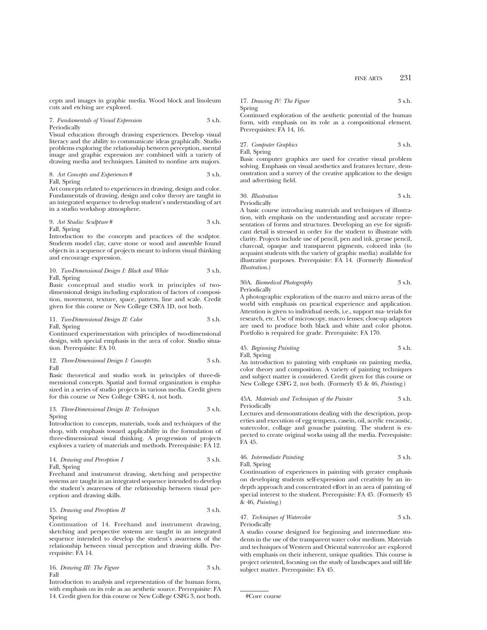cepts and images in graphic media. Wood block and linoleum cuts and etching are explored.

## 7. *Fundamentals of Visual Expression* 3 s.h. Periodically

Visual education through drawing experiences. Develop visual literacy and the ability to communicate ideas graphically. Studio problems exploring the relationship between perception, mental image and graphic expression are combined with a variety of drawing media and techniques. Limited to nonfine arts majors.

8. *Art Concepts and Experiences* # 3 s.h. Fall, Spring

Art concepts related to experiences in drawing, design and color. Fundamentals of drawing, design and color theory are taught in an integrated sequence to develop student's understanding of art in a studio workshop atmosphere.

## 9. *Art Studio: Sculpture* # 3 s.h. Fall, Spring

Introduction to the concepts and practices of the sculptor. Students model clay, carve stone or wood and assemble found objects in a sequence of projects meant to inform visual thinking and encourage expression.

## 10. *Two-Dimensional Design I: Black and White* 3 s.h. Fall, Spring

Basic conceptual and studio work in principles of twodimensional design including exploration of factors of composition, movement, texture, space, pattern, line and scale. Credit given for this course or New College CSFA 1D, not both.

#### 11. *Two-Dimensional Design II: Color* 3 s.h. Fall, Spring

Continued experimentation with principles of two-dimensional design, with special emphasis in the area of color. Studio situation. Prerequisite: FA 10.

12. *Three-Dimensional Design I: Concepts* 3 s.h. Fall

Basic theoretical and studio work in principles of three-dimensional concepts. Spatial and formal organization is emphasized in a series of studio projects in various media. Credit given for this course or New College CSFG 4, not both.

13. *Three-Dimensional Design II: Techniques* 3 s.h. Spring

Introduction to concepts, materials, tools and techniques of the shop, with emphasis toward applicability in the formulation of three-dimensional visual thinking. A progression of projects explores a variety of materials and methods. Prerequisite: FA 12.

14. *Drawing and Perception I* 3 s.h. Fall, Spring

Freehand and instrument drawing, sketching and perspective systems are taught in an integrated sequence intended to develop the student's awareness of the relationship between visual perception and drawing skills.

15. *Drawing and Perception II* 3 s.h. Spring

Continuation of 14. Freehand and instrument drawing, sketching and perspective systems are taught in an integrated sequence intended to develop the student's awareness of the relationship between visual perception and drawing skills. Prerequisite: FA 14.

16. *Drawing III: The Figure* 3 s.h. Fall

Introduction to analysis and representation of the human form, with emphasis on its role as an aesthetic source. Prerequisite: FA 14. Credit given for this course or New College CSFG 3, not both.

17. *Drawing IV: The Figure* 3 s.h. Spring

Continued exploration of the aesthetic potential of the human form, with emphasis on its role as a compositional element. Prerequisites: FA 14, 16.

27. *Computer Graphics* 3 s.h. Fall, Spring

Basic computer graphics are used for creative visual problem solving. Emphasis on visual aesthetics and features lecture, demonstration and a survey of the creative application to the design and advertising field.

30. *Illustration* 3 s.h. Periodically

A basic course introducing materials and techniques of illustration, with emphasis on the understanding and accurate representation of forms and structures. Developing an eye for significant detail is stressed in order for the student to illustrate with clarity. Projects include use of pencil, pen and ink, grease pencil, charcoal, opaque and transparent pigments, colored inks (to acquaint students with the variety of graphic media) available for illustrative purposes. Prerequisite: FA 14. (Formerly *Biomedical Illustration*.)

| 30A. Biomedical Photography | 3 s.h. |
|-----------------------------|--------|
| Periodically                |        |

A photographic exploration of the macro and micro areas of the world with emphasis on practical experience and application. Attention is given to individual needs, i.e., support ma- terials for research, etc. Use of microscopy, macro lenses; close-up adaptors are used to produce both black and white and color photos. Portfolio is required for grade. Prerequisite: FA 170.

## 45. *Beginning Painting* 3 s.h. Fall, Spring

An introduction to painting with emphasis on painting media, color theory and composition. A variety of painting techniques and subject matter is considered. Credit given for this course or New College CSFG 2, not both. (Formerly 45 & 46, *Painting*.)

45A. *Materials and Techniques of the Painter* 3 s.h. Periodically

Lectures and demonstrations dealing with the description, properties and execution of egg tempera, casein, oil, acrylic encaustic, watercolor, collage and gouache painting. The student is expected to create original works using all the media. Prerequisite: FA 45.

46. *Intermediate Painting* 3 s.h. Fall, Spring

Continuation of experiences in painting with greater emphasis on developing students self-expression and creativity by an indepth approach and concentrated effort in an area of painting of special interest to the student. Prerequisite: FA 45. (Formerly 45 & 46, *Painting*.)

#### 47. *Techniques of Watercolor* 3 s.h. Periodically

A studio course designed for beginning and intermediate students in the use of the transparent water color medium. Materials and techniques of Western and Oriental watercolor are explored with emphasis on their inherent, unique qualities. This course is project oriented, focusing on the study of landscapes and still life subject matter. Prerequisite: FA 45.

```
#Core course
```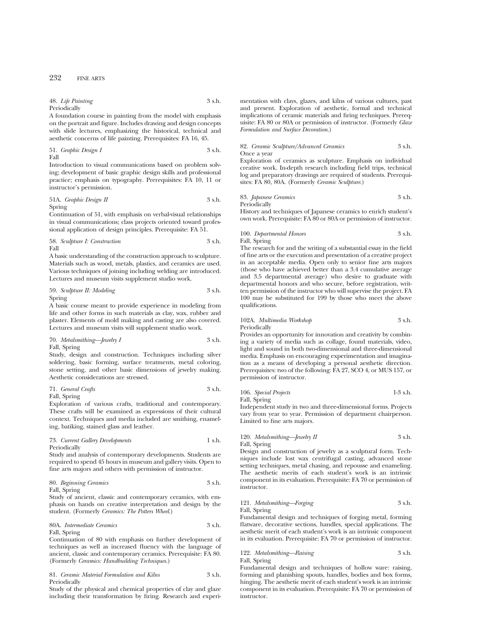48. *Life Painting* 3 s.h. Periodically

A foundation course in painting from the model with emphasis on the portrait and figure. Includes drawing and design concepts with slide lectures, emphasizing the historical, technical and aesthetic concerns of life painting. Prerequisites: FA 16, 45.

51. *Graphic Design I* 3 s.h. Fall

Introduction to visual communications based on problem solving; development of basic graphic design skills and professional practice; emphasis on typography. Prerequisites: FA 10, 11 or instructor's permission.

51A. *Graphic Design II* 3 s.h. Spring

Continuation of 51, with emphasis on verbal-visual relationships in visual communications; class projects oriented toward professional application of design principles. Prerequisite: FA 51.

58. *Sculpture I: Construction* 3 s.h. Fall

A basic understanding of the construction approach to sculpture. Materials such as wood, metals, plastics, and ceramics are used. Various techniques of joining including welding are introduced. Lectures and museum visits supplement studio work.

59. *Sculpture II: Modeling* 3 s.h. Spring

A basic course meant to provide experience in modeling from life and other forms in such materials as clay, wax, rubber and plaster. Elements of mold making and casting are also covered. Lectures and museum visits will supplement studio work.

# 70. *Metalsmithing—Jewelry I* 3 s.h. Fall, Spring

Study, design and construction. Techniques including silver soldering, basic forming, surface treatments, metal coloring, stone setting, and other basic dimensions of jewelry making. Aesthetic considerations are stressed.

71. *General Crafts* 3 s.h.

Fall, Spring

Exploration of various crafts, traditional and contemporary. These crafts will be examined as expressions of their cultural context. Techniques and media included are smithing, enameling, batiking, stained glass and leather.

## 73. *Current Gallery Developments* 1 s.h. Periodically

Study and analysis of contemporary developments. Students are required to spend 45 hours in museum and gallery visits. Open to fine arts majors and others with permission of instructor.

80. *Beginning Ceramics* 3 s.h. Fall, Spring

Study of ancient, classic and contemporary ceramics, with emphasis on hands on creative interpretation and design by the student. (Formerly *Ceramics: The Potters Wheel*.)

## 80A. *Intermediate Ceramics* 3 s.h. Fall, Spring

Continuation of 80 with emphasis on further development of techniques as well as increased fluency with the language of ancient, classic and contemporary ceramics. Prerequisite: FA 80. (Formerly *Ceramics: Handbuilding Techniques*.)

81. *Ceramic Material Formulation and Kilns* 3 s.h. Periodically

Study of the physical and chemical properties of clay and glaze including their transformation by firing. Research and experimentation with clays, glazes, and kilns of various cultures, past and present. Exploration of aesthetic, formal and technical implications of ceramic materials and firing techniques. Prerequisite: FA 80 or 80A or permission of instructor. (Formerly *Glaze Formulation and Surface Decoration*.)

#### 82. *Ceramic Sculpture/Advanced Ceramics* 3 s.h. Once a year

Exploration of ceramics as sculpture. Emphasis on individual creative work. In-depth research including field trips, technical log and preparatory drawings are required of students. Prerequisites: FA 80, 80A. (Formerly *Ceramic Sculpture*.)

83. *Japanese Ceramics* 3 s.h. Periodically

History and techniques of Japanese ceramics to enrich student's own work. Prerequisite: FA 80 or 80A or permission of instructor.

100. *Departmental Honors* 3 s.h. Fall, Spring

The research for and the writing of a substantial essay in the field of fine arts or the execution and presentation of a creative project in an acceptable media. Open only to senior fine arts majors (those who have achieved better than a 3.4 cumulative average and 3.5 departmental average) who desire to graduate with departmental honors and who secure, before registration, written permission of the instructor who will supervise the project. FA 100 may be substituted for 199 by those who meet the above qualifications.

102A. *Multimedia Workshop* 3 s.h. Periodically

Provides an opportunity for innovation and creativity by combining a variety of media such as collage, found materials, video, light and sound in both two-dimensional and three-dimensional media. Emphasis on encouraging experimentation and imagination as a means of developing a personal aesthetic direction. Prerequisites: two of the following: FA 27, SCO 4, or MUS 157, or permission of instructor.

106. *Special Projects* 1-3 s.h. Fall, Spring

Independent study in two and three-dimensional forms. Projects vary from year to year. Permission of department chairperson. Limited to fine arts majors.

## 120. *Metalsmithing—Jewelry II* 3 s.h. Fall, Spring

Design and construction of jewelry as a sculptural form. Techniques include lost wax centrifugal casting, advanced stone setting techniques, metal chasing, and repousse and enameling. The aesthetic merits of each student's work is an intrinsic component in its evaluation. Prerequisite: FA 70 or permission of instructor.

### 121. *Metalsmithing—Forging* 3 s.h. Fall, Spring

Fundamental design and techniques of forging metal, forming flatware, decorative sections, handles, special applications. The aesthetic merit of each student's work is an intrinsic component in its evaluation. Prerequisite: FA 70 or permission of instructor.

# 122. *Metalsmithing—Raising* 3 s.h.

Fall, Spring

Fundamental design and techniques of hollow ware: raising, forming and planishing spouts, handles, bodies and box forms, hinging. The aesthetic merit of each student's work is an intrinsic component in its evaluation. Prerequisite: FA 70 or permission of instructor.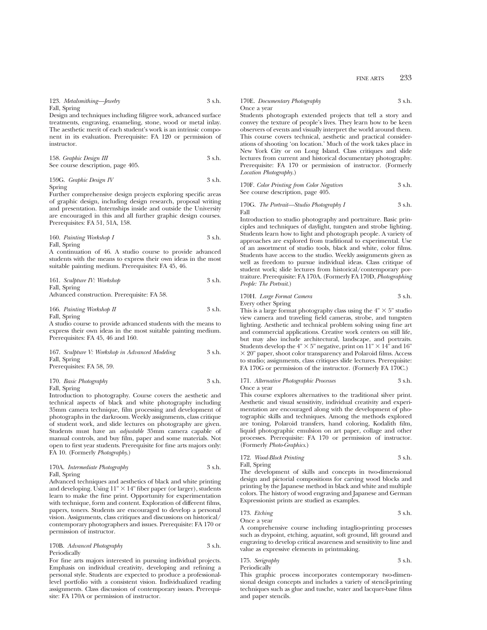FINE ARTS 233

123. *Metalsmithing—Jewelry* 3 s.h. Fall, Spring

Design and techniques including filigree work, advanced surface treatments, engraving, enameling, stone, wood or metal inlay. The aesthetic merit of each student's work is an intrinsic component in its evaluation. Prerequisite: FA 120 or permission of instructor.

158. *Graphic Design III* 3 s.h. See course description, page 405.

159G. *Graphic Design IV* 3 s.h. Spring

Further comprehensive design projects exploring specific areas of graphic design, including design research, proposal writing and presentation. Internships inside and outside the University are encouraged in this and all further graphic design courses. Prerequisites: FA 51, 51A, 158.

160. *Painting Workshop I* 3 s.h. Fall, Spring

A continuation of 46. A studio course to provide advanced students with the means to express their own ideas in the most suitable painting medium. Prerequisites: FA 45, 46.

| 161. Sculpture IV: Workshop                 | 3 s.h. |
|---------------------------------------------|--------|
| Fall, Spring                                |        |
| Advanced construction. Prerequisite: FA 58. |        |

## 166. *Painting Workshop II* 3 s.h. Fall, Spring

A studio course to provide advanced students with the means to express their own ideas in the most suitable painting medium. Prerequisites: FA 45, 46 and 160.

167. *Sculpture V: Workshop in Advanced Modeling* 3 s.h. Fall, Spring Prerequisites: FA 58, 59.

| 170. Basic Photography | 3 s.h. |
|------------------------|--------|
| Fall, Spring           |        |

Introduction to photography. Course covers the aesthetic and technical aspects of black and white photography including 35mm camera technique, film processing and development of photographs in the darkroom. Weekly assignments, class critique of student work, and slide lectures on photography are given. Students must have an *adjustable* 35mm camera capable of manual controls, and buy film, paper and some materials. Not open to first year students. Prerequisite for fine arts majors only: FA 10. (Formerly *Photography*.)

## 170A. *Intermediate Photography* 3 s.h. Fall, Spring

Advanced techniques and aesthetics of black and white printing and developing. Using  $11'' \times 14''$  fiber paper (or larger), students learn to make the fine print. Opportunity for experimentation with technique, form and content. Exploration of different films, papers, toners. Students are encouraged to develop a personal vision. Assignments, class critiques and discussions on historical/ contemporary photographers and issues. Prerequisite: FA 170 or permission of instructor.

## 170B. *Advanced Photography* 3 s.h. Periodically

For fine arts majors interested in pursuing individual projects. Emphasis on individual creativity, developing and refining a personal style. Students are expected to produce a professionallevel portfolio with a consistent vision. Individualized reading assignments. Class discussion of contemporary issues. Prerequisite: FA 170A or permission of instructor.

## 170E. *Documentary Photography* 3 s.h. Once a year

Students photograph extended projects that tell a story and convey the texture of people's lives. They learn how to be keen observers of events and visually interpret the world around them. This course covers technical, aesthetic and practical considerations of shooting 'on location.' Much of the work takes place in New York City or on Long Island. Class critiques and slide lectures from current and historical documentary photography. Prerequisite: FA 170 or permission of instructor. (Formerly *Location Photography.*)

170F. *Color Printing from Color Negatives* 3 s.h. See course description, page 405.

170G. *The Portrait—Studio Photography I* 3 s.h. Fall

Introduction to studio photography and portraiture. Basic principles and techniques of daylight, tungsten and strobe lighting. Students learn how to light and photograph people. A variety of approaches are explored from traditional to experimental. Use of an assortment of studio tools, black and white, color films. Students have access to the studio. Weekly assignments given as well as freedom to pursue individual ideas. Class critique of student work; slide lectures from historical/contemporary portraiture. Prerequisite: FA 170A. (Formerly FA 170D, *Photographing People: The Portrait*.)

#### 170H. *Large Format Camera* 3 s.h. Every other Spring

This is a large format photography class using the  $4" \times 5"$  studio view camera and traveling field cameras, strobe, and tungsten lighting. Aesthetic and technical problem solving using fine art and commercial applications. Creative work centers on still life, but may also include architectural, landscape, and portraits. Students develop the 4"  $\times$  5" negative, print on  $11" \times 14"$  and 16"  $\times$  20" paper, shoot color transparency and Polaroid films. Access to studio; assignments, class critiques slide lectures. Prerequisite: FA 170G or permission of the instructor. (Formerly FA 170C.)

171. *Alternative Photographic Processes* 3 s.h. Once a year

This course explores alternatives to the traditional silver print. Aesthetic and visual sensitivity, individual creativity and experimentation are encouraged along with the development of photographic skills and techniques. Among the methods explored are toning, Polaroid transfers, hand coloring, Kodalith film, liquid photographic emulsion on art paper, collage and other processes. Prerequisite: FA 170 or permission of instructor. (Formerly *Photo-Graphics*.)

172. *Wood-Block Printing* 3 s.h. Fall, Spring

The development of skills and concepts in two-dimensional design and pictorial compositions for carving wood blocks and printing by the Japanese method in black and white and multiple colors. The history of wood engraving and Japanese and German Expressionist prints are studied as examples.

173. *Etching* 3 s.h.

Once a year

A comprehensive course including intaglio-printing processes such as drypoint, etching, aquatint, soft ground, lift ground and engraving to develop critical awareness and sensitivity to line and value as expressive elements in printmaking.

175. *Serigraphy* 3 s.h. Periodically

This graphic process incorporates contemporary two-dimensional design concepts and includes a variety of stencil-printing techniques such as glue and tusche, water and lacquer-base films and paper stencils.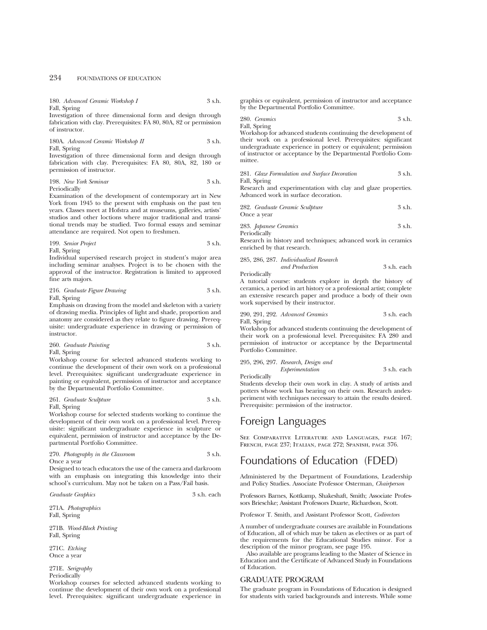180. *Advanced Ceramic Workshop I* 3 s.h. Fall, Spring

Investigation of three dimensional form and design through fabrication with clay. Prerequisites: FA 80, 80A, 82 or permission of instructor.

180A. *Advanced Ceramic Workshop II* 3 s.h. Fall, Spring

Investigation of three dimensional form and design through fabrication with clay. Prerequisites: FA 80, 80A, 82, 180 or permission of instructor.

198. *New York Seminar* 3 s.h. Periodically

Examination of the development of contemporary art in New York from 1945 to the present with emphasis on the past ten years. Classes meet at Hofstra and at museums, galleries, artists' studios and other loctions where major traditional and transitional trends may be studied. Two formal essays and seminar attendance are required. Not open to freshmen.

199. *Senior Project* 3 s.h. Fall, Spring

Individual supervised research project in student's major area including seminar analyses. Project is to be chosen with the approval of the instructor. Registration is limited to approved fine arts majors.

216. *Graduate Figure Drawing* 3 s.h. Fall, Spring

Emphasis on drawing from the model and skeleton with a variety of drawing media. Principles of light and shade, proportion and anatomy are considered as they relate to figure drawing. Prerequisite: undergraduate experience in drawing or permission of instructor.

260. *Graduate Painting* 3 s.h. Fall, Spring

Workshop course for selected advanced students working to continue the development of their own work on a professional level. Prerequisites: significant undergraduate experience in painting or equivalent, permission of instructor and acceptance by the Departmental Portfolio Committee.

261. *Graduate Sculpture* 3 s.h. Fall, Spring

Workshop course for selected students working to continue the development of their own work on a professional level. Prerequisite: significant undergraduate experience in sculpture or equivalent, permission of instructor and acceptance by the Departmental Portfolio Committee.

270. *Photography in the Classroom* 3 s.h. Once a year

Designed to teach educators the use of the camera and darkroom with an emphasis on integrating this knowledge into their school's curriculum. May not be taken on a Pass/Fail basis.

*Graduate Graphics* 3 s.h. each

271A. *Photographics* Fall, Spring

271B. *Wood-Block Printing* Fall, Spring

271C. *Etching* Once a year

271E. *Serigraphy*

Periodically

Workshop courses for selected advanced students working to continue the development of their own work on a professional level. Prerequisites: significant undergraduate experience in graphics or equivalent, permission of instructor and acceptance by the Departmental Portfolio Committee.

280. *Ceramics* 3 s.h. Fall, Spring

Workshop for advanced students continuing the development of their work on a professional level. Prerequisites: significant undergraduate experience in pottery or equivalent; permission of instructor or acceptance by the Departmental Portfolio Committee.

281. *Glaze Formulation and Surface Decoration* 3 s.h. Fall, Spring

Research and experimentation with clay and glaze properties. Advanced work in surface decoration.

| 282. Graduate Ceramic Sculpture | 3 s.h. |
|---------------------------------|--------|
| Once a year                     |        |

283. *Japanese Ceramics* 3 s.h. Periodically

Research in history and techniques; advanced work in ceramics enriched by that research.

## 285, 286, 287. *Individualized Research and Production* 3 s.h. each

Periodically

A tutorial course: students explore in depth the history of ceramics, a period in art history or a professional artist; complete an extensive research paper and produce a body of their own work supervised by their instructor.

290, 291, 292. *Advanced Ceramics* 3 s.h. each Fall, Spring

Workshop for advanced students continuing the development of their work on a professional level. Prerequisites: FA 280 and permission of instructor or acceptance by the Departmental Portfolio Committee.

| 295, 296, 297. Research, Design and |             |
|-------------------------------------|-------------|
| Experimentation                     | 3 s.h. each |

Periodically

Students develop their own work in clay. A study of artists and potters whose work has bearing on their own. Research andexperiment with techniques necessary to attain the results desired. Prerequisite: permission of the instructor.

# Foreign Languages

See Comparative Literature and Languages, page 167; FRENCH, PAGE 237; ITALIAN, PAGE 272; SPANISH, PAGE 376.

# Foundations of Education (FDED)

Administered by the Department of Foundations, Leadership and Policy Studies. Associate Professor Osterman, *Chairperson*

Professors Barnes, Kottkamp, Shakeshaft, Smith; Associate Professors Brieschke; Assistant Professors Duarte, Richardson, Scott.

Professor T. Smith, and Assistant Professor Scott, *Codirectors*

A number of undergraduate courses are available in Foundations of Education, all of which may be taken as electives or as part of the requirements for the Educational Studies minor. For a description of the minor program, see page 195.

Also available are programs leading to the Master of Science in Education and the Certificate of Advanced Study in Foundations of Education.

## GRADUATE PROGRAM

The graduate program in Foundations of Education is designed for students with varied backgrounds and interests. While some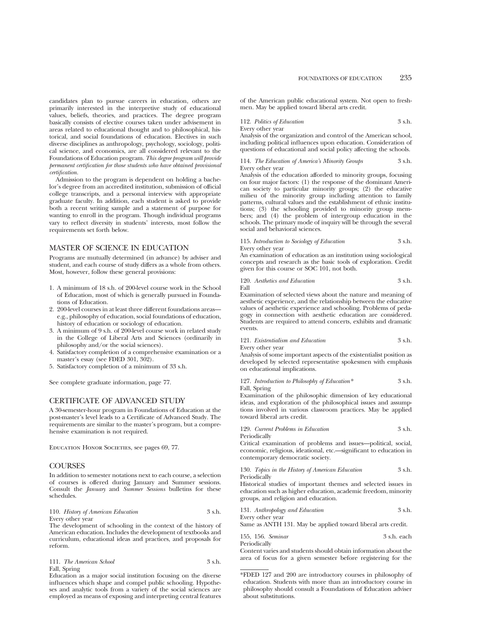candidates plan to pursue careers in education, others are primarily interested in the interpretive study of educational values, beliefs, theories, and practices. The degree program basically consists of elective courses taken under advisement in areas related to educational thought and to philosophical, historical, and social foundations of education. Electives in such diverse disciplines as anthropology, psychology, sociology, political science, and economics, are all considered relevant to the Foundations of Education program. *This degree program will provide permanent certification for those students who have obtained provisional certification.*

Admission to the program is dependent on holding a bachelor's degree from an accredited institution, submission of official college transcripts, and a personal interview with appropriate graduate faculty. In addition, each student is asked to provide both a recent writing sample and a statement of purpose for wanting to enroll in the program. Though individual programs vary to reflect diversity in students' interests, most follow the requirements set forth below.

## MASTER OF SCIENCE IN EDUCATION

Programs are mutually determined (in advance) by adviser and student, and each course of study differs as a whole from others. Most, however, follow these general provisions:

- 1. A minimum of 18 s.h. of 200-level course work in the School of Education, most of which is generally pursued in Foundations of Education.
- 2. 200-level courses in at least three different foundations areas e.g., philosophy of education, social foundations of education, history of education or sociology of education.
- 3. A minimum of 9 s.h. of 200-level course work in related study in the College of Liberal Arts and Sciences (ordinarily in philosophy and/or the social sciences).
- 4. Satisfactory completion of a comprehensive examination or a master's essay (see FDED 301, 302).
- 5. Satisfactory completion of a minimum of 33 s.h.

See complete graduate information, page 77.

## CERTIFICATE OF ADVANCED STUDY

A 30-semester-hour program in Foundations of Education at the post-master's level leads to a Certificate of Advanced Study. The requirements are similar to the master's program, but a comprehensive examination is not required.

Education Honor Societies, see pages 69, 77.

## **COURSES**

In addition to semester notations next to each course, a selection of courses is offered during January and Summer sessions. Consult the *January* and *Summer Sessions* bulletins for these schedules.

|                  | 110. History of American Education | 3 s.h. |
|------------------|------------------------------------|--------|
| Every other year |                                    |        |

The development of schooling in the context of the history of American education. Includes the development of textbooks and curriculum, educational ideas and practices, and proposals for reform.

| 111. The American School | 3 s.h. |
|--------------------------|--------|
| Fall, Spring             |        |

Education as a major social institution focusing on the diverse influences which shape and compel public schooling. Hypotheses and analytic tools from a variety of the social sciences are employed as means of exposing and interpreting central features of the American public educational system. Not open to freshmen. May be applied toward liberal arts credit.

112. *Politics of Education* 3 s.h. Every other year

Analysis of the organization and control of the American school, including political influences upon education. Consideration of questions of educational and social policy affecting the schools.

114. *The Education of America's Minority Groups* 3 s.h. Every other year

Analysis of the education afforded to minority groups, focusing on four major factors: (1) the response of the dominant American society to particular minority groups; (2) the educative milieu of the minority group including attention to family patterns, cultural values and the establishment of ethnic institutions; (3) the schooling provided to minority group members; and (4) the problem of intergroup education in the schools. The primary mode of inquiry will be through the several social and behavioral sciences.

#### 115. *Introduction to Sociology of Education* 3 s.h. Every other year

An examination of education as an institution using sociological concepts and research as the basic tools of exploration. Credit given for this course or SOC 101, not both.

120. *Aesthetics and Education* 3 s.h.

Fall

Examination of selected views about the nature and meaning of aesthetic experience, and the relationship between the educative values of aesthetic experience and schooling. Problems of pedagogy in connection with aesthetic education are considered. Students are required to attend concerts, exhibits and dramatic events.

121. *Existentialism and Education* 3 s.h.

Every other year

Analysis of some important aspects of the existentialist position as developed by selected representative spokesmen with emphasis on educational implications.

127. *Introduction to Philosophy of Education\** 3 s.h. Fall, Spring

Examination of the philosophic dimension of key educational ideas, and exploration of the philosophical issues and assumptions involved in various classroom practices. May be applied toward liberal arts credit.

|  | 129. Current Problems in Education |  |  |  | 3 s.h. |
|--|------------------------------------|--|--|--|--------|
|--|------------------------------------|--|--|--|--------|

Periodically

Critical examination of problems and issues—political, social, economic, religious, ideational, etc.—significant to education in contemporary democratic society.

130. *Topics in the History of American Education* 3 s.h. Periodically

Historical studies of important themes and selected issues in education such as higher education, academic freedom, minority groups, and religion and education.

131. *Anthropology and Education* 3 s.h. Every other year

Same as ANTH 131. May be applied toward liberal arts credit.

155, 156. *Seminar* 3 s.h. each Periodically

Content varies and students should obtain information about the area of focus for a given semester before registering for the

<sup>\*</sup>FDED 127 and 200 are introductory courses in philosophy of education. Students with more than an introductory course in philosophy should consult a Foundations of Education adviser about substitutions.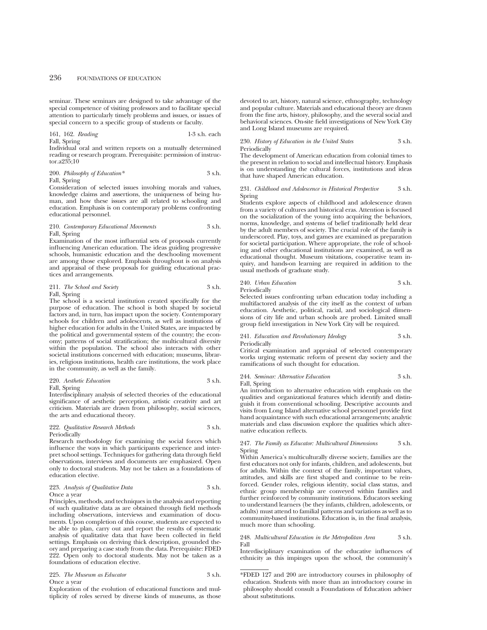seminar. These seminars are designed to take advantage of the special competence of visiting professors and to facilitate special attention to particularly timely problems and issues, or issues of special concern to a specific group of students or faculty.

161, 162. *Reading* 1-3 s.h. each Fall, Spring

Individual oral and written reports on a mutually determined reading or research program. Prerequisite: permission of instructor. $a2\overline{3}5.10$ 

200. *Philosophy of Education\** 3 s.h. Fall, Spring

Consideration of selected issues involving morals and values, knowledge claims and assertions, the uniqueness of being human, and how these issues are all related to schooling and education. Emphasis is on contemporary problems confronting educational personnel.

#### 210. *Contemporary Educational Movements* 3 s.h. Fall, Spring

Examination of the most influential sets of proposals currently influencing American education. The ideas guiding progressive schools, humanistic education and the deschooling movement are among those explored. Emphasis throughout is on analysis and appraisal of these proposals for guiding educational practices and arrangements.

211. *The School and Society* 3 s.h. Fall, Spring

The school is a societal institution created specifically for the purpose of education. The school is both shaped by societal factors and, in turn, has impact upon the society. Contemporary schools for children and adolescents, as well as institutions of higher education for adults in the United States, are impacted by the political and governmental system of the country; the economy; patterns of social stratification; the multicultural diversity within the population. The school also interacts with other societal institutions concerned with education; museums, libraries, religious institutions, health care institutions, the work place in the community, as well as the family.

220. *Aesthetic Education* 3 s.h.

Fall, Spring Interdisciplinary analysis of selected theories of the educational significance of aesthetic perception, artistic creativity and art criticism. Materials are drawn from philosophy, social sciences, the arts and educational theory.

## 222. *Qualitative Research Methods* 3 s.h. Periodically

Research methodology for examining the social forces which influence the ways in which participants experience and interpret school settings. Techniques for gathering data through field observations, interviews and documents are emphasized. Open only to doctoral students. May not be taken as a foundations of education elective.

#### 223. *Analysis of Qualitative Data* 3 s.h. Once a year

Principles, methods, and techniques in the analysis and reporting of such qualitative data as are obtained through field methods including observations, interviews and examination of documents. Upon completion of this course, students are expected to be able to plan, carry out and report the results of systematic analysis of qualitative data that have been collected in field settings. Emphasis on deriving thick description, grounded theory and preparing a case study from the data. Prerequisite: FDED 222. Open only to doctoral students. May not be taken as a foundations of education elective.

225. *The Museum as Educator* 3 s.h. Once a year

Exploration of the evolution of educational functions and multiplicity of roles served by diverse kinds of museums, as those

devoted to art, history, natural science, ethnography, technology and popular culture. Materials and educational theory are drawn from the fine arts, history, philosophy, and the several social and behavioral sciences. On-site field investigations of New York City and Long Island museums are required.

### 230. *History of Education in the United States* 3 s.h. Periodically

The development of American education from colonial times to the present in relation to social and intellectual history. Emphasis is on understanding the cultural forces, institutions and ideas that have shaped American education.

#### 231. *Childhood and Adolescence in Historical Perspective* 3 s.h. Spring

Students explore aspects of childhood and adolescence drawn from a variety of cultures and historical eras. Attention is focused on the socialization of the young into acquiring the behaviors, norms, knowledge, and systems of belief traditionally held dear by the adult members of society. The crucial role of the family is underscored. Play, toys, and games are examined as preparation for societal participation. Where appropriate, the role of schooling and other educational institutions are examined, as well as educational thought. Museum visitations, cooperative team inquiry, and hands-on learning are required in addition to the usual methods of graduate study.

240. *Urban Education* 3 s.h. Periodically

Selected issues confronting urban education today including a multifactored analysis of the city itself as the context of urban education. Aesthetic, political, racial, and sociological dimensions of city life and urban schools are probed. Limited small group field investigation in New York City will be required.

#### 241. *Education and Revolutionary Ideology* 3 s.h. Periodically

Critical examination and appraisal of selected contemporary works urging systematic reform of present day society and the ramifications of such thought for education.

244. *Seminar: Alternative Education* 3 s.h. Fall, Spring

An introduction to alternative education with emphasis on the qualities and organizational features which identify and distinguish it from conventional schooling. Descriptive accounts and visits from Long Island alternative school personnel provide first hand acquaintance with such educational arrangements; analytic materials and class discussion explore the qualities which alternative education reflects.

#### 247. *The Family as Educator: Multicultural Dimensions* 3 s.h. Spring

Within America's multiculturally diverse society, families are the first educators not only for infants, children, and adolescents, but for adults. Within the context of the family, important values, attitudes, and skills are first shaped and continue to be reinforced. Gender roles, religious identity, social class status, and ethnic group membership are conveyed within families and further reinforced by community institutions. Educators seeking to understand learners (be they infants, children, adolescents, or adults) must attend to familial patterns and variations as well as to community-based institutions. Education is, in the final analysis, much more than schooling.

#### 248. *Multicultural Education in the Metropolitan Area* 3 s.h. Fall

Interdisciplinary examination of the educative influences of ethnicity as this impinges upon the school, the community's

<sup>\*</sup>FDED 127 and 200 are introductory courses in philosophy of education. Students with more than an introductory course in philosophy should consult a Foundations of Education adviser about substitutions.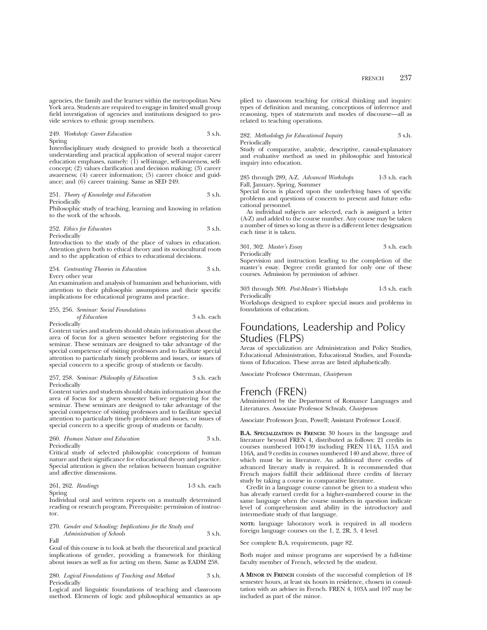agencies, the family and the learner within the metropolitan New York area. Students are required to engage in limited small group field investigation of agencies and institutions designed to provide services to ethnic group members.

#### 249. *Workshop: Career Education* 3 s.h. Spring

Interdisciplinary study designed to provide both a theoretical understanding and practical application of several major career education emphases, namely: (1) self-image, self-awareness, selfconcept; (2) values clarification and decision making; (3) career awareness; (4) career information; (5) career choice and guidance; and (6) career training. Same as SED 249.

### 251. *Theory of Knowledge and Education* 3 s.h. Periodically

Philosophic study of teaching, learning and knowing in relation to the work of the schools.

#### 252. *Ethics for Educators* 3 s.h. Periodically

Introduction to the study of the place of values in education. Attention given both to ethical theory and its sociocultural roots and to the application of ethics to educational decisions.

#### 254. *Contrasting Theories in Education* 3 s.h. Every other year

An examination and analysis of humanism and behaviorism, with attention to their philosophic assumptions and their specific implications for educational programs and practice.

# 255, 256. *Seminar: Social Foundations of Education* 3 s.h. each

Periodically

Content varies and students should obtain information about the area of focus for a given semester before registering for the seminar. These seminars are designed to take advantage of the special competence of visiting professors and to facilitate special attention to particularly timely problems and issues, or issues of special concern to a specific group of students or faculty.

#### 257, 258. *Seminar: Philosophy of Education* 3 s.h. each Periodically

Content varies and students should obtain information about the area of focus for a given semester before registering for the seminar. These seminars are designed to take advantage of the special competence of visiting professors and to facilitate special attention to particularly timely problems and issues, or issues of special concern to a specific group of students or faculty.

## 260. *Human Nature and Education* 3 s.h. Periodically

Critical study of selected philosophic conceptions of human nature and their significance for educational theory and practice. Special attention is given the relation between human cognitive and affective dimensions.

261, 262. *Readings* 1-3 s.h. each

Spring Individual oral and written reports on a mutually determined reading or research program. Prerequisite: permission of instructor.

270. *Gender and Schooling: Implications for the Study and Administration of Schools* 3 s.h.

Fall

Goal of this course is to look at both the theoretical and practical implications of gender, providing a framework for thinking about issues as well as for acting on them. Same as EADM 258.

280. *Logical Foundations of Teaching and Method* 3 s.h. Periodically

Logical and linguistic foundations of teaching and classroom method. Elements of logic and philosophical semantics as applied to classroom teaching for critical thinking and inquiry: types of definition and meaning, conceptions of inference and reasoning, types of statements and modes of discourse—all as related to teaching operations.

282. *Methodology for Educational Inquiry* 3 s.h. Periodically

Study of comparative, analytic, descriptive, causal-explanatory and evaluative method as used in philosophic and historical inquiry into education.

285 through 289, A-Z. *Advanced Workshops* 1-3 s.h. each Fall, January, Spring, Summer

Special focus is placed upon the underlying bases of specific problems and questions of concern to present and future educational personnel.

As individual subjects are selected, each is assigned a letter (A-Z) and added to the course number. Any course may be taken a number of times so long as there is a different letter designation each time it is taken.

#### 301, 302. *Master's Essay* 3 s.h. each Periodically

Supervision and instruction leading to the completion of the master's essay. Degree credit granted for only one of these courses. Admission by permission of adviser.

303 through 309. *Post-Master's Workshops* 1-3 s.h. each **Periodically** 

Workshops designed to explore special issues and problems in foundations of education.

# Foundations, Leadership and Policy Studies (FLPS)

Areas of specialization are Administration and Policy Studies, Educational Administration, Educational Studies, and Foundations of Education. These areas are listed alphabetically.

Associate Professor Osterman, *Chairperson*

# French (FREN)

Administered by the Department of Romance Languages and Literatures. Associate Professor Schwab, *Chairperson*

Associate Professors Jean, Powell; Assistant Professor Loucif.

**B.A. SPECIALIZATION IN FRENCH:** 30 hours in the language and literature beyond FREN 4, distributed as follows: 21 credits in courses numbered 100-139 including FREN 114A, 115A and 116A, and 9 credits in courses numbered 140 and above, three of which must be in literature. An additional three credits of advanced literary study is required. It is recommended that French majors fulfill their additional three credits of literary study by taking a course in comparative literature.

Credit in a language course cannot be given to a student who has already earned credit for a higher-numbered course in the same language when the course numbers in question indicate level of comprehension and ability in the introductory and intermediate study of that language.

**NOTE:** language laboratory work is required in all modern foreign language courses on the 1, 2, 2R, 3, 4 level.

See complete B.A. requirements, page 82.

Both major and minor programs are supervised by a full-time faculty member of French, selected by the student.

**A MINOR IN FRENCH** consists of the successful completion of 18 semester hours, at least six hours in residence, chosen in consultation with an adviser in French. FREN 4, 103A and 107 may be included as part of the minor.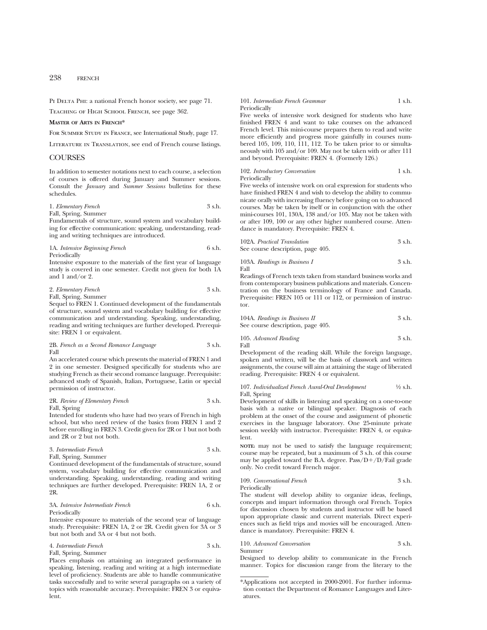PI DELTA PHI: a national French honor society, see page 71.

Teaching of High School French, see page 362.

## **MASTER OF ARTS IN FRENCH\***

For Summer Study in France, see International Study, page 17.

Literature in Translation, see end of French course listings.

## **COURSES**

In addition to semester notations next to each course, a selection of courses is offered during January and Summer sessions. Consult the *January* and *Summer Sessions* bulletins for these schedules.

1. *Elementary French* 3 s.h.

Fall, Spring, Summer

Fundamentals of structure, sound system and vocabulary building for effective communication: speaking, understanding, reading and writing techniques are introduced.

1A. *Intensive Beginning French* 6 s.h. Periodically

Intensive exposure to the materials of the first year of language study is covered in one semester. Credit not given for both 1A and  $1$  and/or 2.

#### 2. *Elementary French* 3 s.h. Fall, Spring, Summer

Sequel to FREN 1. Continued development of the fundamentals of structure, sound system and vocabulary building for effective communication and understanding. Speaking, understanding, reading and writing techniques are further developed. Prerequisite: FREN 1 or equivalent.

#### 2B. *French as a Second Romance Language* 3 s.h. Fall

An accelerated course which presents the material of FREN 1 and 2 in one semester. Designed specifically for students who are studying French as their second romance language. Prerequisite: advanced study of Spanish, Italian, Portuguese, Latin or special permission of instructor.

#### 2R. *Review of Elementary French* 3 s.h. Fall, Spring

Intended for students who have had two years of French in high school, but who need review of the basics from FREN 1 and 2 before enrolling in FREN 3. Credit given for 2R or 1 but not both and 2R or 2 but not both.

#### 3. *Intermediate French* 3 s.h. Fall, Spring, Summer

Continued development of the fundamentals of structure, sound system, vocabulary building for effective communication and understanding. Speaking, understanding, reading and writing techniques are further developed. Prerequisite: FREN 1A, 2 or 2R.

#### 3A. *Intensive Intermediate French* 6 s.h. Periodically

Intensive exposure to materials of the second year of language study. Prerequisite: FREN 1A, 2 or 2R. Credit given for 3A or 3 but not both and 3A or 4 but not both.

## 4. *Intermediate French* 3 s.h. Fall, Spring, Summer

Places emphasis on attaining an integrated performance in speaking, listening, reading and writing at a high intermediate level of proficiency. Students are able to handle communicative tasks successfully and to write several paragraphs on a variety of topics with reasonable accuracy. Prerequisite: FREN 3 or equivalent.

#### 101. *Intermediate French Grammar* 1 s.h. Periodically

Five weeks of intensive work designed for students who have finished FREN 4 and want to take courses on the advanced French level. This mini-course prepares them to read and write more efficiently and progress more gainfully in courses numbered 105, 109, 110, 111, 112. To be taken prior to or simultaneously with 105 and/or 109. May not be taken with or after 111 and beyond. Prerequisite: FREN 4. (Formerly 126.)

## 102. *Introductory Conversation* 1 s.h. **Periodically**

Five weeks of intensive work on oral expression for students who have finished FREN 4 and wish to develop the ability to communicate orally with increasing fluency before going on to advanced courses. May be taken by itself or in conjunction with the other mini-courses 101, 130A, 138 and/or 105. May not be taken with or after 109, 100 or any other higher numbered course. Attendance is mandatory. Prerequisite: FREN 4.

102A. *Practical Translation* 3 s.h.

See course description, page 405.

103A. *Readings in Business I* 3 s.h. Fall

Readings of French texts taken from standard business works and from contemporary business publications and materials. Concentration on the business terminology of France and Canada. Prerequisite: FREN 105 or 111 or 112, or permission of instructor.

104A. *Readings in Business II*

\nSee course description, now 
$$
40\epsilon
$$

See course description, page 405.

105. *Advanced Reading* 3 s.h. Fall

Development of the reading skill. While the foreign language, spoken and written, will be the basis of classwork and written assignments, the course will aim at attaining the stage of liberated reading. Prerequisite: FREN 4 or equivalent.

107. *Individualized French Aural-Oral Development* 1⁄2 s.h. Fall, Spring

Development of skills in listening and speaking on a one-to-one basis with a native or bilingual speaker. Diagnosis of each problem at the onset of the course and assignment of phonetic exercises in the language laboratory. One 25-minute private session weekly with instructor. Prerequisite: FREN 4, or equivalent.

**NOTE:** may not be used to satisfy the language requirement; course may be repeated, but a maximum of 3 s.h. of this course may be applied toward the B.A. degree.  $Pass/D+/D/Tail$  grade only. No credit toward French major.

109. *Conversational French* 3 s.h. Periodically

The student will develop ability to organize ideas, feelings, concepts and impart information through oral French. Topics for discussion chosen by students and instructor will be based upon appropriate classic and current materials. Direct experiences such as field trips and movies will be encouraged. Attendance is mandatory. Prerequisite: FREN 4.

#### 110. *Advanced Conversation* 3 s.h. Summer

Designed to develop ability to communicate in the French manner. Topics for discussion range from the literary to the

<sup>\*</sup>Applications not accepted in 2000-2001. For further information contact the Department of Romance Languages and Literatures.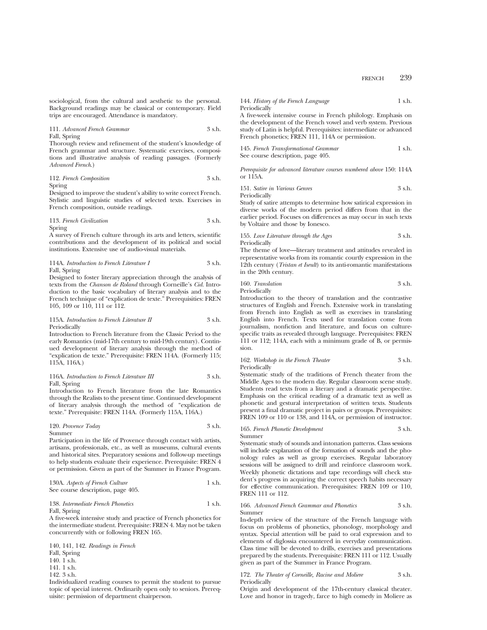sociological, from the cultural and aesthetic to the personal. Background readings may be classical or contemporary. Field trips are encouraged. Attendance is mandatory.

#### 111. *Advanced French Grammar* 3 s.h. Fall, Spring

Thorough review and refinement of the student's knowledge of French grammar and structure. Systematic exercises, compositions and illustrative analysis of reading passages. (Formerly *Advanced French*.)

112. *French Composition* 3 s.h. Spring

Designed to improve the student's ability to write correct French. Stylistic and linguistic studies of selected texts. Exercises in French composition, outside readings.

113. *French Civilization* 3 s.h. Spring

A survey of French culture through its arts and letters, scientific contributions and the development of its political and social institutions. Extensive use of audio-visual materials.

#### 114A. *Introduction to French Literature I* 3 s.h. Fall, Spring

Designed to foster literary appreciation through the analysis of texts from the *Chanson de Roland* through Corneille's *Cid.* Introduction to the basic vocabulary of literary analysis and to the French technique of "explication de texte." Prerequisities: FREN 105, 109 or 110, 111 or 112.

#### 115A. *Introduction to French Literature II* 3 s.h. Periodically

Introduction to French literature from the Classic Period to the early Romantics (mid-17th century to mid-19th century). Continued development of literary analysis through the method of "explication de texte." Prerequisite: FREN 114A. (Formerly 115; 115A, 116A.)

### 116A. *Introduction to French Literature III* 3 s.h. Fall, Spring

Introduction to French literature from the late Romantics through the Realists to the present time. Continued development of literary analysis through the method of "explication de texte." Prerequisite: FREN 114A. (Formerly 115A, 116A.)

#### 120. *Provence Today* 3 s.h. Summer

Participation in the life of Provence through contact with artists, artisans, professionals, etc., as well as museums, cultural events and historical sites. Preparatory sessions and follow-up meetings to help students evaluate their experience. Prerequisite: FREN 4 or permission. Given as part of the Summer in France Program.

#### 130A. *Aspects of French Culture* 1 s.h. See course description, page 405.

## 138. *Intermediate French Phonetics* 1 s.h. Fall, Spring

A five-week intensive study and practice of French phonetics for the intermediate student. Prerequisite: FREN 4. May not be taken concurrently with or following FREN 165.

140, 141, 142. *Readings in French* Fall, Spring 140. 1 s.h. 141. 1 s.h. 142. 3 s.h.

Individualized reading courses to permit the student to pursue topic of special interest. Ordinarily open only to seniors. Prerequisite: permission of department chairperson.

## 144. *History of the French Language* 1 s.h. **Periodically**

A five-week intensive course in French philology. Emphasis on the development of the French vowel and verb system. Previous study of Latin is helpful. Prerequisites: intermediate or advanced French phonetics; FREN 111, 114A or permission.

145. *French Transformational Grammar* 1 s.h. See course description, page 405.

*Prerequisite for advanced literature courses numbered above* 150: 114A or 115A.

151. *Satire in Various Genres* 3 s.h. Periodically

Study of satire attempts to determine how satirical expression in diverse works of the modern period differs from that in the earlier period. Focuses on differences as may occur in such texts by Voltaire and those by Ionesco.

155. *Love Literature through the Ages* 3 s.h. Periodically

The theme of love—literary treatment and attitudes revealed in representative works from its romantic courtly expression in the 12th century (*Tristan et Iseult*) to its anti-romantic manifestations in the 20th century.

160. *Translation* 3 s.h. Periodically

Introduction to the theory of translation and the contrastive structures of English and French. Extensive work in translating from French into English as well as exercises in translating English into French. Texts used for translation come from journalism, nonfiction and literature, and focus on culturespecific traits as revealed through language. Prerequisites: FREN 111 or 112; 114A, each with a minimum grade of B, or permission.

162. *Workshop in the French Theater* 3 s.h. Periodically

Systematic study of the traditions of French theater from the Middle Ages to the modern day. Regular classroom scene study. Students read texts from a literary and a dramatic perspective. Emphasis on the critical reading of a dramatic text as well as phonetic and gestural interpretation of written texts. Students present a final dramatic project in pairs or groups. Prerequisites: FREN 109 or 110 or 138, and 114A, or permission of instructor.

# 165. *French Phonetic Development* 3 s.h.

Summer Systematic study of sounds and intonation patterns. Class sessions will include explanation of the formation of sounds and the phonology rules as well as group exercises. Regular laboratory sessions will be assigned to drill and reinforce classroom work. Weekly phonetic dictations and tape recordings will check student's progress in acquiring the correct speech habits necessary

FREN 111 or 112.

# 166. *Advanced French Grammar and Phonetics* 3 s.h. Summer

for effective communication. Prerequisites: FREN 109 or 110,

In-depth review of the structure of the French language with focus on problems of phonetics, phonology, morphology and syntax. Special attention will be paid to oral expression and to elements of diglossia encountered in everyday communication. Class time will be devoted to drills, exercises and presentations prepared by the students. Prerequisite: FREN 111 or 112. Usually given as part of the Summer in France Program.

#### 172. *The Theater of Corneille, Racine and Moliere* 3 s.h. Periodically

Origin and development of the 17th-century classical theater. Love and honor in tragedy, farce to high comedy in Moliere as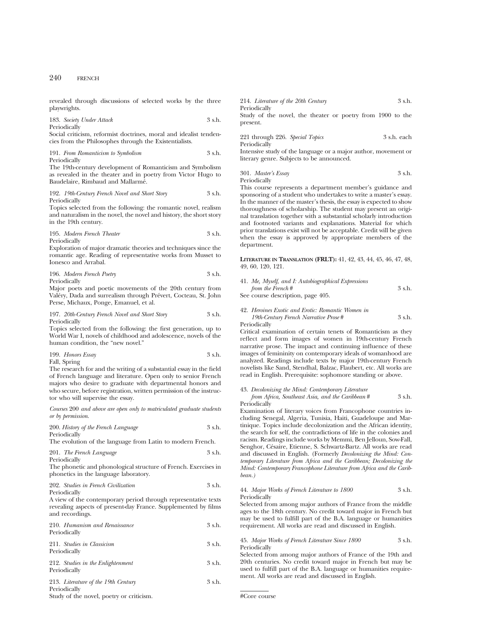revealed through discussions of selected works by the three playwrights.

#### 183. *Society Under Attack* 3 s.h. Periodically

Social criticism, reformist doctrines, moral and idealist tendencies from the Philosophes through the Existentialists.

191. *From Romanticism to Symbolism* 3 s.h. Periodically

The 19th-century development of Romanticism and Symbolism as revealed in the theater and in poetry from Victor Hugo to Baudelaire, Rimbaud and Mallarmé.

192. *19th-Century French Novel and Short Story* 3 s.h. Periodically

Topics selected from the following: the romantic novel, realism and naturalism in the novel, the novel and history, the short story in the 19th century.

195. *Modern French Theater* 3 s.h. Periodically

Exploration of major dramatic theories and techniques since the romantic age. Reading of representative works from Musset to Ionesco and Arrabal.

196. *Modern French Poetry* 3 s.h. Periodically

Major poets and poetic movements of the 20th century from Valéry, Dada and surrealism through Prévert, Cocteau, St. John Perse, Michaux, Ponge, Emanuel, et al.

197. *20th-Century French Novel and Short Story* 3 s.h. Periodically

Topics selected from the following: the first generation, up to World War I, novels of childhood and adolescence, novels of the human condition, the "new novel."

199. *Honors Essay* 3 s.h. Fall, Spring

The research for and the writing of a substantial essay in the field of French language and literature. Open only to senior French majors who desire to graduate with departmental honors and who secure, before registration, written permission of the instructor who will supervise the essay.

*Courses* 200 *and above are open only to matriculated graduate students or by permission*.

| 200. History of the French Language | 3 s.h. |
|-------------------------------------|--------|
| Periodically                        |        |

The evolution of the language from Latin to modern French.

| 201. The French Language | 3 s.h. |
|--------------------------|--------|
| Periodically             |        |

The phonetic and phonological structure of French. Exercises in phonetics in the language laboratory.

202. *Studies in French Civilization* 3 s.h. Periodically

A view of the contemporary period through representative texts revealing aspects of present-day France. Supplemented by films and recordings.

| 210. Humanism and Renaissance<br>Periodically                                                   | 3 s.h. |
|-------------------------------------------------------------------------------------------------|--------|
| 211. Studies in Classicism<br>Periodically                                                      | 3 s.h. |
| 212. Studies in the Enlightenment<br>Periodically                                               | 3 s.h. |
| 213. Literature of the 19th Century<br>Periodically<br>Study of the novel, poetry or criticism. | 3 s.h. |

214. *Literature of the 20th Century* 3 s.h. Periodically Study of the novel, the theater or poetry from 1900 to the present.

221 through 226. *Special Topics* 3 s.h. each Periodically

Intensive study of the language or a major author, movement or literary genre. Subjects to be announced.

301. *Master's Essay* 3 s.h. Periodically

This course represents a department member's guidance and sponsoring of a student who undertakes to write a master's essay. In the manner of the master's thesis, the essay is expected to show thoroughness of scholarship. The student may present an original translation together with a substantial scholarly introduction and footnoted variants and explanations. Material for which prior translations exist will not be acceptable. Credit will be given when the essay is approved by appropriate members of the department.

**LITERATURE IN TRANSLATION (FRLT):** 41, 42, 43, 44, 45, 46, 47, 48, 49, 60, 120, 121.

| 41. Me, Myself, and I: Autobiographical Expressions |        |
|-----------------------------------------------------|--------|
| from the French#                                    | 3 s.h. |
| See course description, page 405.                   |        |

42. *Heroines Exotic and Erotic: Romantic Women in 19th-Century French Narrative Prose* # 3 s.h.

Periodically

Critical examination of certain tenets of Romanticism as they reflect and form images of women in 19th-century French narrative prose. The impact and continuing influence of these images of femininity on contemporary ideals of womanhood are analyzed. Readings include texts by major 19th-century French novelists like Sand, Stendhal, Balzac, Flaubert, etc. All works are read in English. Prerequisite: sophomore standing or above.

43. *Decolonizing the Mind: Contemporary Literature from Africa, Southeast Asia, and the Caribbean* # 3 s.h. Periodically

Examination of literary voices from Francophone countries including Senegal, Algeria, Tunisia, Haiti, Guadeloupe and Martinique. Topics include decolonization and the African identity, the search for self, the contradictions of life in the colonies and racism. Readings include works by Memmi, Ben Jelloun, Sow-Fall, Senghor, Césaire, Etienne, S. Schwartz-Bartz. All works are read and discussed in English. (Formerly *Decolonizing the Mind: Contemporary Literature from Africa and the Caribbean; Decolonizing the Mind: Contemporary Francophone Literature from Africa and the Caribbean.)*

#### 44. *Major Works of French Literature to 1800* 3 s.h. Periodically

Selected from among major authors of France from the middle ages to the 18th century. No credit toward major in French but may be used to fulfill part of the B.A. language or humanities requirement. All works are read and discussed in English.

## 45. *Major Works of French Literature Since 1800* 3 s.h. **Periodically**

Selected from among major authors of France of the 19th and 20th centuries. No credit toward major in French but may be used to fulfill part of the B.A. language or humanities requirement. All works are read and discussed in English.

#Core course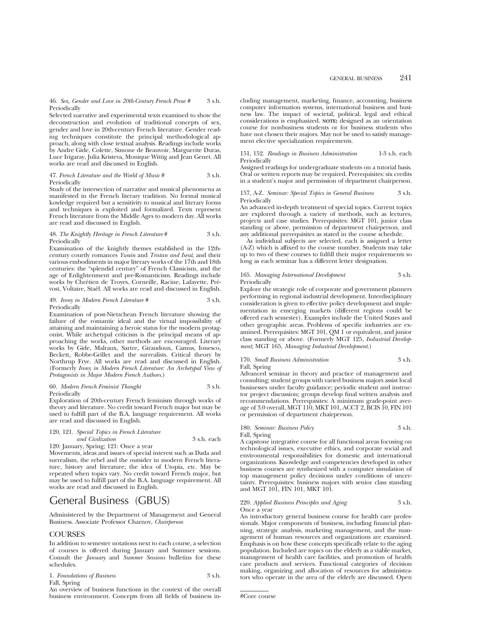#### 46. *Sex, Gender and Love in 20th-Century French Prose #* 3 s.h. Periodically

Selected narrative and experimental texts examined to show the deconstruction and evolution of traditional concepts of sex, gender and love in 20th-century French literature. Gender reading techniques constitute the principal methodological approach, along with close textual analysis. Readings include works by Andre Gide, Colette, Simone de Beauvoir, Marguerite Duras, Luce Irigaray, Julia Kristeva, Monique Wittig and Jean Genet. All works are read and discussed in English.

#### 47. *French Literature and the World of Music* # 3 s.h. Periodically

Study of the intersection of narrative and musical phenomena as manifested in the French literary tradition. No formal musical kowledge required but a sensitivity to musical and literary forms and techniques is exploited and formalized. Texts represent French literature from the Middle Ages to modern day. All works are read and discussed in English.

#### 48. *The Knightly Heritage in French Literature* # 3 s.h. Periodically

Examination of the knightly themes established in the 12thcentury courtly romances *Ywain* and *Tristan and Iseut*, and their various embodiments in major literary works of the 17th and 18th centuries: the "splendid century" of French Classicism, and the age of Enlightenment and pre-Romanticism. Readings include works by Chrétien de Troyes, Corneille, Racine, Lafayette, Prévost, Voltaire, Staël. All works are read and discussed in English.

#### 49. *Irony in Modern French Literature #* 3 s.h. Periodically

Examination of post-Nietzchean French literature showing the failure of the romantic ideal and the virtual impossibility of attaining and maintaining a heroic status for the modern protagonist. While archetypal criticism is the principal means of approaching the works, other methods are encouraged. Literary works by Gide, Malraux, Sartre, Giraudoux, Camus, Ionesco, Beckett, Robbe-Grillet and the surrealists. Critical theory by Northrup Frye. All works are read and discussed in English. (Formerly *Irony in Modern French Literature: An Archetypal View of Protagonists in Major Modern French Authors*.)

#### 60. *Modern French Feminist Thought* 3 s.h. Periodically

Exploration of 20th-century French feminism through works of theory and literature. No credit toward French major but may be used to fulfill part of the B.A. language requirement. All works are read and discussed in English.

120, 121. *Special Topics in French Literature and Civilization* 3 s.h. each 120: January, Spring; 121: Once a year

Movements, ideas and issues of special interest such as Dada and surrealism, the rebel and the outsider in modern French literature, history and literature; the idea of Utopia, etc. May be repeated when topics vary. No credit toward French major, but may be used to fulfill part of the B.A. language requirement. All works are read and discussed in English.

# General Business (GBUS)

Administered by the Department of Management and General Business. Associate Professor Charnov, *Chairperson*

## COURSES

In addition to semester notations next to each course, a selection of courses is offered during January and Summer sessions. Consult the *January* and *Summer Sessions* bulletins for these schedules.

| 1. Foundations of Business | 3 s.h. |
|----------------------------|--------|
| Fall, Spring               |        |

An overview of business functions in the context of the overall business environment. Concepts from all fields of business in-

cluding management, marketing, finance, accounting, business computer information systems, international business and business law. The impact of societal, political, legal and ethical considerations is emphasized. **NOTE:** designed as an orientation course for nonbusiness students or for business students who have not chosen their majors. May not be used to satisfy management elective specialization requirements.

#### 151, 152. *Readings in Business Administration* 1-3 s.h. each Periodically

Assigned readings for undergraduate students on a tutorial basis. Oral or written reports may be required. Prerequisites: six credits in a student's major and permission of department chairperson.

#### 157, A-Z. *Seminar: Special Topics in General Business* 3 s.h. Periodically

An advanced in-depth treatment of special topics. Current topics are explored through a variety of methods, such as lectures, projects and case studies. Prerequisites: MGT 101, junior class standing or above, permission of department chairperson, and any additional prerequisites as stated in the course schedule.

As individual subjects are selected, each is assigned a letter (A-Z) which is affixed to the course number. Students may take up to two of these courses to fulfill their major requirements so long as each seminar has a different letter designation.

#### 165. *Managing International Development* 3 s.h. Periodically

Explore the strategic role of corporate and government planners performing in regional industrial development. Interdisciplinary consideration is given to effective policy development and implementation in emerging markets (different regions could be offered each semester). Examples include the United States and other geographic areas. Problems of specific industries are examined. Prerequisites: MGT 101, QM 1 or equivalent, and junior class standing or above. (Formerly MGT 125, *Industrial Development*; MGT 165, *Managing Industrial Development*.)

### 170. *Small Business Administration* 3 s.h. Fall, Spring

Advanced seminar in theory and practice of management and consulting; student groups with varied business majors assist local businesses under faculty guidance; periodic student and instructor project discussion; groups develop final written analysis and recommendations. Prerequisites: A minimum grade-point average of 3.0 overall, MGT 110, MKT 101, ACCT 2, BCIS 10, FIN 101 or permission of department chairperson.

#### 180. *Seminar: Business Policy* 3 s.h. Fall, Spring

A capstone integrative course for all functional areas focusing on technological issues, executive ethics, and corporate social and environmental responsibilities for domestic and international organizations. Knowledge and competencies developed in other business courses are synthesized with a computer simulation of top management policy decisions under conditions of uncertainty. Prerequisites: business majors with senior class standing and MGT 101, FIN 101, MKT 101.

### 220. *Applied Business Principles and Aging* 3 s.h. Once a year

An introductory general business course for health care professionals. Major components of business, including financial planning, strategic analysis, marketing management, and the management of human resources and organizations are examined. Emphasis is on how these concepts specifically relate to the aging population. Included are topics on the elderly as a viable market, management of health care facilities, and promotion of health care products and services. Functional categories of decision making, organizing and allocation of resources for administrators who operate in the area of the elderly are discussed. Open

<sup>#</sup>Core course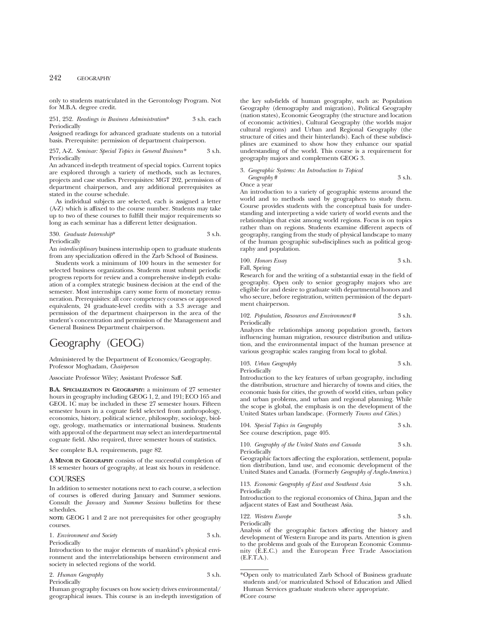only to students matriculated in the Gerontology Program. Not for M.B.A. degree credit.

### 251, 252. *Readings in Business Administration*\* 3 s.h. each Periodically

Assigned readings for advanced graduate students on a tutorial basis. Prerequisite: permission of department chairperson.

257, A-Z. *Seminar: Special Topics in General Business\** 3 s.h. Periodically

An advanced in-depth treatment of special topics. Current topics are explored through a variety of methods, such as lectures, projects and case studies. Prerequisites: MGT 202, permission of department chairperson, and any additional prerequisites as stated in the course schedule.

As individual subjects are selected, each is assigned a letter (A-Z) which is affixed to the course number. Students may take up to two of these courses to fulfill their major requirements so long as each seminar has a different letter designation.

### 330. *Graduate Internship*\* 3 s.h. Periodically

An *interdisciplinary* business internship open to graduate students from any specialization offered in the Zarb School of Business.

Students work a minimum of 100 hours in the semester for selected business organizations. Students must submit periodic progress reports for review and a comprehensive in-depth evaluation of a complex strategic business decision at the end of the semester. Most internships carry some form of monetary remuneration. Prerequisites: all core competency courses or approved equivalents, 24 graduate-level credits with a 3.3 average and permission of the department chairperson in the area of the student's concentration and permission of the Management and General Business Department chairperson.

# Geography (GEOG)

Administered by the Department of Economics/Geography. Professor Moghadam, *Chairperson*

Associate Professor Wiley; Assistant Professor Saff.

**B.A. SPECIALIZATION IN GEOGRAPHY:** a minimum of 27 semester hours in geography including GEOG 1, 2, and 191; ECO 165 and GEOL 1C may be included in these 27 semester hours. Fifteen semester hours in a cognate field selected from anthropology, economics, history, political science, philosophy, sociology, biology, geology, mathematics or international business. Students with approval of the department may select an interdepartmental cognate field. Also required, three semester hours of statistics.

See complete B.A. requirements, page 82.

**A MINOR IN GEOGRAPHY** consists of the successful completion of 18 semester hours of geography, at least six hours in residence.

# **COURSES**

In addition to semester notations next to each course, a selection of courses is offered during January and Summer sessions. Consult the *January* and *Summer Sessions* bulletins for these schedules.

**NOTE:** GEOG 1 and 2 are not prerequisites for other geography courses.

1. *Environment and Society* 3 s.h. Periodically

Introduction to the major elements of mankind's physical environment and the interrelationships between environment and society in selected regions of the world.

| 2. Human Geography | 3 s.h. |
|--------------------|--------|
| Periodically       |        |

Human geography focuses on how society drives environmental/ geographical issues. This course is an in-depth investigation of the key sub-fields of human geography, such as: Population Geography (demography and migration), Political Geography (nation states), Economic Geography (the structure and location of economic activities), Cultural Geography (the worlds major cultural regions) and Urban and Regional Geography (the structure of cities and their hinterlands). Each of these subdisciplines are examined to show how they enhance our spatial understanding of the world. This course is a requirement for geography majors and complements GEOG 3.

### 3. *Geographic Systems: An Introduction to Topical Geography* # 3 s.h.

Once a year

An introduction to a variety of geographic systems around the world and to methods used by geographers to study them. Course provides students with the conceptual basis for understanding and interpreting a wide variety of world events and the relationships that exist among world regions. Focus is on topics rather than on regions. Students examine different aspects of geography, ranging from the study of physical landscape to many of the human geographic sub-disciplines such as political geography and population.

100. *Honors Essay* 3 s.h. Fall, Spring

Research for and the writing of a substantial essay in the field of geography. Open only to senior geography majors who are eligible for and desire to graduate with departmental honors and who secure, before registration, written permission of the department chairperson.

102. *Population, Resources and Environment* # 3 s.h. Periodically

Analyzes the relationships among population growth, factors influencing human migration, resource distribution and utilization, and the environmental impact of the human presence at various geographic scales ranging from local to global.

| 103. Urban Geography | 3 s.h. |
|----------------------|--------|
| Periodically         |        |

Introduction to the key features of urban geography, including the distribution, structure and hierarchy of towns and cities, the economic basis for cities, the growth of world cities, urban policy and urban problems, and urban and regional planning. While the scope is global, the emphasis is on the development of the United States urban landscape. (Formerly *Towns and Cities*.)

| 104. Special Topics in Geography  | 3 s.h. |
|-----------------------------------|--------|
| See course description, page 405. |        |

110. *Geography of the United States and Canada* 3 s.h. Periodically

Geographic factors affecting the exploration, settlement, population distribution, land use, and economic development of the United States and Canada. (Formerly *Geography of Anglo-America*.)

113. *Economic Geography of East and Southeast Asia* 3 s.h. Periodically

Introduction to the regional economics of China, Japan and the adjacent states of East and Southeast Asia.

| 122. Western Europe | 3 s.h. |
|---------------------|--------|
| Periodically        |        |

Analysis of the geographic factors affecting the history and development of Western Europe and its parts. Attention is given to the problems and goals of the European Economic Community (E.E.C.) and the European Free Trade Association (E.F.T.A.).

<sup>\*</sup>Open only to matriculated Zarb School of Business graduate students and/or matriculated School of Education and Allied Human Services graduate students where appropriate. #Core course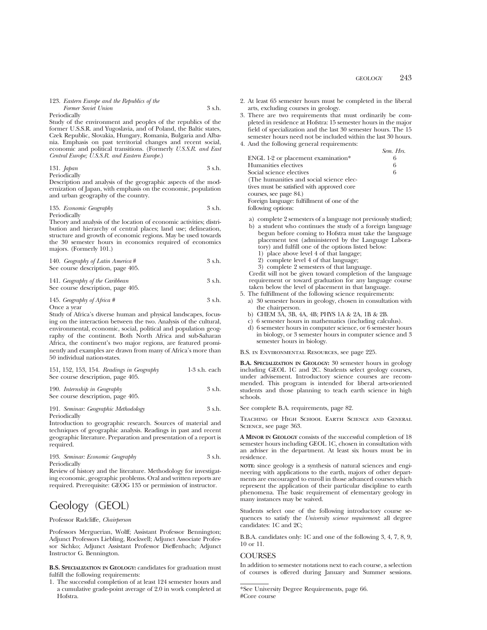Periodically

Study of the environment and peoples of the republics of the former U.S.S.R. and Yugoslavia, and of Poland, the Baltic states, Czek Republic, Slovakia, Hungary, Romania, Bulgaria and Albania. Emphasis on past territorial changes and recent social, economic and political transitions. (Formerly *U.S.S.R. and East Central Europe; U.S.S.R. and Eastern Europe.*)

### 131. *Japan* 3 s.h. Periodically

Description and analysis of the geographic aspects of the modernization of Japan, with emphasis on the economic, population and urban geography of the country.

135. *Economic Geography* 3 s.h.

Periodically

Theory and analysis of the location of economic activities; distribution and hierarchy of central places; land use; delineation, structure and growth of economic regions. May be used towards the 30 semester hours in economics required of economics majors. (Formerly 101.)

| 140. Geography of Latin America #<br>See course description, page 405. | 3 s.h. |
|------------------------------------------------------------------------|--------|
| 141. Geography of the Caribbean                                        | 3 s.h. |

See course description, page 405.

# 145. *Geography of Africa* # 3 s.h. Once a year

Study of Africa's diverse human and physical landscapes, focusing on the interaction between the two. Analysis of the cultural, environmental, economic, social, political and population geography of the continent. Both North Africa and sub-Saharan Africa, the continent's two major regions, are featured prominently and examples are drawn from many of Africa's more than 50 individual nation-states.

|  |  | 151, 152, 153, 154. Readings in Geography | 1-3 s.h. each |
|--|--|-------------------------------------------|---------------|
|  |  | See course description, page 405.         |               |

### 190. *Internship in Geography* 3 s.h. See course description, page 405.

191. *Seminar: Geographic Methodology* 3 s.h. Periodically

Introduction to geographic research. Sources of material and techniques of geographic analysis. Readings in past and recent geographic literature. Preparation and presentation of a report is required.

193. *Seminar: Economic Geography* 3 s.h. Periodically

Review of history and the literature. Methodology for investigating economic, geographic problems. Oral and written reports are required. Prerequisite: GEOG 135 or permission of instructor.

# Geology (GEOL)

# Professor Radcliffe, *Chairperson*

Professors Merguerian, Wolff; Assistant Professor Bennington; Adjunct Professors Liebling, Rockwell; Adjunct Associate Professor Sichko; Adjunct Assistant Professor Dieffenbach; Adjunct Instructor G. Bennington.

**B.S. SPECIALIZATION IN GEOLOGY:** candidates for graduation must fulfill the following requirements:

1. The successful completion of at least 124 semester hours and a cumulative grade-point average of 2.0 in work completed at Hofstra.

- 2. At least 65 semester hours must be completed in the liberal arts, excluding courses in geology.
- 3. There are two requirements that must ordinarily be completed in residence at Hofstra: 15 semester hours in the major field of specialization and the last 30 semester hours. The 15 semester hours need not be included within the last 30 hours.
- 4. And the following general requirements:

|                                             | Sem. Hrs. |
|---------------------------------------------|-----------|
| ENGL 1-2 or placement examination*          |           |
| Humanities electives                        | 6         |
| Social science electives                    | 6         |
| (The humanities and social science elec-    |           |
| tives must be satisfied with approved core  |           |
| courses, see page 84.)                      |           |
| Foreign language: fulfillment of one of the |           |
| following options:                          |           |
|                                             |           |

- a) complete 2 semesters of a language not previously studied;
- b) a student who continues the study of a foreign language begun before coming to Hofstra must take the language placement test (administered by the Language Laboratory) and fulfill one of the options listed below:
	- 1) place above level 4 of that langage;
	- 2) complete level 4 of that language;
	- 3) complete 2 semesters of that language.

Credit will not be given toward completion of the language requirement or toward graduation for any language course taken below the level of placement in that language.

- 5. The fulfillment of the following science requirements:
	- a) 30 semester hours in geology, chosen in consultation with the chairperson.
	- b) CHEM 3A, 3B, 4A, 4B; PHYS 1A & 2A, 1B & 2B.
	- c) 6 semester hours in mathematics (including calculus).
	- d) 6 semester hours in computer science, or 6 semester hours in biology, or 3 semester hours in computer science and 3 semester hours in biology.

B.S. in Environmental Resources, see page 225.

**B.A. SPECIALIZATION IN GEOLOGY:** 30 semester hours in geology including GEOL 1C and 2C. Students select geology courses, under advisement. Introductory science courses are recommended. This program is intended for liberal arts-oriented students and those planning to teach earth science in high schools.

See complete B.A. requirements, page 82.

Teaching of High School Earth Science and General SCIENCE, see page 363.

**A MINOR IN GEOLOGY** consists of the successful completion of 18 semester hours including GEOL 1C, chosen in consultation with an adviser in the department. At least six hours must be in residence.

**NOTE:** since geology is a synthesis of natural sciences and engineering with applications to the earth, majors of other departments are encouraged to enroll in those advanced courses which represent the application of their particular discipline to earth phenomena. The basic requirement of elementary geology in many instances may be waived.

Students select one of the following introductory course sequences to satisfy the *University science requirement*: all degree candidates: 1C and 2C;

B.B.A. candidates only: 1C and one of the following 3, 4, 7, 8, 9, 10 or 11.

# **COURSES**

In addition to semester notations next to each course, a selection of courses is offered during January and Summer sessions.

<sup>\*</sup>See University Degree Requirements, page 66. #Core course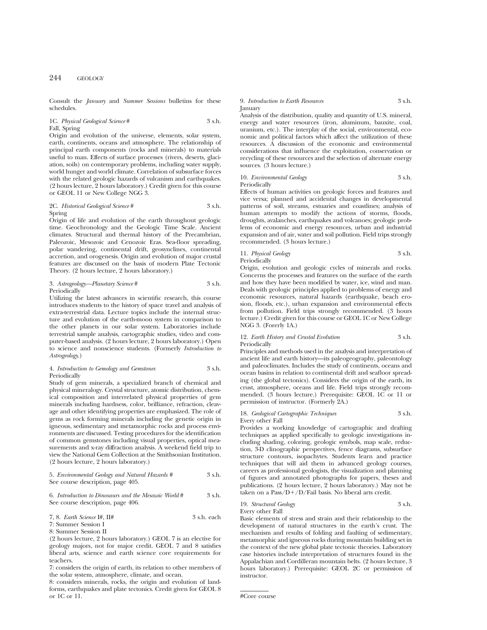Consult the *January* and *Summer Sessions* bulletins for these schedules.

# 1C. *Physical Geological Science* # 3 s.h. Fall, Spring

Origin and evolution of the universe, elements, solar system, earth, continents, oceans and atmosphere. The relationship of principal earth components (rocks and minerals) to materials useful to man. Effects of surface processes (rivers, deserts, glaciation, soils) on contemporary problems, including water supply, world hunger and world climate. Correlation of subsurface forces with the related geologic hazards of vulcanism and earthquakes. (2 hours lecture, 2 hours laboratory.) Credit given for this course or GEOL 11 or New College NGG 3.

### 2C. *Historical Geological Science* # 3 s.h. Spring

Origin of life and evolution of the earth throughout geologic time. Geochronology and the Geologic Time Scale. Ancient climates. Structural and thermal history of the Precambrian, Paleozoic, Mesozoic and Cenozoic Eras. Sea-floor spreading, polar wandering, continental drift, geosynclines, continental accretion, and orogenesis. Origin and evolution of major crustal features are discussed on the basis of modern Plate Tectonic Theory. (2 hours lecture, 2 hours laboratory.)

### 3. *Astrogeology—Planetary Science* # 3 s.h. Periodically

Utilizing the latest advances in scientific research, this course introduces students to the history of space travel and analysis of extra-terrestrial data. Lecture topics include the internal structure and evolution of the earth-moon system in comparison to the other planets in our solar system. Laboratories include terrestrial sample analysis, cartographic studies, video and computer-based analysis. (2 hours lecture, 2 hours laboratory.) Open to science and nonscience students. (Formerly *Introduction to Astrogeology*.)

### 4. *Introduction to Gemology and Gemstones* 3 s.h. Periodically

Study of gem minerals, a specialized branch of chemical and physical mineralogy. Crystal structure, atomic distribution, chemical composition and interrelated physical properties of gem minerals including hardness, color, brilliance, refraction, cleavage and other identifying properties are emphasized. The role of gems as rock forming minerals including the genetic origin in igneous, sedimentary and metamorphic rocks and process environments are discussed. Testing procedures for the identification of common gemstones including visual properties, optical measurements and x-ray diffraction analysis. A weekend field trip to view the National Gem Collection at the Smithsonian Institution. (2 hours lecture, 2 hours laboratory.)

## 5. *Environmental Geology and Natural Hazards #* 3 s.h. See course description, page 405.

### 6. *Introduction to Dinosaurs and the Mesozoic World* # 3 s.h. See course description, page 406.

# 7, 8. *Earth Science* I#, II# 3 s.h. each

7: Summer Session I

8: Summer Session II

(2 hours lecture, 2 hours laboratory.) GEOL 7 is an elective for geology majors, not for major credit. GEOL 7 and 8 satisfies liberal arts, science and earth science core requirements for teachers.

7: considers the origin of earth, its relation to other members of the solar system, atmosphere, climate, and ocean.

8: considers minerals, rocks, the origin and evolution of landforms, earthquakes and plate tectonics. Credit given for GEOL 8 or 1C or 11.

### 9. *Introduction to Earth Resources* 3 s.h. January

Analysis of the distribution, quality and quantity of U.S. mineral, energy and water resources (iron, aluminum, bauxite, coal, uranium, etc.). The interplay of the social, environmental, economic and political factors which affect the utilization of these resources. A discussion of the economic and environmental considerations that influence the exploitation, conservation or recycling of these resources and the selection of alternate energy sources. (3 hours lecture.)

10. *Environmental Geology* 3 s.h. Periodically

Effects of human activities on geologic forces and features and vice versa; planned and accidental changes in developmental patterns of soil, streams, estuaries and coastlines; analysis of human attempts to modify the actions of storms, floods, droughts, avalanches, earthquakes and volcanoes; geologic problems of economic and energy resources, urban and industrial expansion and of air, water and soil pollution. Field trips strongly recommended. (3 hours lecture.)

# 11. *Physical Geology* 3 s.h. **Periodically**

Origin, evolution and geologic cycles of minerals and rocks. Concerns the processes and features on the surface of the earth and how they have been modified by water, ice, wind and man. Deals with geologic principles applied to problems of energy and economic resources, natural hazards (earthquake, beach erosion, floods, etc.), urban expansion and environmental effects from pollution. Field trips strongly recommended. (3 hours lecture.) Credit given for this course or GEOL 1C or New College NGG 3. (Forerly 1A.)

### 12. *Earth History and Crustal Evolution* 3 s.h. Periodically

Principles and methods used in the analysis and interpretation of ancient life and earth history—its paleogeography, paleontology and paleoclimates. Includes the study of continents, oceans and ocean basins in relation to continental drift and seafloor spreading (the global tectonics). Considers the origin of the earth, its crust, atmosphere, oceans and life. Field trips strongly recommended. (3 hours lecture.) Prerequisite: GEOL 1C or 11 or permission of instructor. (Formerly 2A.)

# 18. *Geological Cartographic Techniques* 3 s.h.

Every other Fall Provides a working knowledge of cartographic and drafting techniques as applied specifically to geologic investigations including shading, coloring, geologic symbols, map scale, reduction, 3-D clinographic perspectives, fence diagrams, subsurface structure contours, isopachytes. Students learn and practice techniques that will aid them in advanced geology courses, careers as professional geologists, the visualization and planning of figures and annotated photographs for papers, theses and publications. (2 hours lecture, 2 hours laboratory.) May not be taken on a Pass/ $D+/D$ /Fail basis. No liberal arts credit.

### 19. *Structural Geology* 3 s.h. Every other Fall

Basic elements of stress and strain and their relationship to the development of natural structures in the earth's crust. The mechanism and results of folding and faulting of sedimentary, metamorphic and igneous rocks during mountain building set in the context of the new global plate tectonic theories. Laboratory case histories include interpretation of structures found in the Appalachian and Cordilleran mountain belts. (2 hours lecture, 3 hours laboratory.) Prerequisite: GEOL 2C or permission of instructor.

<sup>#</sup>Core course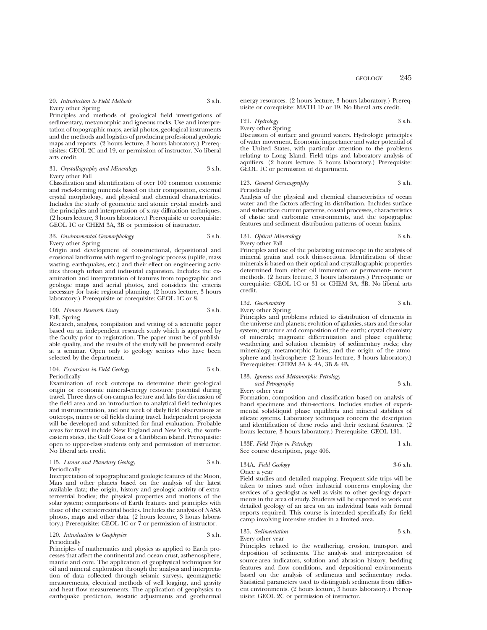Principles and methods of geological field investigations of sedimentary, metamorphic and igneous rocks. Use and interpretation of topographic maps, aerial photos, geological instruments and the methods and logistics of producing professional geologic maps and reports. (2 hours lecture, 3 hours laboratory.) Prerequisites: GEOL 2C and 19, or permission of instructor. No liberal arts credit.

### 31. *Crystallography and Mineralogy* 3 s.h. Every other Fall

Classification and identification of over 100 common economic and rock-forming minerals based on their composition, external crystal morphology, and physical and chemical characteristics. Includes the study of geometric and atomic crystal models and the principles and interpretation of x-ray diffraction techniques. (2 hours lecture, 3 hours laboratory.) Prerequisite or corequisite: GEOL 1C or CHEM 3A, 3B or permission of instructor.

### 33. *Environmental Geomorphology* 3 s.h. Every other Spring

Origin and development of constructional, depositional and erosional landforms with regard to geologic process (uplife, mass wasting, earthquakes, etc.) and their effect on engineering activities through urban and industrial expansion. Includes the examination and interpretation of features from topographic and geologic maps and aerial photos, and considers the criteria necessary for basic regional planning. (2 hours lecture, 3 hours laboratory.) Prerequisite or corequisite: GEOL 1C or 8.

100. *Honors Research Essay* 3 s.h. Fall, Spring

Research, analysis, compilation and writing of a scientific paper based on an independent research study which is approved by the faculty prior to registration. The paper must be of publishable quality, and the results of the study will be presented orally at a seminar. Open only to geology seniors who have been selected by the department.

### 104. *Excursions in Field Geology* 3 s.h. Periodically

Examination of rock outcrops to determine their geological origin or economic mineral-energy resource potential during travel. Three days of on-campus lecture and labs for discussion of the field area and an introduction to analytical field techniques and instrumentation, and one week of daily field observations at outcrops, mines or oil fields during travel. Independent projects will be developed and submitted for final evaluation. Probable areas for travel include New England and New York, the southeastern states, the Gulf Coast or a Caribbean island. Prerequisite: open to upper-class students only and permission of instructor. No liberal arts credit.

### 115. *Lunar and Planetary Geology* 3 s.h. Periodically

Interpretation of topographic and geologic features of the Moon, Mars and other planets based on the analysis of the latest available data; the origin, history and geologic activity of extraterrestrial bodies; the physical properties and motions of the solar system; comparisons of Earth features and principles with those of the extraterrestrial bodies. Includes the analysis of NASA photos, maps and other data. (2 hours lecture, 3 hours laboratory.) Prerequisite: GEOL 1C or 7 or permission of instructor.

120. *Introduction to Geophysics* 3 s.h. Periodically

Principles of mathematics and physics as applied to Earth processes that affect the continental and ocean crust, asthenosphere, mantle and core. The application of geophysical techniques for oil and mineral exploration through the analysis and interpretation of data collected through seismic surveys, geomagnetic measurements, electrical methods of well logging, and gravity and heat flow measurements. The application of geophysics to earthquake prediction, isostatic adjustments and geothermal energy resources. (2 hours lecture, 3 hours laboratory.) Prerequisite or corequisite: MATH 10 or 19. No liberal arts credit.

# 121. *Hydrology* 3 s.h.

Every other Spring

Discussion of surface and ground waters. Hydrologic principles of water movement. Economic importance and water potential of the United States, with particular attention to the problems relating to Long Island. Field trips and laboratory analysis of aquifiers. (2 hours lecture, 3 hours laboratory.) Prerequisite: GEOL 1C or permission of department.

# 123. *General Oceanography* 3 s.h.

Periodically

Analysis of the physical and chemical characteristics of ocean water and the factors affecting its distribution. Includes surface and subsurface current patterns, coastal processes, characteristics of clastic and carbonate environments, and the topographic features and sediment distribution patterns of ocean basins.

### 131. *Optical Mineralogy* 3 s.h. Every other Fall

Principles and use of the polarizing microscope in the analysis of mineral grains and rock thin-sections. Identification of these minerals is based on their optical and crystallographic properties determined from either oil immersion or permanent- mount methods. (2 hours lecture, 3 hours laboratory.) Prerequisite or corequisite: GEOL 1C or 31 or CHEM 3A, 3B. No liberal arts credit.

### 132. *Geochemistry* 3 s.h. Every other Spring

Principles and problems related to distribution of elements in the universe and planets; evolution of galaxies, stars and the solar system; structure and composition of the earth; crystal chemistry of minerals; magmatic differentiation and phase equilibria; weathering and solution chemistry of sedimentary rocks; clay mineralogy, metamorphic facies; and the origin of the atmosphere and hydrosphere (2 hours lecture, 3 hours laboratory.)

## 133. *Igneous and Metamorphic Petrology and Petrography* 3 s.h. Every other year

Prerequisites: CHEM 3A & 4A, 3B & 4B.

Formation, composition and classification based on analysis of hand specimens and thin-sections. Includes studies of experimental solid-liquid phase equilibria and mineral stabilites of silicate systems. Laboratory techniques concern the description and identification of these rocks and their textural features. (2 hours lecture, 3 hours laboratory.) Prerequisite: GEOL 131.

| 133F. Field Trips in Petrology    | 1 s.h. |
|-----------------------------------|--------|
| See course description, page 406. |        |

| 134A. Field Geology | $3-6$ s.h. |
|---------------------|------------|
| Once a year         |            |

Field studies and detailed mapping. Frequent side trips will be taken to mines and other industrial concerns employing the services of a geologist as well as visits to other geology departments in the area of study. Students will be expected to work out detailed geology of an area on an individual basis with formal reports required. This course is intended specifically for field camp involving intensive studies in a limited area.

### 135. *Sedimentation* 3 s.h. Every other year

Principles related to the weathering, erosion, transport and deposition of sediments. The analysis and interpretation of source-area indicators, solution and abrasion history, bedding features and flow conditions, and depositional environments based on the analysis of sediments and sedimentary rocks. Statistical parameters used to distinguish sediments from different environments. (2 hours lecture, 3 hours laboratory.) Prerequisite: GEOL 2C or permission of instructor.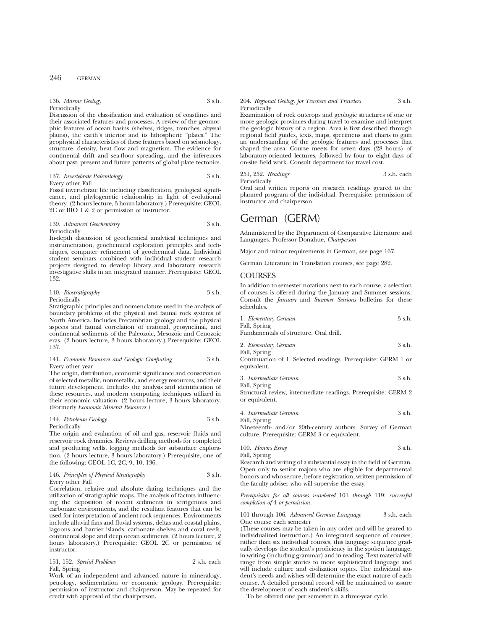| 136. Marine Geology | 3 s.h. |
|---------------------|--------|
| Periodically        |        |

Discussion of the classification and evaluation of coastlines and their associated features and processes. A review of the geomorphic features of ocean basins (shelves, ridges, trenches, abyssal plains), the earth's interior and its lithospheric "plates." The geophysical characteristics of these features based on seismology, structure, density, heat flow and magnetism. The evidence for continental drift and sea-floor spreading, and the inferences about past, present and future patterns of global plate tectonics.

137. *Invertebrate Paleontology* 3 s.h. Every other Fall

Fossil invertebrate life including classification, geological significance, and phylogenetic relationship in light of evolutional theory. (2 hours lecture, 3 hours laboratory.) Prerequisite: GEOL 2C or BIO 1 & 2 or permission of instructor.

### 139. *Advanced Geochemistry* 3 s.h. Periodically

In-depth discussion of geochemical analytical techniques and instrumentation, geochemical exploration principles and techniques, computer refinement of geochemical data. Individual student seminars combined with individual student research projects designed to develop library and laboratory research investigative skills in an integrated manner. Prerequisite: GEOL 132.

| 140. Biostratigraphy | 3 s.h. |
|----------------------|--------|
| Periodically         |        |

Stratigraphic principles and nomenclature used in the analysis of boundary problems of the physical and faunal rock systems of North America. Includes Precambrian geology and the physical aspects and faunal correlation of cratonal, geosynclinal, and continental sediments of the Paleozoic, Mesozoic and Cenozoic eras. (2 hours lecture, 3 hours laboratory.) Prerequisite: GEOL 137.

### 141. *Economic Resources and Geologic Computing* 3 s.h. Every other year

The origin, distribution, economic significance and conservation of selected metallic, nonmetallic, and energy resources, and their future development. Includes the analysis and identification of these resources, and modern computing techniques utilized in their economic valuation. (2 hours lecture, 3 hours laboratory. (Formerly *Economic Mineral Resources.)*

### 144. *Petroleum Geology* 3 s.h. Periodically

The origin and evaluation of oil and gas, reservoir fluids and reservoir rock dynamics. Reviews drilling methods for completed and producing wells, logging methods for subsurface exploration. (2 hours lecture, 3 hours laboratory.) Prerequisite, one of the following: GEOL 1C, 2C, 9, 10, 136.

| 146. Principles of Physical Stratigraphy | 3 s.h. |
|------------------------------------------|--------|
| Every other Fall                         |        |

Correlation, relative and absolute dating techniques and the utilization of stratigraphic maps. The analysis of factors influencing the deposition of recent sediments in terrigenous and carbonate environments, and the resultant features that can be used for interpretation of ancient rock sequences. Environments include alluvial fans and fluvial systems, deltas and coastal plains, lagoons and barrier islands, carbonate shelves and coral reefs, continental slope and deep ocean sediments. (2 hours lecture, 2 hours laboratory.) Prerequisite: GEOL 2C or permission of instructor.

| 151, 152. Special Problems | 2 s.h. each |
|----------------------------|-------------|
| Fall, Spring               |             |

Work of an independent and advanced nature in mineralogy, petrology, sedimentation or economic geology. Prerequisite: permission of instructor and chairperson. May be repeated for credit with approval of the chairperson.

### 204. *Regional Geology for Teachers and Travelers* 3 s.h. **Periodically**

Examination of rock outcrops and geologic structures of one or more geologic provinces during travel to examine and interpret the geologic history of a region. Area is first described through regional field guides, texts, maps, specimens and charts to gain an understanding of the geologic features and processes that shaped the area. Course meets for seven days (28 hours) of laboratory-oriented lectures, followed by four to eight days of on-site field work. Consult department for travel cost.

251, 252. *Readings* 3 s.h. each Periodically

Oral and written reports on research readings geared to the planned program of the individual. Prerequisite: permission of instructor and chairperson.

# German (GERM)

Administered by the Department of Comparative Literature and Languages. Professor Donahue, *Chairperson*

Major and minor requirements in German, see page 167.

German Literature in Translation courses, see page 282.

# COURSES

In addition to semester notations next to each course, a selection of courses is offered during the January and Summer sessions. Consult the *January* and *Summer Sessions* bulletins for these schedules.

| 1. Elementary German                                                         | 3 s.h. |
|------------------------------------------------------------------------------|--------|
| Fall, Spring                                                                 |        |
| Fundamentals of structure. Oral drill.                                       |        |
| 2. Elementary German                                                         | 3 s.h. |
| Fall, Spring                                                                 |        |
| Continuation of 1. Selected readings. Prerequisite: GERM 1 or<br>equivalent. |        |
| 3. Intermediate German                                                       | 3 s.h. |
| Fall, Spring                                                                 |        |
| Structural review, intermediate readings. Prerequisite: GERM 2               |        |
| or equivalent.                                                               |        |
| 4. Intermediate German                                                       | 3 s.h. |

Fall, Spring Nineteenth- and/or 20th-century authors. Survey of German culture. Prerequisite: GERM 3 or equivalent.

100. *Honors Essay* 3 s.h.

Fall, Spring

Research and writing of a substantial essay in the field of German. Open only to senior majors who are eligible for departmental honors and who secure, before registration, written permission of the faculty adviser who will supervise the essay.

*Prerequisites for all courses numbered* 101 *through* 119: *successful completion of* 4 *or permission.*

### 101 through 106. *Advanced German Language* 3 s.h. each One course each semester

(These courses may be taken in any order and will be geared to individualized instruction.) An integrated sequence of courses, rather than six individual courses, this language sequence gradually develops the student's proficiency in the spoken language, in writing (including grammar) and in reading. Text material will range from simple stories to more sophisticated language and will include culture and civilization topics. The individual student's needs and wishes will determine the exact nature of each course. A detailed personal record will be maintained to assure the development of each student's skills.

To be offered one per semester in a three-year cycle.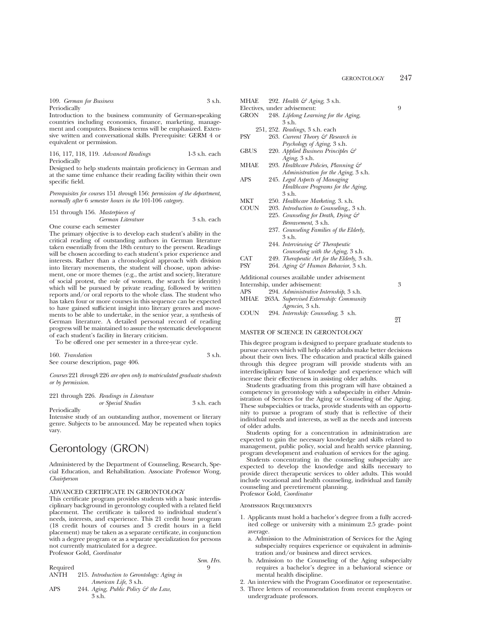| 109. German for Business | 3 s.h. |
|--------------------------|--------|
| Periodically             |        |

Introduction to the business community of German-speaking countries including economics, finance, marketing, management and computers. Business terms will be emphasized. Extensive written and conversational skills. Prerequisite: GERM 4 or equivalent or permission.

116, 117, 118, 119. *Advanced Readings* 1-3 s.h. each Periodically

Designed to help students maintain proficiency in German and at the same time enhance their reading facility within their own specific field.

*Prerequisites for courses* 151 *through* 156: *permission of the department, normally after* 6 *semester hours in the* 101-106 *category.*

#### 151 through 156. *Masterpieces of*

# *German Literature* 3 s.h. each

One course each semester The primary objective is to develop each student's ability in the critical reading of outstanding authors in German literature taken essentially from the 18th century to the present. Readings will be chosen according to each student's prior experience and interests. Rather than a chronological approach with division into literary movements, the student will choose, upon advisement, one or more themes (e.g., the artist and society, literature of social protest, the role of women, the search for identity) which will be pursued by private reading, followed by written reports and/or oral reports to the whole class. The student who has taken four or more courses in this sequence can be expected to have gained sufficient insight into literary genres and movements to be able to undertake, in the senior year, a synthesis of German literature. A detailed personal record of reading progress will be maintained to assure the systematic development of each student's facility in literary criticism.

To be offered one per semester in a three-year cycle.

160. *Translation* 3 s.h. See course description, page 406.

*Courses* 221 *through* 226 *are open only to matriculated graduate students or by permission.*

|  | 221 through 226. Readings in Literature |             |
|--|-----------------------------------------|-------------|
|  | or Special Studies                      | 3 s.h. each |

Periodically

Intensive study of an outstanding author, movement or literary genre. Subjects to be announced. May be repeated when topics vary.

# Gerontology (GRON)

Administered by the Department of Counseling, Research, Special Education, and Rehabilitation. Associate Professor Wong, *Chairperson*

## ADVANCED CERTIFICATE IN GERONTOLOGY

This certificate program provides students with a basic interdisciplinary background in gerontology coupled with a related field placement. The certificate is tailored to individual student's needs, interests, and experience. This 21 credit hour program (18 credit hours of courses and 3 credit hours in a field placement) may be taken as a separate certificate, in conjunction with a degree program or as a separate specialization for persons not currently matriculated for a degree. Professor Gold, *Coordinator*

|            |                                            | Sem. Hrs. |
|------------|--------------------------------------------|-----------|
| Required   |                                            | о         |
| ANTH       | 215. Introduction to Gerontology: Aging in |           |
|            | American Life, 3 s.h.                      |           |
| <b>APS</b> | 244. Aging, Public Policy & the Law,       |           |
|            | 3 s.h.                                     |           |

| MITAL       | 292. <i>Пеши</i> с <i>Aging</i> , э s.п.       |   |
|-------------|------------------------------------------------|---|
|             | Electives, under advisement:                   | 9 |
| <b>GRON</b> | 248. Lifelong Learning for the Aging,          |   |
|             | 3 s.h.                                         |   |
|             | 251, 252. Readings, 3 s.h. each                |   |
| PSY         | 263. Current Theory $\mathcal{C}$ Research in  |   |
|             | <i>Psychology of Aging</i> , 3 s.h.            |   |
| <b>GBUS</b> | 220. Applied Business Principles $\mathcal{C}$ |   |
|             | Aging, 3 s.h.                                  |   |
| MHAE        | 293. Healthcare Policies, Planning &           |   |
|             | Administration for the Aging, 3 s.h.           |   |
| APS         | 245. Legal Aspects of Managing                 |   |
|             | Healthcare Programs for the Aging,             |   |
|             | 3 s.h.                                         |   |
| MKT         | 250. Healthcare Marketing, 3. s.h.             |   |
| <b>COUN</b> | 203. Introduction to Counseling, 3 s.h.        |   |
|             | 225. Counseling for Death, Dying &             |   |
|             | Bereavement, 3 s.h.                            |   |
|             | 237. Counseling Families of the Elderly,       |   |
|             | 3 s.h.                                         |   |
|             | 244. Interviewing & Therapeutic                |   |
|             | Counseling with the Aging, 3 s.h.              |   |
| CAT         | 249. Therapeutic Art for the Elderly, 3 s.h.   |   |
| PSY         | 264. Aging & Human Behavior, 3 s.h.            |   |
|             | Additional courses available under advisement  |   |
|             |                                                |   |

 $M H \rightarrow 000 H, \text{ } H \rightarrow 4 \text{ } \text{ } 2.4 \text{ } 2.4 \text{ } 3.1 \text{ }$ 

Additional courses available under advisement Internship, under advisement: 3

| APS         | 294. Administrative Internship, 3 s.h.      |                 |
|-------------|---------------------------------------------|-----------------|
| MHAE        | 263A. Supervised Externship: Community      |                 |
|             | <i>Agencies</i> , 3 s.h.                    |                 |
| <b>COUN</b> | 294. <i>Internship: Counseling</i> , 3 s.h. |                 |
|             |                                             | $\overline{21}$ |

# MASTER OF SCIENCE IN GERONTOLOGY

This degree program is designed to prepare graduate students to pursue careers which will help older adults make better decisions about their own lives. The education and practical skills gained through this degree program will provide students with an interdisciplinary base of knowledge and experience which will increase their effectiveness in assisting older adults.

Students graduating from this program will have obtained a competency in gerontology with a subspecialty in either Administration of Services for the Aging or Counseling of the Aging. These subspecialties or tracks, provide students with an opportunity to pursue a program of study that is reflective of their individual needs and interests, as well as the needs and interests of older adults.

Students opting for a concentration in administration are expected to gain the necessary knowledge and skills related to management, public policy, social and health service planning, program development and evaluation of services for the aging.

Students concentrating in the counseling subspecialty are expected to develop the knowledge and skills necessary to provide direct therapeutic services to older adults. This would include vocational and health counseling, individual and family counseling and preretirement planning. Professor Gold, *Coordinator*

### Admission Requirements

- 1. Applicants must hold a bachelor's degree from a fully accredited college or university with a minimum 2.5 grade- point average.
	- a. Admission to the Administration of Services for the Aging subspecialty requires experience or equivalent in administration and/or business and direct services.
	- b. Admission to the Counseling of the Aging subspecialty requires a bachelor's degree in a behavioral science or mental health discipline.
- 2. An interview with the Program Coordinator or representative.
- 3. Three letters of recommendation from recent employers or undergraduate professors.